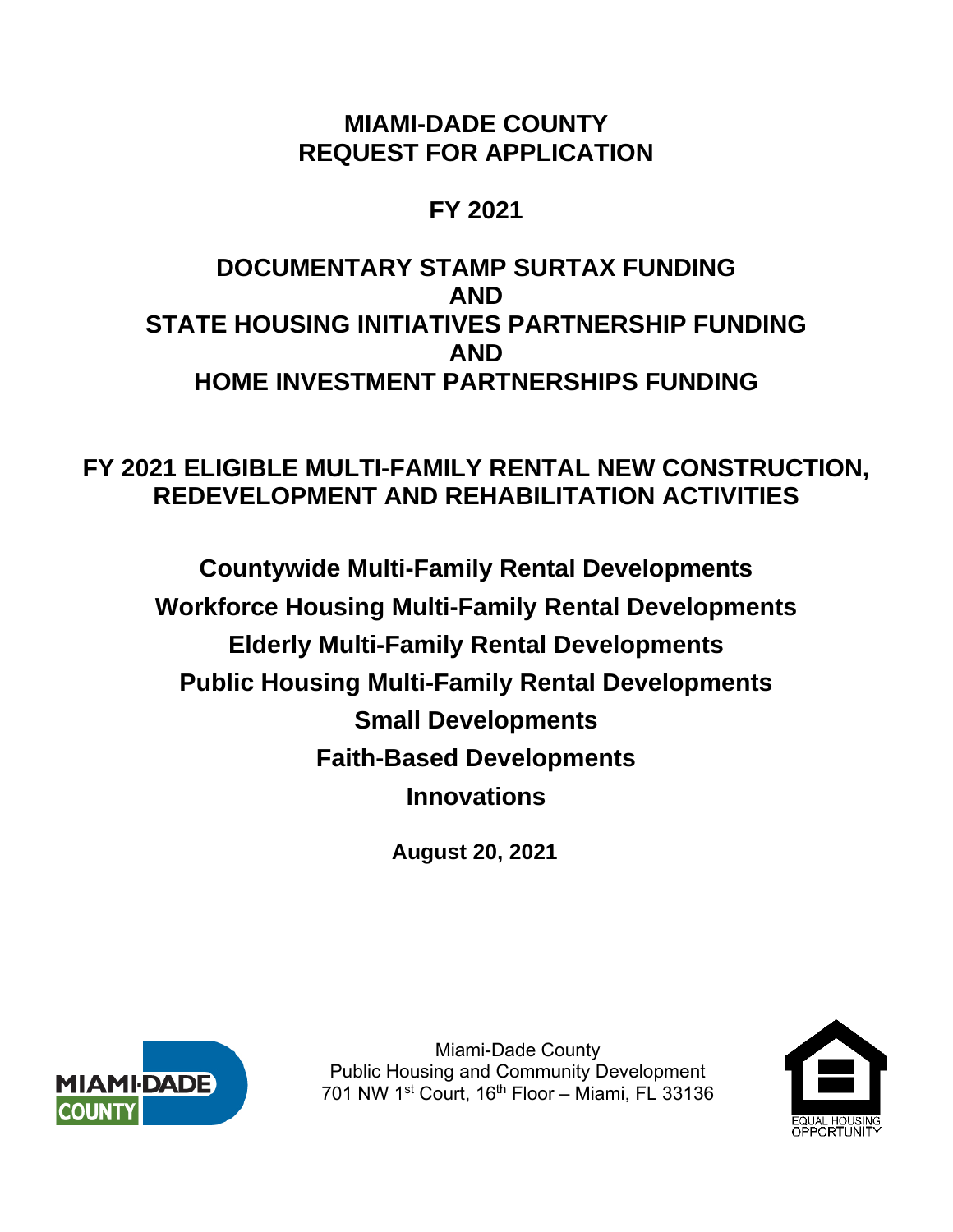# **MIAMI-DADE COUNTY REQUEST FOR APPLICATION**

# **FY 2021**

# **DOCUMENTARY STAMP SURTAX FUNDING AND STATE HOUSING INITIATIVES PARTNERSHIP FUNDING AND HOME INVESTMENT PARTNERSHIPS FUNDING**

# **FY 2021 ELIGIBLE MULTI-FAMILY RENTAL NEW CONSTRUCTION, REDEVELOPMENT AND REHABILITATION ACTIVITIES**

**Countywide Multi-Family Rental Developments Workforce Housing Multi-Family Rental Developments Elderly Multi-Family Rental Developments Public Housing Multi-Family Rental Developments Small Developments Faith-Based Developments Innovations** 

**August 20, 2021** 



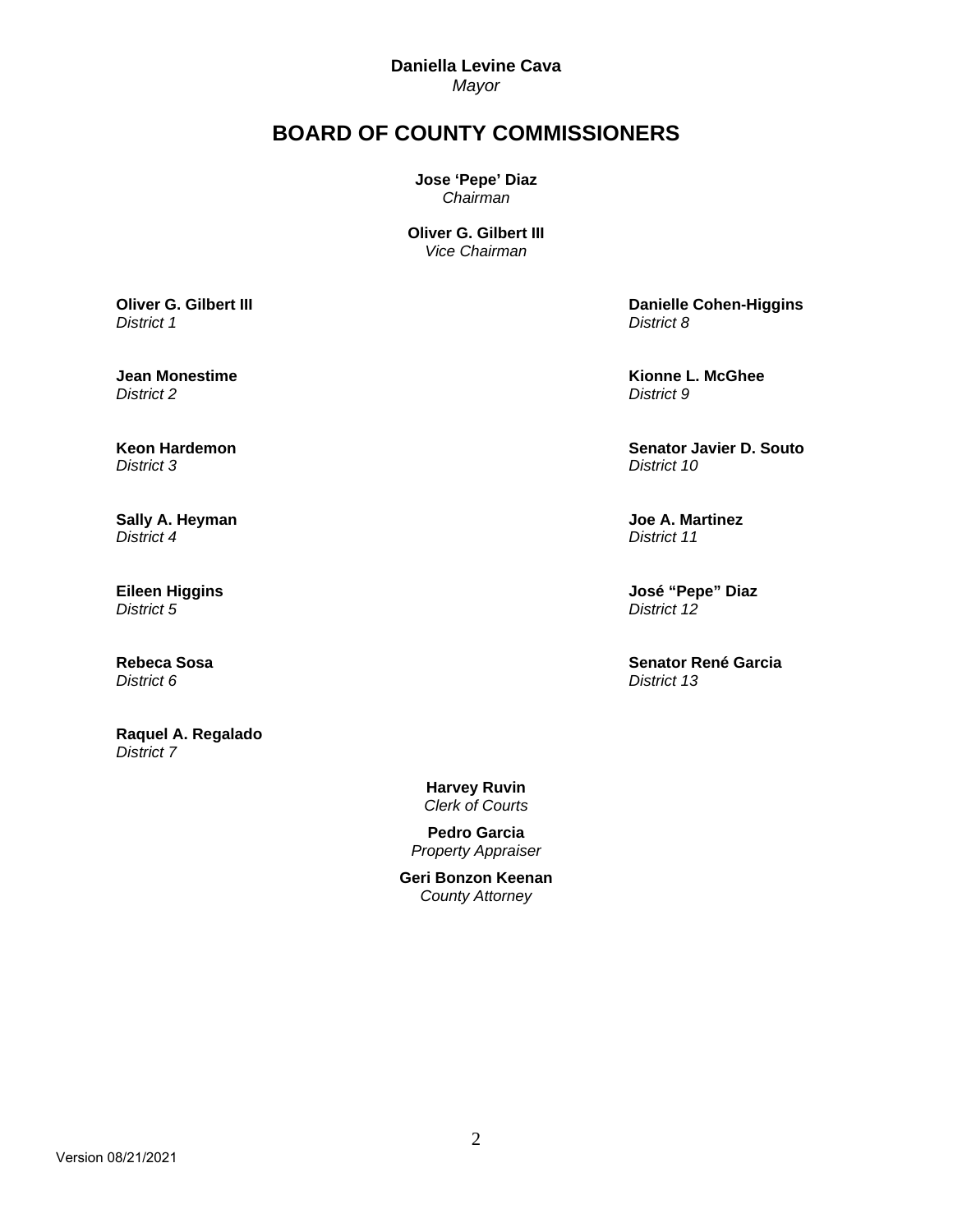**Daniella Levine Cava**  *Mayor* 

# **BOARD OF COUNTY COMMISSIONERS**

**Jose 'Pepe' Diaz** *Chairman* 

**Oliver G. Gilbert III** *Vice Chairman*

**Oliver G. Gilbert III**  *District 1*

**Jean Monestime**  *District 2*

**Keon Hardemon**  *District 3*

**Sally A. Heyman**  *District 4*

**Eileen Higgins**  *District 5*

**Rebeca Sosa**  *District 6*

**Raquel A. Regalado**  *District 7* 

 **Danielle Cohen-Higgins**  *District 8*

 **Kionne L. McGhee**  *District 9*

 **Senator Javier D. Souto**  *District 10*

 **Joe A. Martinez**  *District 11*

 **José "Pepe" Diaz**  *District 12*

 **Senator René Garcia**  *District 13*

**Harvey Ruvin**  *Clerk of Courts* 

**Pedro Garcia**  *Property Appraiser*

**Geri Bonzon Keenan**  *County Attorney*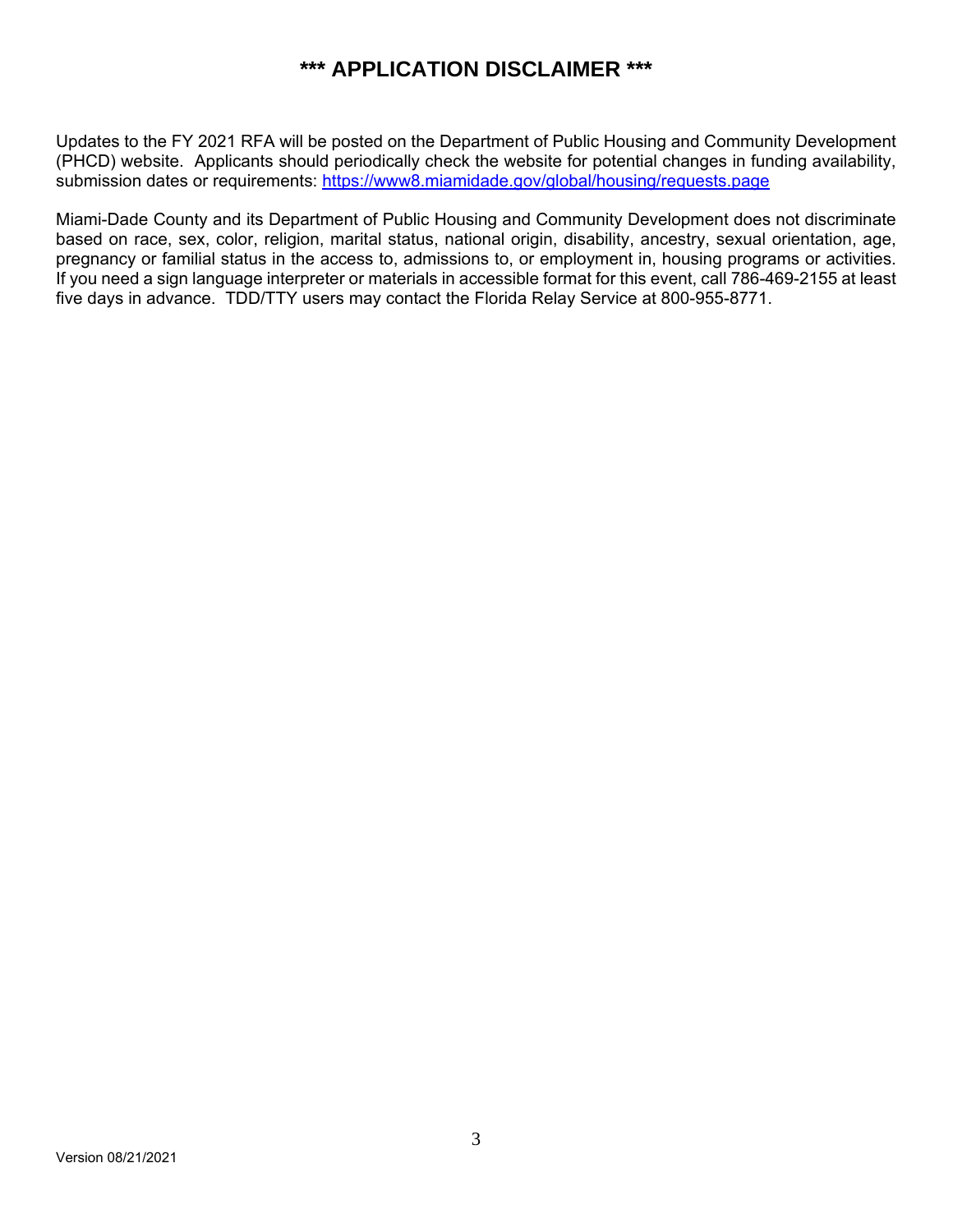# **\*\*\* APPLICATION DISCLAIMER \*\*\***

Updates to the FY 2021 RFA will be posted on the Department of Public Housing and Community Development (PHCD) website. Applicants should periodically check the website for potential changes in funding availability, submission dates or requirements: https://www8.miamidade.gov/global/housing/requests.page

Miami-Dade County and its Department of Public Housing and Community Development does not discriminate based on race, sex, color, religion, marital status, national origin, disability, ancestry, sexual orientation, age, pregnancy or familial status in the access to, admissions to, or employment in, housing programs or activities. If you need a sign language interpreter or materials in accessible format for this event, call 786-469-2155 at least five days in advance. TDD/TTY users may contact the Florida Relay Service at 800-955-8771.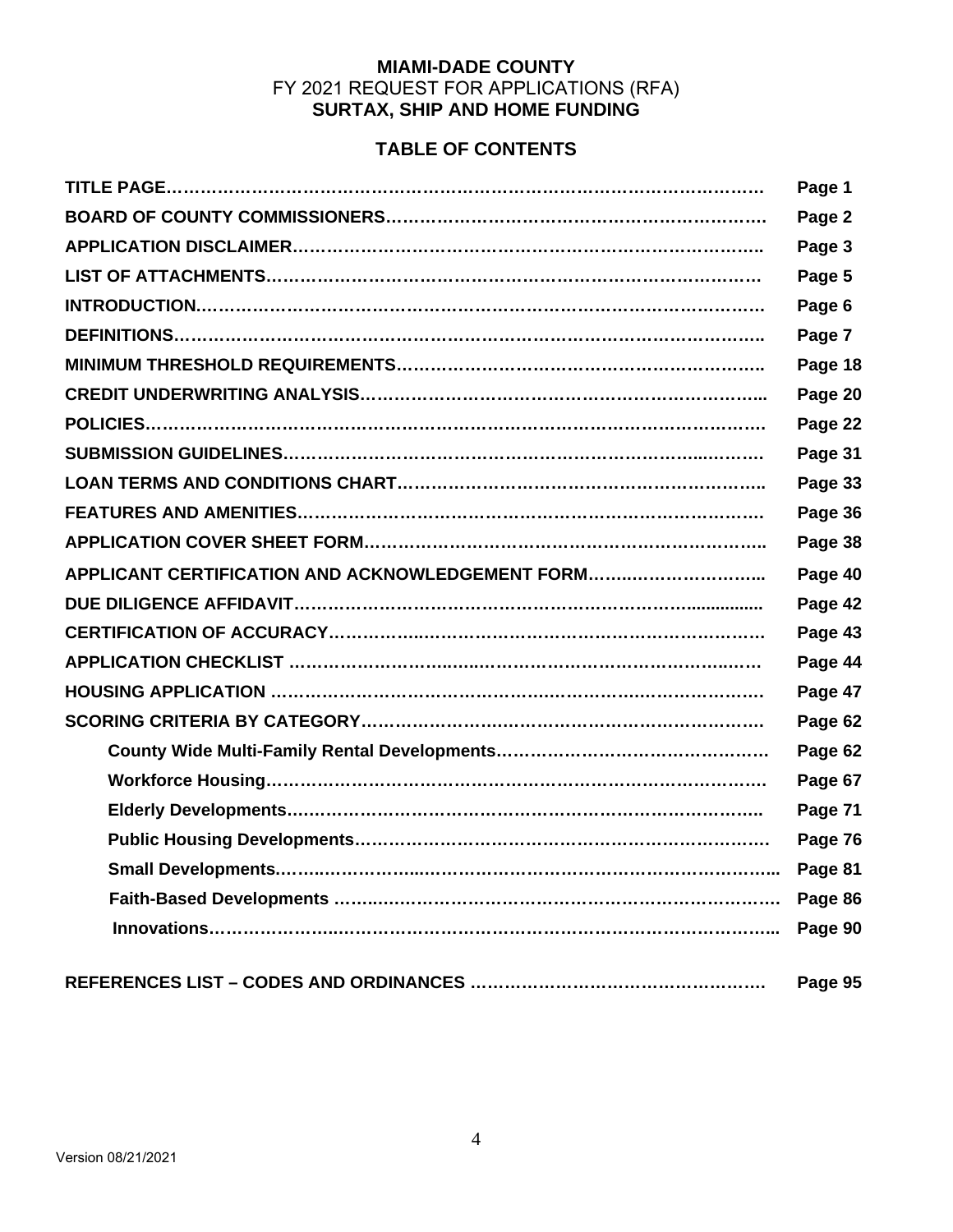# **MIAMI-DADE COUNTY**  FY 2021 REQUEST FOR APPLICATIONS (RFA) **SURTAX, SHIP AND HOME FUNDING**

# **TABLE OF CONTENTS**

|                                                  | Page 1  |
|--------------------------------------------------|---------|
|                                                  | Page 2  |
|                                                  | Page 3  |
|                                                  | Page 5  |
|                                                  | Page 6  |
|                                                  | Page 7  |
|                                                  | Page 18 |
|                                                  | Page 20 |
|                                                  | Page 22 |
|                                                  | Page 31 |
|                                                  | Page 33 |
|                                                  | Page 36 |
|                                                  | Page 38 |
| APPLICANT CERTIFICATION AND ACKNOWLEDGEMENT FORM | Page 40 |
|                                                  | Page 42 |
|                                                  | Page 43 |
|                                                  | Page 44 |
|                                                  | Page 47 |
|                                                  | Page 62 |
|                                                  | Page 62 |
|                                                  | Page 67 |
|                                                  | Page 71 |
|                                                  | Page 76 |
|                                                  | Page 81 |
|                                                  |         |
|                                                  |         |
|                                                  |         |
|                                                  | Page 95 |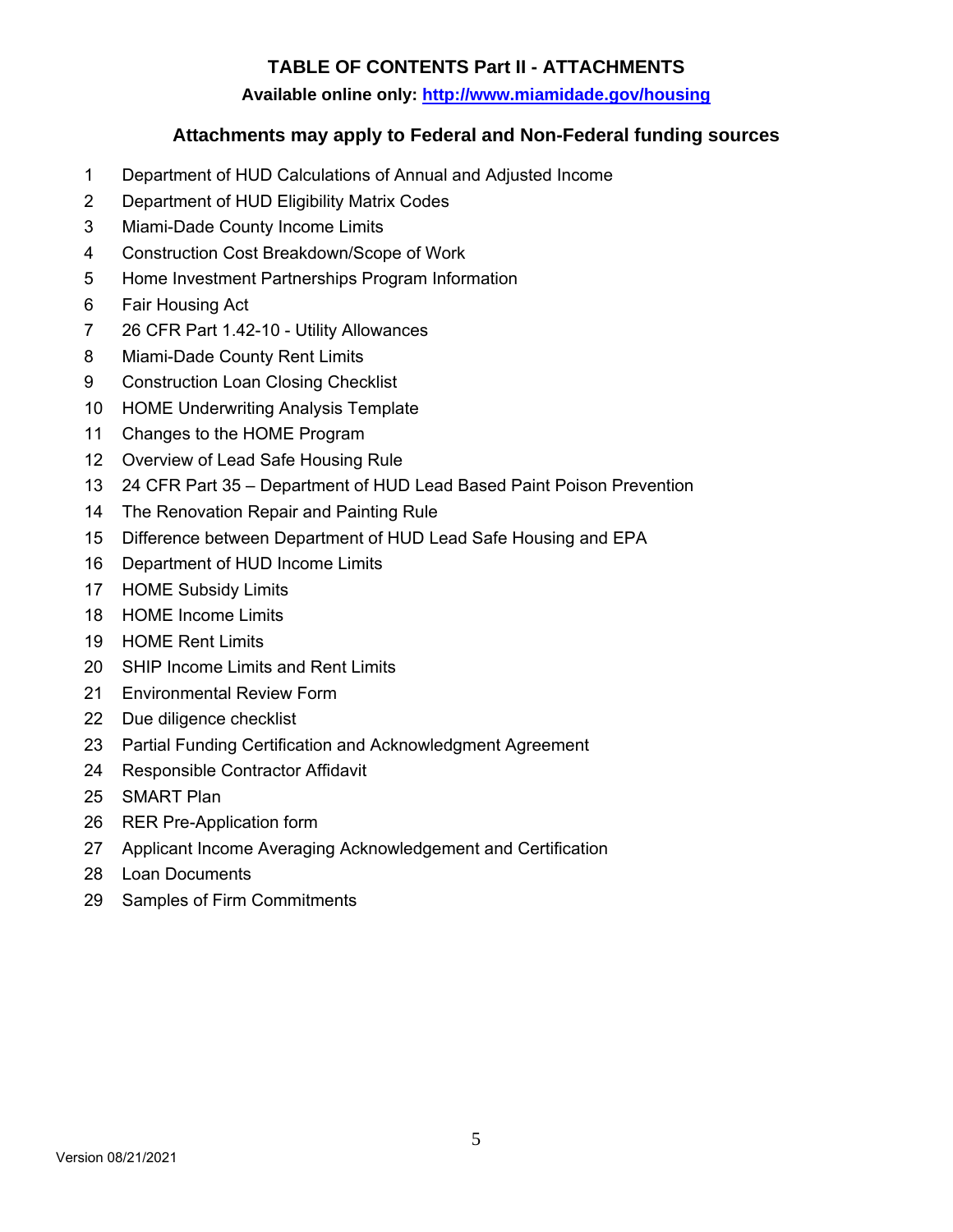# **TABLE OF CONTENTS Part II - ATTACHMENTS**

## **Available online only: http://www.miamidade.gov/housing**

# **Attachments may apply to Federal and Non-Federal funding sources**

- 1 Department of HUD Calculations of Annual and Adjusted Income
- 2 Department of HUD Eligibility Matrix Codes
- 3 Miami-Dade County Income Limits
- 4 Construction Cost Breakdown/Scope of Work
- 5 Home Investment Partnerships Program Information
- 6 Fair Housing Act
- 7 26 CFR Part 1.42-10 Utility Allowances
- 8 Miami-Dade County Rent Limits
- 9 Construction Loan Closing Checklist
- 10 HOME Underwriting Analysis Template
- 11 Changes to the HOME Program
- 12 Overview of Lead Safe Housing Rule
- 13 24 CFR Part 35 Department of HUD Lead Based Paint Poison Prevention
- 14 The Renovation Repair and Painting Rule
- 15 Difference between Department of HUD Lead Safe Housing and EPA
- 16 Department of HUD Income Limits
- 17 HOME Subsidy Limits
- 18 HOME Income Limits
- 19 HOME Rent Limits
- 20 SHIP Income Limits and Rent Limits
- 21 Environmental Review Form
- 22 Due diligence checklist
- 23 Partial Funding Certification and Acknowledgment Agreement
- 24 Responsible Contractor Affidavit
- 25 SMART Plan
- 26 RER Pre-Application form
- 27 Applicant Income Averaging Acknowledgement and Certification
- 28 Loan Documents
- 29 Samples of Firm Commitments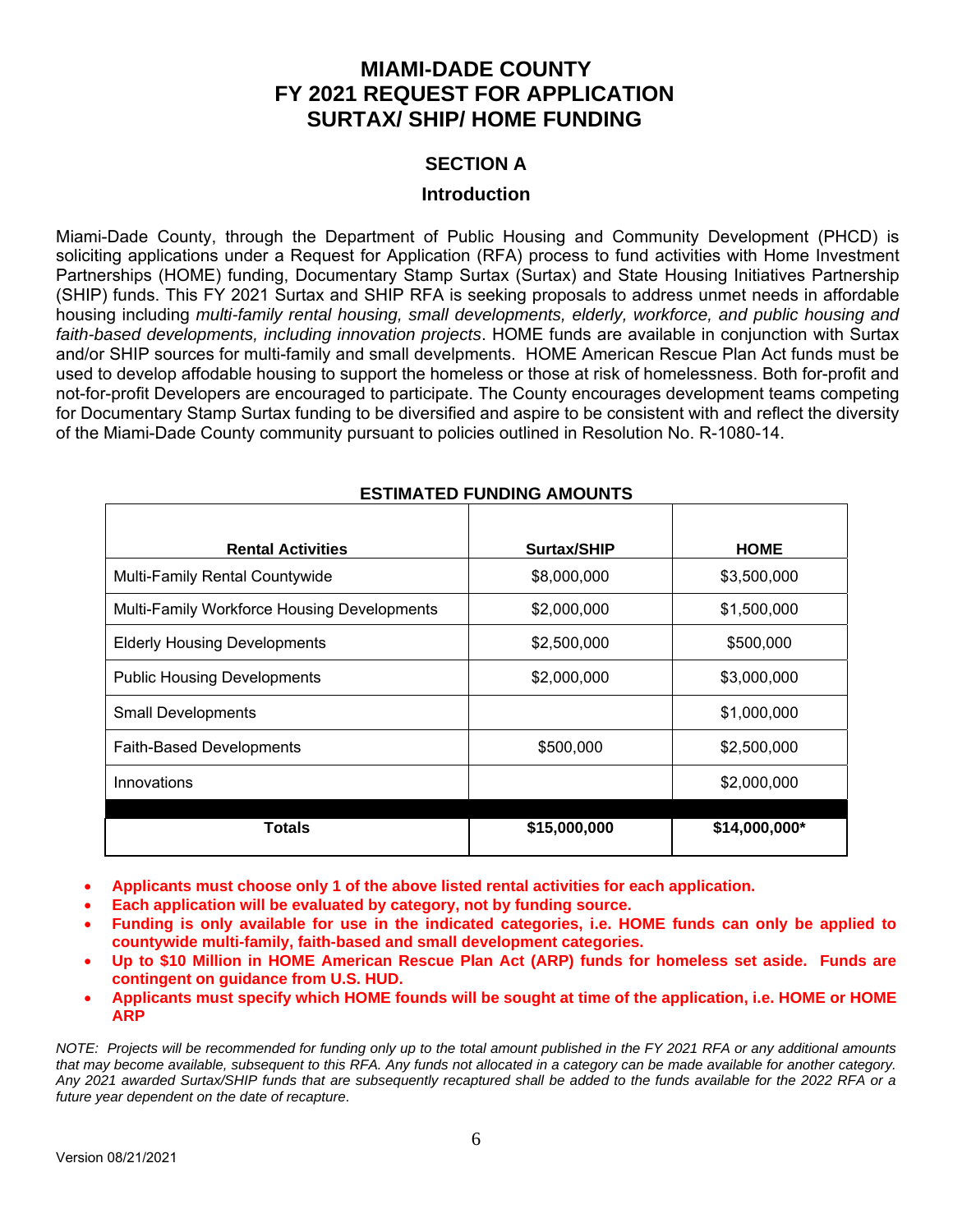# **MIAMI-DADE COUNTY FY 2021 REQUEST FOR APPLICATION SURTAX/ SHIP/ HOME FUNDING**

# **SECTION A**

#### **Introduction**

Miami-Dade County, through the Department of Public Housing and Community Development (PHCD) is soliciting applications under a Request for Application (RFA) process to fund activities with Home Investment Partnerships (HOME) funding, Documentary Stamp Surtax (Surtax) and State Housing Initiatives Partnership (SHIP) funds. This FY 2021 Surtax and SHIP RFA is seeking proposals to address unmet needs in affordable housing including *multi-family rental housing, small developments, elderly, workforce, and public housing and faith-based developments, including innovation projects*. HOME funds are available in conjunction with Surtax and/or SHIP sources for multi-family and small develpments. HOME American Rescue Plan Act funds must be used to develop affodable housing to support the homeless or those at risk of homelessness. Both for-profit and not-for-profit Developers are encouraged to participate. The County encourages development teams competing for Documentary Stamp Surtax funding to be diversified and aspire to be consistent with and reflect the diversity of the Miami-Dade County community pursuant to policies outlined in Resolution No. R-1080-14.

| ESTIMATED FUNDING AMOUNTS                   |              |               |  |  |
|---------------------------------------------|--------------|---------------|--|--|
|                                             |              |               |  |  |
| <b>Rental Activities</b>                    | Surtax/SHIP  | <b>HOME</b>   |  |  |
| Multi-Family Rental Countywide              | \$8,000,000  | \$3,500,000   |  |  |
| Multi-Family Workforce Housing Developments | \$2,000,000  | \$1,500,000   |  |  |
| <b>Elderly Housing Developments</b>         | \$2,500,000  | \$500,000     |  |  |
| <b>Public Housing Developments</b>          | \$2,000,000  | \$3,000,000   |  |  |
| <b>Small Developments</b>                   |              | \$1,000,000   |  |  |
| <b>Faith-Based Developments</b>             | \$500,000    | \$2,500,000   |  |  |
| Innovations                                 |              | \$2,000,000   |  |  |
| <b>Totals</b>                               | \$15,000,000 | \$14,000,000* |  |  |

# **ESTIMATED FUNDING AMOUNTS**

- **Applicants must choose only 1 of the above listed rental activities for each application.**
- **Each application will be evaluated by category, not by funding source.**
- **Funding is only available for use in the indicated categories, i.e. HOME funds can only be applied to countywide multi-family, faith-based and small development categories.**
- **Up to \$10 Million in HOME American Rescue Plan Act (ARP) funds for homeless set aside. Funds are contingent on guidance from U.S. HUD.**
- **Applicants must specify which HOME founds will be sought at time of the application, i.e. HOME or HOME ARP**

*NOTE: Projects will be recommended for funding only up to the total amount published in the FY 2021 RFA or any additional amounts that may become available, subsequent to this RFA. Any funds not allocated in a category can be made available for another category. Any 2021 awarded Surtax/SHIP funds that are subsequently recaptured shall be added to the funds available for the 2022 RFA or a future year dependent on the date of recapture*.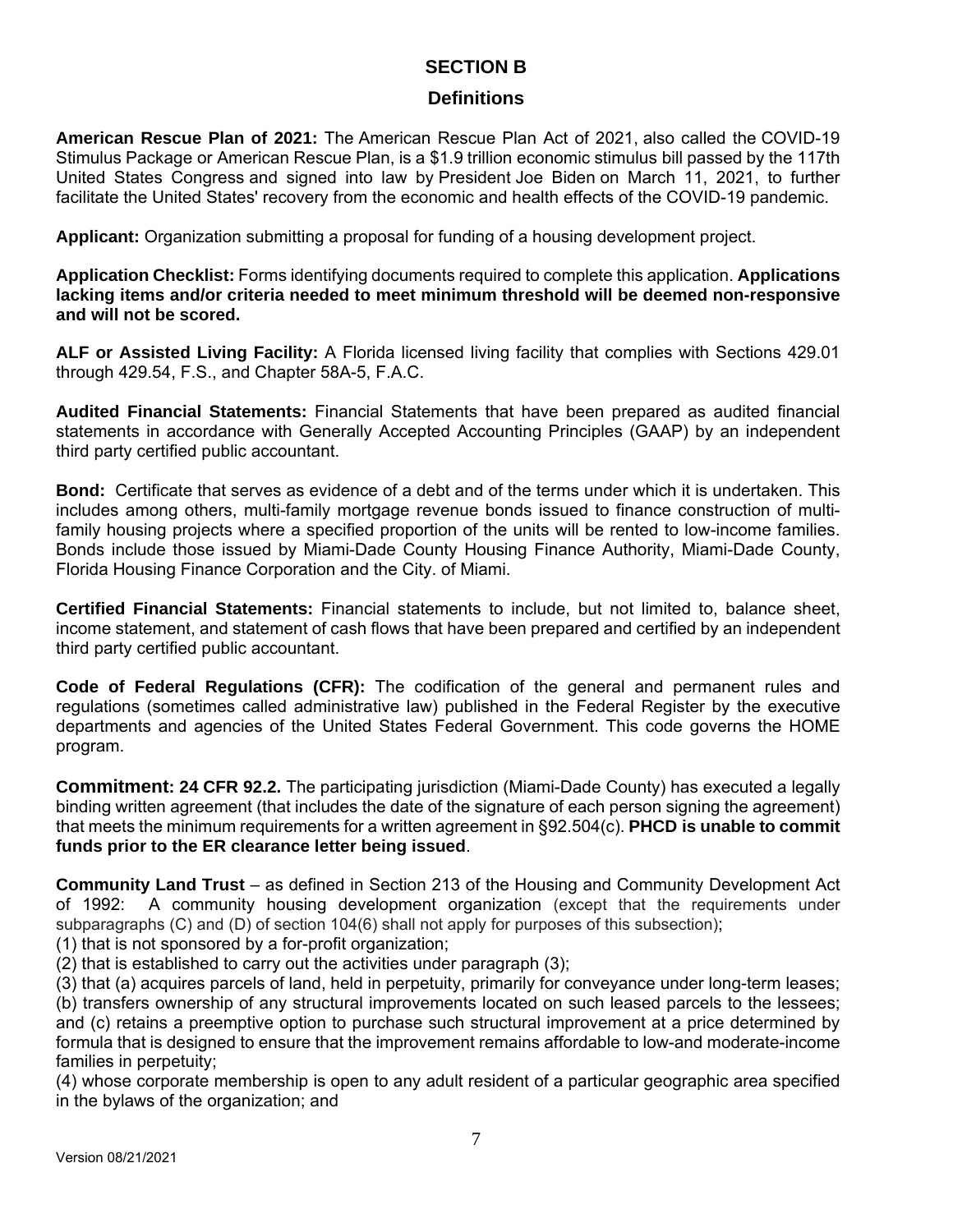# **SECTION B**

# **Definitions**

**American Rescue Plan of 2021:** The American Rescue Plan Act of 2021, also called the COVID-19 Stimulus Package or American Rescue Plan, is a \$1.9 trillion economic stimulus bill passed by the 117th United States Congress and signed into law by President Joe Biden on March 11, 2021, to further facilitate the United States' recovery from the economic and health effects of the COVID-19 pandemic.

**Applicant:** Organization submitting a proposal for funding of a housing development project.

**Application Checklist:** Forms identifying documents required to complete this application. **Applications lacking items and/or criteria needed to meet minimum threshold will be deemed non-responsive and will not be scored.** 

**ALF or Assisted Living Facility:** A Florida licensed living facility that complies with Sections 429.01 through 429.54, F.S., and Chapter 58A-5, F.A.C.

**Audited Financial Statements:** Financial Statements that have been prepared as audited financial statements in accordance with Generally Accepted Accounting Principles (GAAP) by an independent third party certified public accountant.

**Bond:** Certificate that serves as evidence of a debt and of the terms under which it is undertaken. This includes among others, multi-family mortgage revenue bonds issued to finance construction of multifamily housing projects where a specified proportion of the units will be rented to low-income families. Bonds include those issued by Miami-Dade County Housing Finance Authority, Miami-Dade County, Florida Housing Finance Corporation and the City. of Miami.

**Certified Financial Statements:** Financial statements to include, but not limited to, balance sheet, income statement, and statement of cash flows that have been prepared and certified by an independent third party certified public accountant.

**Code of Federal Regulations (CFR):** The codification of the general and permanent rules and regulations (sometimes called administrative law) published in the Federal Register by the executive departments and agencies of the United States Federal Government. This code governs the HOME program.

**Commitment: 24 CFR 92.2.** The participating jurisdiction (Miami-Dade County) has executed a legally binding written agreement (that includes the date of the signature of each person signing the agreement) that meets the minimum requirements for a written agreement in §92.504(c). **PHCD is unable to commit funds prior to the ER clearance letter being issued**.

**Community Land Trust** – as defined in Section 213 of the Housing and Community Development Act of 1992: A community housing development organization (except that the requirements under subparagraphs (C) and (D) of section 104(6) shall not apply for purposes of this subsection);

(1) that is not sponsored by a for-profit organization;

(2) that is established to carry out the activities under paragraph (3);

(3) that (a) acquires parcels of land, held in perpetuity, primarily for conveyance under long-term leases; (b) transfers ownership of any structural improvements located on such leased parcels to the lessees; and (c) retains a preemptive option to purchase such structural improvement at a price determined by formula that is designed to ensure that the improvement remains affordable to low-and moderate-income families in perpetuity;

(4) whose corporate membership is open to any adult resident of a particular geographic area specified in the bylaws of the organization; and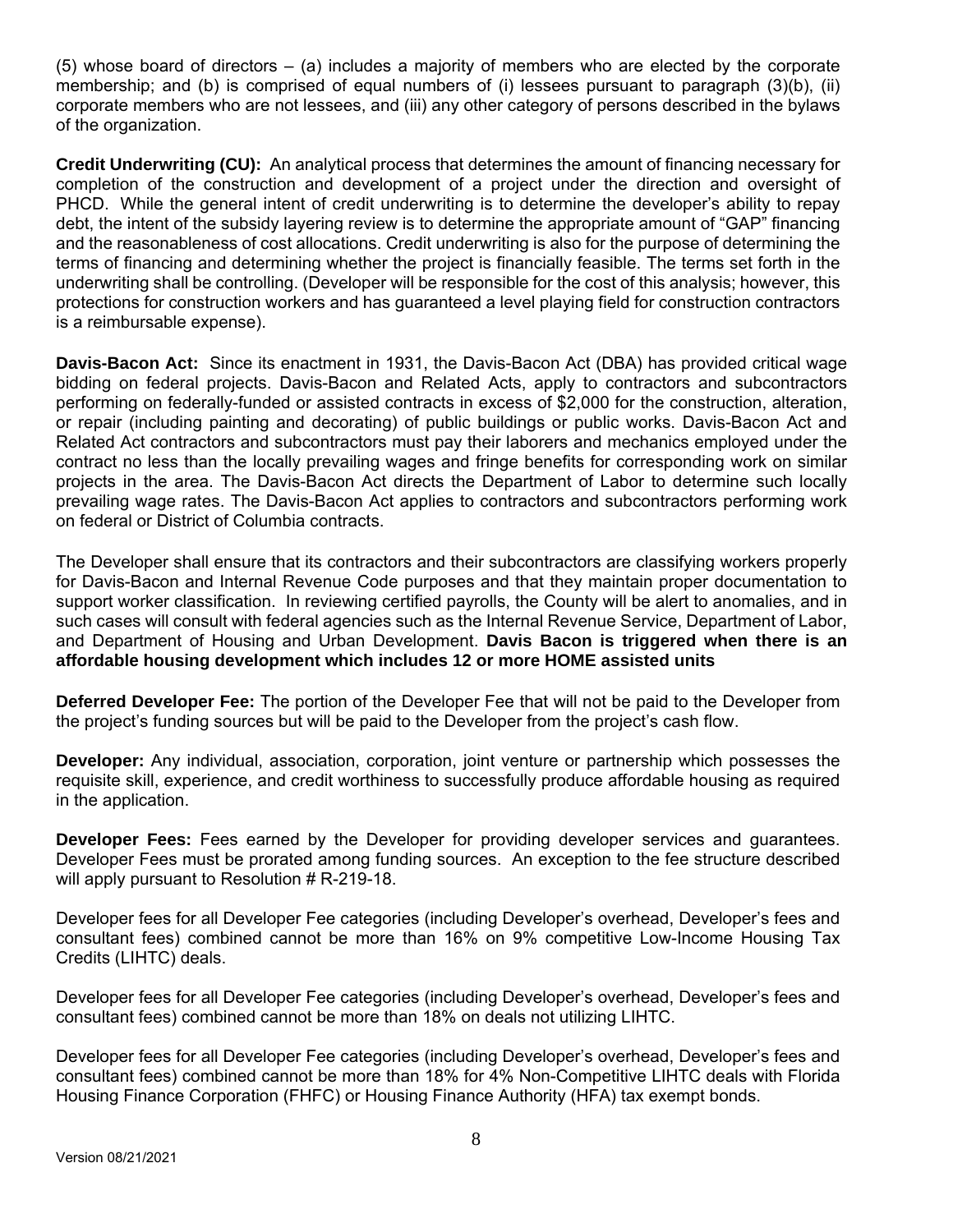(5) whose board of directors – (a) includes a majority of members who are elected by the corporate membership; and (b) is comprised of equal numbers of (i) lessees pursuant to paragraph (3)(b), (ii) corporate members who are not lessees, and (iii) any other category of persons described in the bylaws of the organization.

**Credit Underwriting (CU):** An analytical process that determines the amount of financing necessary for completion of the construction and development of a project under the direction and oversight of PHCD. While the general intent of credit underwriting is to determine the developer's ability to repay debt, the intent of the subsidy layering review is to determine the appropriate amount of "GAP" financing and the reasonableness of cost allocations. Credit underwriting is also for the purpose of determining the terms of financing and determining whether the project is financially feasible. The terms set forth in the underwriting shall be controlling. (Developer will be responsible for the cost of this analysis; however, this protections for construction workers and has guaranteed a level playing field for construction contractors is a reimbursable expense).

**Davis-Bacon Act:** Since its enactment in 1931, the Davis-Bacon Act (DBA) has provided critical wage bidding on federal projects. Davis-Bacon and Related Acts, apply to contractors and subcontractors performing on federally-funded or assisted contracts in excess of \$2,000 for the construction, alteration, or repair (including painting and decorating) of public buildings or public works. Davis-Bacon Act and Related Act contractors and subcontractors must pay their laborers and mechanics employed under the contract no less than the locally prevailing wages and fringe benefits for corresponding work on similar projects in the area. The Davis-Bacon Act directs the Department of Labor to determine such locally prevailing wage rates. The Davis-Bacon Act applies to contractors and subcontractors performing work on federal or District of Columbia contracts.

The Developer shall ensure that its contractors and their subcontractors are classifying workers properly for Davis-Bacon and Internal Revenue Code purposes and that they maintain proper documentation to support worker classification. In reviewing certified payrolls, the County will be alert to anomalies, and in such cases will consult with federal agencies such as the Internal Revenue Service, Department of Labor, and Department of Housing and Urban Development. **Davis Bacon is triggered when there is an affordable housing development which includes 12 or more HOME assisted units**

**Deferred Developer Fee:** The portion of the Developer Fee that will not be paid to the Developer from the project's funding sources but will be paid to the Developer from the project's cash flow.

**Developer:** Any individual, association, corporation, joint venture or partnership which possesses the requisite skill, experience, and credit worthiness to successfully produce affordable housing as required in the application.

**Developer Fees:** Fees earned by the Developer for providing developer services and guarantees. Developer Fees must be prorated among funding sources. An exception to the fee structure described will apply pursuant to Resolution # R-219-18.

Developer fees for all Developer Fee categories (including Developer's overhead, Developer's fees and consultant fees) combined cannot be more than 16% on 9% competitive Low-Income Housing Tax Credits (LIHTC) deals.

Developer fees for all Developer Fee categories (including Developer's overhead, Developer's fees and consultant fees) combined cannot be more than 18% on deals not utilizing LIHTC.

Developer fees for all Developer Fee categories (including Developer's overhead, Developer's fees and consultant fees) combined cannot be more than 18% for 4% Non-Competitive LIHTC deals with Florida Housing Finance Corporation (FHFC) or Housing Finance Authority (HFA) tax exempt bonds.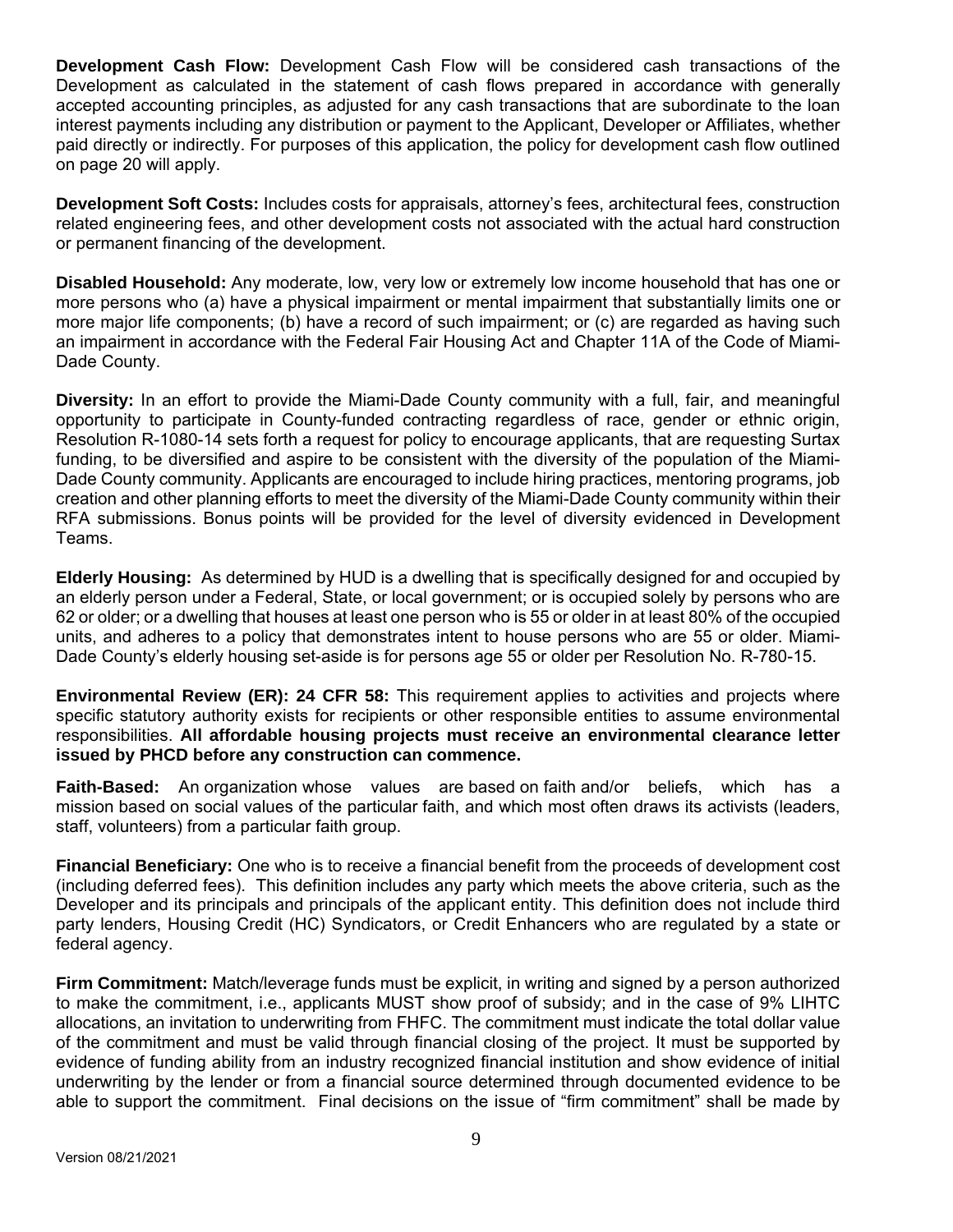**Development Cash Flow:** Development Cash Flow will be considered cash transactions of the Development as calculated in the statement of cash flows prepared in accordance with generally accepted accounting principles, as adjusted for any cash transactions that are subordinate to the loan interest payments including any distribution or payment to the Applicant, Developer or Affiliates, whether paid directly or indirectly. For purposes of this application, the policy for development cash flow outlined on page 20 will apply.

**Development Soft Costs:** Includes costs for appraisals, attorney's fees, architectural fees, construction related engineering fees, and other development costs not associated with the actual hard construction or permanent financing of the development.

**Disabled Household:** Any moderate, low, very low or extremely low income household that has one or more persons who (a) have a physical impairment or mental impairment that substantially limits one or more major life components; (b) have a record of such impairment; or (c) are regarded as having such an impairment in accordance with the Federal Fair Housing Act and Chapter 11A of the Code of Miami-Dade County.

**Diversity:** In an effort to provide the Miami-Dade County community with a full, fair, and meaningful opportunity to participate in County-funded contracting regardless of race, gender or ethnic origin, Resolution R-1080-14 sets forth a request for policy to encourage applicants, that are requesting Surtax funding, to be diversified and aspire to be consistent with the diversity of the population of the Miami-Dade County community. Applicants are encouraged to include hiring practices, mentoring programs, job creation and other planning efforts to meet the diversity of the Miami-Dade County community within their RFA submissions. Bonus points will be provided for the level of diversity evidenced in Development Teams.

**Elderly Housing:** As determined by HUD is a dwelling that is specifically designed for and occupied by an elderly person under a Federal, State, or local government; or is occupied solely by persons who are 62 or older; or a dwelling that houses at least one person who is 55 or older in at least 80% of the occupied units, and adheres to a policy that demonstrates intent to house persons who are 55 or older. Miami-Dade County's elderly housing set-aside is for persons age 55 or older per Resolution No. R-780-15.

**Environmental Review (ER): 24 CFR 58:** This requirement applies to activities and projects where specific statutory authority exists for recipients or other responsible entities to assume environmental responsibilities. **All affordable housing projects must receive an environmental clearance letter issued by PHCD before any construction can commence.** 

**Faith-Based:** An organization whose values are based on faith and/or beliefs, which has a mission based on social values of the particular faith, and which most often draws its activists (leaders, staff, volunteers) from a particular faith group.

**Financial Beneficiary:** One who is to receive a financial benefit from the proceeds of development cost (including deferred fees). This definition includes any party which meets the above criteria, such as the Developer and its principals and principals of the applicant entity. This definition does not include third party lenders, Housing Credit (HC) Syndicators, or Credit Enhancers who are regulated by a state or federal agency.

**Firm Commitment:** Match/leverage funds must be explicit, in writing and signed by a person authorized to make the commitment, i.e., applicants MUST show proof of subsidy; and in the case of 9% LIHTC allocations, an invitation to underwriting from FHFC. The commitment must indicate the total dollar value of the commitment and must be valid through financial closing of the project. It must be supported by evidence of funding ability from an industry recognized financial institution and show evidence of initial underwriting by the lender or from a financial source determined through documented evidence to be able to support the commitment. Final decisions on the issue of "firm commitment" shall be made by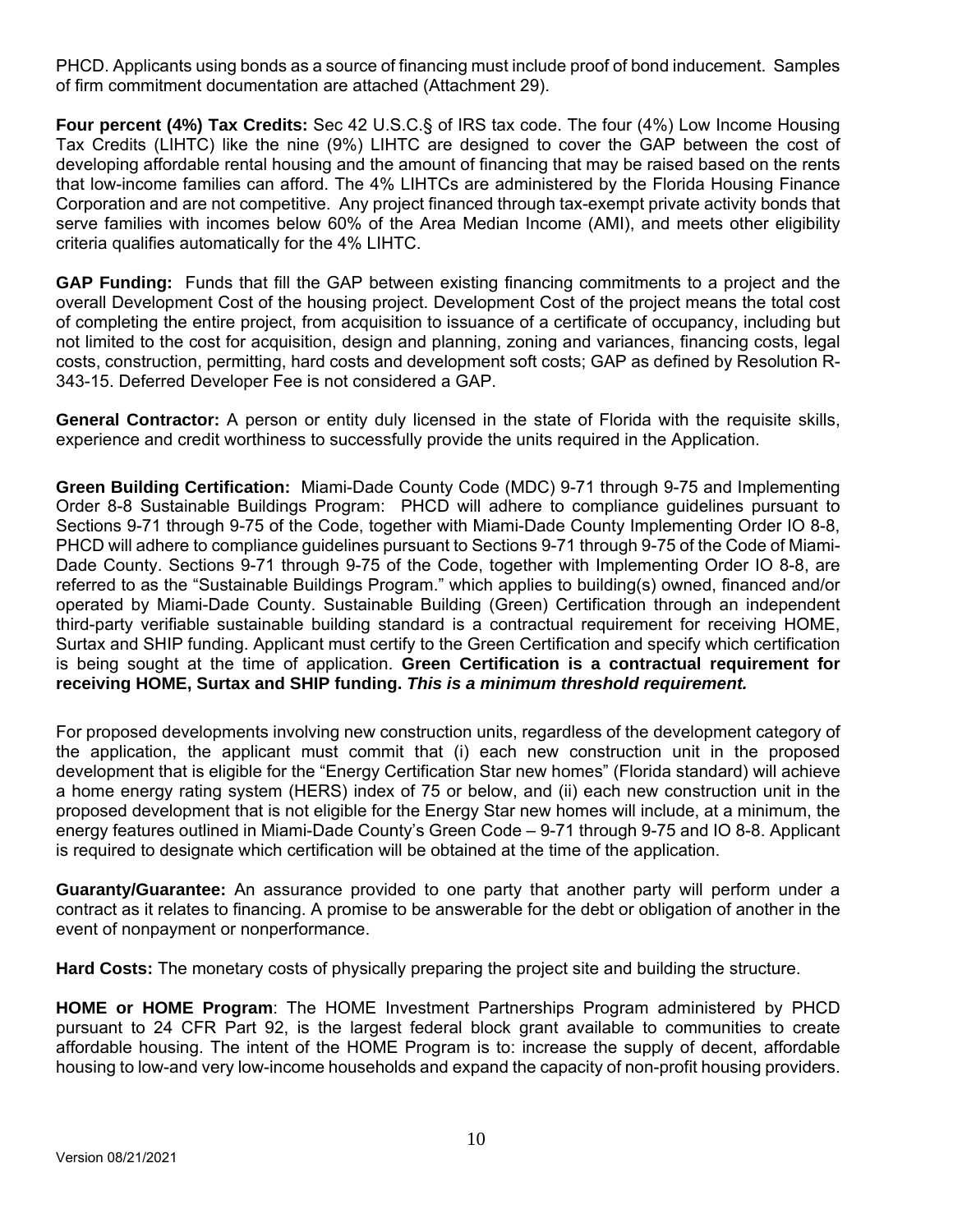PHCD. Applicants using bonds as a source of financing must include proof of bond inducement. Samples of firm commitment documentation are attached (Attachment 29).

**Four percent (4%) Tax Credits:** Sec 42 U.S.C.§ of IRS tax code. The four (4%) Low Income Housing Tax Credits (LIHTC) like the nine (9%) LIHTC are designed to cover the GAP between the cost of developing affordable rental housing and the amount of financing that may be raised based on the rents that low-income families can afford. The 4% LIHTCs are administered by the Florida Housing Finance Corporation and are not competitive. Any project financed through tax-exempt private activity bonds that serve families with incomes below 60% of the Area Median Income (AMI), and meets other eligibility criteria qualifies automatically for the 4% LIHTC.

**GAP Funding:** Funds that fill the GAP between existing financing commitments to a project and the overall Development Cost of the housing project. Development Cost of the project means the total cost of completing the entire project, from acquisition to issuance of a certificate of occupancy, including but not limited to the cost for acquisition, design and planning, zoning and variances, financing costs, legal costs, construction, permitting, hard costs and development soft costs; GAP as defined by Resolution R-343-15. Deferred Developer Fee is not considered a GAP.

**General Contractor:** A person or entity duly licensed in the state of Florida with the requisite skills, experience and credit worthiness to successfully provide the units required in the Application.

**Green Building Certification:** Miami-Dade County Code (MDC) 9-71 through 9-75 and Implementing Order 8-8 Sustainable Buildings Program: PHCD will adhere to compliance guidelines pursuant to Sections 9-71 through 9-75 of the Code, together with Miami-Dade County Implementing Order IO 8-8, PHCD will adhere to compliance guidelines pursuant to Sections 9-71 through 9-75 of the Code of Miami-Dade County. Sections 9-71 through 9-75 of the Code, together with Implementing Order IO 8-8, are referred to as the "Sustainable Buildings Program." which applies to building(s) owned, financed and/or operated by Miami-Dade County. Sustainable Building (Green) Certification through an independent third-party verifiable sustainable building standard is a contractual requirement for receiving HOME, Surtax and SHIP funding. Applicant must certify to the Green Certification and specify which certification is being sought at the time of application. **Green Certification is a contractual requirement for receiving HOME, Surtax and SHIP funding.** *This is a minimum threshold requirement.*

For proposed developments involving new construction units, regardless of the development category of the application, the applicant must commit that (i) each new construction unit in the proposed development that is eligible for the "Energy Certification Star new homes" (Florida standard) will achieve a home energy rating system (HERS) index of 75 or below, and (ii) each new construction unit in the proposed development that is not eligible for the Energy Star new homes will include, at a minimum, the energy features outlined in Miami-Dade County's Green Code – 9-71 through 9-75 and IO 8-8. Applicant is required to designate which certification will be obtained at the time of the application.

**Guaranty/Guarantee:** An assurance provided to one party that another party will perform under a contract as it relates to financing. A promise to be answerable for the debt or obligation of another in the event of nonpayment or nonperformance.

**Hard Costs:** The monetary costs of physically preparing the project site and building the structure.

**HOME or HOME Program**: The HOME Investment Partnerships Program administered by PHCD pursuant to 24 CFR Part 92, is the largest federal block grant available to communities to create affordable housing. The intent of the HOME Program is to: increase the supply of decent, affordable housing to low-and very low-income households and expand the capacity of non-profit housing providers.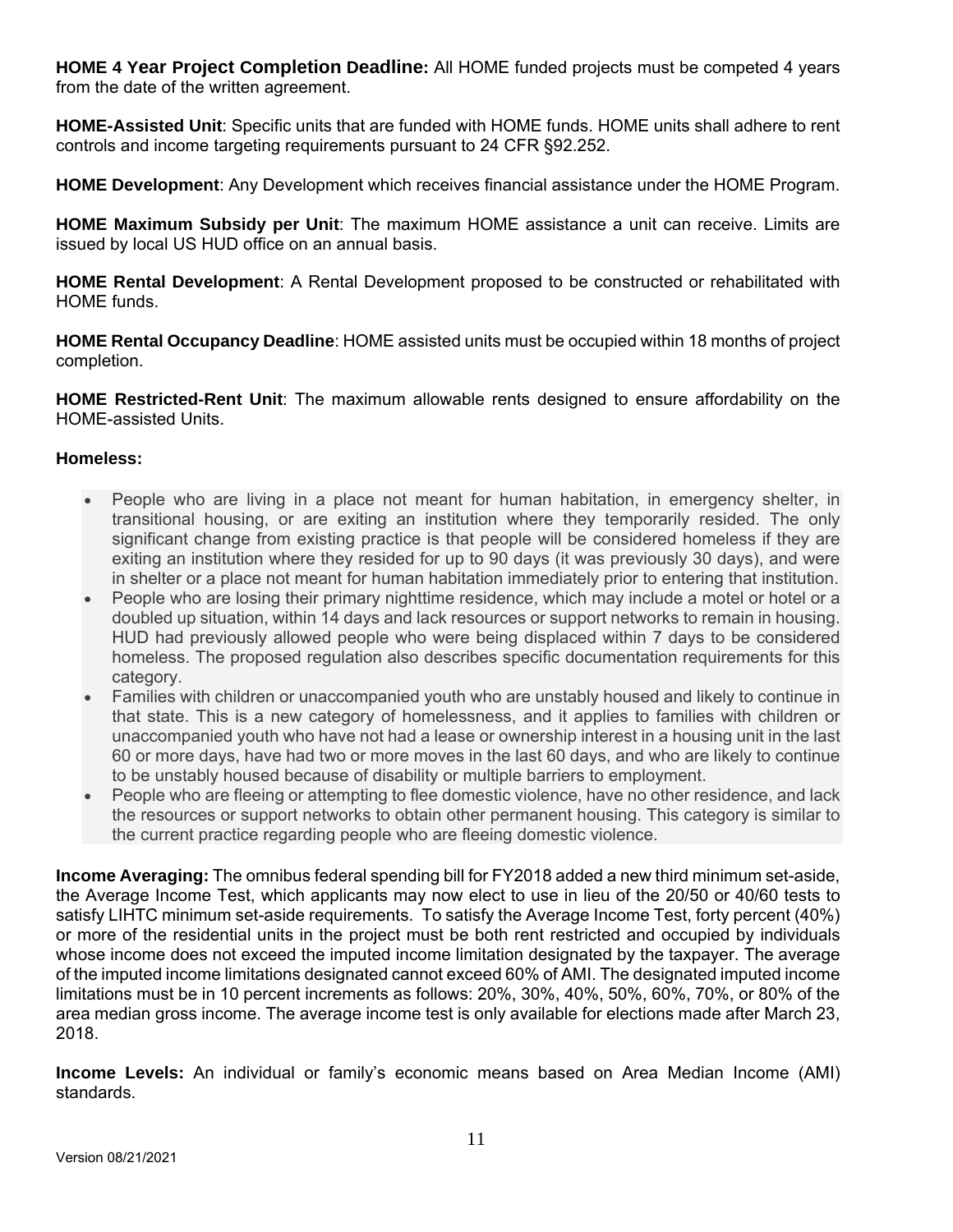**HOME 4 Year Project Completion Deadline:** All HOME funded projects must be competed 4 years from the date of the written agreement.

**HOME-Assisted Unit**: Specific units that are funded with HOME funds. HOME units shall adhere to rent controls and income targeting requirements pursuant to 24 CFR §92.252.

**HOME Development**: Any Development which receives financial assistance under the HOME Program.

**HOME Maximum Subsidy per Unit**: The maximum HOME assistance a unit can receive. Limits are issued by local US HUD office on an annual basis.

**HOME Rental Development**: A Rental Development proposed to be constructed or rehabilitated with HOME funds.

**HOME Rental Occupancy Deadline**: HOME assisted units must be occupied within 18 months of project completion.

**HOME Restricted-Rent Unit**: The maximum allowable rents designed to ensure affordability on the HOME-assisted Units.

## **Homeless:**

- People who are living in a place not meant for human habitation, in emergency shelter, in transitional housing, or are exiting an institution where they temporarily resided. The only significant change from existing practice is that people will be considered homeless if they are exiting an institution where they resided for up to 90 days (it was previously 30 days), and were in shelter or a place not meant for human habitation immediately prior to entering that institution.
- People who are losing their primary nighttime residence, which may include a motel or hotel or a doubled up situation, within 14 days and lack resources or support networks to remain in housing. HUD had previously allowed people who were being displaced within 7 days to be considered homeless. The proposed regulation also describes specific documentation requirements for this category.
- Families with children or unaccompanied youth who are unstably housed and likely to continue in that state. This is a new category of homelessness, and it applies to families with children or unaccompanied youth who have not had a lease or ownership interest in a housing unit in the last 60 or more days, have had two or more moves in the last 60 days, and who are likely to continue to be unstably housed because of disability or multiple barriers to employment.
- People who are fleeing or attempting to flee domestic violence, have no other residence, and lack the resources or support networks to obtain other permanent housing. This category is similar to the current practice regarding people who are fleeing domestic violence.

**Income Averaging:** The omnibus federal spending bill for FY2018 added a new third minimum set-aside, the Average Income Test, which applicants may now elect to use in lieu of the 20/50 or 40/60 tests to satisfy LIHTC minimum set-aside requirements. To satisfy the Average Income Test, forty percent (40%) or more of the residential units in the project must be both rent restricted and occupied by individuals whose income does not exceed the imputed income limitation designated by the taxpayer. The average of the imputed income limitations designated cannot exceed 60% of AMI. The designated imputed income limitations must be in 10 percent increments as follows: 20%, 30%, 40%, 50%, 60%, 70%, or 80% of the area median gross income. The average income test is only available for elections made after March 23, 2018.

**Income Levels:** An individual or family's economic means based on Area Median Income (AMI) standards.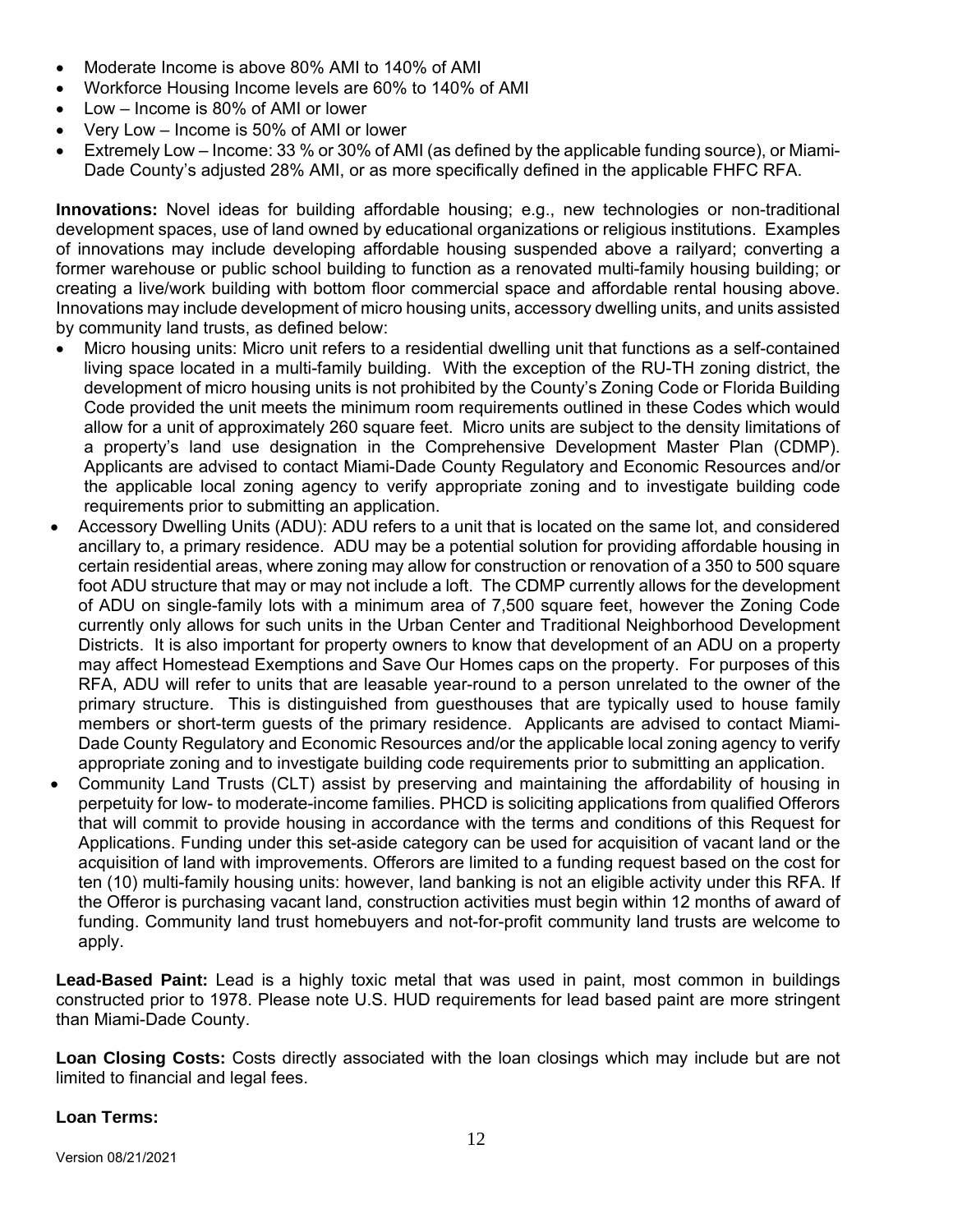- Moderate Income is above 80% AMI to 140% of AMI
- Workforce Housing Income levels are 60% to 140% of AMI
- Low Income is 80% of AMI or lower
- Very Low Income is 50% of AMI or lower
- Extremely Low Income: 33 % or 30% of AMI (as defined by the applicable funding source), or Miami-Dade County's adjusted 28% AMI, or as more specifically defined in the applicable FHFC RFA.

**Innovations:** Novel ideas for building affordable housing; e.g., new technologies or non-traditional development spaces, use of land owned by educational organizations or religious institutions. Examples of innovations may include developing affordable housing suspended above a railyard; converting a former warehouse or public school building to function as a renovated multi-family housing building; or creating a live/work building with bottom floor commercial space and affordable rental housing above. Innovations may include development of micro housing units, accessory dwelling units, and units assisted by community land trusts, as defined below:

- Micro housing units: Micro unit refers to a residential dwelling unit that functions as a self-contained living space located in a multi-family building. With the exception of the RU-TH zoning district, the development of micro housing units is not prohibited by the County's Zoning Code or Florida Building Code provided the unit meets the minimum room requirements outlined in these Codes which would allow for a unit of approximately 260 square feet. Micro units are subject to the density limitations of a property's land use designation in the Comprehensive Development Master Plan (CDMP). Applicants are advised to contact Miami-Dade County Regulatory and Economic Resources and/or the applicable local zoning agency to verify appropriate zoning and to investigate building code requirements prior to submitting an application.
- Accessory Dwelling Units (ADU): ADU refers to a unit that is located on the same lot, and considered ancillary to, a primary residence. ADU may be a potential solution for providing affordable housing in certain residential areas, where zoning may allow for construction or renovation of a 350 to 500 square foot ADU structure that may or may not include a loft. The CDMP currently allows for the development of ADU on single-family lots with a minimum area of 7,500 square feet, however the Zoning Code currently only allows for such units in the Urban Center and Traditional Neighborhood Development Districts. It is also important for property owners to know that development of an ADU on a property may affect Homestead Exemptions and Save Our Homes caps on the property. For purposes of this RFA, ADU will refer to units that are leasable year-round to a person unrelated to the owner of the primary structure. This is distinguished from guesthouses that are typically used to house family members or short-term guests of the primary residence. Applicants are advised to contact Miami-Dade County Regulatory and Economic Resources and/or the applicable local zoning agency to verify appropriate zoning and to investigate building code requirements prior to submitting an application.
- Community Land Trusts (CLT) assist by preserving and maintaining the affordability of housing in perpetuity for low- to moderate-income families. PHCD is soliciting applications from qualified Offerors that will commit to provide housing in accordance with the terms and conditions of this Request for Applications. Funding under this set-aside category can be used for acquisition of vacant land or the acquisition of land with improvements. Offerors are limited to a funding request based on the cost for ten (10) multi-family housing units: however, land banking is not an eligible activity under this RFA. If the Offeror is purchasing vacant land, construction activities must begin within 12 months of award of funding. Community land trust homebuyers and not-for-profit community land trusts are welcome to apply.

**Lead-Based Paint:** Lead is a highly toxic metal that was used in paint, most common in buildings constructed prior to 1978. Please note U.S. HUD requirements for lead based paint are more stringent than Miami-Dade County.

**Loan Closing Costs:** Costs directly associated with the loan closings which may include but are not limited to financial and legal fees.

## **Loan Terms:**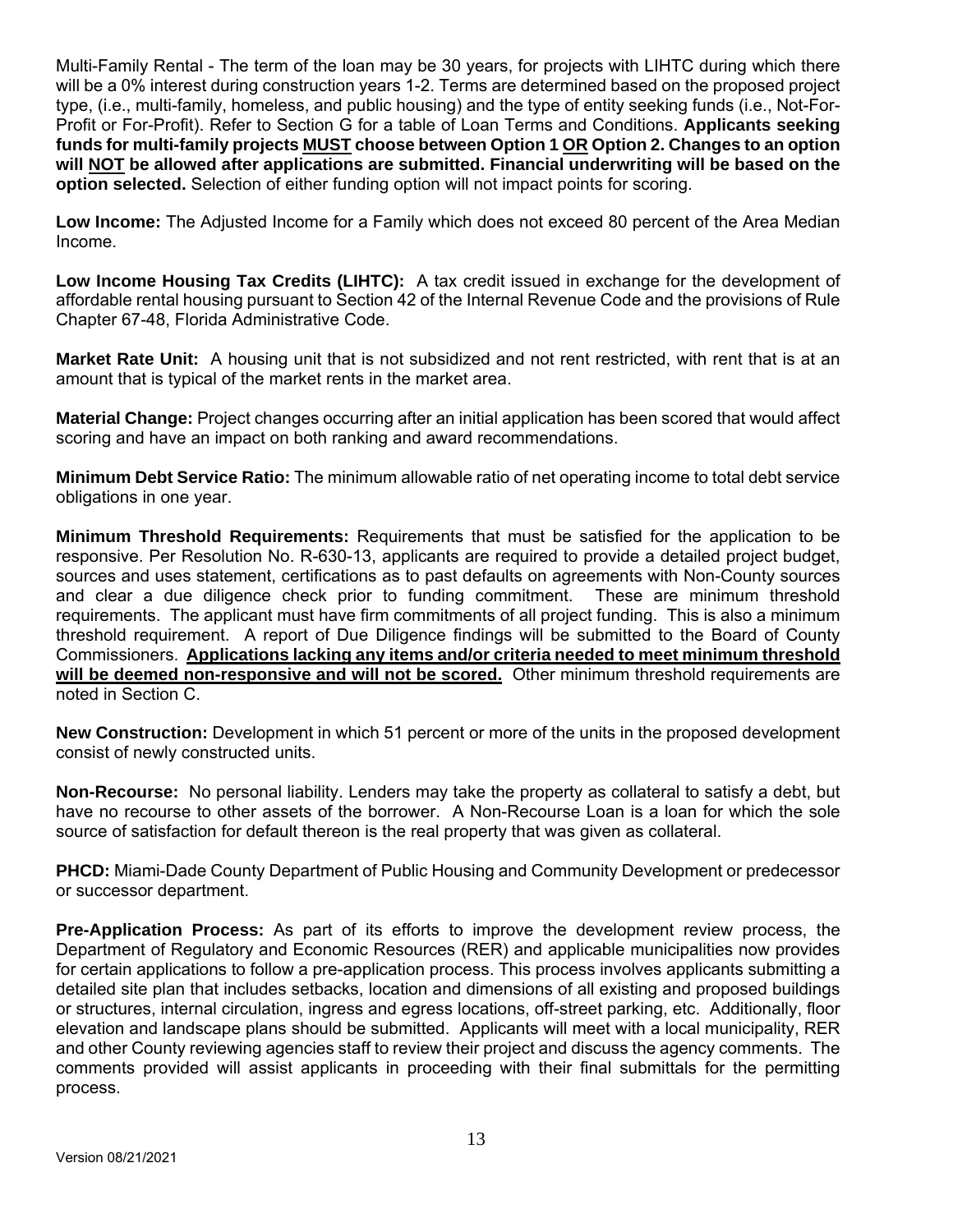Multi-Family Rental - The term of the loan may be 30 years, for projects with LIHTC during which there will be a 0% interest during construction years 1-2. Terms are determined based on the proposed project type, (i.e., multi-family, homeless, and public housing) and the type of entity seeking funds (i.e., Not-For-Profit or For-Profit). Refer to Section G for a table of Loan Terms and Conditions. **Applicants seeking funds for multi-family projects MUST choose between Option 1 OR Option 2. Changes to an option will NOT be allowed after applications are submitted. Financial underwriting will be based on the option selected.** Selection of either funding option will not impact points for scoring.

**Low Income:** The Adjusted Income for a Family which does not exceed 80 percent of the Area Median Income.

**Low Income Housing Tax Credits (LIHTC):** A tax credit issued in exchange for the development of affordable rental housing pursuant to Section 42 of the Internal Revenue Code and the provisions of Rule Chapter 67-48, Florida Administrative Code.

**Market Rate Unit:** A housing unit that is not subsidized and not rent restricted, with rent that is at an amount that is typical of the market rents in the market area.

**Material Change:** Project changes occurring after an initial application has been scored that would affect scoring and have an impact on both ranking and award recommendations.

**Minimum Debt Service Ratio:** The minimum allowable ratio of net operating income to total debt service obligations in one year.

**Minimum Threshold Requirements:** Requirements that must be satisfied for the application to be responsive. Per Resolution No. R-630-13, applicants are required to provide a detailed project budget, sources and uses statement, certifications as to past defaults on agreements with Non-County sources and clear a due diligence check prior to funding commitment. These are minimum threshold requirements. The applicant must have firm commitments of all project funding. This is also a minimum threshold requirement. A report of Due Diligence findings will be submitted to the Board of County Commissioners. **Applications lacking any items and/or criteria needed to meet minimum threshold will be deemed non-responsive and will not be scored.** Other minimum threshold requirements are noted in Section C.

**New Construction:** Development in which 51 percent or more of the units in the proposed development consist of newly constructed units.

**Non-Recourse:** No personal liability. Lenders may take the property as collateral to satisfy a debt, but have no recourse to other assets of the borrower. A Non-Recourse Loan is a loan for which the sole source of satisfaction for default thereon is the real property that was given as collateral.

**PHCD:** Miami-Dade County Department of Public Housing and Community Development or predecessor or successor department.

**Pre-Application Process:** As part of its efforts to improve the development review process, the Department of Regulatory and Economic Resources (RER) and applicable municipalities now provides for certain applications to follow a pre-application process. This process involves applicants submitting a detailed site plan that includes setbacks, location and dimensions of all existing and proposed buildings or structures, internal circulation, ingress and egress locations, off-street parking, etc. Additionally, floor elevation and landscape plans should be submitted. Applicants will meet with a local municipality, RER and other County reviewing agencies staff to review their project and discuss the agency comments. The comments provided will assist applicants in proceeding with their final submittals for the permitting process.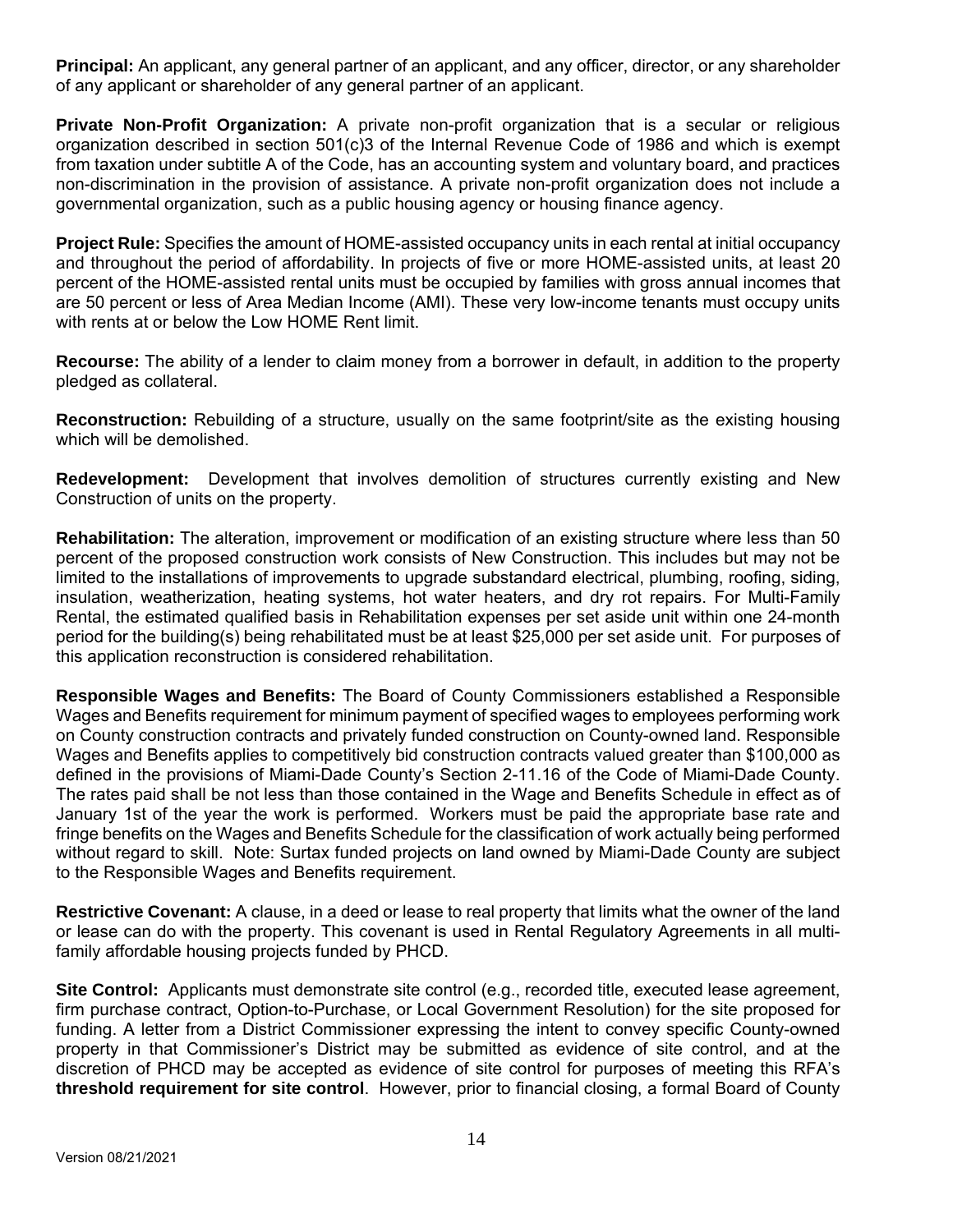**Principal:** An applicant, any general partner of an applicant, and any officer, director, or any shareholder of any applicant or shareholder of any general partner of an applicant.

**Private Non-Profit Organization:** A private non-profit organization that is a secular or religious organization described in section 501(c)3 of the Internal Revenue Code of 1986 and which is exempt from taxation under subtitle A of the Code, has an accounting system and voluntary board, and practices non-discrimination in the provision of assistance. A private non-profit organization does not include a governmental organization, such as a public housing agency or housing finance agency.

**Project Rule:** Specifies the amount of HOME-assisted occupancy units in each rental at initial occupancy and throughout the period of affordability. In projects of five or more HOME-assisted units, at least 20 percent of the HOME-assisted rental units must be occupied by families with gross annual incomes that are 50 percent or less of Area Median Income (AMI). These very low-income tenants must occupy units with rents at or below the Low HOME Rent limit.

**Recourse:** The ability of a lender to claim money from a borrower in default, in addition to the property pledged as collateral.

**Reconstruction:** Rebuilding of a structure, usually on the same footprint/site as the existing housing which will be demolished.

**Redevelopment:** Development that involves demolition of structures currently existing and New Construction of units on the property.

**Rehabilitation:** The alteration, improvement or modification of an existing structure where less than 50 percent of the proposed construction work consists of New Construction. This includes but may not be limited to the installations of improvements to upgrade substandard electrical, plumbing, roofing, siding, insulation, weatherization, heating systems, hot water heaters, and dry rot repairs. For Multi-Family Rental, the estimated qualified basis in Rehabilitation expenses per set aside unit within one 24-month period for the building(s) being rehabilitated must be at least \$25,000 per set aside unit. For purposes of this application reconstruction is considered rehabilitation.

**Responsible Wages and Benefits:** The Board of County Commissioners established a Responsible Wages and Benefits requirement for minimum payment of specified wages to employees performing work on County construction contracts and privately funded construction on County-owned land. Responsible Wages and Benefits applies to competitively bid construction contracts valued greater than \$100,000 as defined in the provisions of Miami-Dade County's Section 2-11.16 of the Code of Miami-Dade County. The rates paid shall be not less than those contained in the Wage and Benefits Schedule in effect as of January 1st of the year the work is performed. Workers must be paid the appropriate base rate and fringe benefits on the Wages and Benefits Schedule for the classification of work actually being performed without regard to skill. Note: Surtax funded projects on land owned by Miami-Dade County are subject to the Responsible Wages and Benefits requirement.

**Restrictive Covenant:** A clause, in a deed or lease to real property that limits what the owner of the land or lease can do with the property. This covenant is used in Rental Regulatory Agreements in all multifamily affordable housing projects funded by PHCD.

**Site Control:** Applicants must demonstrate site control (e.g., recorded title, executed lease agreement, firm purchase contract, Option-to-Purchase, or Local Government Resolution) for the site proposed for funding. A letter from a District Commissioner expressing the intent to convey specific County-owned property in that Commissioner's District may be submitted as evidence of site control, and at the discretion of PHCD may be accepted as evidence of site control for purposes of meeting this RFA's **threshold requirement for site control**. However, prior to financial closing, a formal Board of County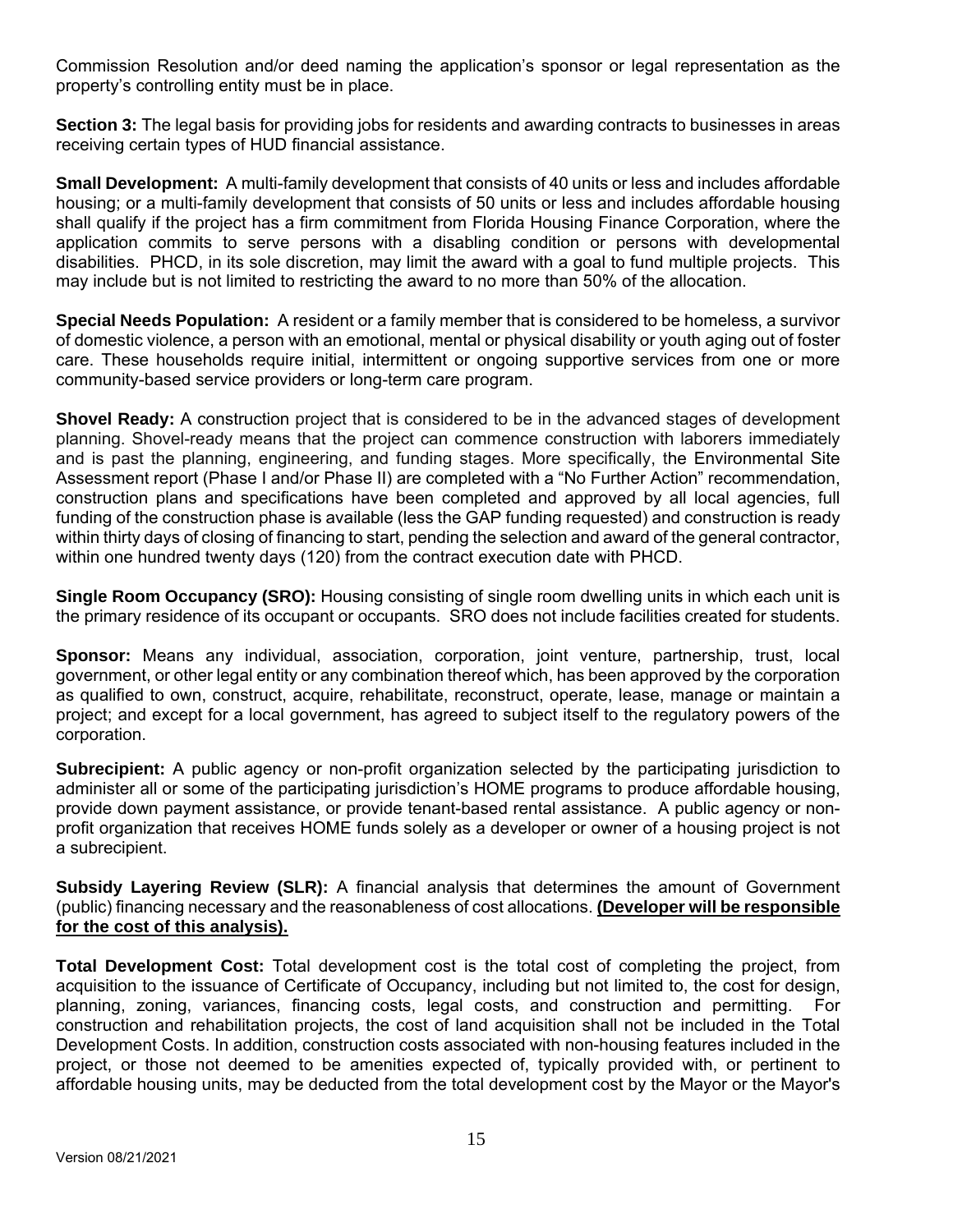Commission Resolution and/or deed naming the application's sponsor or legal representation as the property's controlling entity must be in place.

**Section 3:** The legal basis for providing jobs for residents and awarding contracts to businesses in areas receiving certain types of HUD financial assistance.

**Small Development:** A multi-family development that consists of 40 units or less and includes affordable housing; or a multi-family development that consists of 50 units or less and includes affordable housing shall qualify if the project has a firm commitment from Florida Housing Finance Corporation, where the application commits to serve persons with a disabling condition or persons with developmental disabilities. PHCD, in its sole discretion, may limit the award with a goal to fund multiple projects. This may include but is not limited to restricting the award to no more than 50% of the allocation.

**Special Needs Population:** A resident or a family member that is considered to be homeless, a survivor of domestic violence, a person with an emotional, mental or physical disability or youth aging out of foster care. These households require initial, intermittent or ongoing supportive services from one or more community-based service providers or long-term care program.

**Shovel Ready:** A construction project that is considered to be in the advanced stages of development planning. Shovel-ready means that the project can commence construction with laborers immediately and is past the planning, engineering, and funding stages. More specifically, the Environmental Site Assessment report (Phase I and/or Phase II) are completed with a "No Further Action" recommendation, construction plans and specifications have been completed and approved by all local agencies, full funding of the construction phase is available (less the GAP funding requested) and construction is ready within thirty days of closing of financing to start, pending the selection and award of the general contractor, within one hundred twenty days (120) from the contract execution date with PHCD.

**Single Room Occupancy (SRO):** Housing consisting of single room dwelling units in which each unit is the primary residence of its occupant or occupants. SRO does not include facilities created for students.

**Sponsor:** Means any individual, association, corporation, joint venture, partnership, trust, local government, or other legal entity or any combination thereof which, has been approved by the corporation as qualified to own, construct, acquire, rehabilitate, reconstruct, operate, lease, manage or maintain a project; and except for a local government, has agreed to subject itself to the regulatory powers of the corporation.

**Subrecipient:** A public agency or non-profit organization selected by the participating jurisdiction to administer all or some of the participating jurisdiction's HOME programs to produce affordable housing, provide down payment assistance, or provide tenant-based rental assistance. A public agency or nonprofit organization that receives HOME funds solely as a developer or owner of a housing project is not a subrecipient.

**Subsidy Layering Review (SLR):** A financial analysis that determines the amount of Government (public) financing necessary and the reasonableness of cost allocations. **(Developer will be responsible for the cost of this analysis).**

**Total Development Cost:** Total development cost is the total cost of completing the project, from acquisition to the issuance of Certificate of Occupancy, including but not limited to, the cost for design, planning, zoning, variances, financing costs, legal costs, and construction and permitting. For construction and rehabilitation projects, the cost of land acquisition shall not be included in the Total Development Costs. In addition, construction costs associated with non-housing features included in the project, or those not deemed to be amenities expected of, typically provided with, or pertinent to affordable housing units, may be deducted from the total development cost by the Mayor or the Mayor's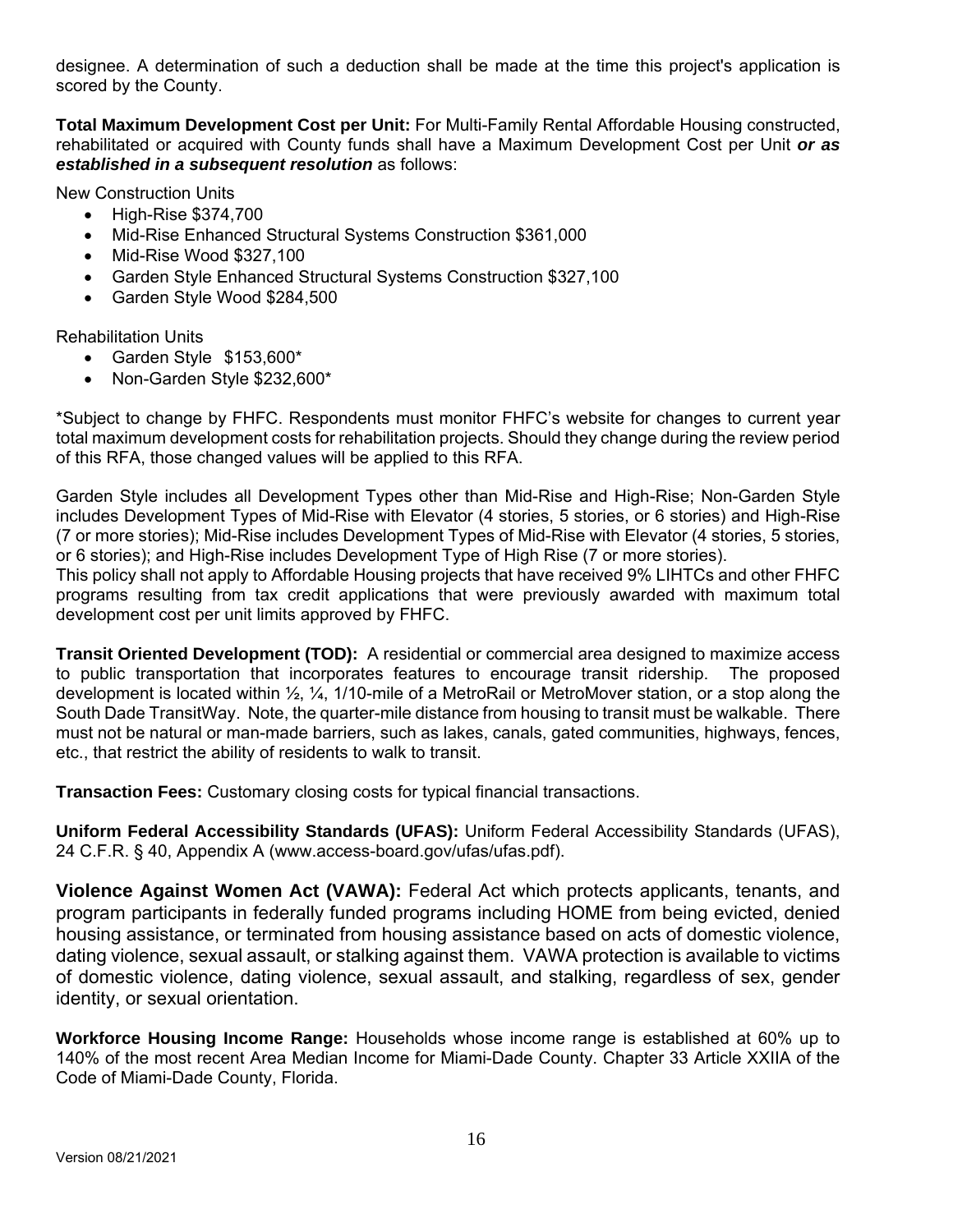designee. A determination of such a deduction shall be made at the time this project's application is scored by the County.

**Total Maximum Development Cost per Unit:** For Multi-Family Rental Affordable Housing constructed, rehabilitated or acquired with County funds shall have a Maximum Development Cost per Unit *or as established in a subsequent resolution* as follows:

New Construction Units

- High-Rise \$374,700
- Mid-Rise Enhanced Structural Systems Construction \$361,000
- Mid-Rise Wood \$327,100
- Garden Style Enhanced Structural Systems Construction \$327,100
- Garden Style Wood \$284,500

Rehabilitation Units

- Garden Style \$153,600\*
- Non-Garden Style \$232,600\*

\*Subject to change by FHFC. Respondents must monitor FHFC's website for changes to current year total maximum development costs for rehabilitation projects. Should they change during the review period of this RFA, those changed values will be applied to this RFA.

Garden Style includes all Development Types other than Mid-Rise and High-Rise; Non-Garden Style includes Development Types of Mid-Rise with Elevator (4 stories, 5 stories, or 6 stories) and High-Rise (7 or more stories); Mid-Rise includes Development Types of Mid-Rise with Elevator (4 stories, 5 stories, or 6 stories); and High-Rise includes Development Type of High Rise (7 or more stories).

This policy shall not apply to Affordable Housing projects that have received 9% LIHTCs and other FHFC programs resulting from tax credit applications that were previously awarded with maximum total development cost per unit limits approved by FHFC.

**Transit Oriented Development (TOD):** A residential or commercial area designed to maximize access to public transportation that incorporates features to encourage transit ridership. The proposed development is located within ½, ¼, 1/10-mile of a MetroRail or MetroMover station, or a stop along the South Dade TransitWay. Note, the quarter-mile distance from housing to transit must be walkable. There must not be natural or man-made barriers, such as lakes, canals, gated communities, highways, fences, etc., that restrict the ability of residents to walk to transit.

**Transaction Fees:** Customary closing costs for typical financial transactions.

**Uniform Federal Accessibility Standards (UFAS):** Uniform Federal Accessibility Standards (UFAS), 24 C.F.R. § 40, Appendix A (www.access-board.gov/ufas/ufas.pdf).

**Violence Against Women Act (VAWA):** Federal Act which protects applicants, tenants, and program participants in federally funded programs including HOME from being evicted, denied housing assistance, or terminated from housing assistance based on acts of domestic violence, dating violence, sexual assault, or stalking against them. VAWA protection is available to victims of domestic violence, dating violence, sexual assault, and stalking, regardless of sex, gender identity, or sexual orientation.

**Workforce Housing Income Range:** Households whose income range is established at 60% up to 140% of the most recent Area Median Income for Miami-Dade County. Chapter 33 Article XXIIA of the Code of Miami-Dade County, Florida.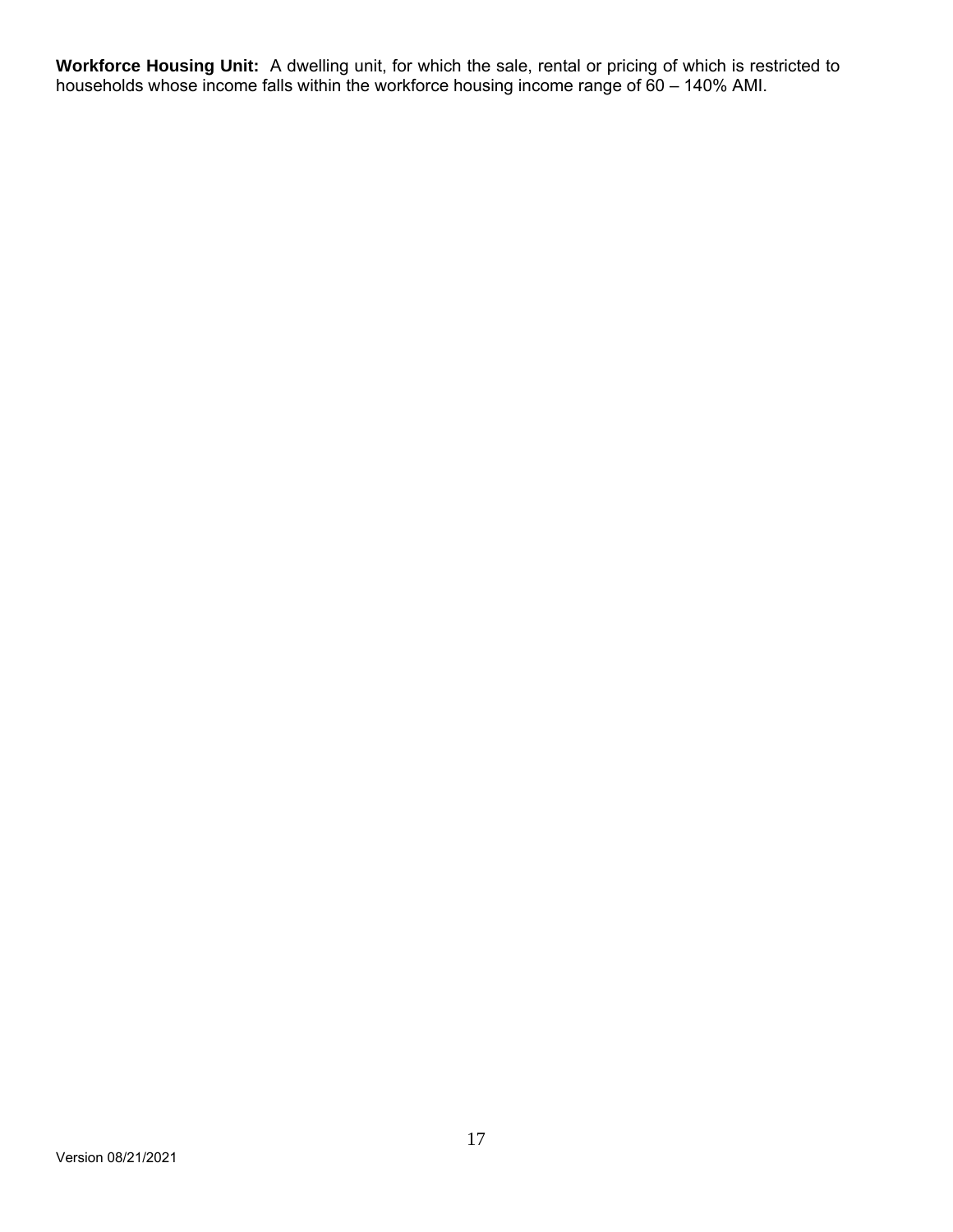**Workforce Housing Unit:** A dwelling unit, for which the sale, rental or pricing of which is restricted to households whose income falls within the workforce housing income range of 60 – 140% AMI.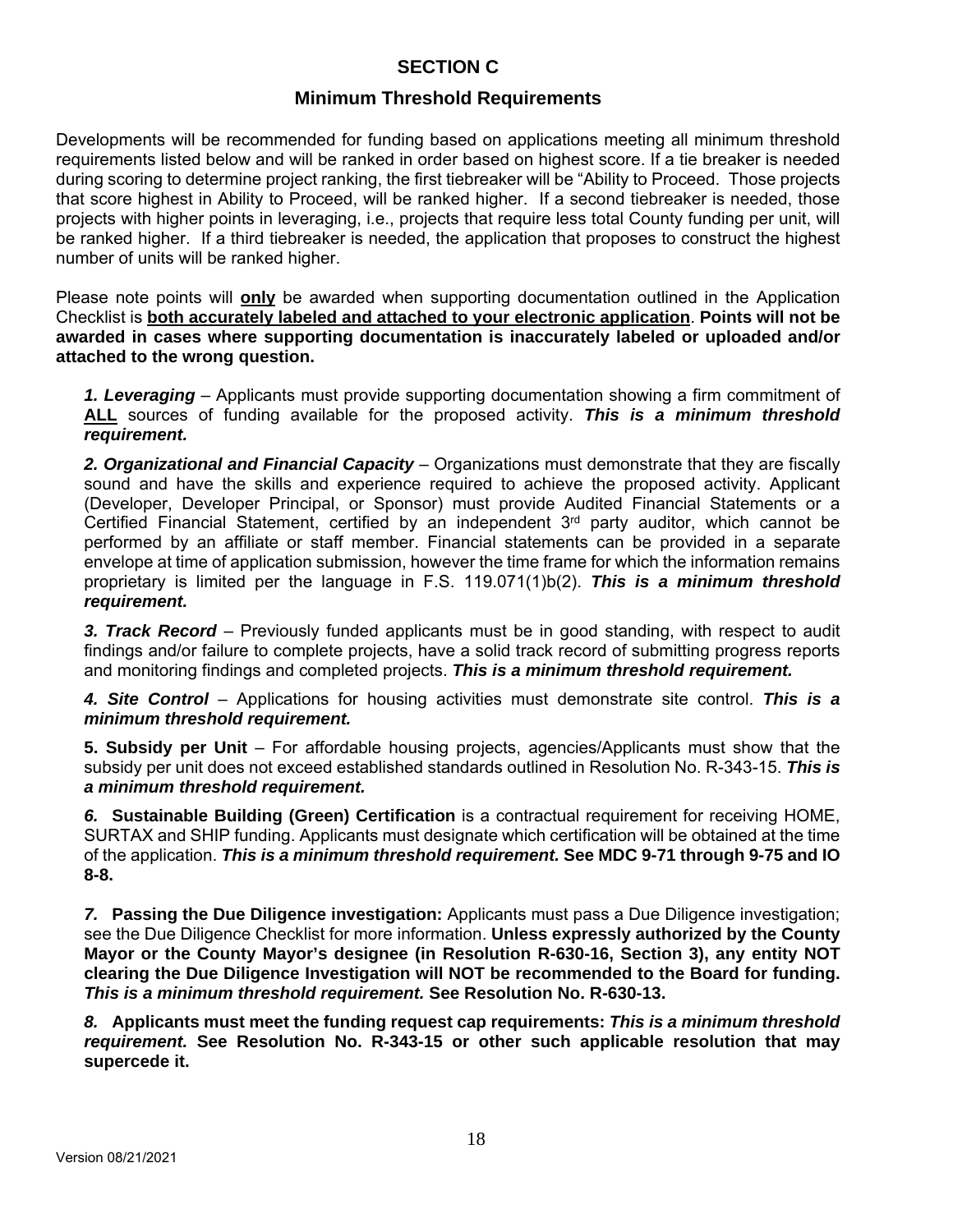# **SECTION C**

# **Minimum Threshold Requirements**

Developments will be recommended for funding based on applications meeting all minimum threshold requirements listed below and will be ranked in order based on highest score. If a tie breaker is needed during scoring to determine project ranking, the first tiebreaker will be "Ability to Proceed. Those projects that score highest in Ability to Proceed, will be ranked higher. If a second tiebreaker is needed, those projects with higher points in leveraging, i.e., projects that require less total County funding per unit, will be ranked higher. If a third tiebreaker is needed, the application that proposes to construct the highest number of units will be ranked higher.

Please note points will **only** be awarded when supporting documentation outlined in the Application Checklist is **both accurately labeled and attached to your electronic application**. **Points will not be awarded in cases where supporting documentation is inaccurately labeled or uploaded and/or attached to the wrong question.** 

*1. Leveraging* – Applicants must provide supporting documentation showing a firm commitment of **ALL** sources of funding available for the proposed activity. *This is a minimum threshold requirement.* 

*2. Organizational and Financial Capacity* – Organizations must demonstrate that they are fiscally sound and have the skills and experience required to achieve the proposed activity. Applicant (Developer, Developer Principal, or Sponsor) must provide Audited Financial Statements or a Certified Financial Statement, certified by an independent  $3<sup>rd</sup>$  party auditor, which cannot be performed by an affiliate or staff member. Financial statements can be provided in a separate envelope at time of application submission, however the time frame for which the information remains proprietary is limited per the language in F.S. 119.071(1)b(2). *This is a minimum threshold requirement.*

*3. Track Record* – Previously funded applicants must be in good standing, with respect to audit findings and/or failure to complete projects, have a solid track record of submitting progress reports and monitoring findings and completed projects. *This is a minimum threshold requirement.* 

*4. Site Control* – Applications for housing activities must demonstrate site control. *This is a minimum threshold requirement.* 

**5. Subsidy per Unit** – For affordable housing projects, agencies/Applicants must show that the subsidy per unit does not exceed established standards outlined in Resolution No. R-343-15. *This is a minimum threshold requirement.* 

*6.* **Sustainable Building (Green) Certification** is a contractual requirement for receiving HOME, SURTAX and SHIP funding. Applicants must designate which certification will be obtained at the time of the application. *This is a minimum threshold requirement.* **See MDC 9-71 through 9-75 and IO 8-8.**

*7.* **Passing the Due Diligence investigation:** Applicants must pass a Due Diligence investigation; see the Due Diligence Checklist for more information. **Unless expressly authorized by the County Mayor or the County Mayor's designee (in Resolution R-630-16, Section 3), any entity NOT clearing the Due Diligence Investigation will NOT be recommended to the Board for funding.**  *This is a minimum threshold requirement.* **See Resolution No. R-630-13.**

*8.* **Applicants must meet the funding request cap requirements:** *This is a minimum threshold requirement.* **See Resolution No. R-343-15 or other such applicable resolution that may supercede it.**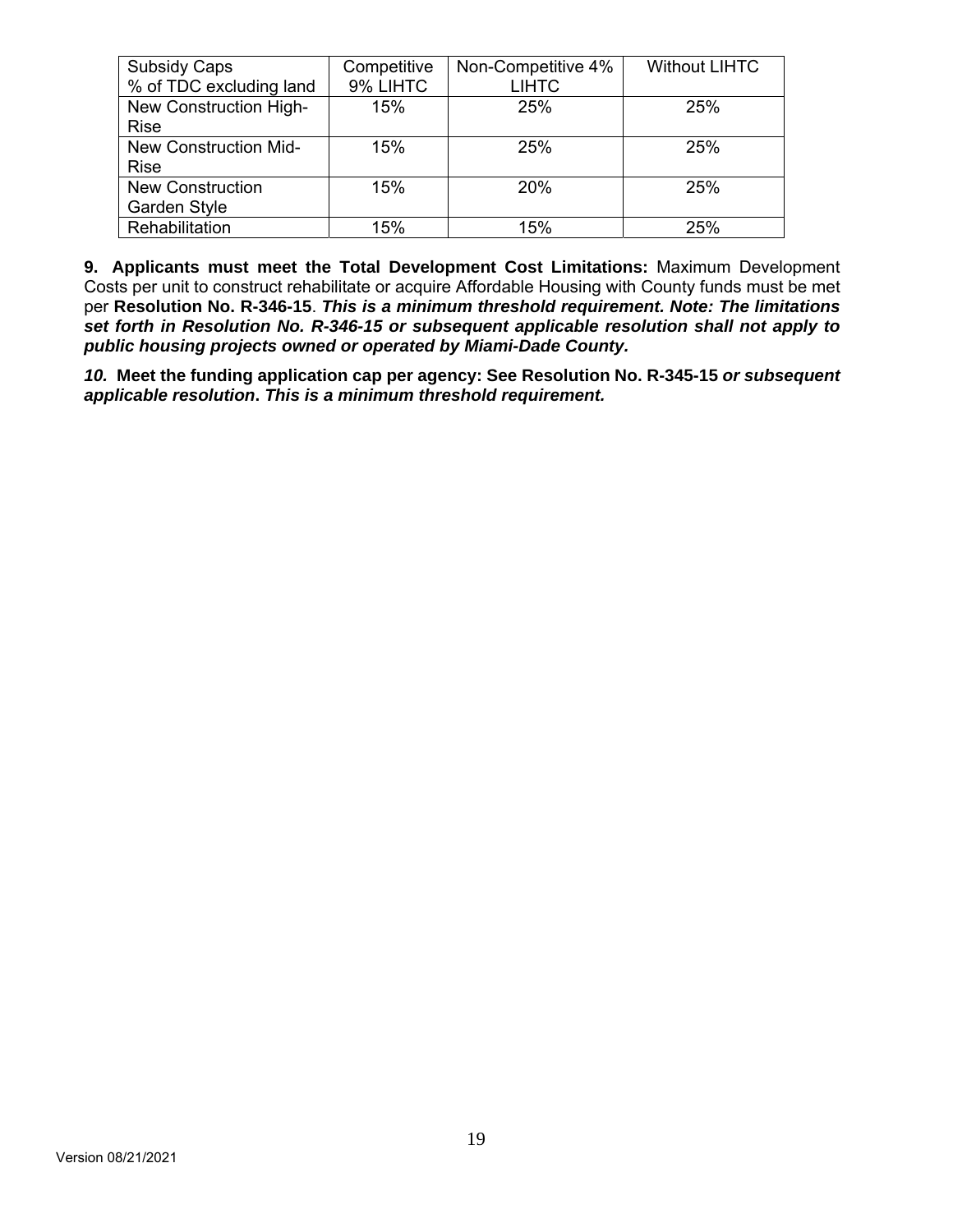| <b>Subsidy Caps</b>          | Competitive | Non-Competitive 4% | <b>Without LIHTC</b> |
|------------------------------|-------------|--------------------|----------------------|
| % of TDC excluding land      | 9% LIHTC    | <b>LIHTC</b>       |                      |
| New Construction High-       | 15%         | 25%                | 25%                  |
| <b>Rise</b>                  |             |                    |                      |
| <b>New Construction Mid-</b> | 15%         | 25%                | 25%                  |
| <b>Rise</b>                  |             |                    |                      |
| <b>New Construction</b>      | 15%         | <b>20%</b>         | 25%                  |
| Garden Style                 |             |                    |                      |
| Rehabilitation               | 15%         | 15%                | 25%                  |

**9. Applicants must meet the Total Development Cost Limitations:** Maximum Development Costs per unit to construct rehabilitate or acquire Affordable Housing with County funds must be met per **Resolution No. R-346-15**. *This is a minimum threshold requirement. Note: The limitations set forth in Resolution No. R-346-15 or subsequent applicable resolution shall not apply to public housing projects owned or operated by Miami-Dade County.* 

*10.* **Meet the funding application cap per agency: See Resolution No. R-345-15** *or subsequent applicable resolution***.** *This is a minimum threshold requirement.*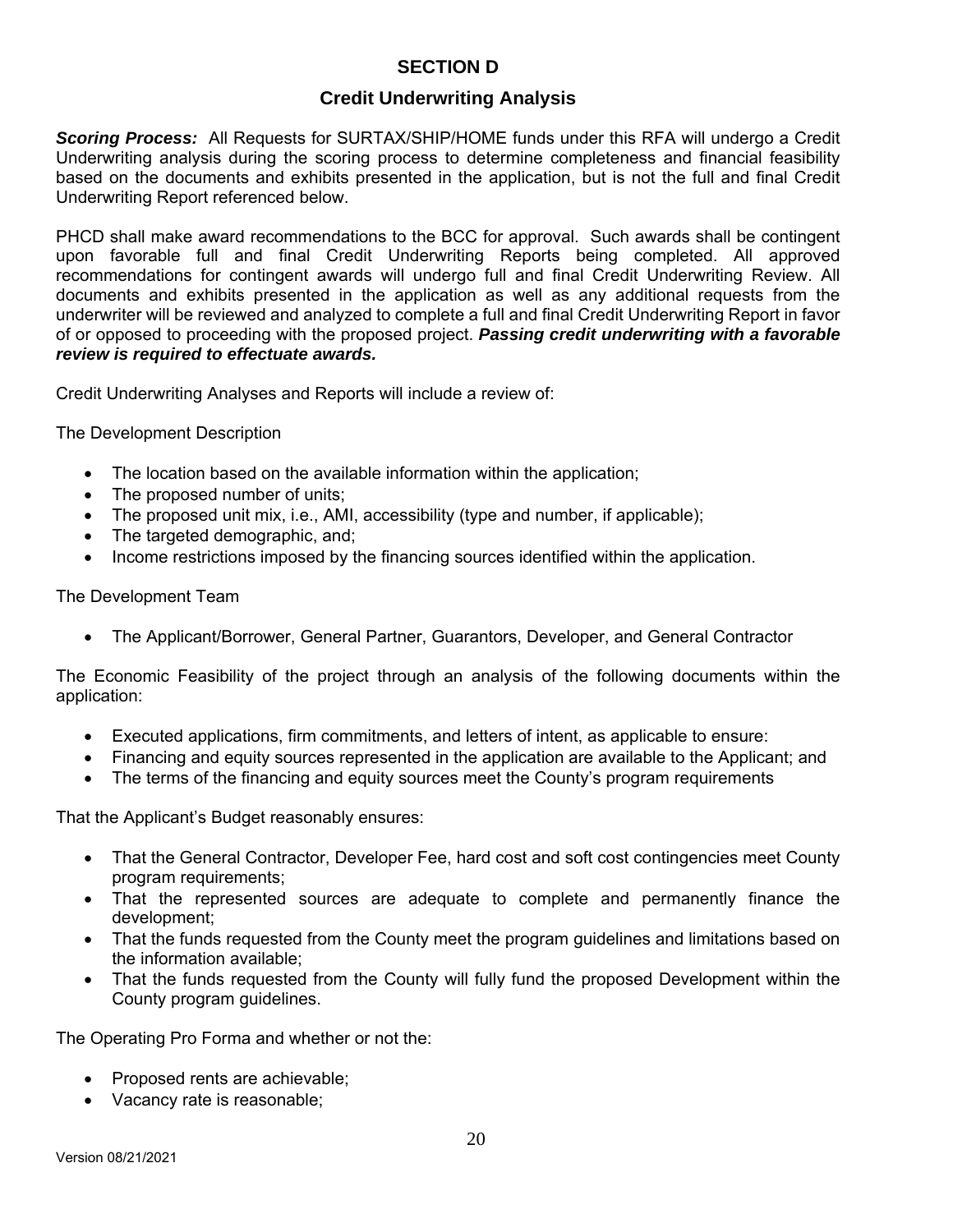# **SECTION D**

# **Credit Underwriting Analysis**

*Scoring Process:* All Requests for SURTAX/SHIP/HOME funds under this RFA will undergo a Credit Underwriting analysis during the scoring process to determine completeness and financial feasibility based on the documents and exhibits presented in the application, but is not the full and final Credit Underwriting Report referenced below.

PHCD shall make award recommendations to the BCC for approval. Such awards shall be contingent upon favorable full and final Credit Underwriting Reports being completed. All approved recommendations for contingent awards will undergo full and final Credit Underwriting Review. All documents and exhibits presented in the application as well as any additional requests from the underwriter will be reviewed and analyzed to complete a full and final Credit Underwriting Report in favor of or opposed to proceeding with the proposed project. *Passing credit underwriting with a favorable review is required to effectuate awards.*

Credit Underwriting Analyses and Reports will include a review of:

The Development Description

- The location based on the available information within the application;
- The proposed number of units;
- The proposed unit mix, i.e., AMI, accessibility (type and number, if applicable);
- The targeted demographic, and;
- Income restrictions imposed by the financing sources identified within the application.

#### The Development Team

The Applicant/Borrower, General Partner, Guarantors, Developer, and General Contractor

The Economic Feasibility of the project through an analysis of the following documents within the application:

- Executed applications, firm commitments, and letters of intent, as applicable to ensure:
- Financing and equity sources represented in the application are available to the Applicant; and
- The terms of the financing and equity sources meet the County's program requirements

That the Applicant's Budget reasonably ensures:

- That the General Contractor, Developer Fee, hard cost and soft cost contingencies meet County program requirements;
- That the represented sources are adequate to complete and permanently finance the development;
- That the funds requested from the County meet the program guidelines and limitations based on the information available;
- That the funds requested from the County will fully fund the proposed Development within the County program guidelines.

The Operating Pro Forma and whether or not the:

- Proposed rents are achievable;
- Vacancy rate is reasonable;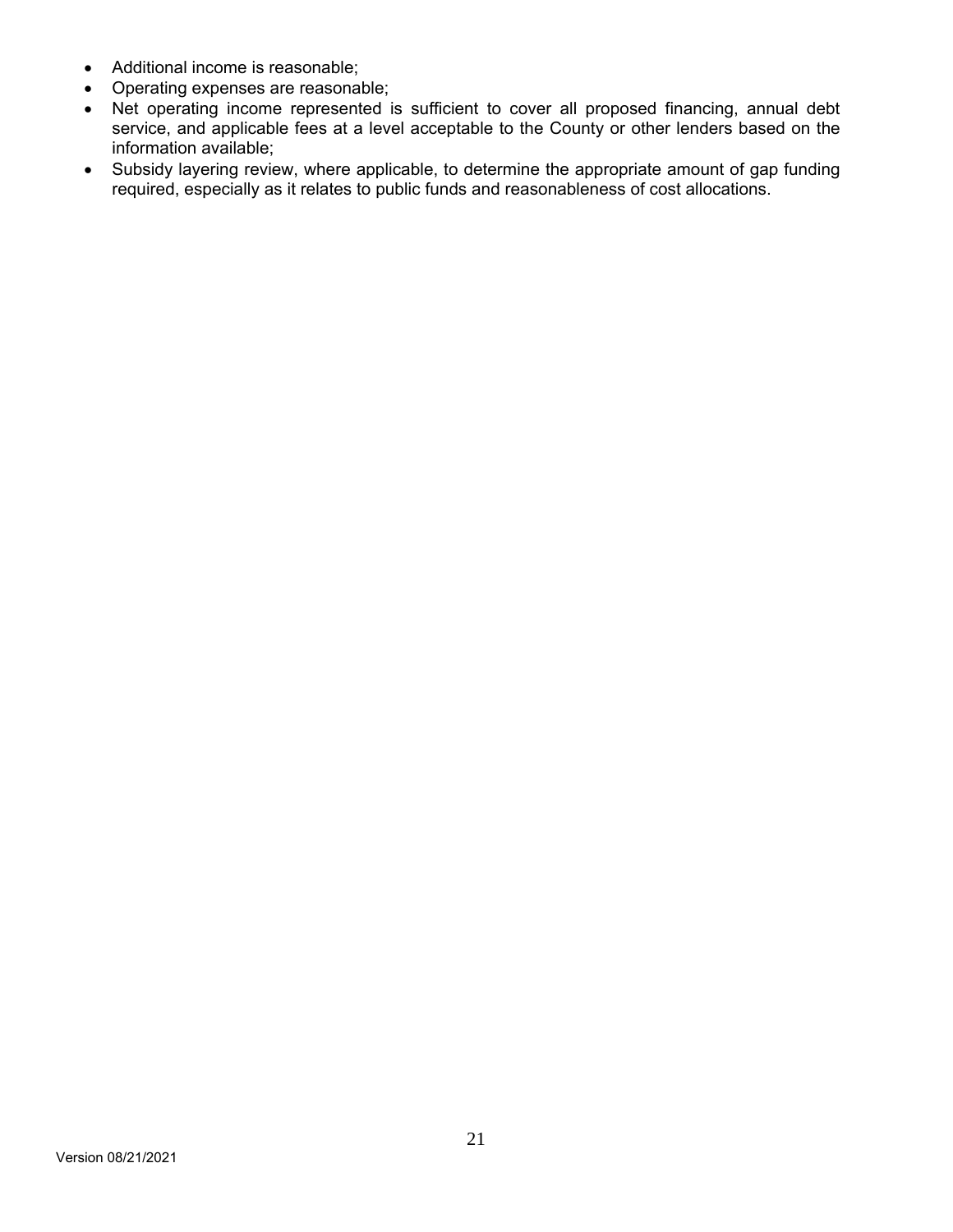- Additional income is reasonable;
- Operating expenses are reasonable;
- Net operating income represented is sufficient to cover all proposed financing, annual debt service, and applicable fees at a level acceptable to the County or other lenders based on the information available;
- Subsidy layering review, where applicable, to determine the appropriate amount of gap funding required, especially as it relates to public funds and reasonableness of cost allocations.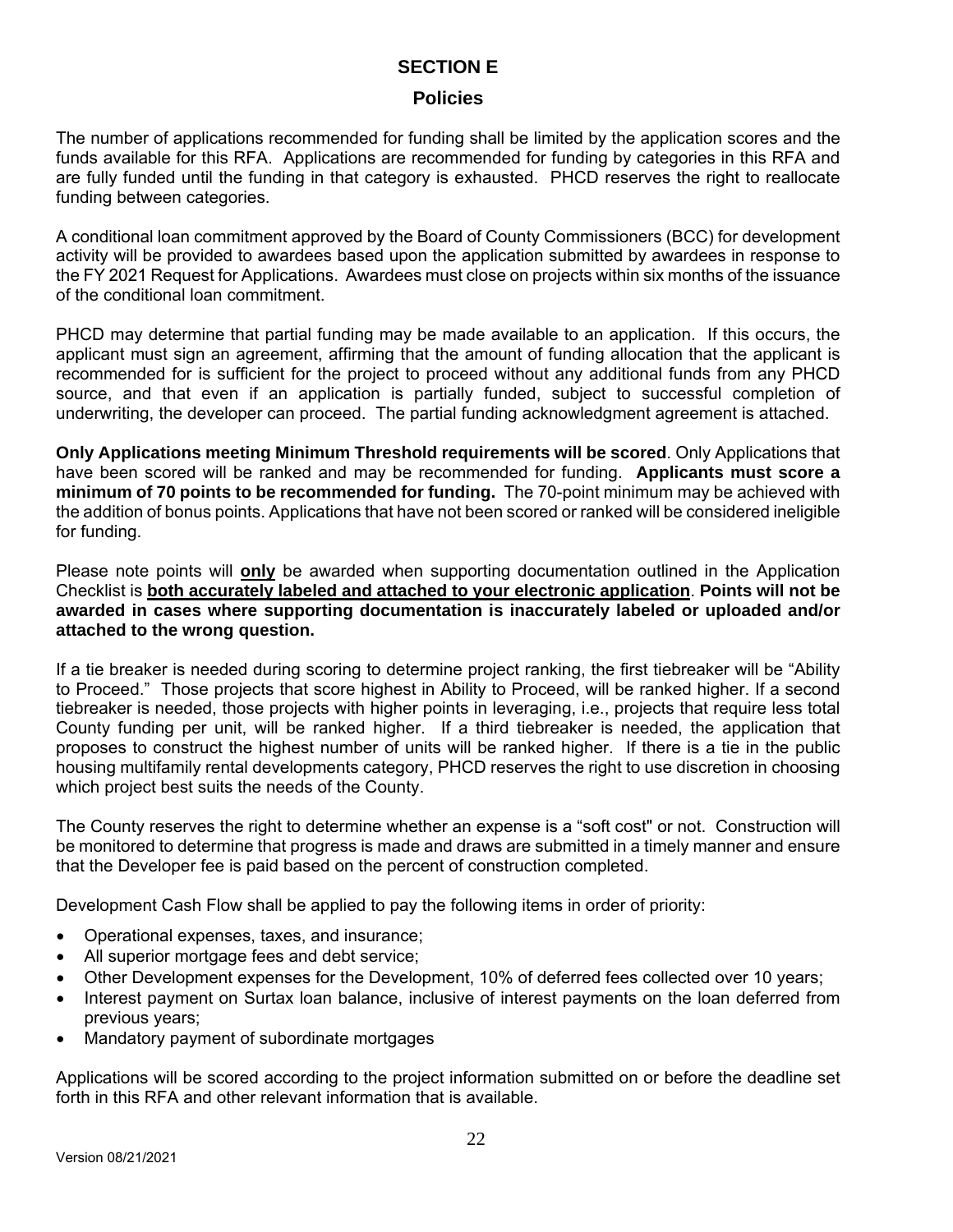# **SECTION E**

#### **Policies**

The number of applications recommended for funding shall be limited by the application scores and the funds available for this RFA. Applications are recommended for funding by categories in this RFA and are fully funded until the funding in that category is exhausted. PHCD reserves the right to reallocate funding between categories.

A conditional loan commitment approved by the Board of County Commissioners (BCC) for development activity will be provided to awardees based upon the application submitted by awardees in response to the FY 2021 Request for Applications. Awardees must close on projects within six months of the issuance of the conditional loan commitment.

PHCD may determine that partial funding may be made available to an application. If this occurs, the applicant must sign an agreement, affirming that the amount of funding allocation that the applicant is recommended for is sufficient for the project to proceed without any additional funds from any PHCD source, and that even if an application is partially funded, subject to successful completion of underwriting, the developer can proceed. The partial funding acknowledgment agreement is attached.

**Only Applications meeting Minimum Threshold requirements will be scored**. Only Applications that have been scored will be ranked and may be recommended for funding. **Applicants must score a minimum of 70 points to be recommended for funding.** The 70-point minimum may be achieved with the addition of bonus points. Applications that have not been scored or ranked will be considered ineligible for funding.

Please note points will **only** be awarded when supporting documentation outlined in the Application Checklist is **both accurately labeled and attached to your electronic application**. **Points will not be awarded in cases where supporting documentation is inaccurately labeled or uploaded and/or attached to the wrong question.** 

If a tie breaker is needed during scoring to determine project ranking, the first tiebreaker will be "Ability to Proceed." Those projects that score highest in Ability to Proceed, will be ranked higher. If a second tiebreaker is needed, those projects with higher points in leveraging, i.e., projects that require less total County funding per unit, will be ranked higher. If a third tiebreaker is needed, the application that proposes to construct the highest number of units will be ranked higher. If there is a tie in the public housing multifamily rental developments category, PHCD reserves the right to use discretion in choosing which project best suits the needs of the County.

The County reserves the right to determine whether an expense is a "soft cost" or not. Construction will be monitored to determine that progress is made and draws are submitted in a timely manner and ensure that the Developer fee is paid based on the percent of construction completed.

Development Cash Flow shall be applied to pay the following items in order of priority:

- Operational expenses, taxes, and insurance;
- All superior mortgage fees and debt service;
- Other Development expenses for the Development, 10% of deferred fees collected over 10 years;
- Interest payment on Surtax loan balance, inclusive of interest payments on the loan deferred from previous years;
- Mandatory payment of subordinate mortgages

Applications will be scored according to the project information submitted on or before the deadline set forth in this RFA and other relevant information that is available.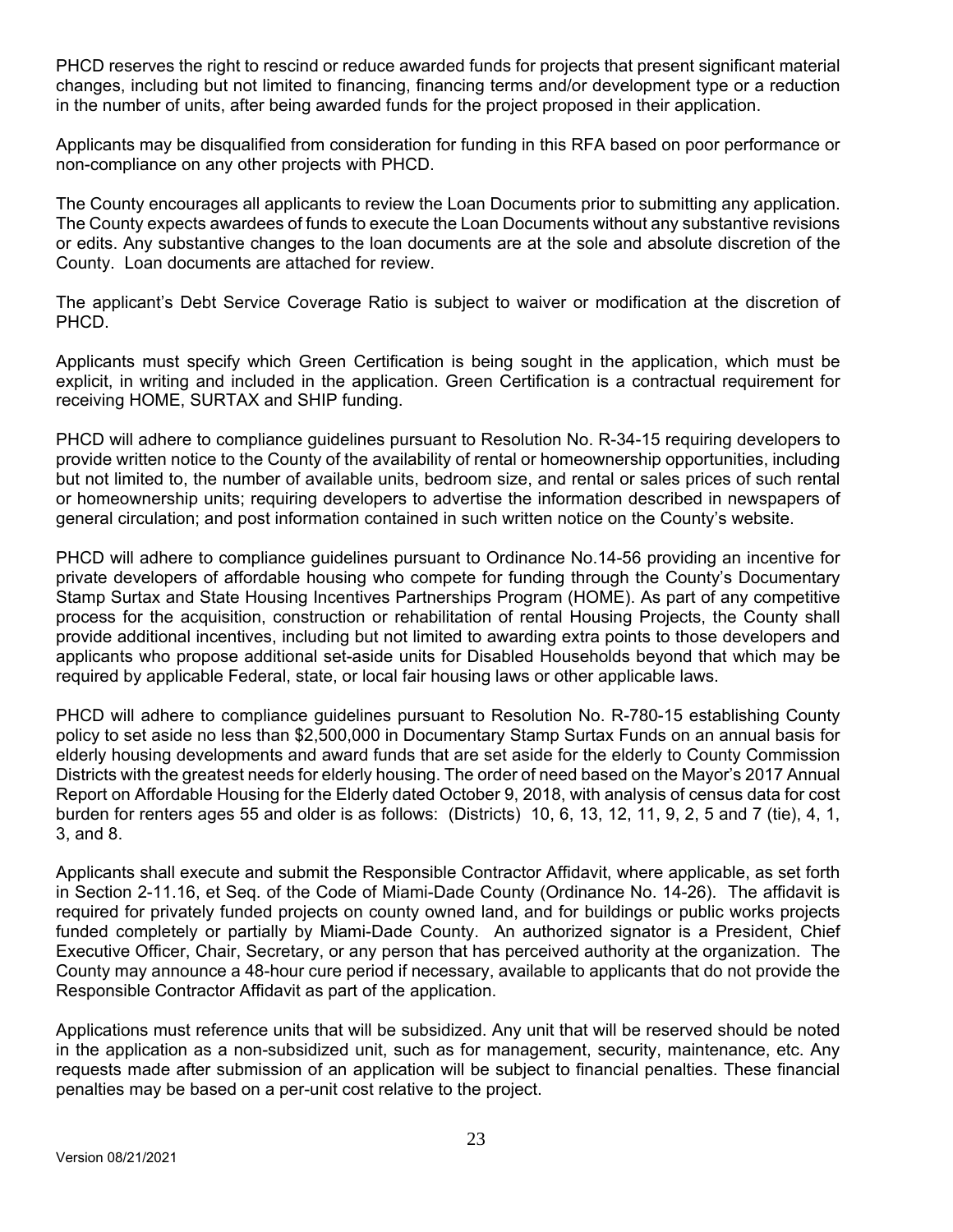PHCD reserves the right to rescind or reduce awarded funds for projects that present significant material changes, including but not limited to financing, financing terms and/or development type or a reduction in the number of units, after being awarded funds for the project proposed in their application.

Applicants may be disqualified from consideration for funding in this RFA based on poor performance or non-compliance on any other projects with PHCD.

The County encourages all applicants to review the Loan Documents prior to submitting any application. The County expects awardees of funds to execute the Loan Documents without any substantive revisions or edits. Any substantive changes to the loan documents are at the sole and absolute discretion of the County. Loan documents are attached for review.

The applicant's Debt Service Coverage Ratio is subject to waiver or modification at the discretion of PHCD.

Applicants must specify which Green Certification is being sought in the application, which must be explicit, in writing and included in the application. Green Certification is a contractual requirement for receiving HOME, SURTAX and SHIP funding.

PHCD will adhere to compliance guidelines pursuant to Resolution No. R-34-15 requiring developers to provide written notice to the County of the availability of rental or homeownership opportunities, including but not limited to, the number of available units, bedroom size, and rental or sales prices of such rental or homeownership units; requiring developers to advertise the information described in newspapers of general circulation; and post information contained in such written notice on the County's website.

PHCD will adhere to compliance guidelines pursuant to Ordinance No.14-56 providing an incentive for private developers of affordable housing who compete for funding through the County's Documentary Stamp Surtax and State Housing Incentives Partnerships Program (HOME). As part of any competitive process for the acquisition, construction or rehabilitation of rental Housing Projects, the County shall provide additional incentives, including but not limited to awarding extra points to those developers and applicants who propose additional set-aside units for Disabled Households beyond that which may be required by applicable Federal, state, or local fair housing laws or other applicable laws.

PHCD will adhere to compliance guidelines pursuant to Resolution No. R-780-15 establishing County policy to set aside no less than \$2,500,000 in Documentary Stamp Surtax Funds on an annual basis for elderly housing developments and award funds that are set aside for the elderly to County Commission Districts with the greatest needs for elderly housing. The order of need based on the Mayor's 2017 Annual Report on Affordable Housing for the Elderly dated October 9, 2018, with analysis of census data for cost burden for renters ages 55 and older is as follows: (Districts) 10, 6, 13, 12, 11, 9, 2, 5 and 7 (tie), 4, 1, 3, and 8.

Applicants shall execute and submit the Responsible Contractor Affidavit, where applicable, as set forth in Section 2-11.16, et Seq. of the Code of Miami-Dade County (Ordinance No. 14-26). The affidavit is required for privately funded projects on county owned land, and for buildings or public works projects funded completely or partially by Miami-Dade County. An authorized signator is a President, Chief Executive Officer, Chair, Secretary, or any person that has perceived authority at the organization. The County may announce a 48-hour cure period if necessary, available to applicants that do not provide the Responsible Contractor Affidavit as part of the application.

Applications must reference units that will be subsidized. Any unit that will be reserved should be noted in the application as a non-subsidized unit, such as for management, security, maintenance, etc. Any requests made after submission of an application will be subject to financial penalties. These financial penalties may be based on a per-unit cost relative to the project.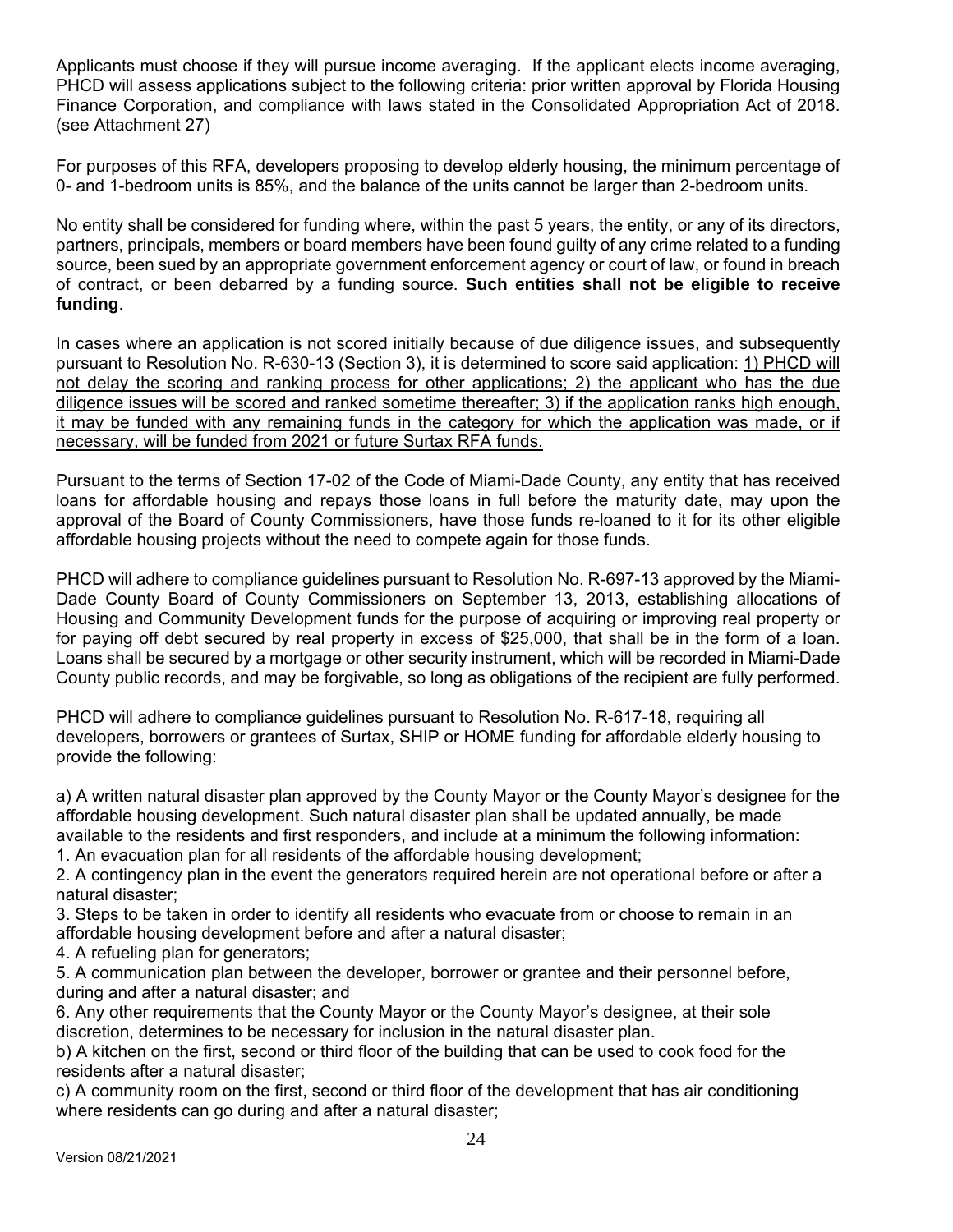Applicants must choose if they will pursue income averaging. If the applicant elects income averaging, PHCD will assess applications subject to the following criteria: prior written approval by Florida Housing Finance Corporation, and compliance with laws stated in the Consolidated Appropriation Act of 2018. (see Attachment 27)

For purposes of this RFA, developers proposing to develop elderly housing, the minimum percentage of 0- and 1-bedroom units is 85%, and the balance of the units cannot be larger than 2-bedroom units.

No entity shall be considered for funding where, within the past 5 years, the entity, or any of its directors, partners, principals, members or board members have been found guilty of any crime related to a funding source, been sued by an appropriate government enforcement agency or court of law, or found in breach of contract, or been debarred by a funding source. **Such entities shall not be eligible to receive funding**.

In cases where an application is not scored initially because of due diligence issues, and subsequently pursuant to Resolution No. R-630-13 (Section 3), it is determined to score said application: 1) PHCD will not delay the scoring and ranking process for other applications; 2) the applicant who has the due diligence issues will be scored and ranked sometime thereafter; 3) if the application ranks high enough, it may be funded with any remaining funds in the category for which the application was made, or if necessary, will be funded from 2021 or future Surtax RFA funds.

Pursuant to the terms of Section 17-02 of the Code of Miami-Dade County, any entity that has received loans for affordable housing and repays those loans in full before the maturity date, may upon the approval of the Board of County Commissioners, have those funds re-loaned to it for its other eligible affordable housing projects without the need to compete again for those funds.

PHCD will adhere to compliance guidelines pursuant to Resolution No. R-697-13 approved by the Miami-Dade County Board of County Commissioners on September 13, 2013, establishing allocations of Housing and Community Development funds for the purpose of acquiring or improving real property or for paying off debt secured by real property in excess of \$25,000, that shall be in the form of a loan. Loans shall be secured by a mortgage or other security instrument, which will be recorded in Miami-Dade County public records, and may be forgivable, so long as obligations of the recipient are fully performed.

PHCD will adhere to compliance guidelines pursuant to Resolution No. R-617-18, requiring all developers, borrowers or grantees of Surtax, SHIP or HOME funding for affordable elderly housing to provide the following:

a) A written natural disaster plan approved by the County Mayor or the County Mayor's designee for the affordable housing development. Such natural disaster plan shall be updated annually, be made available to the residents and first responders, and include at a minimum the following information:

1. An evacuation plan for all residents of the affordable housing development;

2. A contingency plan in the event the generators required herein are not operational before or after a natural disaster;

3. Steps to be taken in order to identify all residents who evacuate from or choose to remain in an affordable housing development before and after a natural disaster;

4. A refueling plan for generators;

5. A communication plan between the developer, borrower or grantee and their personnel before, during and after a natural disaster; and

6. Any other requirements that the County Mayor or the County Mayor's designee, at their sole discretion, determines to be necessary for inclusion in the natural disaster plan.

b) A kitchen on the first, second or third floor of the building that can be used to cook food for the residents after a natural disaster;

c) A community room on the first, second or third floor of the development that has air conditioning where residents can go during and after a natural disaster;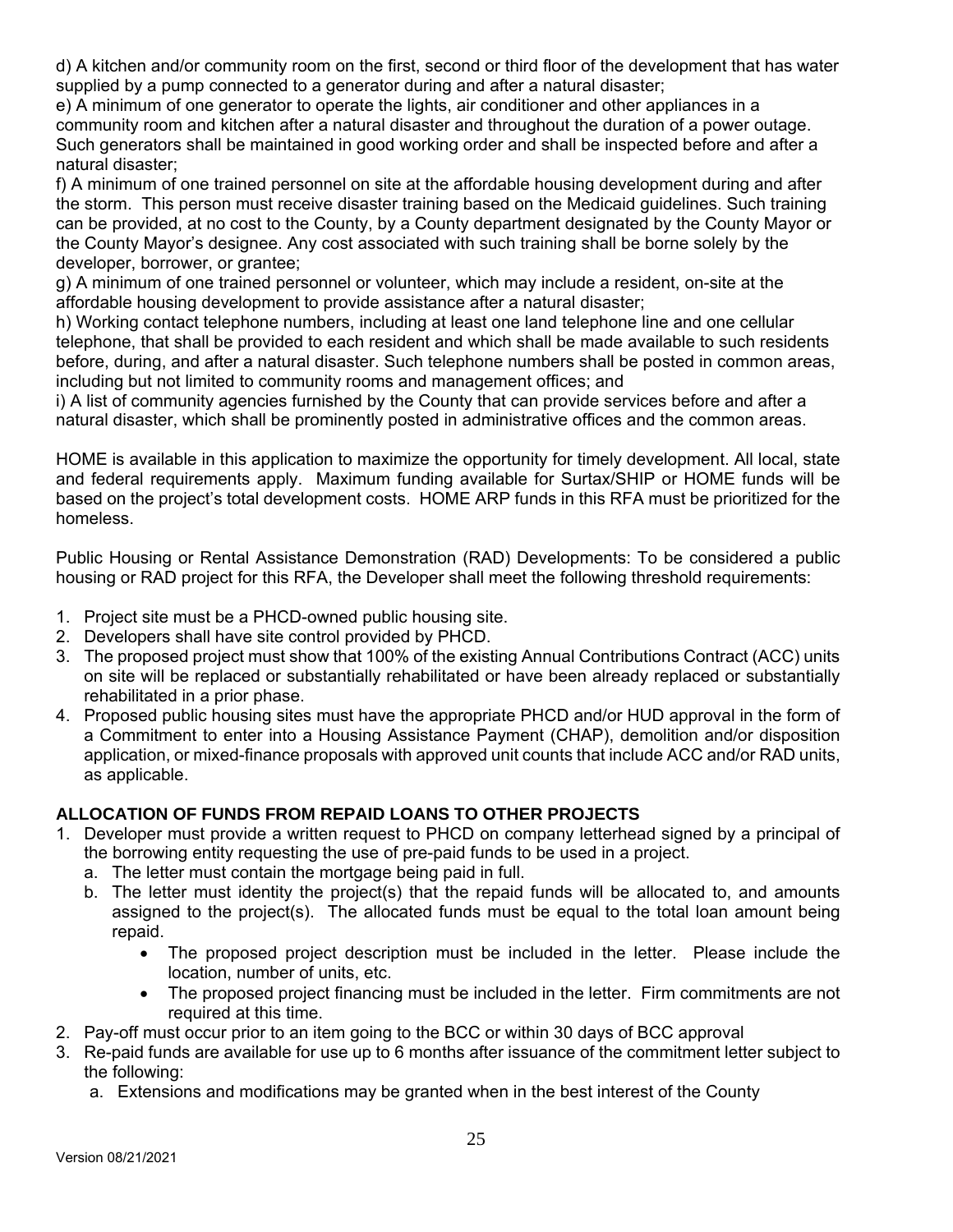d) A kitchen and/or community room on the first, second or third floor of the development that has water supplied by a pump connected to a generator during and after a natural disaster;

e) A minimum of one generator to operate the lights, air conditioner and other appliances in a community room and kitchen after a natural disaster and throughout the duration of a power outage. Such generators shall be maintained in good working order and shall be inspected before and after a natural disaster;

f) A minimum of one trained personnel on site at the affordable housing development during and after the storm. This person must receive disaster training based on the Medicaid guidelines. Such training can be provided, at no cost to the County, by a County department designated by the County Mayor or the County Mayor's designee. Any cost associated with such training shall be borne solely by the developer, borrower, or grantee;

g) A minimum of one trained personnel or volunteer, which may include a resident, on-site at the affordable housing development to provide assistance after a natural disaster;

h) Working contact telephone numbers, including at least one land telephone line and one cellular telephone, that shall be provided to each resident and which shall be made available to such residents before, during, and after a natural disaster. Such telephone numbers shall be posted in common areas, including but not limited to community rooms and management offices; and

i) A list of community agencies furnished by the County that can provide services before and after a natural disaster, which shall be prominently posted in administrative offices and the common areas.

HOME is available in this application to maximize the opportunity for timely development. All local, state and federal requirements apply. Maximum funding available for Surtax/SHIP or HOME funds will be based on the project's total development costs. HOME ARP funds in this RFA must be prioritized for the homeless.

Public Housing or Rental Assistance Demonstration (RAD) Developments: To be considered a public housing or RAD project for this RFA, the Developer shall meet the following threshold requirements:

- 1. Project site must be a PHCD-owned public housing site.
- 2. Developers shall have site control provided by PHCD.
- 3. The proposed project must show that 100% of the existing Annual Contributions Contract (ACC) units on site will be replaced or substantially rehabilitated or have been already replaced or substantially rehabilitated in a prior phase.
- 4. Proposed public housing sites must have the appropriate PHCD and/or HUD approval in the form of a Commitment to enter into a Housing Assistance Payment (CHAP), demolition and/or disposition application, or mixed-finance proposals with approved unit counts that include ACC and/or RAD units, as applicable.

# **ALLOCATION OF FUNDS FROM REPAID LOANS TO OTHER PROJECTS**

- 1. Developer must provide a written request to PHCD on company letterhead signed by a principal of the borrowing entity requesting the use of pre-paid funds to be used in a project.
	- a. The letter must contain the mortgage being paid in full.
	- b. The letter must identity the project(s) that the repaid funds will be allocated to, and amounts assigned to the project(s). The allocated funds must be equal to the total loan amount being repaid.
		- The proposed project description must be included in the letter. Please include the location, number of units, etc.
		- The proposed project financing must be included in the letter. Firm commitments are not required at this time.
- 2. Pay-off must occur prior to an item going to the BCC or within 30 days of BCC approval
- 3. Re-paid funds are available for use up to 6 months after issuance of the commitment letter subject to the following:
	- a. Extensions and modifications may be granted when in the best interest of the County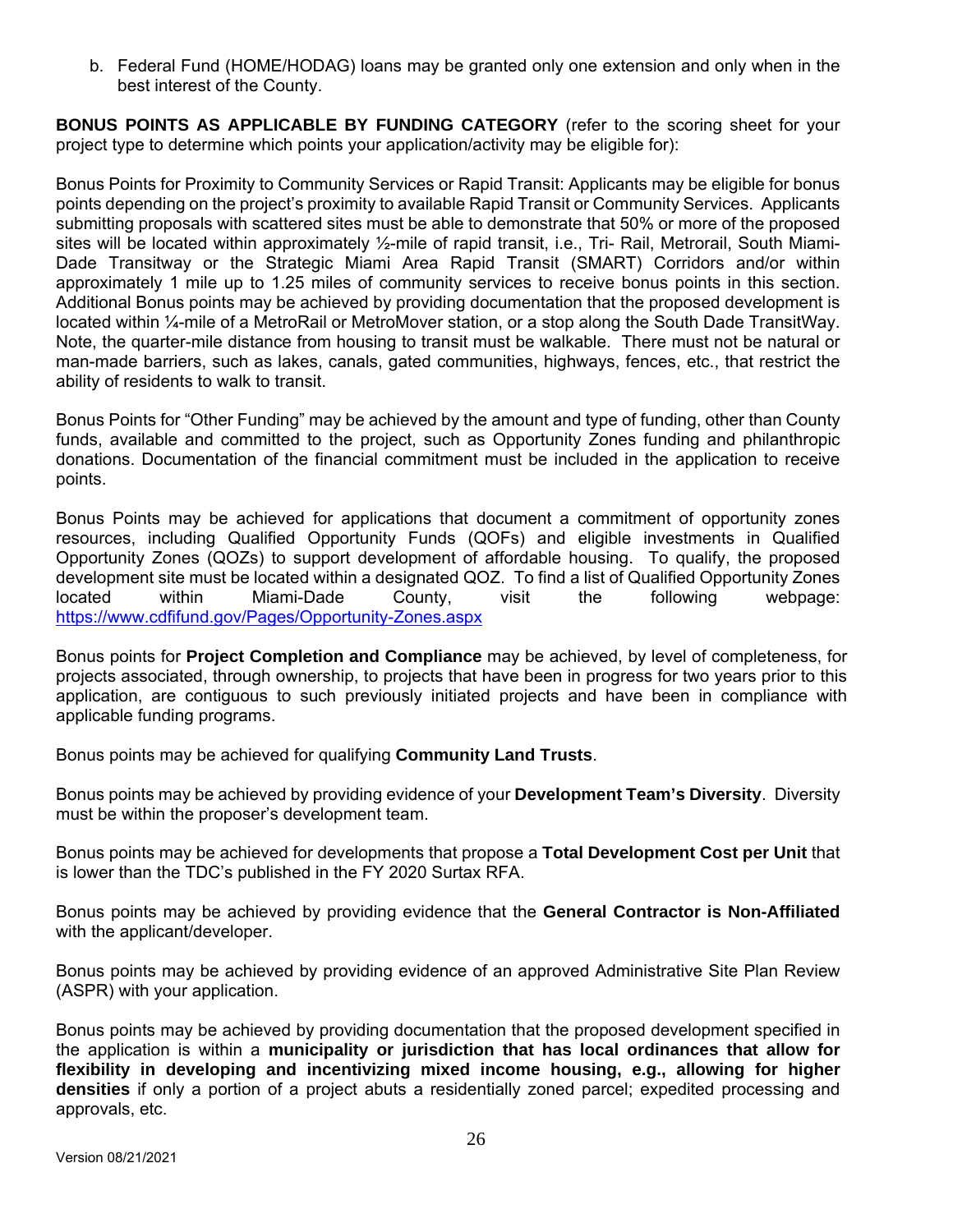b. Federal Fund (HOME/HODAG) loans may be granted only one extension and only when in the best interest of the County.

**BONUS POINTS AS APPLICABLE BY FUNDING CATEGORY** (refer to the scoring sheet for your project type to determine which points your application/activity may be eligible for):

Bonus Points for Proximity to Community Services or Rapid Transit: Applicants may be eligible for bonus points depending on the project's proximity to available Rapid Transit or Community Services. Applicants submitting proposals with scattered sites must be able to demonstrate that 50% or more of the proposed sites will be located within approximately ½-mile of rapid transit, i.e., Tri- Rail, Metrorail, South Miami-Dade Transitway or the Strategic Miami Area Rapid Transit (SMART) Corridors and/or within approximately 1 mile up to 1.25 miles of community services to receive bonus points in this section. Additional Bonus points may be achieved by providing documentation that the proposed development is located within ¼-mile of a MetroRail or MetroMover station, or a stop along the South Dade TransitWay. Note, the quarter-mile distance from housing to transit must be walkable. There must not be natural or man-made barriers, such as lakes, canals, gated communities, highways, fences, etc., that restrict the ability of residents to walk to transit.

Bonus Points for "Other Funding" may be achieved by the amount and type of funding, other than County funds, available and committed to the project, such as Opportunity Zones funding and philanthropic donations. Documentation of the financial commitment must be included in the application to receive points.

Bonus Points may be achieved for applications that document a commitment of opportunity zones resources, including Qualified Opportunity Funds (QOFs) and eligible investments in Qualified Opportunity Zones (QOZs) to support development of affordable housing. To qualify, the proposed development site must be located within a designated QOZ. To find a list of Qualified Opportunity Zones located within Miami-Dade County, visit the following webpage: https://www.cdfifund.gov/Pages/Opportunity-Zones.aspx

Bonus points for **Project Completion and Compliance** may be achieved, by level of completeness, for projects associated, through ownership, to projects that have been in progress for two years prior to this application, are contiguous to such previously initiated projects and have been in compliance with applicable funding programs.

Bonus points may be achieved for qualifying **Community Land Trusts**.

Bonus points may be achieved by providing evidence of your **Development Team's Diversity**. Diversity must be within the proposer's development team.

Bonus points may be achieved for developments that propose a **Total Development Cost per Unit** that is lower than the TDC's published in the FY 2020 Surtax RFA.

Bonus points may be achieved by providing evidence that the **General Contractor is Non-Affiliated** with the applicant/developer.

Bonus points may be achieved by providing evidence of an approved Administrative Site Plan Review (ASPR) with your application.

Bonus points may be achieved by providing documentation that the proposed development specified in the application is within a **municipality or jurisdiction that has local ordinances that allow for flexibility in developing and incentivizing mixed income housing, e.g., allowing for higher densities** if only a portion of a project abuts a residentially zoned parcel; expedited processing and approvals, etc.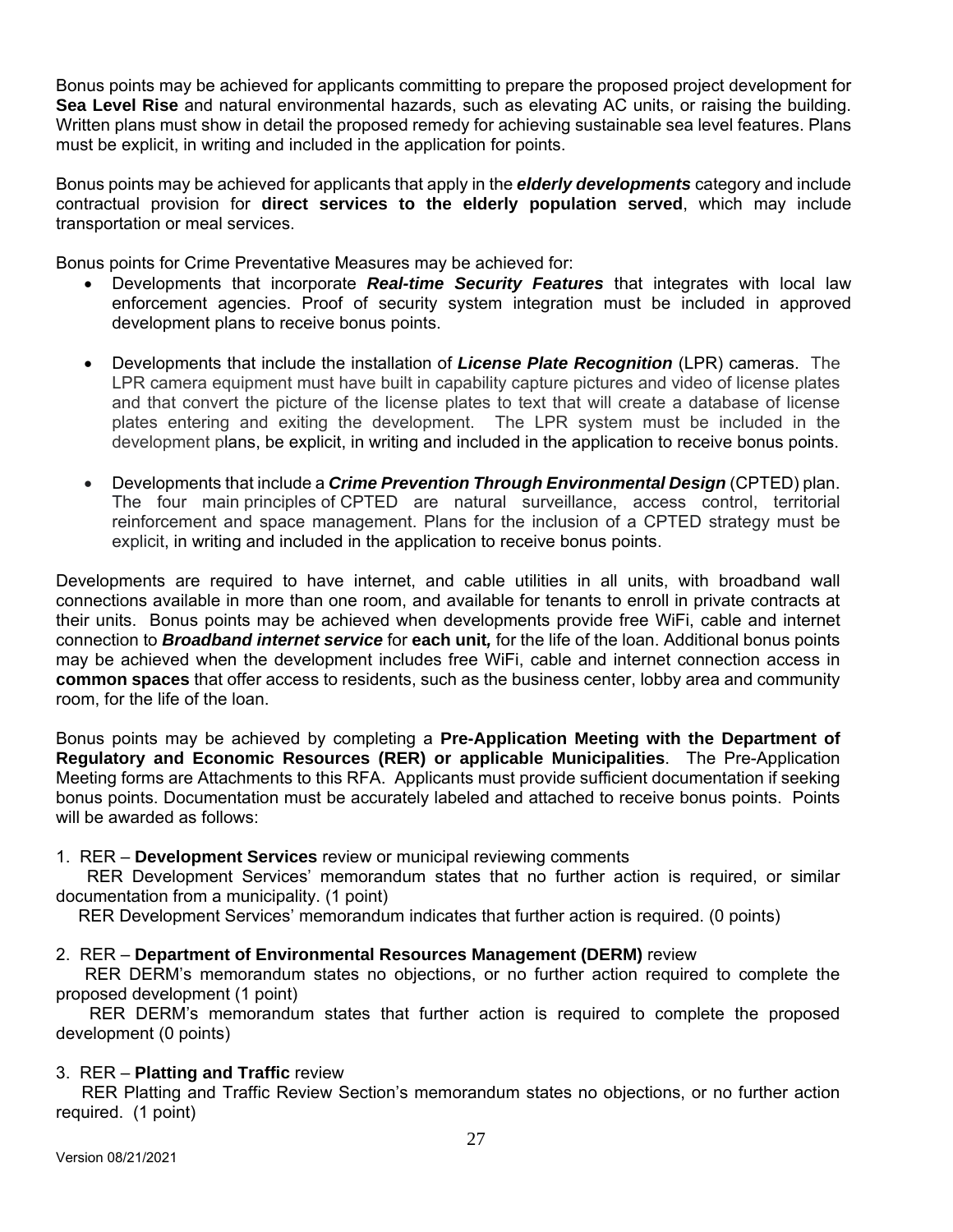Bonus points may be achieved for applicants committing to prepare the proposed project development for **Sea Level Rise** and natural environmental hazards, such as elevating AC units, or raising the building. Written plans must show in detail the proposed remedy for achieving sustainable sea level features. Plans must be explicit, in writing and included in the application for points.

Bonus points may be achieved for applicants that apply in the *elderly developments* category and include contractual provision for **direct services to the elderly population served**, which may include transportation or meal services.

Bonus points for Crime Preventative Measures may be achieved for:

- Developments that incorporate *Real-time Security Features* that integrates with local law enforcement agencies. Proof of security system integration must be included in approved development plans to receive bonus points.
- Developments that include the installation of *License Plate Recognition* (LPR) cameras. The LPR camera equipment must have built in capability capture pictures and video of license plates and that convert the picture of the license plates to text that will create a database of license plates entering and exiting the development. The LPR system must be included in the development plans, be explicit, in writing and included in the application to receive bonus points.
- Developments that include a *Crime Prevention Through Environmental Design* (CPTED) plan. The four main principles of CPTED are natural surveillance, access control, territorial reinforcement and space management. Plans for the inclusion of a CPTED strategy must be explicit, in writing and included in the application to receive bonus points.

Developments are required to have internet, and cable utilities in all units, with broadband wall connections available in more than one room, and available for tenants to enroll in private contracts at their units. Bonus points may be achieved when developments provide free WiFi, cable and internet connection to *Broadband internet service* for **each unit***,* for the life of the loan. Additional bonus points may be achieved when the development includes free WiFi, cable and internet connection access in **common spaces** that offer access to residents, such as the business center, lobby area and community room, for the life of the loan.

Bonus points may be achieved by completing a **Pre-Application Meeting with the Department of Regulatory and Economic Resources (RER) or applicable Municipalities**. The Pre-Application Meeting forms are Attachments to this RFA. Applicants must provide sufficient documentation if seeking bonus points. Documentation must be accurately labeled and attached to receive bonus points. Points will be awarded as follows:

#### 1. RER – **Development Services** review or municipal reviewing comments

 RER Development Services' memorandum states that no further action is required, or similar documentation from a municipality. (1 point)

RER Development Services' memorandum indicates that further action is required. (0 points)

## 2. RER – **Department of Environmental Resources Management (DERM)** review

 RER DERM's memorandum states no objections, or no further action required to complete the proposed development (1 point)

 RER DERM's memorandum states that further action is required to complete the proposed development (0 points)

#### 3. RER – **Platting and Traffic** review

 RER Platting and Traffic Review Section's memorandum states no objections, or no further action required. (1 point)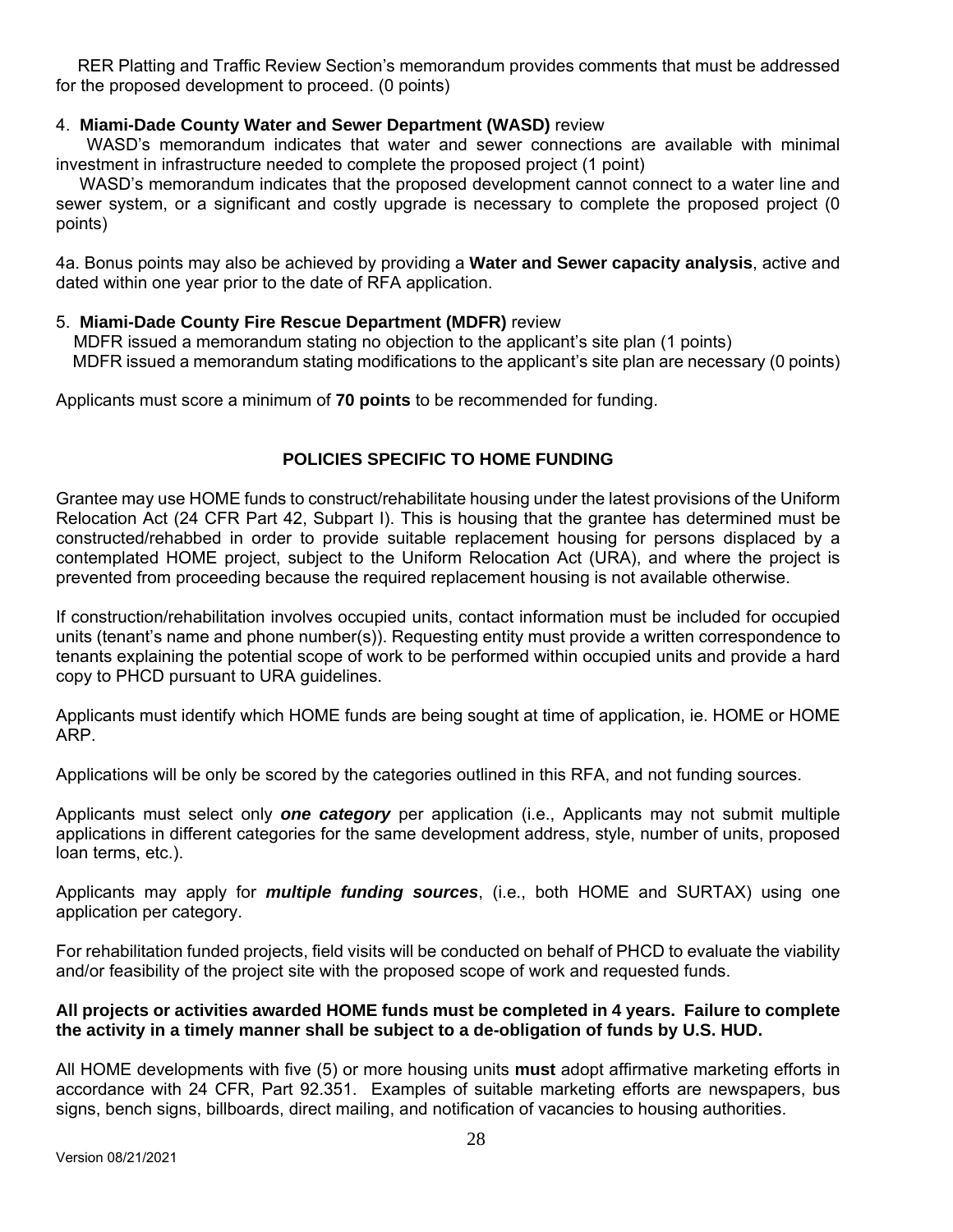RER Platting and Traffic Review Section's memorandum provides comments that must be addressed for the proposed development to proceed. (0 points)

## 4. **Miami-Dade County Water and Sewer Department (WASD)** review

 WASD's memorandum indicates that water and sewer connections are available with minimal investment in infrastructure needed to complete the proposed project (1 point)

 WASD's memorandum indicates that the proposed development cannot connect to a water line and sewer system, or a significant and costly upgrade is necessary to complete the proposed project (0 points)

4a. Bonus points may also be achieved by providing a **Water and Sewer capacity analysis**, active and dated within one year prior to the date of RFA application.

#### 5. **Miami-Dade County Fire Rescue Department (MDFR)** review

 MDFR issued a memorandum stating no objection to the applicant's site plan (1 points) MDFR issued a memorandum stating modifications to the applicant's site plan are necessary (0 points)

Applicants must score a minimum of **70 points** to be recommended for funding.

#### **POLICIES SPECIFIC TO HOME FUNDING**

Grantee may use HOME funds to construct/rehabilitate housing under the latest provisions of the Uniform Relocation Act (24 CFR Part 42, Subpart I). This is housing that the grantee has determined must be constructed/rehabbed in order to provide suitable replacement housing for persons displaced by a contemplated HOME project, subject to the Uniform Relocation Act (URA), and where the project is prevented from proceeding because the required replacement housing is not available otherwise.

If construction/rehabilitation involves occupied units, contact information must be included for occupied units (tenant's name and phone number(s)). Requesting entity must provide a written correspondence to tenants explaining the potential scope of work to be performed within occupied units and provide a hard copy to PHCD pursuant to URA guidelines.

Applicants must identify which HOME funds are being sought at time of application, ie. HOME or HOME ARP.

Applications will be only be scored by the categories outlined in this RFA, and not funding sources.

Applicants must select only *one category* per application (i.e., Applicants may not submit multiple applications in different categories for the same development address, style, number of units, proposed loan terms, etc.).

Applicants may apply for *multiple funding sources*, (i.e., both HOME and SURTAX) using one application per category.

For rehabilitation funded projects, field visits will be conducted on behalf of PHCD to evaluate the viability and/or feasibility of the project site with the proposed scope of work and requested funds.

#### **All projects or activities awarded HOME funds must be completed in 4 years. Failure to complete the activity in a timely manner shall be subject to a de-obligation of funds by U.S. HUD.**

All HOME developments with five (5) or more housing units **must** adopt affirmative marketing efforts in accordance with 24 CFR, Part 92.351. Examples of suitable marketing efforts are newspapers, bus signs, bench signs, billboards, direct mailing, and notification of vacancies to housing authorities.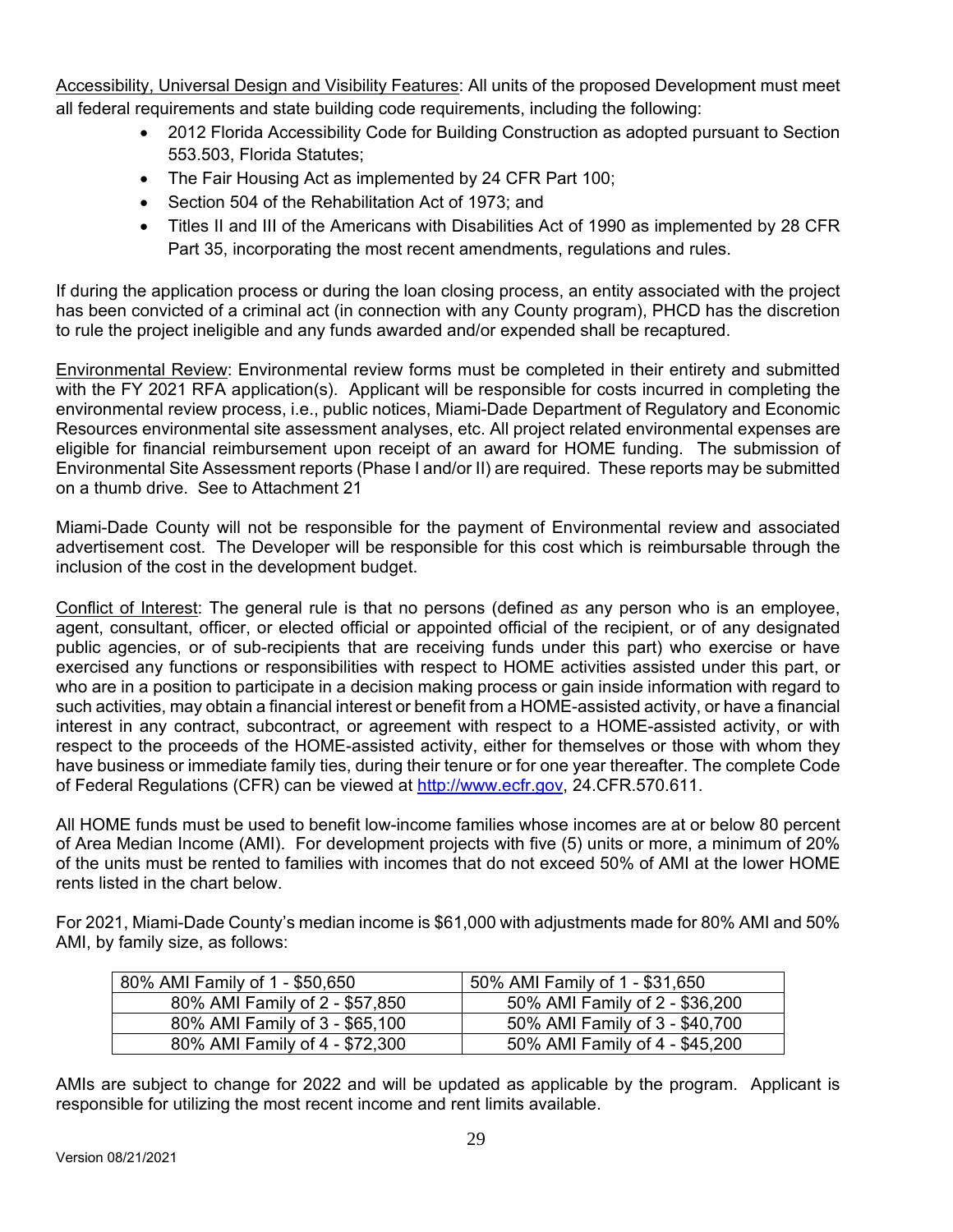Accessibility, Universal Design and Visibility Features: All units of the proposed Development must meet all federal requirements and state building code requirements, including the following:

- 2012 Florida Accessibility Code for Building Construction as adopted pursuant to Section 553.503, Florida Statutes;
- The Fair Housing Act as implemented by 24 CFR Part 100;
- Section 504 of the Rehabilitation Act of 1973; and
- Titles II and III of the Americans with Disabilities Act of 1990 as implemented by 28 CFR Part 35, incorporating the most recent amendments, regulations and rules.

If during the application process or during the loan closing process, an entity associated with the project has been convicted of a criminal act (in connection with any County program), PHCD has the discretion to rule the project ineligible and any funds awarded and/or expended shall be recaptured.

Environmental Review: Environmental review forms must be completed in their entirety and submitted with the FY 2021 RFA application(s). Applicant will be responsible for costs incurred in completing the environmental review process, i.e., public notices, Miami-Dade Department of Regulatory and Economic Resources environmental site assessment analyses, etc. All project related environmental expenses are eligible for financial reimbursement upon receipt of an award for HOME funding. The submission of Environmental Site Assessment reports (Phase I and/or II) are required. These reports may be submitted on a thumb drive. See to Attachment 21

Miami-Dade County will not be responsible for the payment of Environmental review and associated advertisement cost. The Developer will be responsible for this cost which is reimbursable through the inclusion of the cost in the development budget.

Conflict of Interest: The general rule is that no persons (defined *as* any person who is an employee, agent, consultant, officer, or elected official or appointed official of the recipient, or of any designated public agencies, or of sub-recipients that are receiving funds under this part) who exercise or have exercised any functions or responsibilities with respect to HOME activities assisted under this part, or who are in a position to participate in a decision making process or gain inside information with regard to such activities, may obtain a financial interest or benefit from a HOME-assisted activity, or have a financial interest in any contract, subcontract, or agreement with respect to a HOME-assisted activity, or with respect to the proceeds of the HOME-assisted activity, either for themselves or those with whom they have business or immediate family ties, during their tenure or for one year thereafter. The complete Code of Federal Regulations (CFR) can be viewed at http://www.ecfr.gov, 24.CFR.570.611.

All HOME funds must be used to benefit low-income families whose incomes are at or below 80 percent of Area Median Income (AMI). For development projects with five (5) units or more, a minimum of 20% of the units must be rented to families with incomes that do not exceed 50% of AMI at the lower HOME rents listed in the chart below.

For 2021, Miami-Dade County's median income is \$61,000 with adjustments made for 80% AMI and 50% AMI, by family size, as follows:

| 80% AMI Family of 1 - \$50,650 | 50% AMI Family of 1 - \$31,650 |
|--------------------------------|--------------------------------|
| 80% AMI Family of 2 - \$57,850 | 50% AMI Family of 2 - \$36,200 |
| 80% AMI Family of 3 - \$65,100 | 50% AMI Family of 3 - \$40,700 |
| 80% AMI Family of 4 - \$72,300 | 50% AMI Family of 4 - \$45,200 |

AMIs are subject to change for 2022 and will be updated as applicable by the program. Applicant is responsible for utilizing the most recent income and rent limits available.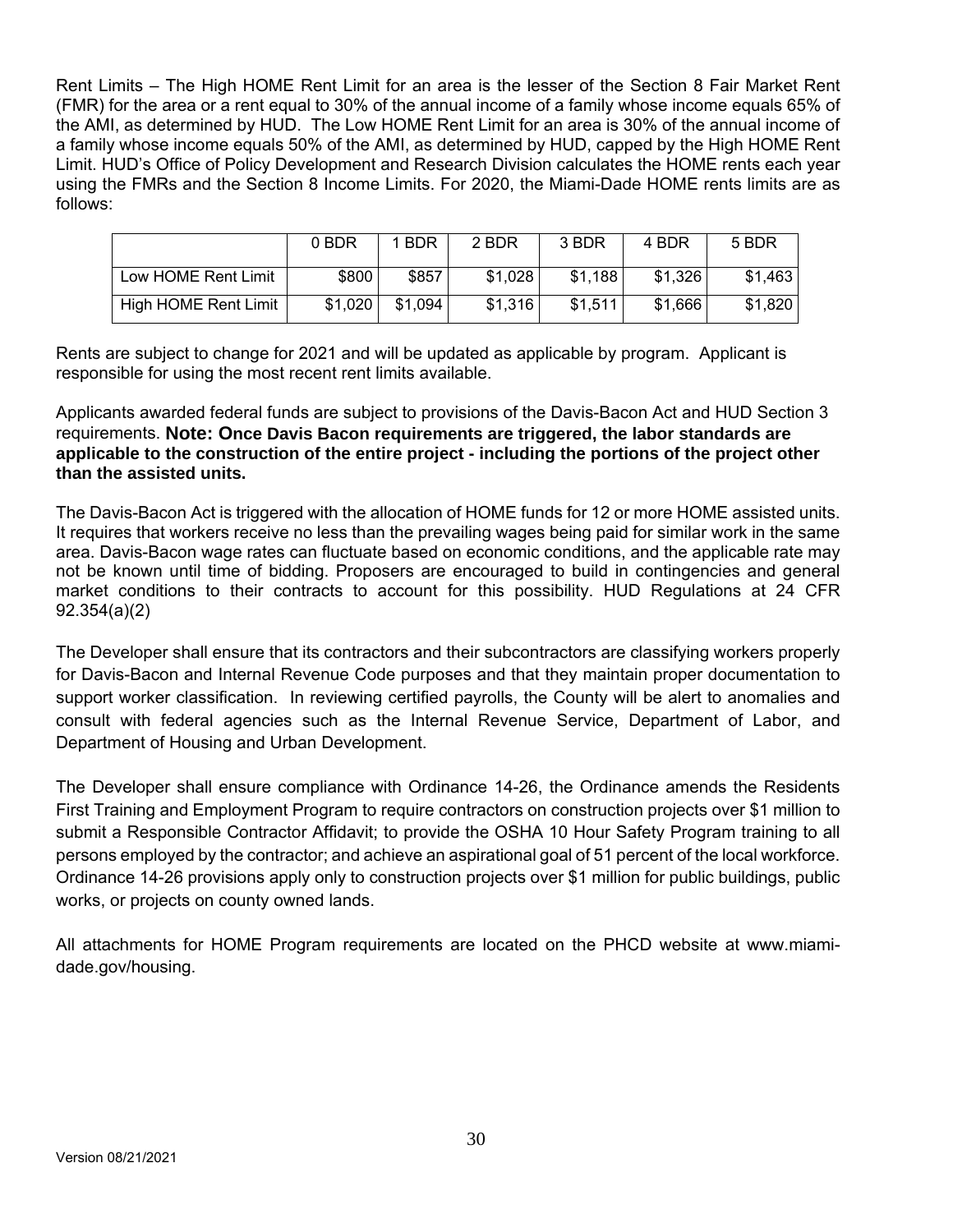Rent Limits – The High HOME Rent Limit for an area is the lesser of the Section 8 Fair Market Rent (FMR) for the area or a rent equal to 30% of the annual income of a family whose income equals 65% of the AMI, as determined by HUD. The Low HOME Rent Limit for an area is 30% of the annual income of a family whose income equals 50% of the AMI, as determined by HUD, capped by the High HOME Rent Limit. HUD's Office of Policy Development and Research Division calculates the HOME rents each year using the FMRs and the Section 8 Income Limits. For 2020, the Miami-Dade HOME rents limits are as follows:

|                             | 0 BDR   | 1 BDR   | 2 BDR   | 3 BDR   | 4 BDR   | 5 BDR   |
|-----------------------------|---------|---------|---------|---------|---------|---------|
| Low HOME Rent Limit         | \$800   | \$857   | \$1,028 | \$1,188 | \$1,326 | \$1,463 |
| <b>High HOME Rent Limit</b> | \$1,020 | \$1,094 | \$1,316 | \$1,511 | \$1,666 | \$1,820 |

Rents are subject to change for 2021 and will be updated as applicable by program. Applicant is responsible for using the most recent rent limits available.

Applicants awarded federal funds are subject to provisions of the Davis-Bacon Act and HUD Section 3 requirements. **Note: Once Davis Bacon requirements are triggered, the labor standards are applicable to the construction of the entire project - including the portions of the project other than the assisted units.**

The Davis-Bacon Act is triggered with the allocation of HOME funds for 12 or more HOME assisted units. It requires that workers receive no less than the prevailing wages being paid for similar work in the same area. Davis-Bacon wage rates can fluctuate based on economic conditions, and the applicable rate may not be known until time of bidding. Proposers are encouraged to build in contingencies and general market conditions to their contracts to account for this possibility. HUD Regulations at 24 CFR 92.354(a)(2)

The Developer shall ensure that its contractors and their subcontractors are classifying workers properly for Davis-Bacon and Internal Revenue Code purposes and that they maintain proper documentation to support worker classification. In reviewing certified payrolls, the County will be alert to anomalies and consult with federal agencies such as the Internal Revenue Service, Department of Labor, and Department of Housing and Urban Development.

The Developer shall ensure compliance with Ordinance 14-26, the Ordinance amends the Residents First Training and Employment Program to require contractors on construction projects over \$1 million to submit a Responsible Contractor Affidavit; to provide the OSHA 10 Hour Safety Program training to all persons employed by the contractor; and achieve an aspirational goal of 51 percent of the local workforce. Ordinance 14-26 provisions apply only to construction projects over \$1 million for public buildings, public works, or projects on county owned lands.

All attachments for HOME Program requirements are located on the PHCD website at www.miamidade.gov/housing.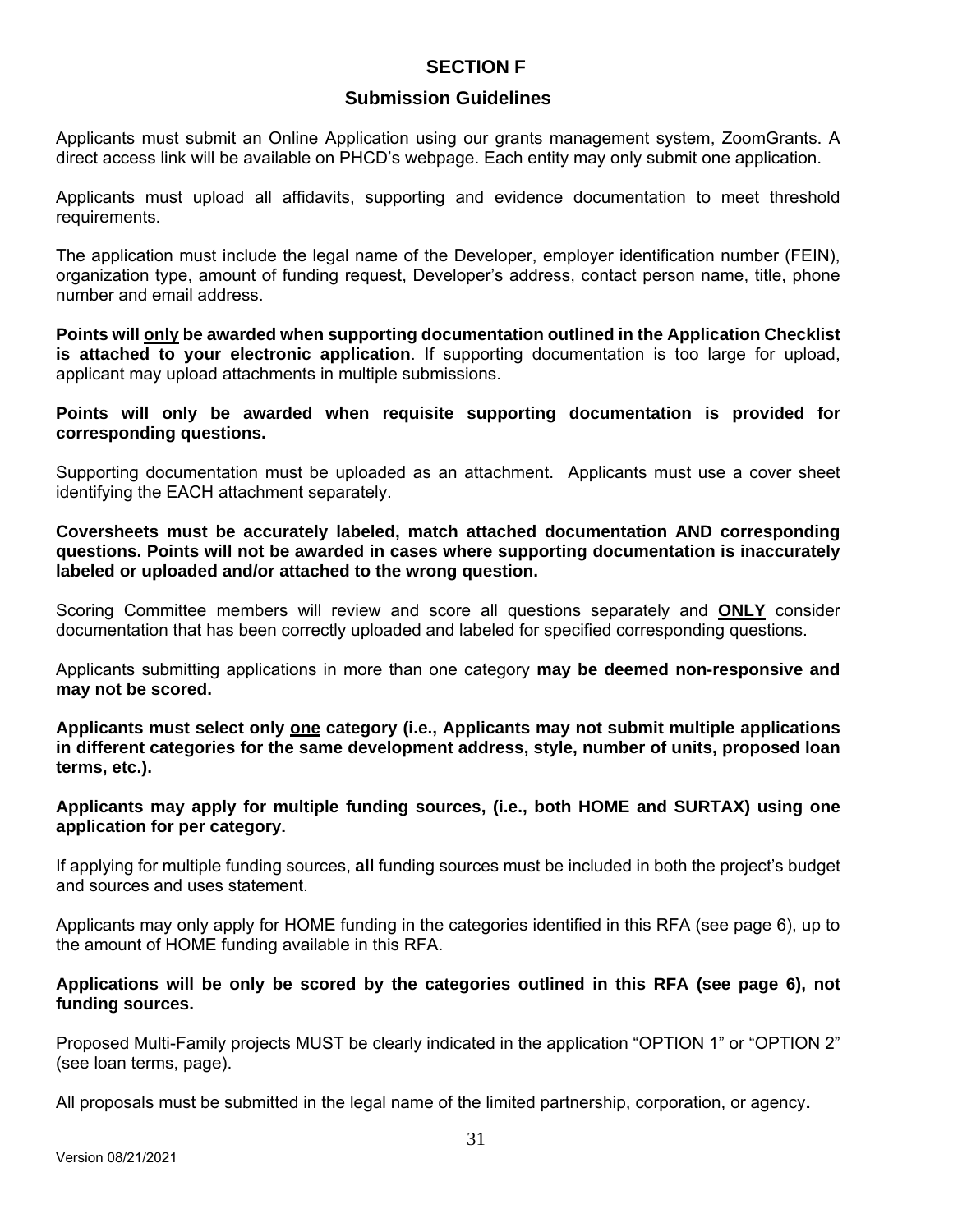# **SECTION F**

# **Submission Guidelines**

Applicants must submit an Online Application using our grants management system, ZoomGrants. A direct access link will be available on PHCD's webpage. Each entity may only submit one application.

Applicants must upload all affidavits, supporting and evidence documentation to meet threshold requirements.

The application must include the legal name of the Developer, employer identification number (FEIN), organization type, amount of funding request, Developer's address, contact person name, title, phone number and email address.

**Points will only be awarded when supporting documentation outlined in the Application Checklist is attached to your electronic application**. If supporting documentation is too large for upload, applicant may upload attachments in multiple submissions.

**Points will only be awarded when requisite supporting documentation is provided for corresponding questions.** 

Supporting documentation must be uploaded as an attachment. Applicants must use a cover sheet identifying the EACH attachment separately.

**Coversheets must be accurately labeled, match attached documentation AND corresponding questions. Points will not be awarded in cases where supporting documentation is inaccurately labeled or uploaded and/or attached to the wrong question.**

Scoring Committee members will review and score all questions separately and **ONLY** consider documentation that has been correctly uploaded and labeled for specified corresponding questions.

Applicants submitting applications in more than one category **may be deemed non-responsive and may not be scored.** 

**Applicants must select only one category (i.e., Applicants may not submit multiple applications in different categories for the same development address, style, number of units, proposed loan terms, etc.).** 

**Applicants may apply for multiple funding sources, (i.e., both HOME and SURTAX) using one application for per category.** 

If applying for multiple funding sources, **all** funding sources must be included in both the project's budget and sources and uses statement.

Applicants may only apply for HOME funding in the categories identified in this RFA (see page 6), up to the amount of HOME funding available in this RFA.

#### **Applications will be only be scored by the categories outlined in this RFA (see page 6), not funding sources.**

Proposed Multi-Family projects MUST be clearly indicated in the application "OPTION 1" or "OPTION 2" (see loan terms, page).

All proposals must be submitted in the legal name of the limited partnership, corporation, or agency**.**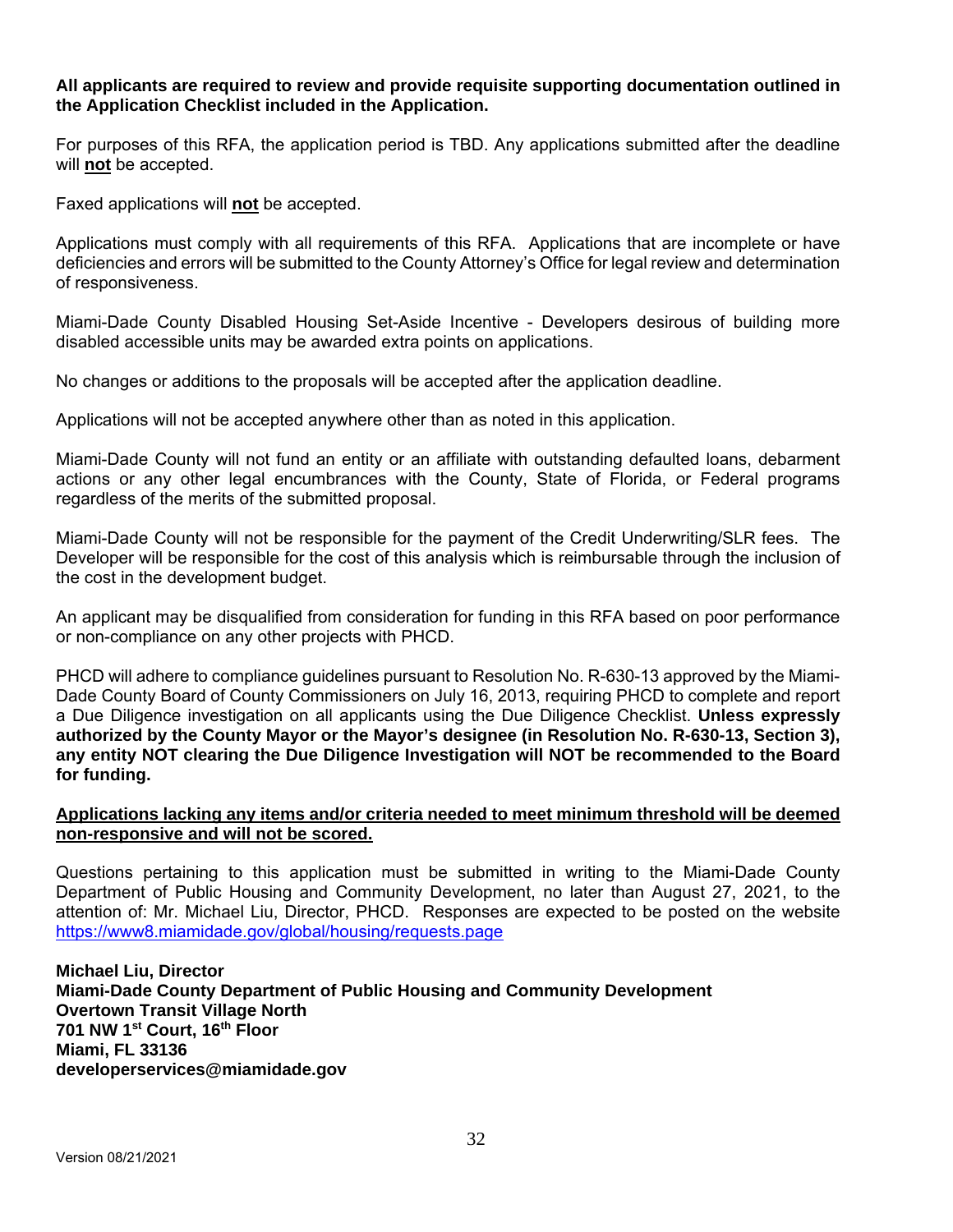#### **All applicants are required to review and provide requisite supporting documentation outlined in the Application Checklist included in the Application.**

For purposes of this RFA, the application period is TBD. Any applications submitted after the deadline will **not** be accepted.

Faxed applications will **not** be accepted.

Applications must comply with all requirements of this RFA. Applications that are incomplete or have deficiencies and errors will be submitted to the County Attorney's Office for legal review and determination of responsiveness.

Miami-Dade County Disabled Housing Set-Aside Incentive - Developers desirous of building more disabled accessible units may be awarded extra points on applications.

No changes or additions to the proposals will be accepted after the application deadline.

Applications will not be accepted anywhere other than as noted in this application.

Miami-Dade County will not fund an entity or an affiliate with outstanding defaulted loans, debarment actions or any other legal encumbrances with the County, State of Florida, or Federal programs regardless of the merits of the submitted proposal.

Miami-Dade County will not be responsible for the payment of the Credit Underwriting/SLR fees. The Developer will be responsible for the cost of this analysis which is reimbursable through the inclusion of the cost in the development budget.

An applicant may be disqualified from consideration for funding in this RFA based on poor performance or non-compliance on any other projects with PHCD.

PHCD will adhere to compliance guidelines pursuant to Resolution No. R-630-13 approved by the Miami-Dade County Board of County Commissioners on July 16, 2013, requiring PHCD to complete and report a Due Diligence investigation on all applicants using the Due Diligence Checklist. **Unless expressly authorized by the County Mayor or the Mayor's designee (in Resolution No. R-630-13, Section 3), any entity NOT clearing the Due Diligence Investigation will NOT be recommended to the Board for funding.** 

## **Applications lacking any items and/or criteria needed to meet minimum threshold will be deemed non-responsive and will not be scored.**

Questions pertaining to this application must be submitted in writing to the Miami-Dade County Department of Public Housing and Community Development, no later than August 27, 2021, to the attention of: Mr. Michael Liu, Director, PHCD. Responses are expected to be posted on the website https://www8.miamidade.gov/global/housing/requests.page

**Michael Liu, Director Miami-Dade County Department of Public Housing and Community Development Overtown Transit Village North 701 NW 1st Court, 16th Floor Miami, FL 33136 developerservices@miamidade.gov**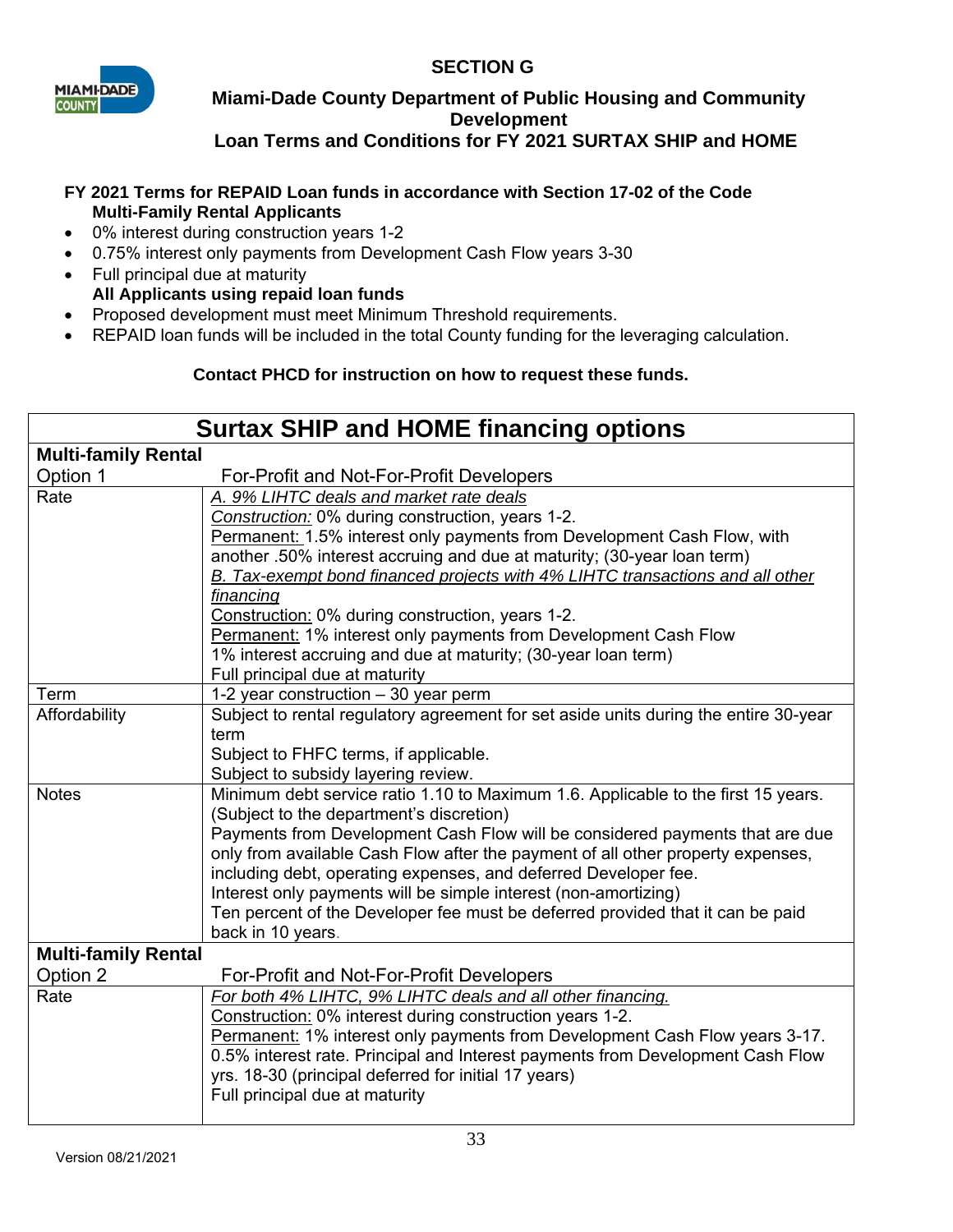# **SECTION G**



# **Miami-Dade County Department of Public Housing and Community Development Loan Terms and Conditions for FY 2021 SURTAX SHIP and HOME**

## **FY 2021 Terms for REPAID Loan funds in accordance with Section 17-02 of the Code Multi-Family Rental Applicants**

- 0% interest during construction years 1-2
- 0.75% interest only payments from Development Cash Flow years 3-30
- Full principal due at maturity **All Applicants using repaid loan funds**
- Proposed development must meet Minimum Threshold requirements.
- REPAID loan funds will be included in the total County funding for the leveraging calculation.

# **Contact PHCD for instruction on how to request these funds.**

| <b>Surtax SHIP and HOME financing options</b> |                                                                                                                                                    |  |  |  |  |
|-----------------------------------------------|----------------------------------------------------------------------------------------------------------------------------------------------------|--|--|--|--|
| <b>Multi-family Rental</b>                    |                                                                                                                                                    |  |  |  |  |
| Option 1                                      | For-Profit and Not-For-Profit Developers                                                                                                           |  |  |  |  |
| Rate                                          | A. 9% LIHTC deals and market rate deals                                                                                                            |  |  |  |  |
|                                               | Construction: 0% during construction, years 1-2.                                                                                                   |  |  |  |  |
|                                               | Permanent: 1.5% interest only payments from Development Cash Flow, with                                                                            |  |  |  |  |
|                                               | another .50% interest accruing and due at maturity; (30-year loan term)                                                                            |  |  |  |  |
|                                               | B. Tax-exempt bond financed projects with 4% LIHTC transactions and all other                                                                      |  |  |  |  |
|                                               | financing                                                                                                                                          |  |  |  |  |
|                                               | Construction: 0% during construction, years 1-2.                                                                                                   |  |  |  |  |
|                                               | Permanent: 1% interest only payments from Development Cash Flow                                                                                    |  |  |  |  |
|                                               | 1% interest accruing and due at maturity; (30-year loan term)<br>Full principal due at maturity                                                    |  |  |  |  |
| Term                                          | 1-2 year construction $-30$ year perm                                                                                                              |  |  |  |  |
| Affordability                                 | Subject to rental regulatory agreement for set aside units during the entire 30-year                                                               |  |  |  |  |
|                                               | term                                                                                                                                               |  |  |  |  |
|                                               | Subject to FHFC terms, if applicable.                                                                                                              |  |  |  |  |
|                                               | Subject to subsidy layering review.                                                                                                                |  |  |  |  |
| <b>Notes</b>                                  | Minimum debt service ratio 1.10 to Maximum 1.6. Applicable to the first 15 years.                                                                  |  |  |  |  |
|                                               | (Subject to the department's discretion)                                                                                                           |  |  |  |  |
|                                               | Payments from Development Cash Flow will be considered payments that are due                                                                       |  |  |  |  |
|                                               | only from available Cash Flow after the payment of all other property expenses,<br>including debt, operating expenses, and deferred Developer fee. |  |  |  |  |
|                                               | Interest only payments will be simple interest (non-amortizing)                                                                                    |  |  |  |  |
|                                               | Ten percent of the Developer fee must be deferred provided that it can be paid                                                                     |  |  |  |  |
|                                               | back in 10 years.                                                                                                                                  |  |  |  |  |
| <b>Multi-family Rental</b>                    |                                                                                                                                                    |  |  |  |  |
| Option 2                                      | For-Profit and Not-For-Profit Developers                                                                                                           |  |  |  |  |
| Rate                                          | For both 4% LIHTC, 9% LIHTC deals and all other financing.                                                                                         |  |  |  |  |
|                                               | Construction: 0% interest during construction years 1-2.                                                                                           |  |  |  |  |
|                                               | Permanent: 1% interest only payments from Development Cash Flow years 3-17.                                                                        |  |  |  |  |
|                                               | 0.5% interest rate. Principal and Interest payments from Development Cash Flow                                                                     |  |  |  |  |
|                                               | yrs. 18-30 (principal deferred for initial 17 years)                                                                                               |  |  |  |  |
|                                               | Full principal due at maturity                                                                                                                     |  |  |  |  |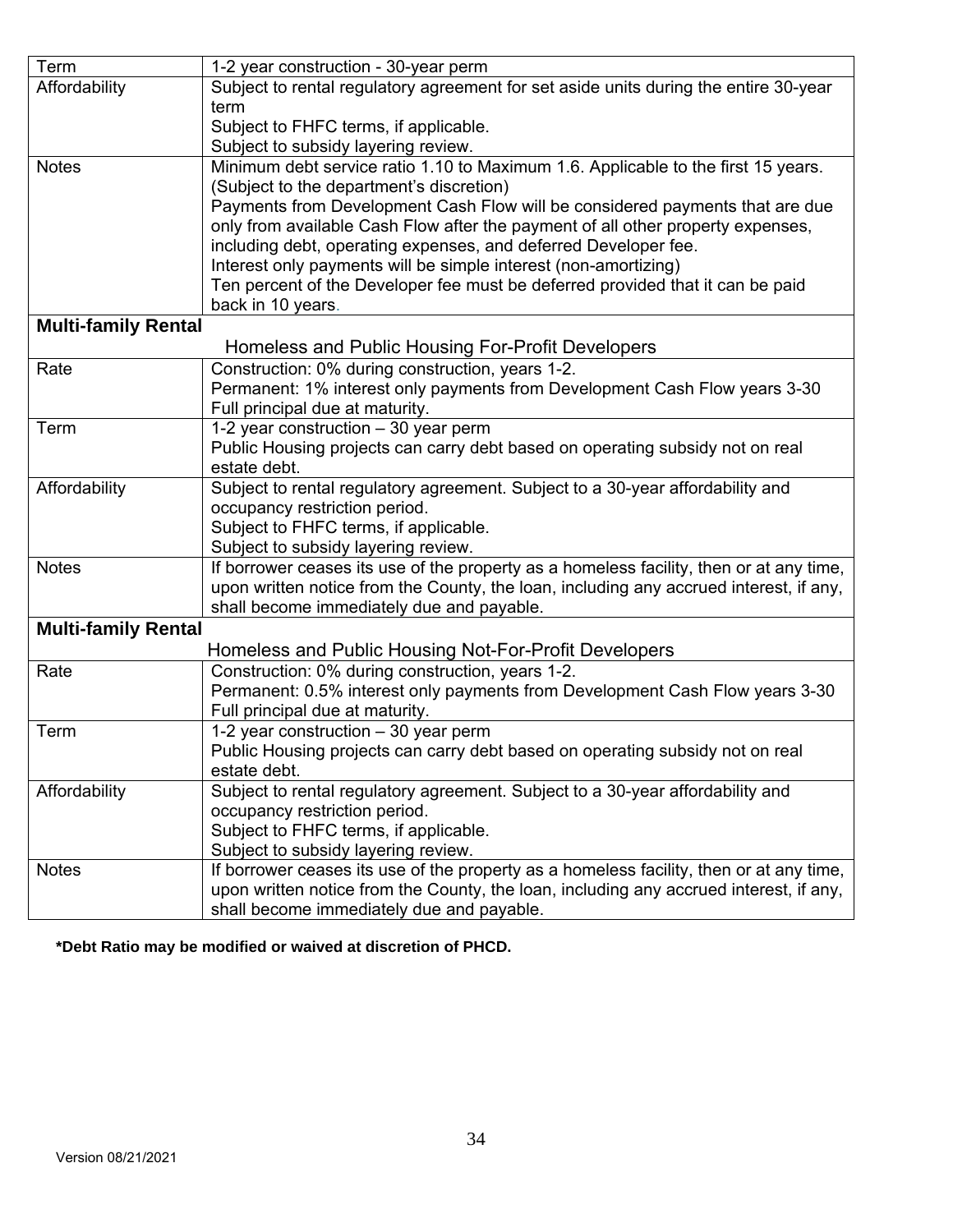| Term                       | 1-2 year construction - 30-year perm                                                    |  |  |
|----------------------------|-----------------------------------------------------------------------------------------|--|--|
| Affordability              | Subject to rental regulatory agreement for set aside units during the entire 30-year    |  |  |
|                            | term                                                                                    |  |  |
|                            | Subject to FHFC terms, if applicable.                                                   |  |  |
|                            | Subject to subsidy layering review.                                                     |  |  |
| <b>Notes</b>               | Minimum debt service ratio 1.10 to Maximum 1.6. Applicable to the first 15 years.       |  |  |
|                            | (Subject to the department's discretion)                                                |  |  |
|                            | Payments from Development Cash Flow will be considered payments that are due            |  |  |
|                            | only from available Cash Flow after the payment of all other property expenses,         |  |  |
|                            | including debt, operating expenses, and deferred Developer fee.                         |  |  |
|                            | Interest only payments will be simple interest (non-amortizing)                         |  |  |
|                            | Ten percent of the Developer fee must be deferred provided that it can be paid          |  |  |
|                            | back in 10 years.                                                                       |  |  |
| <b>Multi-family Rental</b> |                                                                                         |  |  |
|                            | Homeless and Public Housing For-Profit Developers                                       |  |  |
| Rate                       | Construction: 0% during construction, years 1-2.                                        |  |  |
|                            | Permanent: 1% interest only payments from Development Cash Flow years 3-30              |  |  |
|                            | Full principal due at maturity.                                                         |  |  |
| Term                       | 1-2 year construction $-30$ year perm                                                   |  |  |
|                            | Public Housing projects can carry debt based on operating subsidy not on real           |  |  |
|                            | estate debt.                                                                            |  |  |
| Affordability              | Subject to rental regulatory agreement. Subject to a 30-year affordability and          |  |  |
|                            | occupancy restriction period.                                                           |  |  |
|                            | Subject to FHFC terms, if applicable.                                                   |  |  |
|                            | Subject to subsidy layering review.                                                     |  |  |
| <b>Notes</b>               | If borrower ceases its use of the property as a homeless facility, then or at any time, |  |  |
|                            | upon written notice from the County, the loan, including any accrued interest, if any,  |  |  |
|                            | shall become immediately due and payable.                                               |  |  |
| <b>Multi-family Rental</b> |                                                                                         |  |  |
|                            | Homeless and Public Housing Not-For-Profit Developers                                   |  |  |
| Rate                       | Construction: 0% during construction, years 1-2.                                        |  |  |
|                            | Permanent: 0.5% interest only payments from Development Cash Flow years 3-30            |  |  |
|                            | Full principal due at maturity.                                                         |  |  |
| Term                       | 1-2 year construction - 30 year perm                                                    |  |  |
|                            | Public Housing projects can carry debt based on operating subsidy not on real           |  |  |
|                            | estate debt.                                                                            |  |  |
| Affordability              | Subject to rental regulatory agreement. Subject to a 30-year affordability and          |  |  |
|                            | occupancy restriction period.                                                           |  |  |
|                            | Subject to FHFC terms, if applicable.                                                   |  |  |
|                            | Subject to subsidy layering review.                                                     |  |  |
| <b>Notes</b>               | If borrower ceases its use of the property as a homeless facility, then or at any time, |  |  |
|                            | upon written notice from the County, the loan, including any accrued interest, if any,  |  |  |
|                            | shall become immediately due and payable.                                               |  |  |

**\*Debt Ratio may be modified or waived at discretion of PHCD.**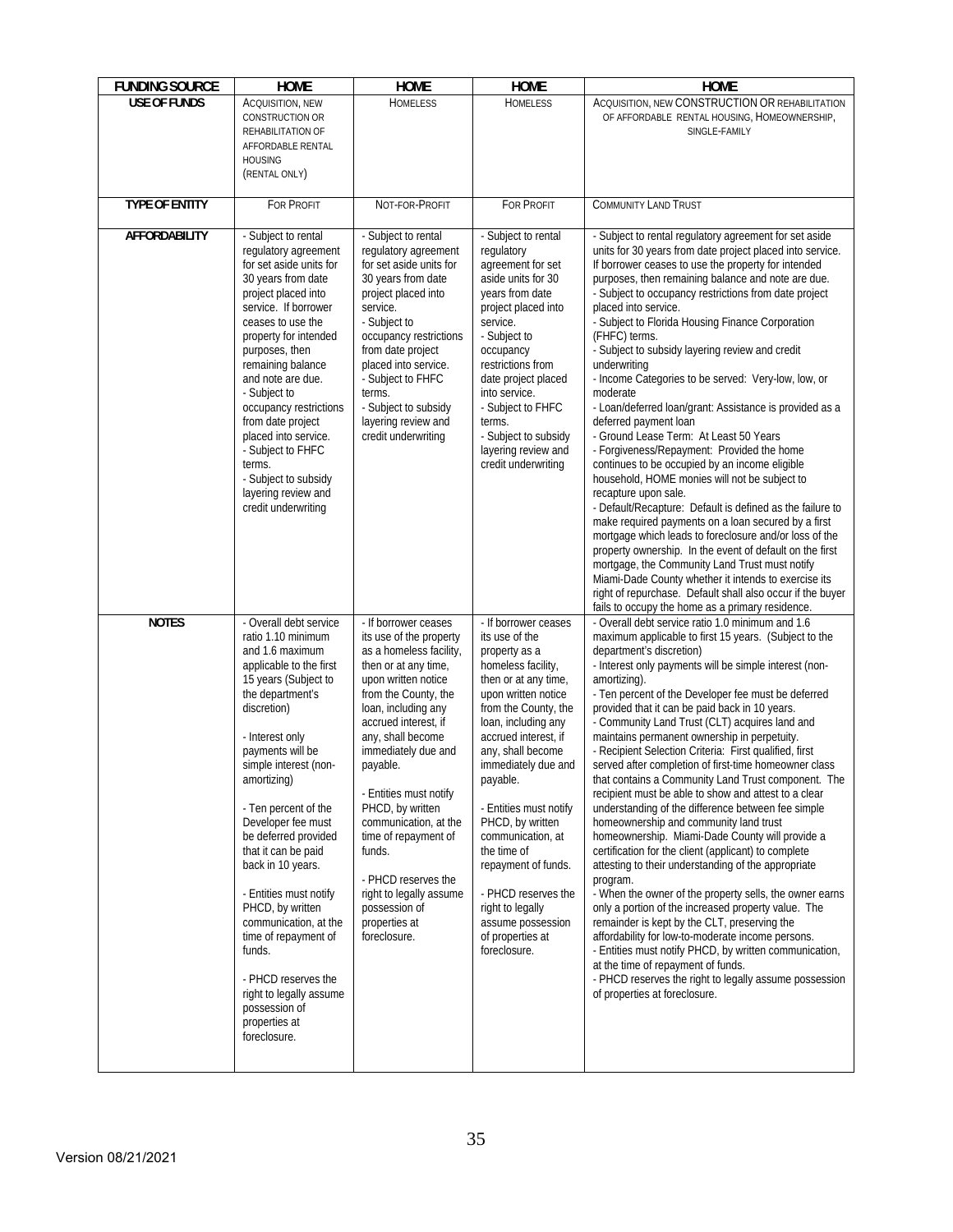| <b>FUNDING SOURCE</b> | <b>HOME</b>                                                                                                                                                                                                                                                                                                                                                                                                                                                                                                                                                         | <b>HOME</b>                                                                                                                                                                                                                                                                                                                                                                                                                                                           | <b>HOME</b>                                                                                                                                                                                                                                                                                                                                                                                                                                                              | <b>HOME</b>                                                                                                                                                                                                                                                                                                                                                                                                                                                                                                                                                                                                                                                                                                                                                                                                                                                                                                                                                                                                                                                                                                                                                                                                                                                                                                                                                  |
|-----------------------|---------------------------------------------------------------------------------------------------------------------------------------------------------------------------------------------------------------------------------------------------------------------------------------------------------------------------------------------------------------------------------------------------------------------------------------------------------------------------------------------------------------------------------------------------------------------|-----------------------------------------------------------------------------------------------------------------------------------------------------------------------------------------------------------------------------------------------------------------------------------------------------------------------------------------------------------------------------------------------------------------------------------------------------------------------|--------------------------------------------------------------------------------------------------------------------------------------------------------------------------------------------------------------------------------------------------------------------------------------------------------------------------------------------------------------------------------------------------------------------------------------------------------------------------|--------------------------------------------------------------------------------------------------------------------------------------------------------------------------------------------------------------------------------------------------------------------------------------------------------------------------------------------------------------------------------------------------------------------------------------------------------------------------------------------------------------------------------------------------------------------------------------------------------------------------------------------------------------------------------------------------------------------------------------------------------------------------------------------------------------------------------------------------------------------------------------------------------------------------------------------------------------------------------------------------------------------------------------------------------------------------------------------------------------------------------------------------------------------------------------------------------------------------------------------------------------------------------------------------------------------------------------------------------------|
| <b>USE OF FUNDS</b>   | ACQUISITION, NEW<br><b>CONSTRUCTION OR</b><br>REHABILITATION OF<br>AFFORDABLE RENTAL<br><b>HOUSING</b><br>(RENTAL ONLY)                                                                                                                                                                                                                                                                                                                                                                                                                                             | <b>HOMELESS</b>                                                                                                                                                                                                                                                                                                                                                                                                                                                       | <b>HOMELESS</b>                                                                                                                                                                                                                                                                                                                                                                                                                                                          | ACQUISITION, NEW CONSTRUCTION OR REHABILITATION<br>OF AFFORDABLE RENTAL HOUSING, HOMEOWNERSHIP,<br>SINGLE-FAMILY                                                                                                                                                                                                                                                                                                                                                                                                                                                                                                                                                                                                                                                                                                                                                                                                                                                                                                                                                                                                                                                                                                                                                                                                                                             |
| <b>TYPE OF ENTITY</b> | <b>FOR PROFIT</b>                                                                                                                                                                                                                                                                                                                                                                                                                                                                                                                                                   | NOT-FOR-PROFIT                                                                                                                                                                                                                                                                                                                                                                                                                                                        | <b>FOR PROFIT</b>                                                                                                                                                                                                                                                                                                                                                                                                                                                        | <b>COMMUNITY LAND TRUST</b>                                                                                                                                                                                                                                                                                                                                                                                                                                                                                                                                                                                                                                                                                                                                                                                                                                                                                                                                                                                                                                                                                                                                                                                                                                                                                                                                  |
| <b>AFFORDABILITY</b>  | - Subject to rental<br>regulatory agreement<br>for set aside units for<br>30 years from date<br>project placed into<br>service. If borrower<br>ceases to use the<br>property for intended<br>purposes, then<br>remaining balance<br>and note are due.<br>- Subject to<br>occupancy restrictions<br>from date project<br>placed into service.<br>- Subject to FHFC<br>terms.<br>- Subject to subsidy<br>layering review and<br>credit underwriting                                                                                                                   | - Subject to rental<br>regulatory agreement<br>for set aside units for<br>30 years from date<br>project placed into<br>service.<br>- Subject to<br>occupancy restrictions<br>from date project<br>placed into service.<br>- Subject to FHFC<br>terms.<br>- Subject to subsidy<br>layering review and<br>credit underwriting                                                                                                                                           | - Subject to rental<br>regulatory<br>agreement for set<br>aside units for 30<br>years from date<br>project placed into<br>service.<br>- Subject to<br>occupancy<br>restrictions from<br>date project placed<br>into service.<br>- Subject to FHFC<br>terms.<br>- Subject to subsidy<br>layering review and<br>credit underwriting                                                                                                                                        | - Subject to rental regulatory agreement for set aside<br>units for 30 years from date project placed into service.<br>If borrower ceases to use the property for intended<br>purposes, then remaining balance and note are due.<br>- Subject to occupancy restrictions from date project<br>placed into service.<br>- Subject to Florida Housing Finance Corporation<br>(FHFC) terms.<br>- Subject to subsidy layering review and credit<br>underwriting<br>- Income Categories to be served: Very-low, low, or<br>moderate<br>- Loan/deferred loan/grant: Assistance is provided as a<br>deferred payment loan<br>- Ground Lease Term: At Least 50 Years<br>- Forgiveness/Repayment: Provided the home<br>continues to be occupied by an income eligible<br>household, HOME monies will not be subject to<br>recapture upon sale.<br>- Default/Recapture: Default is defined as the failure to<br>make required payments on a loan secured by a first<br>mortgage which leads to foreclosure and/or loss of the<br>property ownership. In the event of default on the first<br>mortgage, the Community Land Trust must notify<br>Miami-Dade County whether it intends to exercise its<br>right of repurchase. Default shall also occur if the buyer<br>fails to occupy the home as a primary residence.                                                    |
| <b>NOTES</b>          | - Overall debt service<br>ratio 1.10 minimum<br>and 1.6 maximum<br>applicable to the first<br>15 years (Subject to<br>the department's<br>discretion)<br>- Interest only<br>payments will be<br>simple interest (non-<br>amortizing)<br>- Ten percent of the<br>Developer fee must<br>be deferred provided<br>that it can be paid<br>back in 10 years.<br>- Entities must notify<br>PHCD, by written<br>communication, at the<br>time of repayment of<br>funds.<br>- PHCD reserves the<br>right to legally assume<br>possession of<br>properties at<br>foreclosure. | - If borrower ceases<br>its use of the property<br>as a homeless facility,<br>then or at any time,<br>upon written notice<br>from the County, the<br>loan, including any<br>accrued interest. if<br>any, shall become<br>immediately due and<br>payable.<br>- Entities must notify<br>PHCD, by written<br>communication, at the<br>time of repayment of<br>funds.<br>- PHCD reserves the<br>right to legally assume<br>possession of<br>properties at<br>foreclosure. | - If borrower ceases<br>its use of the<br>property as a<br>homeless facility,<br>then or at any time,<br>upon written notice<br>from the County, the<br>loan, including any<br>accrued interest, if<br>any, shall become<br>immediately due and<br>payable.<br>- Entities must notify<br>PHCD, by written<br>communication, at<br>the time of<br>repayment of funds.<br>- PHCD reserves the<br>right to legally<br>assume possession<br>of properties at<br>foreclosure. | - Overall debt service ratio 1.0 minimum and 1.6<br>maximum applicable to first 15 years. (Subject to the<br>department's discretion)<br>- Interest only payments will be simple interest (non-<br>amortizing).<br>- Ten percent of the Developer fee must be deferred<br>provided that it can be paid back in 10 years.<br>- Community Land Trust (CLT) acquires land and<br>maintains permanent ownership in perpetuity.<br>- Recipient Selection Criteria: First qualified, first<br>served after completion of first-time homeowner class<br>that contains a Community Land Trust component. The<br>recipient must be able to show and attest to a clear<br>understanding of the difference between fee simple<br>homeownership and community land trust<br>homeownership. Miami-Dade County will provide a<br>certification for the client (applicant) to complete<br>attesting to their understanding of the appropriate<br>program.<br>- When the owner of the property sells, the owner earns<br>only a portion of the increased property value. The<br>remainder is kept by the CLT, preserving the<br>affordability for low-to-moderate income persons.<br>- Entities must notify PHCD, by written communication,<br>at the time of repayment of funds.<br>- PHCD reserves the right to legally assume possession<br>of properties at foreclosure. |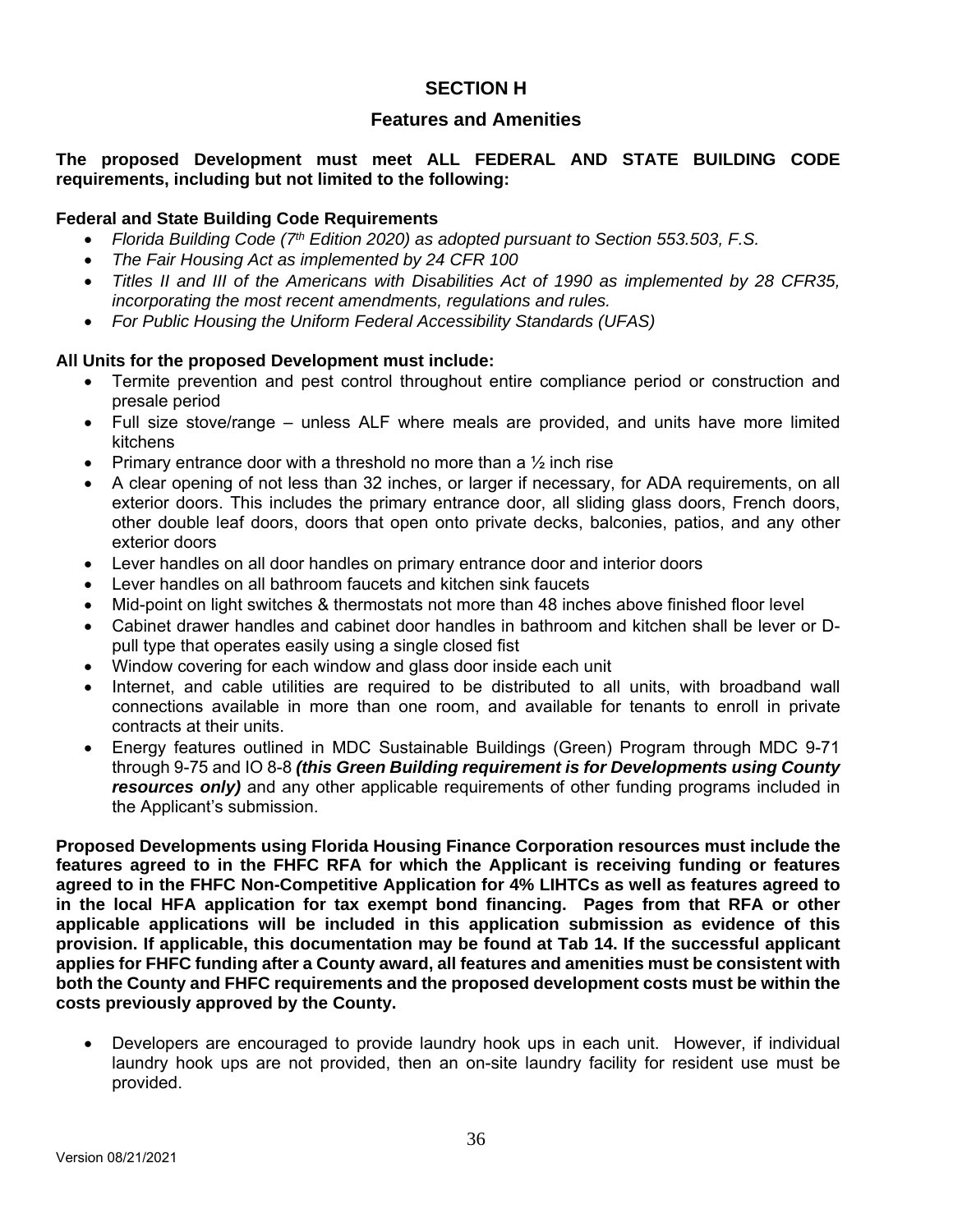# **SECTION H**

# **Features and Amenities**

## **The proposed Development must meet ALL FEDERAL AND STATE BUILDING CODE requirements, including but not limited to the following:**

#### **Federal and State Building Code Requirements**

- *Florida Building Code (7th Edition 2020) as adopted pursuant to Section 553.503, F.S.*
- *The Fair Housing Act as implemented by 24 CFR 100*
- *Titles II and III of the Americans with Disabilities Act of 1990 as implemented by 28 CFR35, incorporating the most recent amendments, regulations and rules.*
- *For Public Housing the Uniform Federal Accessibility Standards (UFAS)*

#### **All Units for the proposed Development must include:**

- Termite prevention and pest control throughout entire compliance period or construction and presale period
- Full size stove/range unless ALF where meals are provided, and units have more limited kitchens
- Primary entrance door with a threshold no more than a ½ inch rise
- A clear opening of not less than 32 inches, or larger if necessary, for ADA requirements, on all exterior doors. This includes the primary entrance door, all sliding glass doors, French doors, other double leaf doors, doors that open onto private decks, balconies, patios, and any other exterior doors
- Lever handles on all door handles on primary entrance door and interior doors
- Lever handles on all bathroom faucets and kitchen sink faucets
- Mid-point on light switches & thermostats not more than 48 inches above finished floor level
- Cabinet drawer handles and cabinet door handles in bathroom and kitchen shall be lever or Dpull type that operates easily using a single closed fist
- Window covering for each window and glass door inside each unit
- Internet, and cable utilities are required to be distributed to all units, with broadband wall connections available in more than one room, and available for tenants to enroll in private contracts at their units.
- Energy features outlined in MDC Sustainable Buildings (Green) Program through MDC 9-71 through 9-75 and IO 8-8 *(this Green Building requirement is for Developments using County resources only)* and any other applicable requirements of other funding programs included in the Applicant's submission.

**Proposed Developments using Florida Housing Finance Corporation resources must include the features agreed to in the FHFC RFA for which the Applicant is receiving funding or features agreed to in the FHFC Non-Competitive Application for 4% LIHTCs as well as features agreed to in the local HFA application for tax exempt bond financing. Pages from that RFA or other applicable applications will be included in this application submission as evidence of this provision. If applicable, this documentation may be found at Tab 14. If the successful applicant applies for FHFC funding after a County award, all features and amenities must be consistent with both the County and FHFC requirements and the proposed development costs must be within the costs previously approved by the County.**

 Developers are encouraged to provide laundry hook ups in each unit. However, if individual laundry hook ups are not provided, then an on-site laundry facility for resident use must be provided.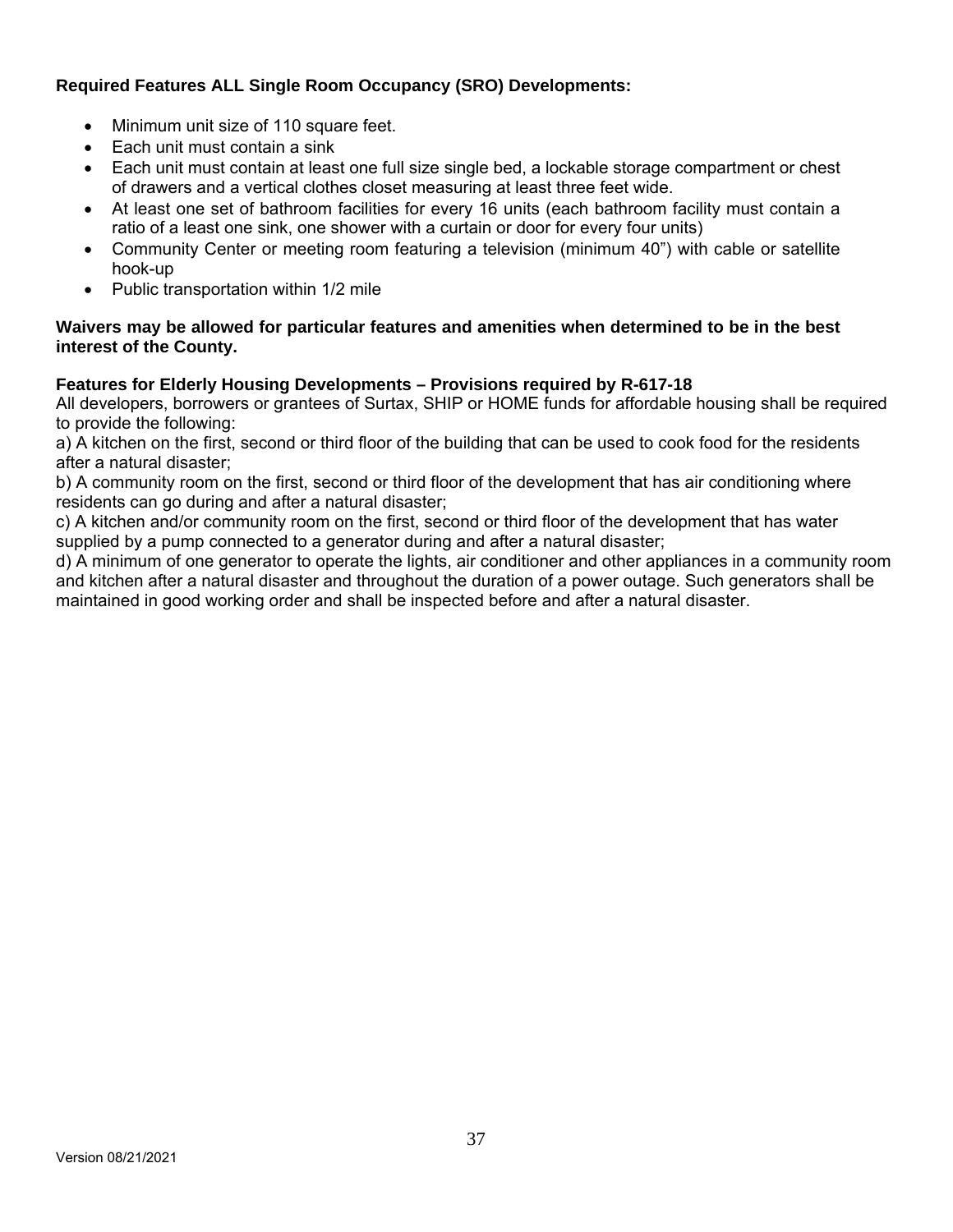# **Required Features ALL Single Room Occupancy (SRO) Developments:**

- Minimum unit size of 110 square feet.
- Each unit must contain a sink
- Each unit must contain at least one full size single bed, a lockable storage compartment or chest of drawers and a vertical clothes closet measuring at least three feet wide.
- At least one set of bathroom facilities for every 16 units (each bathroom facility must contain a ratio of a least one sink, one shower with a curtain or door for every four units)
- Community Center or meeting room featuring a television (minimum 40") with cable or satellite hook-up
- Public transportation within 1/2 mile

## **Waivers may be allowed for particular features and amenities when determined to be in the best interest of the County.**

## **Features for Elderly Housing Developments – Provisions required by R-617-18**

All developers, borrowers or grantees of Surtax, SHIP or HOME funds for affordable housing shall be required to provide the following:

a) A kitchen on the first, second or third floor of the building that can be used to cook food for the residents after a natural disaster;

b) A community room on the first, second or third floor of the development that has air conditioning where residents can go during and after a natural disaster;

c) A kitchen and/or community room on the first, second or third floor of the development that has water supplied by a pump connected to a generator during and after a natural disaster;

d) A minimum of one generator to operate the lights, air conditioner and other appliances in a community room and kitchen after a natural disaster and throughout the duration of a power outage. Such generators shall be maintained in good working order and shall be inspected before and after a natural disaster.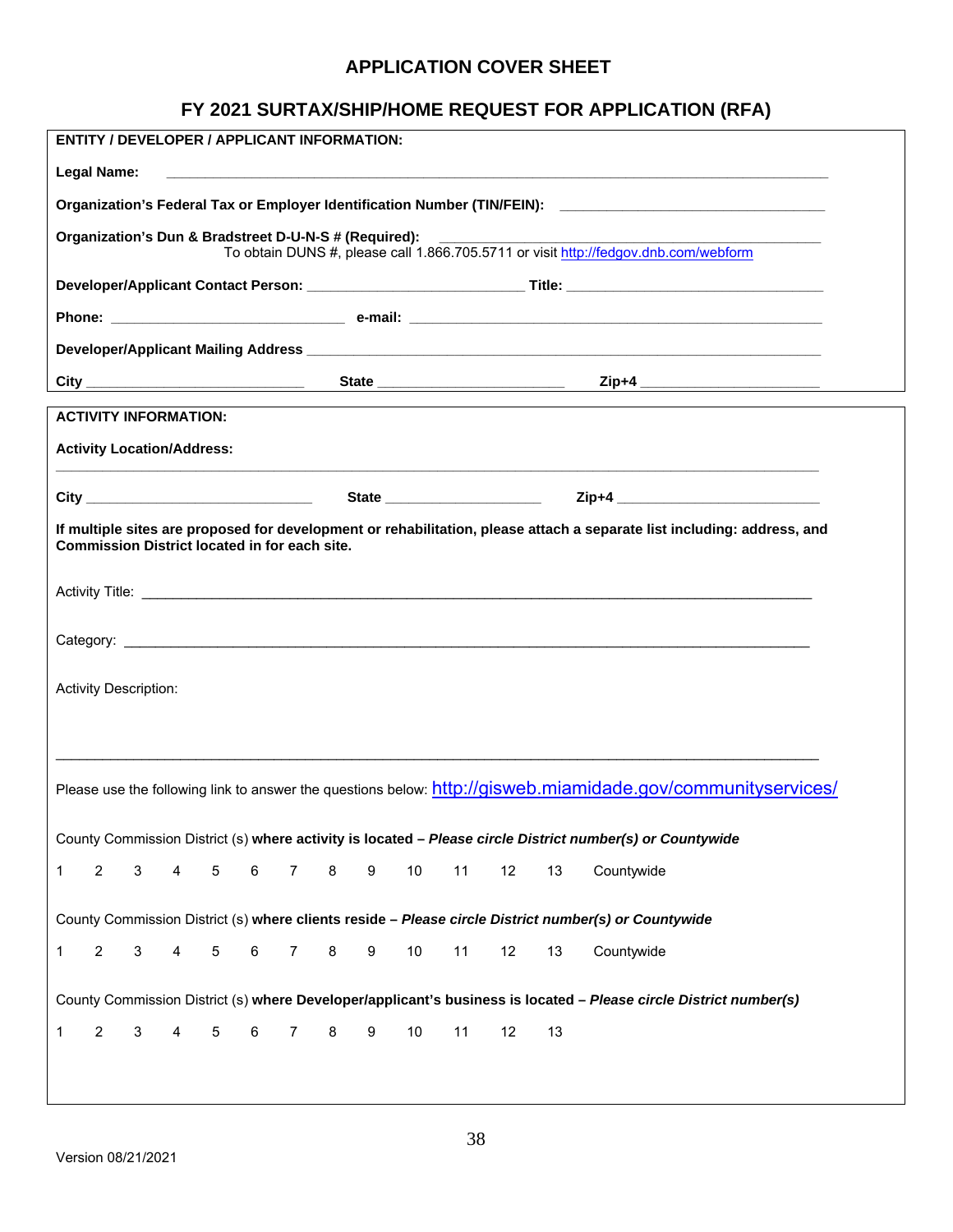# **APPLICATION COVER SHEET**

# **FY 2021 SURTAX/SHIP/HOME REQUEST FOR APPLICATION (RFA)**

|                                                                                                                                                                                                                                                                                                                                                                                      | <b>ENTITY / DEVELOPER / APPLICANT INFORMATION:</b>   |   |   |   |   |                |   |   |        |    |    |    |                                                                                                                         |  |
|--------------------------------------------------------------------------------------------------------------------------------------------------------------------------------------------------------------------------------------------------------------------------------------------------------------------------------------------------------------------------------------|------------------------------------------------------|---|---|---|---|----------------|---|---|--------|----|----|----|-------------------------------------------------------------------------------------------------------------------------|--|
|                                                                                                                                                                                                                                                                                                                                                                                      | Legal Name:                                          |   |   |   |   |                |   |   |        |    |    |    | <u> 1989 - Johann Johann Stoff, deutscher Stoffen und der Stoffen und der Stoffen und der Stoffen und der Stoffen</u>   |  |
|                                                                                                                                                                                                                                                                                                                                                                                      |                                                      |   |   |   |   |                |   |   |        |    |    |    | Organization's Federal Tax or Employer Identification Number (TIN/FEIN): ___________________________                    |  |
| Organization's Dun & Bradstreet D-U-N-S # (Required):<br><u>and the community of the community of the community of the community of the community of the community of the community of the community of the community of the community of the community of the community of the community</u><br>To obtain DUNS #, please call 1.866.705.5711 or visit http://fedgov.dnb.com/webform |                                                      |   |   |   |   |                |   |   |        |    |    |    |                                                                                                                         |  |
|                                                                                                                                                                                                                                                                                                                                                                                      |                                                      |   |   |   |   |                |   |   |        |    |    |    |                                                                                                                         |  |
|                                                                                                                                                                                                                                                                                                                                                                                      |                                                      |   |   |   |   |                |   |   |        |    |    |    |                                                                                                                         |  |
|                                                                                                                                                                                                                                                                                                                                                                                      |                                                      |   |   |   |   |                |   |   |        |    |    |    |                                                                                                                         |  |
|                                                                                                                                                                                                                                                                                                                                                                                      |                                                      |   |   |   |   |                |   |   |        |    |    |    |                                                                                                                         |  |
|                                                                                                                                                                                                                                                                                                                                                                                      | <b>ACTIVITY INFORMATION:</b>                         |   |   |   |   |                |   |   |        |    |    |    |                                                                                                                         |  |
|                                                                                                                                                                                                                                                                                                                                                                                      | <b>Activity Location/Address:</b>                    |   |   |   |   |                |   |   |        |    |    |    | <u> 1989 - Jan Samuel Barbara, marka a shekara ta 1989 - An tsara tsara tsara tsara tsara tsara tsara tsara tsar</u>    |  |
|                                                                                                                                                                                                                                                                                                                                                                                      |                                                      |   |   |   |   |                |   |   |        |    |    |    |                                                                                                                         |  |
|                                                                                                                                                                                                                                                                                                                                                                                      | <b>Commission District located in for each site.</b> |   |   |   |   |                |   |   |        |    |    |    | If multiple sites are proposed for development or rehabilitation, please attach a separate list including: address, and |  |
|                                                                                                                                                                                                                                                                                                                                                                                      |                                                      |   |   |   |   |                |   |   |        |    |    |    |                                                                                                                         |  |
|                                                                                                                                                                                                                                                                                                                                                                                      |                                                      |   |   |   |   |                |   |   |        |    |    |    |                                                                                                                         |  |
|                                                                                                                                                                                                                                                                                                                                                                                      |                                                      |   |   |   |   |                |   |   |        |    |    |    |                                                                                                                         |  |
|                                                                                                                                                                                                                                                                                                                                                                                      | <b>Activity Description:</b>                         |   |   |   |   |                |   |   |        |    |    |    |                                                                                                                         |  |
|                                                                                                                                                                                                                                                                                                                                                                                      |                                                      |   |   |   |   |                |   |   |        |    |    |    |                                                                                                                         |  |
|                                                                                                                                                                                                                                                                                                                                                                                      |                                                      |   |   |   |   |                |   |   |        |    |    |    |                                                                                                                         |  |
|                                                                                                                                                                                                                                                                                                                                                                                      |                                                      |   |   |   |   |                |   |   |        |    |    |    | Please use the following link to answer the questions below: http://gisweb.miamidade.gov/communityservices/             |  |
|                                                                                                                                                                                                                                                                                                                                                                                      |                                                      |   |   |   |   |                |   |   |        |    |    |    |                                                                                                                         |  |
|                                                                                                                                                                                                                                                                                                                                                                                      |                                                      |   |   |   |   |                |   |   |        |    |    |    | County Commission District (s) where activity is located - Please circle District number(s) or Countywide               |  |
| $\mathbf 1$                                                                                                                                                                                                                                                                                                                                                                          | $\overline{2}$                                       | 3 | 4 | 5 | 6 | $\overline{7}$ | 8 | 9 | $10$   | 11 | 12 | 13 | Countywide                                                                                                              |  |
|                                                                                                                                                                                                                                                                                                                                                                                      |                                                      |   |   |   |   |                |   |   |        |    |    |    | County Commission District (s) where clients reside - Please circle District number(s) or Countywide                    |  |
| 1                                                                                                                                                                                                                                                                                                                                                                                    | $\overline{2}$                                       | 3 | 4 | 5 | 6 | 7              | 8 | 9 | $10\,$ | 11 | 12 | 13 | Countywide                                                                                                              |  |
|                                                                                                                                                                                                                                                                                                                                                                                      |                                                      |   |   |   |   |                |   |   |        |    |    |    | County Commission District (s) where Developer/applicant's business is located - Please circle District number(s)       |  |
| 1                                                                                                                                                                                                                                                                                                                                                                                    | $\overline{2}$                                       | 3 | 4 | 5 | 6 | 7              | 8 | 9 | $10$   | 11 | 12 | 13 |                                                                                                                         |  |
|                                                                                                                                                                                                                                                                                                                                                                                      |                                                      |   |   |   |   |                |   |   |        |    |    |    |                                                                                                                         |  |
|                                                                                                                                                                                                                                                                                                                                                                                      |                                                      |   |   |   |   |                |   |   |        |    |    |    |                                                                                                                         |  |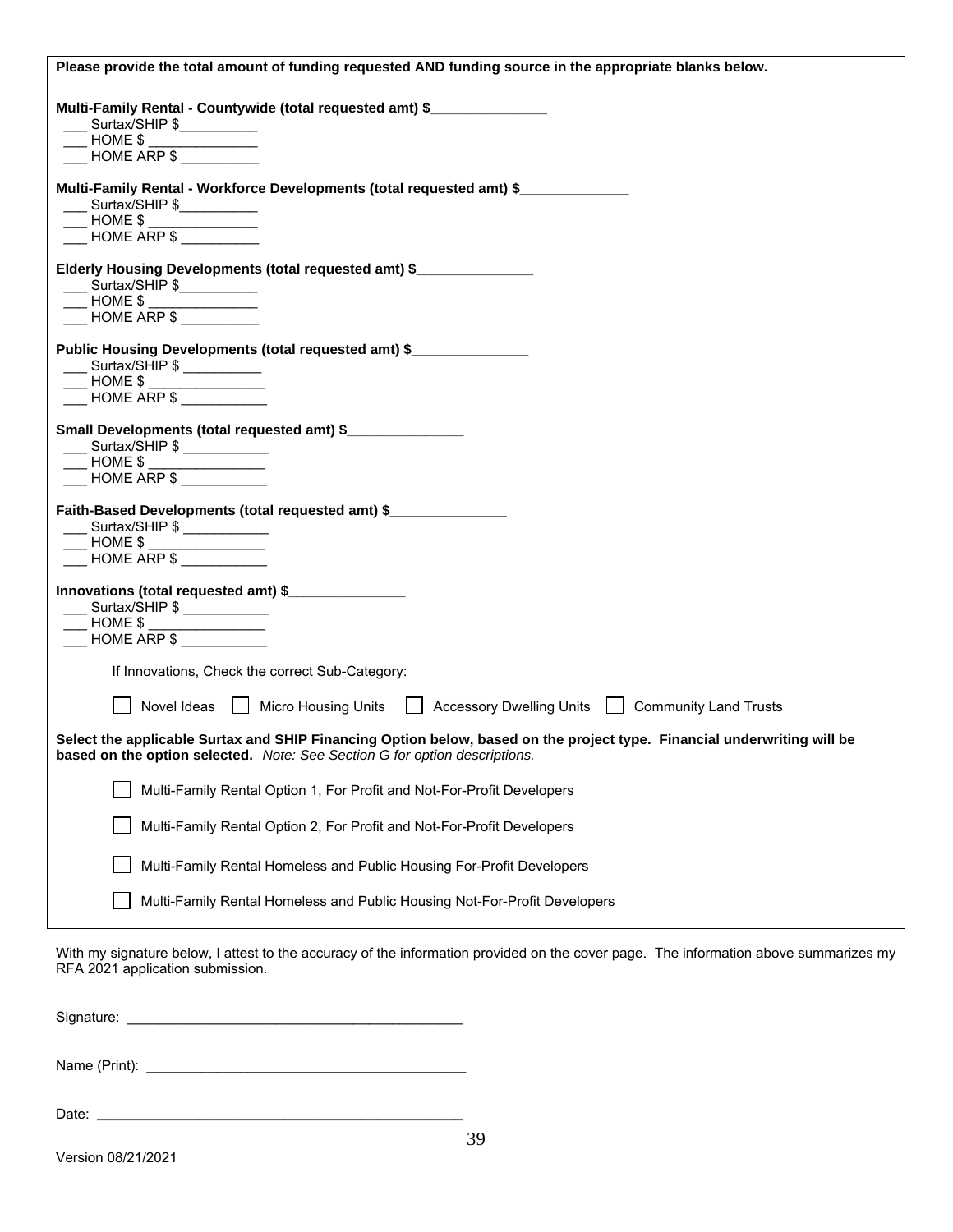| Please provide the total amount of funding requested AND funding source in the appropriate blanks below.                                                                                                                                                                                                                                                                                                         |
|------------------------------------------------------------------------------------------------------------------------------------------------------------------------------------------------------------------------------------------------------------------------------------------------------------------------------------------------------------------------------------------------------------------|
| Multi-Family Rental - Countywide (total requested amt) \$<br>Surtax/SHIP \$<br>$HOME$ \$<br>HOME ARP \$                                                                                                                                                                                                                                                                                                          |
| Multi-Family Rental - Workforce Developments (total requested amt) \$<br>$\frac{1}{2}$ Surtax/SHIP \$<br>$\frac{1}{2}$ HOME \$ $\frac{1}{2}$<br>$\overline{\phantom{1}}$ HOME ARP \$                                                                                                                                                                                                                             |
| Elderly Housing Developments (total requested amt) \$<br>____ Surtax/SHIP \$___________<br>— HOME \$ ____________<br>__ HOME ARP \$ _________                                                                                                                                                                                                                                                                    |
| Public Housing Developments (total requested amt) \$<br>Surtax/SHIP \$<br>$\overline{\phantom{a}}$ HOME \$<br>$\overline{\phantom{1}}$ HOME ARP \$                                                                                                                                                                                                                                                               |
| Small Developments (total requested amt) \$<br>___ Surtax/SHIP \$ __________<br>____ HOME \$ _______________<br>____ HOME ARP \$ ___________                                                                                                                                                                                                                                                                     |
| Faith-Based Developments (total requested amt) \$<br>___ Surtax/SHIP \$ ___________<br>$HOME$ \$ $\frac{$<br>HOME ARP \$                                                                                                                                                                                                                                                                                         |
| Innovations (total requested amt) \$<br>___ Surtax/SHIP \$ ___________<br>$HOME$ \$ $\frac{1}{2}$ $\frac{1}{2}$ $\frac{1}{2}$ $\frac{1}{2}$ $\frac{1}{2}$ $\frac{1}{2}$ $\frac{1}{2}$ $\frac{1}{2}$ $\frac{1}{2}$ $\frac{1}{2}$ $\frac{1}{2}$ $\frac{1}{2}$ $\frac{1}{2}$ $\frac{1}{2}$ $\frac{1}{2}$ $\frac{1}{2}$ $\frac{1}{2}$ $\frac{1}{2}$ $\frac{1}{2}$ $\frac{1}{2}$ $\frac{1}{2}$ $\frac$<br>HOME ARP \$ |
| If Innovations, Check the correct Sub-Category:                                                                                                                                                                                                                                                                                                                                                                  |
| Novel Ideas   Micro Housing Units   Accessory Dwelling Units   Community Land Trusts                                                                                                                                                                                                                                                                                                                             |
| Select the applicable Surtax and SHIP Financing Option below, based on the project type. Financial underwriting will be<br>based on the option selected. Note: See Section G for option descriptions.                                                                                                                                                                                                            |
| Multi-Family Rental Option 1, For Profit and Not-For-Profit Developers                                                                                                                                                                                                                                                                                                                                           |
| Multi-Family Rental Option 2, For Profit and Not-For-Profit Developers                                                                                                                                                                                                                                                                                                                                           |
| Multi-Family Rental Homeless and Public Housing For-Profit Developers                                                                                                                                                                                                                                                                                                                                            |
| Multi-Family Rental Homeless and Public Housing Not-For-Profit Developers                                                                                                                                                                                                                                                                                                                                        |

With my signature below, I attest to the accuracy of the information provided on the cover page. The information above summarizes my RFA 2021 application submission.

Signature: \_\_\_\_\_\_\_\_\_\_\_\_\_\_\_\_\_\_\_\_\_\_\_\_\_\_\_\_\_\_\_\_\_\_\_\_\_\_\_\_\_\_\_

Name (Print): \_\_\_\_\_\_\_\_\_\_\_\_\_\_\_\_\_\_\_\_\_\_\_\_\_\_\_\_\_\_\_\_\_\_\_\_\_\_\_\_\_

Date: **\_\_\_\_\_\_\_\_\_\_\_\_\_\_\_\_\_\_\_\_\_\_\_\_\_\_\_\_\_\_\_\_\_\_\_\_\_\_\_\_\_\_\_\_\_\_\_**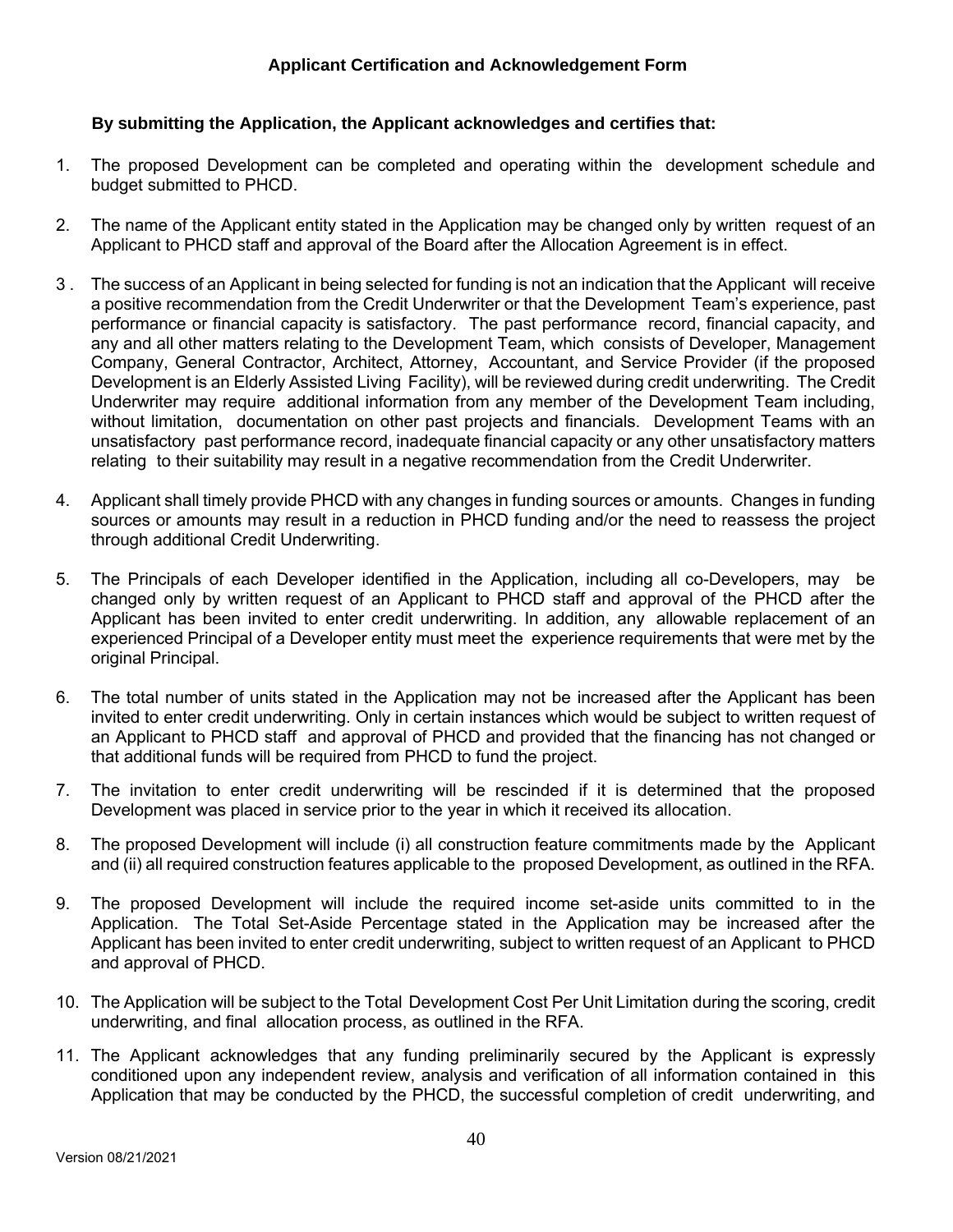## **By submitting the Application, the Applicant acknowledges and certifies that:**

- 1. The proposed Development can be completed and operating within the development schedule and budget submitted to PHCD.
- 2. The name of the Applicant entity stated in the Application may be changed only by written request of an Applicant to PHCD staff and approval of the Board after the Allocation Agreement is in effect.
- 3 . The success of an Applicant in being selected for funding is not an indication that the Applicant will receive a positive recommendation from the Credit Underwriter or that the Development Team's experience, past performance or financial capacity is satisfactory. The past performance record, financial capacity, and any and all other matters relating to the Development Team, which consists of Developer, Management Company, General Contractor, Architect, Attorney, Accountant, and Service Provider (if the proposed Development is an Elderly Assisted Living Facility), will be reviewed during credit underwriting. The Credit Underwriter may require additional information from any member of the Development Team including, without limitation, documentation on other past projects and financials. Development Teams with an unsatisfactory past performance record, inadequate financial capacity or any other unsatisfactory matters relating to their suitability may result in a negative recommendation from the Credit Underwriter.
- 4. Applicant shall timely provide PHCD with any changes in funding sources or amounts. Changes in funding sources or amounts may result in a reduction in PHCD funding and/or the need to reassess the project through additional Credit Underwriting.
- 5. The Principals of each Developer identified in the Application, including all co-Developers, may be changed only by written request of an Applicant to PHCD staff and approval of the PHCD after the Applicant has been invited to enter credit underwriting. In addition, any allowable replacement of an experienced Principal of a Developer entity must meet the experience requirements that were met by the original Principal.
- 6. The total number of units stated in the Application may not be increased after the Applicant has been invited to enter credit underwriting. Only in certain instances which would be subject to written request of an Applicant to PHCD staff and approval of PHCD and provided that the financing has not changed or that additional funds will be required from PHCD to fund the project.
- 7. The invitation to enter credit underwriting will be rescinded if it is determined that the proposed Development was placed in service prior to the year in which it received its allocation.
- 8. The proposed Development will include (i) all construction feature commitments made by the Applicant and (ii) all required construction features applicable to the proposed Development, as outlined in the RFA.
- 9. The proposed Development will include the required income set-aside units committed to in the Application. The Total Set-Aside Percentage stated in the Application may be increased after the Applicant has been invited to enter credit underwriting, subject to written request of an Applicant to PHCD and approval of PHCD.
- 10. The Application will be subject to the Total Development Cost Per Unit Limitation during the scoring, credit underwriting, and final allocation process, as outlined in the RFA.
- 11. The Applicant acknowledges that any funding preliminarily secured by the Applicant is expressly conditioned upon any independent review, analysis and verification of all information contained in this Application that may be conducted by the PHCD, the successful completion of credit underwriting, and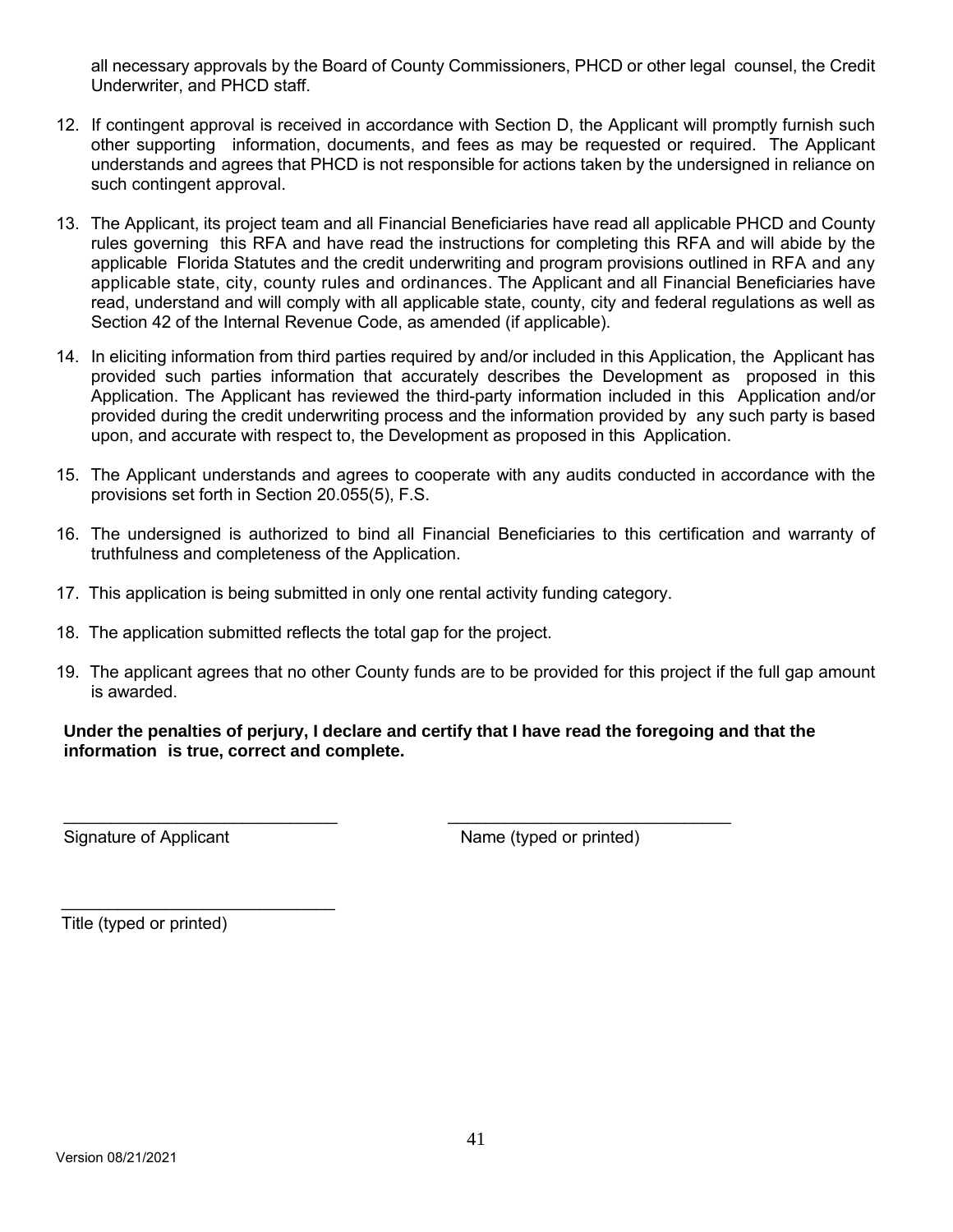all necessary approvals by the Board of County Commissioners, PHCD or other legal counsel, the Credit Underwriter, and PHCD staff.

- 12. If contingent approval is received in accordance with Section D, the Applicant will promptly furnish such other supporting information, documents, and fees as may be requested or required. The Applicant understands and agrees that PHCD is not responsible for actions taken by the undersigned in reliance on such contingent approval.
- 13. The Applicant, its project team and all Financial Beneficiaries have read all applicable PHCD and County rules governing this RFA and have read the instructions for completing this RFA and will abide by the applicable Florida Statutes and the credit underwriting and program provisions outlined in RFA and any applicable state, city, county rules and ordinances. The Applicant and all Financial Beneficiaries have read, understand and will comply with all applicable state, county, city and federal regulations as well as Section 42 of the Internal Revenue Code, as amended (if applicable).
- 14. In eliciting information from third parties required by and/or included in this Application, the Applicant has provided such parties information that accurately describes the Development as proposed in this Application. The Applicant has reviewed the third-party information included in this Application and/or provided during the credit underwriting process and the information provided by any such party is based upon, and accurate with respect to, the Development as proposed in this Application.
- 15. The Applicant understands and agrees to cooperate with any audits conducted in accordance with the provisions set forth in Section 20.055(5), F.S.
- 16. The undersigned is authorized to bind all Financial Beneficiaries to this certification and warranty of truthfulness and completeness of the Application.
- 17. This application is being submitted in only one rental activity funding category.
- 18. The application submitted reflects the total gap for the project.
- 19. The applicant agrees that no other County funds are to be provided for this project if the full gap amount is awarded.

#### **Under the penalties of perjury, I declare and certify that I have read the foregoing and that the information is true, correct and complete.**

 $\overline{\phantom{a}}$  , and the contribution of the contribution of the contribution of the contribution of the contribution of the contribution of the contribution of the contribution of the contribution of the contribution of the

Signature of Applicant Name (typed or printed)

Title (typed or printed)

\_\_\_\_\_\_\_\_\_\_\_\_\_\_\_\_\_\_\_\_\_\_\_\_\_\_\_\_\_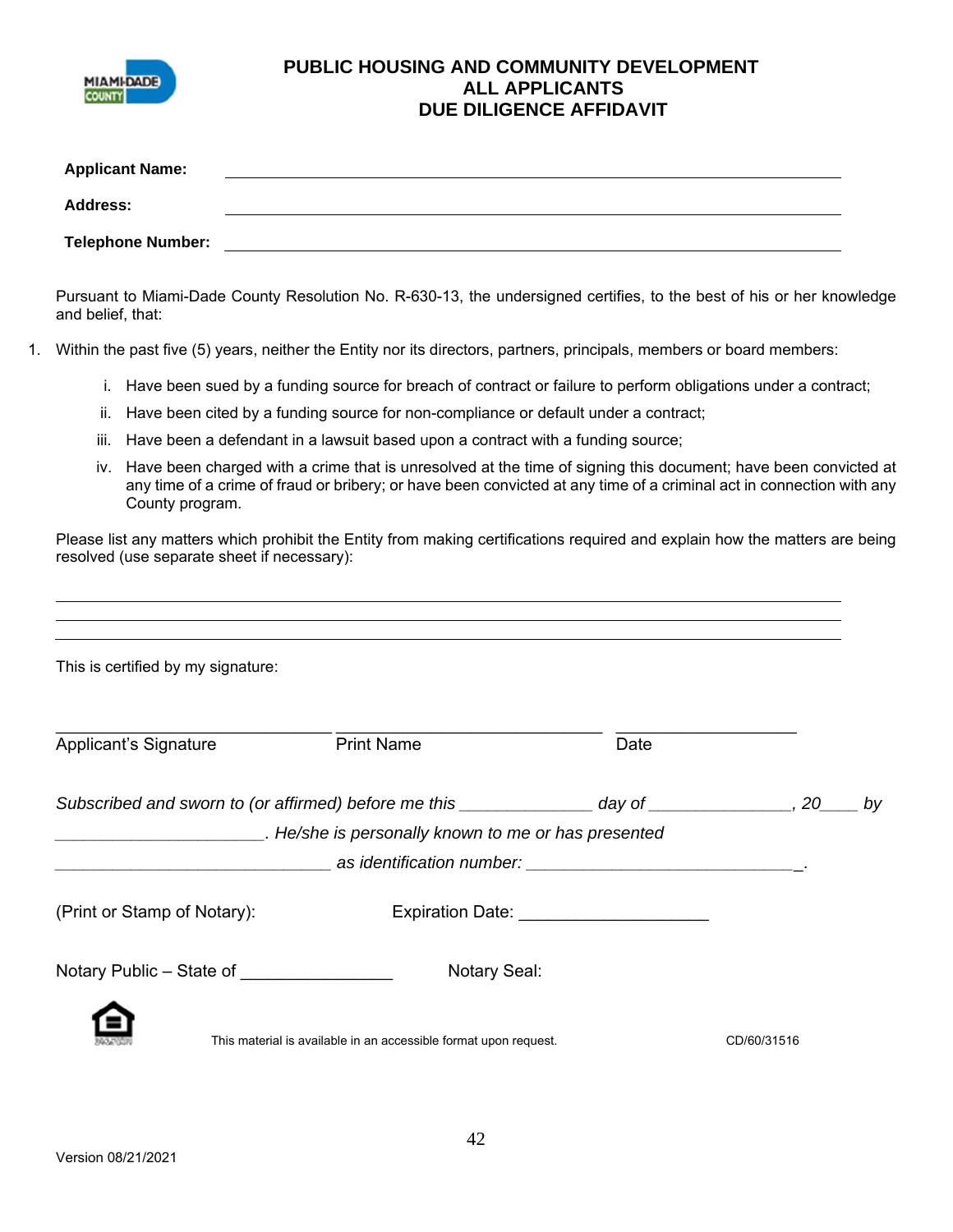

## **PUBLIC HOUSING AND COMMUNITY DEVELOPMENT ALL APPLICANTS DUE DILIGENCE AFFIDAVIT**

|                 | <b>Applicant Name:</b>   |                                                                                                                          |  |
|-----------------|--------------------------|--------------------------------------------------------------------------------------------------------------------------|--|
| <b>Address:</b> |                          |                                                                                                                          |  |
|                 | <b>Telephone Number:</b> |                                                                                                                          |  |
|                 | and belief, that:        | Pursuant to Miami-Dade County Resolution No. R-630-13, the undersigned certifies, to the best of his or her knowledge    |  |
|                 |                          | 1. Within the past five (5) years, neither the Entity nor its directors, partners, principals, members or board members: |  |

- i. Have been sued by a funding source for breach of contract or failure to perform obligations under a contract;
- ii. Have been cited by a funding source for non-compliance or default under a contract;
- iii. Have been a defendant in a lawsuit based upon a contract with a funding source;
- iv. Have been charged with a crime that is unresolved at the time of signing this document; have been convicted at any time of a crime of fraud or bribery; or have been convicted at any time of a criminal act in connection with any County program.

Please list any matters which prohibit the Entity from making certifications required and explain how the matters are being resolved (use separate sheet if necessary):

| This is certified by my signature:        |                                                                                                           |                                                         |             |  |
|-------------------------------------------|-----------------------------------------------------------------------------------------------------------|---------------------------------------------------------|-------------|--|
| Applicant's Signature                     | <b>Print Name</b>                                                                                         | Date                                                    |             |  |
|                                           | Subscribed and sworn to (or affirmed) before me this ________________ day of ________________, 20_____ by |                                                         |             |  |
|                                           | He/she is personally known to me or has presented                                                         |                                                         |             |  |
|                                           |                                                                                                           |                                                         |             |  |
| (Print or Stamp of Notary):               |                                                                                                           | Expiration Date: New York Products and Separation Date: |             |  |
| Notary Public – State of ________________ | <b>Notary Seal:</b>                                                                                       |                                                         |             |  |
|                                           | This material is available in an accessible format upon request.                                          |                                                         | CD/60/31516 |  |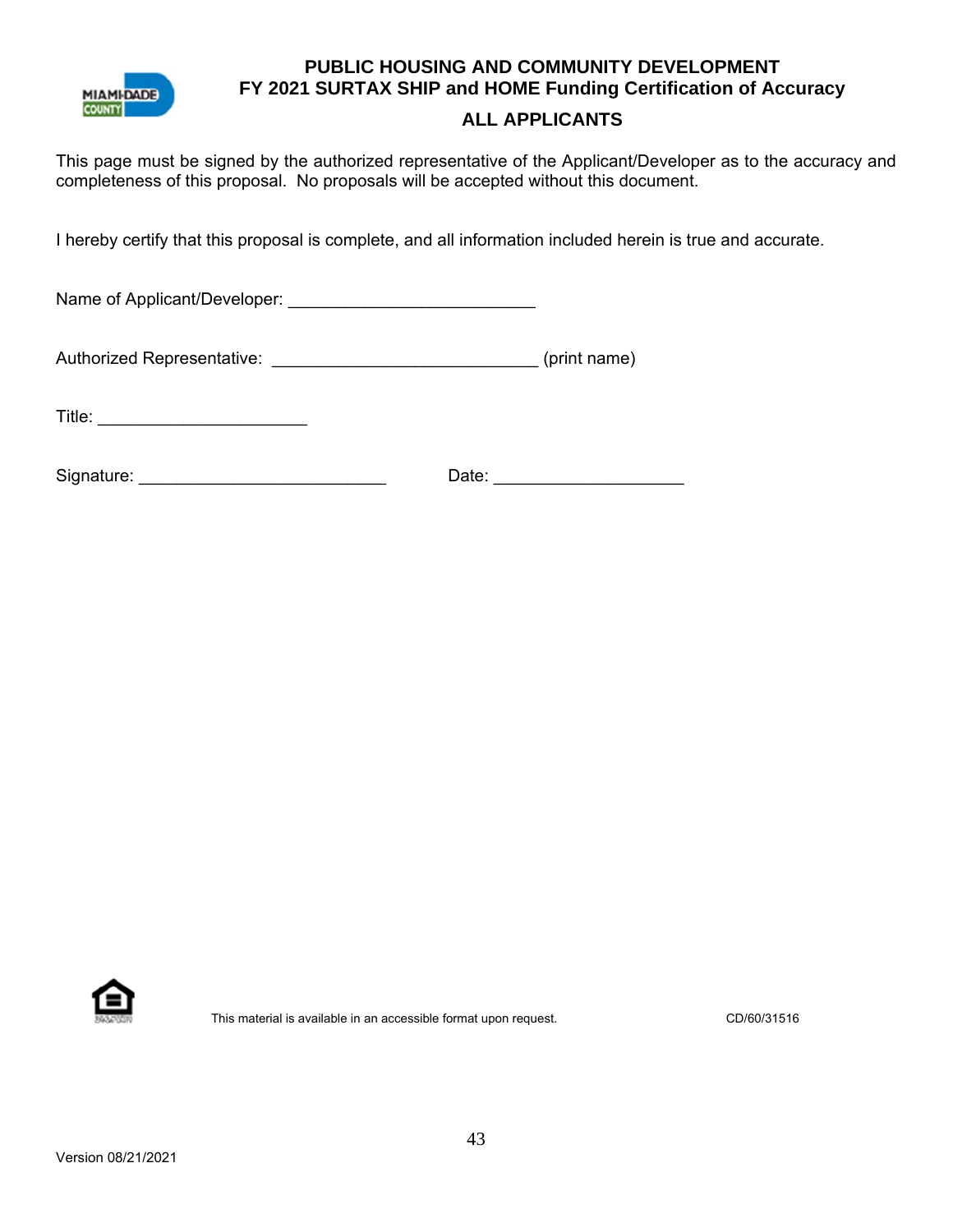

# **PUBLIC HOUSING AND COMMUNITY DEVELOPMENT FY 2021 SURTAX SHIP and HOME Funding Certification of Accuracy**

# **ALL APPLICANTS**

This page must be signed by the authorized representative of the Applicant/Developer as to the accuracy and completeness of this proposal. No proposals will be accepted without this document.

I hereby certify that this proposal is complete, and all information included herein is true and accurate.

Name of Applicant/Developer: \_\_\_\_\_\_\_\_\_\_\_\_\_\_\_\_\_\_\_\_\_\_\_\_\_\_

Authorized Representative: \_\_\_\_\_\_\_\_\_\_\_\_\_\_\_\_\_\_\_\_\_\_\_\_\_\_\_\_\_\_\_\_\_\_(print name)

Title: \_\_\_\_\_\_\_\_\_\_\_\_\_\_\_\_\_\_\_\_\_\_

| Signature: | Date: |  |
|------------|-------|--|
|            |       |  |



This material is available in an accessible format upon request. CD/60/31516 CD/60/31516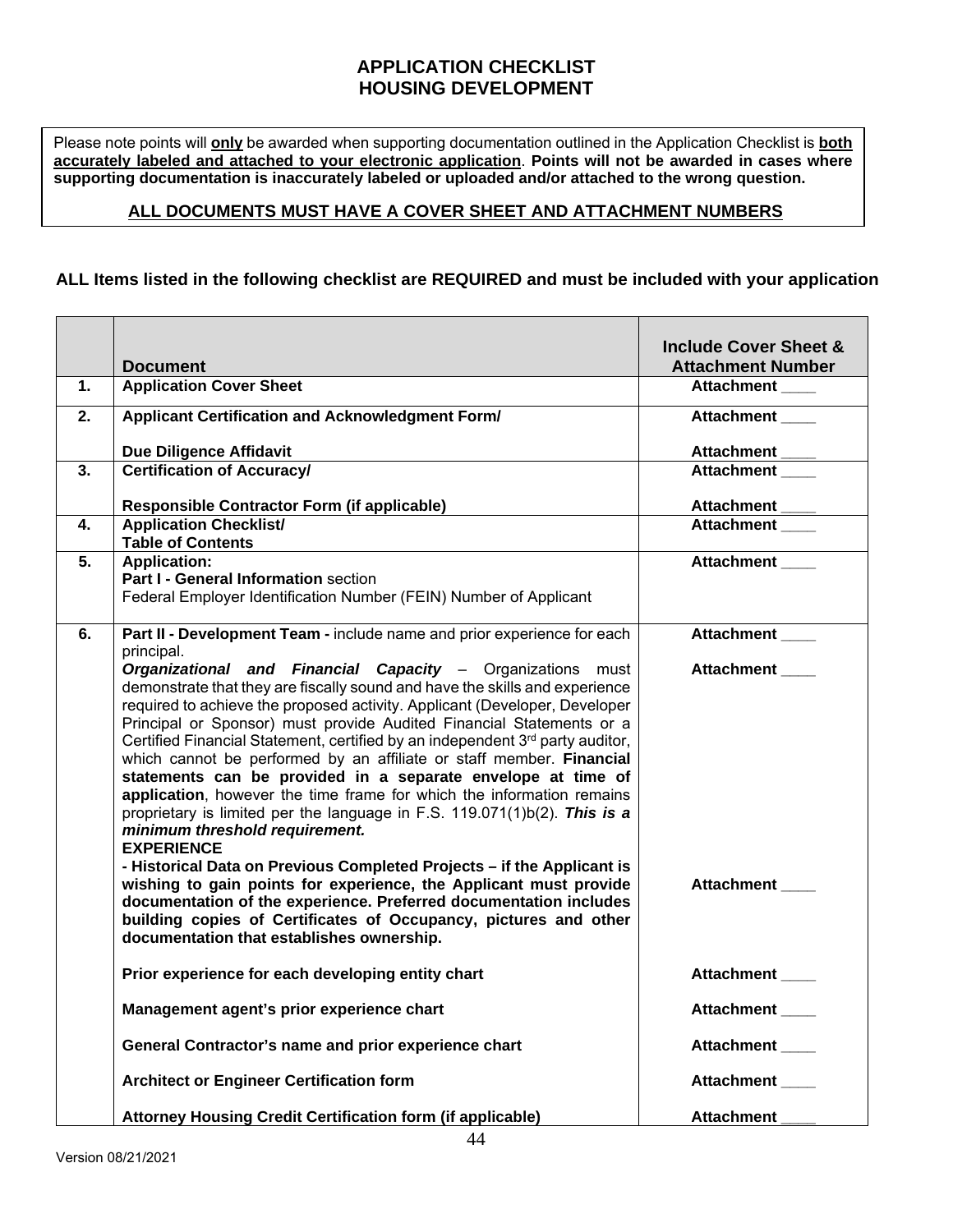## **APPLICATION CHECKLIST HOUSING DEVELOPMENT**

Please note points will **only** be awarded when supporting documentation outlined in the Application Checklist is **both accurately labeled and attached to your electronic application**. **Points will not be awarded in cases where supporting documentation is inaccurately labeled or uploaded and/or attached to the wrong question.** 

## **ALL DOCUMENTS MUST HAVE A COVER SHEET AND ATTACHMENT NUMBERS**

## **ALL Items listed in the following checklist are REQUIRED and must be included with your application**

|    | <b>Document</b>                                                                                                                                                                                                                                                                                                                                                                                                                                                                                                                                                                                                                                                                                                                       | <b>Include Cover Sheet &amp;</b><br><b>Attachment Number</b> |
|----|---------------------------------------------------------------------------------------------------------------------------------------------------------------------------------------------------------------------------------------------------------------------------------------------------------------------------------------------------------------------------------------------------------------------------------------------------------------------------------------------------------------------------------------------------------------------------------------------------------------------------------------------------------------------------------------------------------------------------------------|--------------------------------------------------------------|
| 1. | <b>Application Cover Sheet</b>                                                                                                                                                                                                                                                                                                                                                                                                                                                                                                                                                                                                                                                                                                        | <b>Attachment</b>                                            |
| 2. | Applicant Certification and Acknowledgment Form/                                                                                                                                                                                                                                                                                                                                                                                                                                                                                                                                                                                                                                                                                      | <b>Attachment</b>                                            |
|    | <b>Due Diligence Affidavit</b>                                                                                                                                                                                                                                                                                                                                                                                                                                                                                                                                                                                                                                                                                                        | <b>Attachment</b>                                            |
| 3. | <b>Certification of Accuracy/</b>                                                                                                                                                                                                                                                                                                                                                                                                                                                                                                                                                                                                                                                                                                     | <b>Attachment</b>                                            |
|    | <b>Responsible Contractor Form (if applicable)</b>                                                                                                                                                                                                                                                                                                                                                                                                                                                                                                                                                                                                                                                                                    | Attachment ____                                              |
| 4. | <b>Application Checklist/</b><br><b>Table of Contents</b>                                                                                                                                                                                                                                                                                                                                                                                                                                                                                                                                                                                                                                                                             | <b>Attachment</b>                                            |
| 5. | <b>Application:</b><br>Part I - General Information section<br>Federal Employer Identification Number (FEIN) Number of Applicant                                                                                                                                                                                                                                                                                                                                                                                                                                                                                                                                                                                                      | <b>Attachment</b>                                            |
| 6. | Part II - Development Team - include name and prior experience for each<br>principal.                                                                                                                                                                                                                                                                                                                                                                                                                                                                                                                                                                                                                                                 | Attachment                                                   |
|    | Organizational and Financial Capacity - Organizations must<br>demonstrate that they are fiscally sound and have the skills and experience<br>required to achieve the proposed activity. Applicant (Developer, Developer<br>Principal or Sponsor) must provide Audited Financial Statements or a<br>Certified Financial Statement, certified by an independent 3rd party auditor,<br>which cannot be performed by an affiliate or staff member. Financial<br>statements can be provided in a separate envelope at time of<br>application, however the time frame for which the information remains<br>proprietary is limited per the language in F.S. 119.071(1)b(2). This is a<br>minimum threshold requirement.<br><b>EXPERIENCE</b> | <b>Attachment</b>                                            |
|    | - Historical Data on Previous Completed Projects - if the Applicant is<br>wishing to gain points for experience, the Applicant must provide<br>documentation of the experience. Preferred documentation includes<br>building copies of Certificates of Occupancy, pictures and other<br>documentation that establishes ownership.                                                                                                                                                                                                                                                                                                                                                                                                     | <b>Attachment</b>                                            |
|    | Prior experience for each developing entity chart                                                                                                                                                                                                                                                                                                                                                                                                                                                                                                                                                                                                                                                                                     | Attachment                                                   |
|    | Management agent's prior experience chart                                                                                                                                                                                                                                                                                                                                                                                                                                                                                                                                                                                                                                                                                             | <b>Attachment</b>                                            |
|    | General Contractor's name and prior experience chart                                                                                                                                                                                                                                                                                                                                                                                                                                                                                                                                                                                                                                                                                  | Attachment ____                                              |
|    | <b>Architect or Engineer Certification form</b>                                                                                                                                                                                                                                                                                                                                                                                                                                                                                                                                                                                                                                                                                       | Attachment                                                   |
|    | Attorney Housing Credit Certification form (if applicable)                                                                                                                                                                                                                                                                                                                                                                                                                                                                                                                                                                                                                                                                            | <b>Attachment</b>                                            |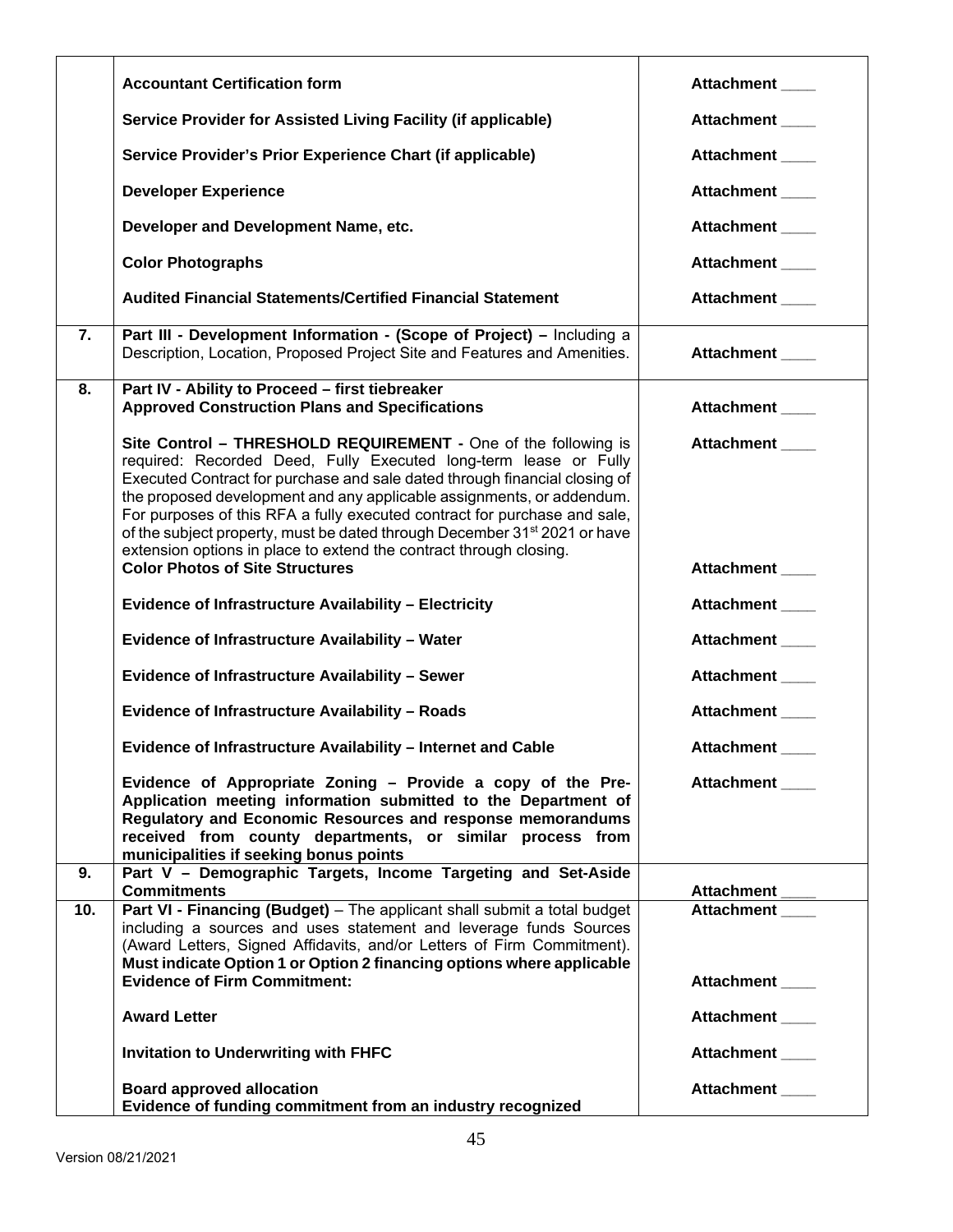|     | <b>Accountant Certification form</b>                                                                                                                                                                                                                                                                                                                                                                                                                                                                                                  | Attachment ___    |
|-----|---------------------------------------------------------------------------------------------------------------------------------------------------------------------------------------------------------------------------------------------------------------------------------------------------------------------------------------------------------------------------------------------------------------------------------------------------------------------------------------------------------------------------------------|-------------------|
|     | Service Provider for Assisted Living Facility (if applicable)                                                                                                                                                                                                                                                                                                                                                                                                                                                                         | Attachment ____   |
|     | Service Provider's Prior Experience Chart (if applicable)                                                                                                                                                                                                                                                                                                                                                                                                                                                                             | Attachment ____   |
|     | <b>Developer Experience</b>                                                                                                                                                                                                                                                                                                                                                                                                                                                                                                           | Attachment        |
|     | Developer and Development Name, etc.                                                                                                                                                                                                                                                                                                                                                                                                                                                                                                  | <b>Attachment</b> |
|     | <b>Color Photographs</b>                                                                                                                                                                                                                                                                                                                                                                                                                                                                                                              | Attachment        |
|     | <b>Audited Financial Statements/Certified Financial Statement</b>                                                                                                                                                                                                                                                                                                                                                                                                                                                                     | Attachment        |
| 7.  | Part III - Development Information - (Scope of Project) - Including a<br>Description, Location, Proposed Project Site and Features and Amenities.                                                                                                                                                                                                                                                                                                                                                                                     | Attachment ____   |
| 8.  | Part IV - Ability to Proceed - first tiebreaker<br><b>Approved Construction Plans and Specifications</b>                                                                                                                                                                                                                                                                                                                                                                                                                              | Attachment        |
|     | Site Control - THRESHOLD REQUIREMENT - One of the following is<br>required: Recorded Deed, Fully Executed long-term lease or Fully<br>Executed Contract for purchase and sale dated through financial closing of<br>the proposed development and any applicable assignments, or addendum.<br>For purposes of this RFA a fully executed contract for purchase and sale,<br>of the subject property, must be dated through December 31 <sup>st</sup> 2021 or have<br>extension options in place to extend the contract through closing. | Attachment        |
|     | <b>Color Photos of Site Structures</b>                                                                                                                                                                                                                                                                                                                                                                                                                                                                                                | Attachment ____   |
|     | Evidence of Infrastructure Availability - Electricity                                                                                                                                                                                                                                                                                                                                                                                                                                                                                 | Attachment ____   |
|     | Evidence of Infrastructure Availability - Water                                                                                                                                                                                                                                                                                                                                                                                                                                                                                       | Attachment        |
|     | Evidence of Infrastructure Availability - Sewer                                                                                                                                                                                                                                                                                                                                                                                                                                                                                       | Attachment        |
|     | Evidence of Infrastructure Availability - Roads                                                                                                                                                                                                                                                                                                                                                                                                                                                                                       | Attachment        |
|     | Evidence of Infrastructure Availability - Internet and Cable                                                                                                                                                                                                                                                                                                                                                                                                                                                                          | <b>Attachment</b> |
|     | Evidence of Appropriate Zoning - Provide a copy of the Pre-<br>Application meeting information submitted to the Department of<br>Regulatory and Economic Resources and response memorandums<br>received from county departments, or similar process from<br>municipalities if seeking bonus points                                                                                                                                                                                                                                    | Attachment ___    |
| 9.  | Part V - Demographic Targets, Income Targeting and Set-Aside<br><b>Commitments</b>                                                                                                                                                                                                                                                                                                                                                                                                                                                    | Attachment_       |
| 10. | Part VI - Financing (Budget) - The applicant shall submit a total budget<br>including a sources and uses statement and leverage funds Sources<br>(Award Letters, Signed Affidavits, and/or Letters of Firm Commitment).<br>Must indicate Option 1 or Option 2 financing options where applicable                                                                                                                                                                                                                                      | <b>Attachment</b> |
|     | <b>Evidence of Firm Commitment:</b>                                                                                                                                                                                                                                                                                                                                                                                                                                                                                                   | Attachment        |
|     | <b>Award Letter</b>                                                                                                                                                                                                                                                                                                                                                                                                                                                                                                                   | Attachment        |
|     | <b>Invitation to Underwriting with FHFC</b>                                                                                                                                                                                                                                                                                                                                                                                                                                                                                           | Attachment        |
|     | <b>Board approved allocation</b><br>Evidence of funding commitment from an industry recognized                                                                                                                                                                                                                                                                                                                                                                                                                                        | Attachment        |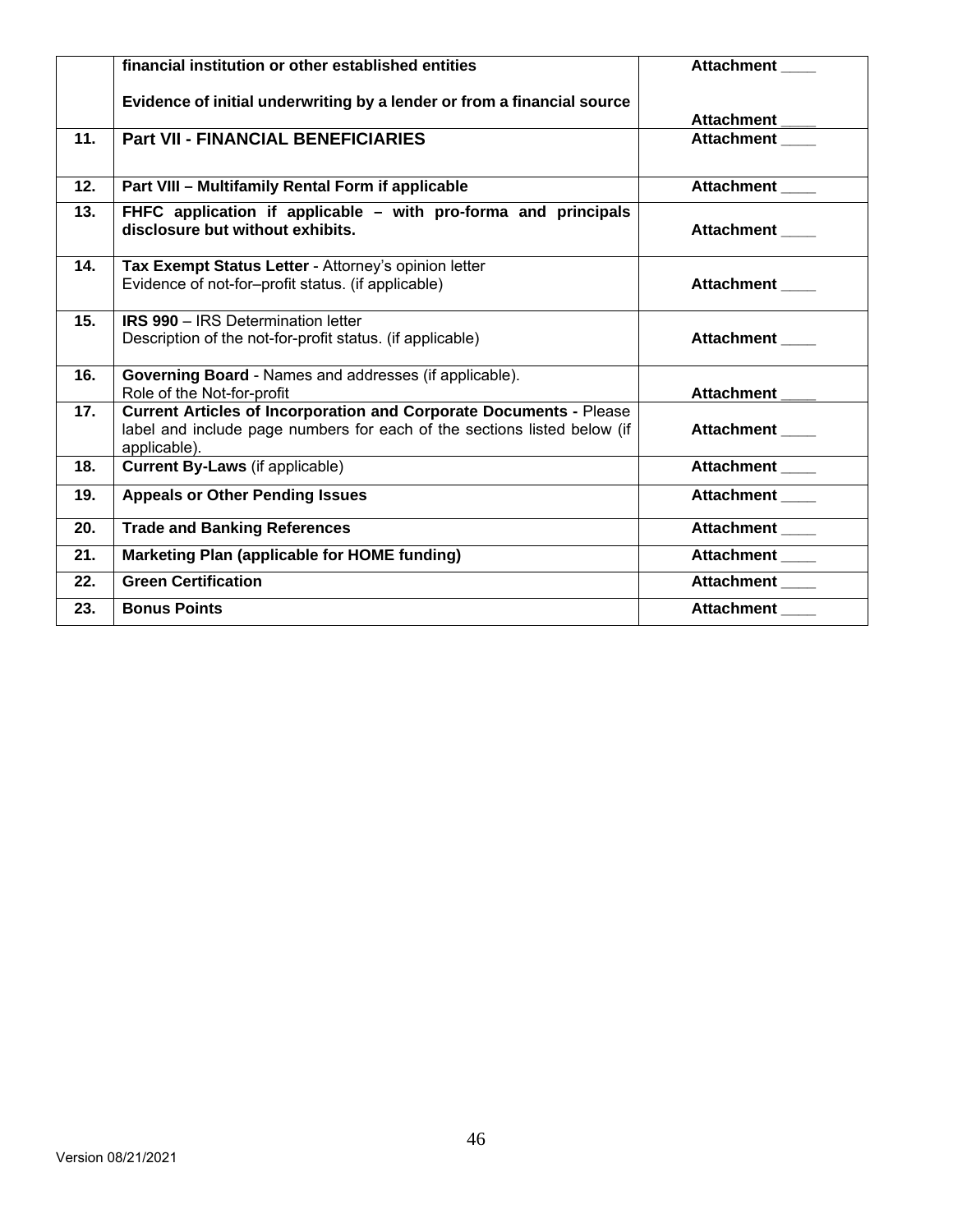|     | financial institution or other established entities                                                                                                                   | <b>Attachment</b> |
|-----|-----------------------------------------------------------------------------------------------------------------------------------------------------------------------|-------------------|
|     | Evidence of initial underwriting by a lender or from a financial source                                                                                               | Attachment        |
| 11. | <b>Part VII - FINANCIAL BENEFICIARIES</b>                                                                                                                             | <b>Attachment</b> |
| 12. | Part VIII - Multifamily Rental Form if applicable                                                                                                                     | Attachment        |
| 13. | FHFC application if applicable - with pro-forma and principals<br>disclosure but without exhibits.                                                                    | <b>Attachment</b> |
| 14. | Tax Exempt Status Letter - Attorney's opinion letter<br>Evidence of not-for-profit status. (if applicable)                                                            | <b>Attachment</b> |
| 15. | <b>IRS 990 - IRS Determination letter</b><br>Description of the not-for-profit status. (if applicable)                                                                | <b>Attachment</b> |
| 16. | Governing Board - Names and addresses (if applicable).<br>Role of the Not-for-profit                                                                                  | <b>Attachment</b> |
| 17. | <b>Current Articles of Incorporation and Corporate Documents - Please</b><br>label and include page numbers for each of the sections listed below (if<br>applicable). | Attachment        |
| 18. | <b>Current By-Laws</b> (if applicable)                                                                                                                                | <b>Attachment</b> |
| 19. | <b>Appeals or Other Pending Issues</b>                                                                                                                                | <b>Attachment</b> |
| 20. | <b>Trade and Banking References</b>                                                                                                                                   | Attachment ___    |
| 21. | <b>Marketing Plan (applicable for HOME funding)</b>                                                                                                                   | Attachment        |
| 22. | <b>Green Certification</b>                                                                                                                                            | <b>Attachment</b> |
| 23. | <b>Bonus Points</b>                                                                                                                                                   | <b>Attachment</b> |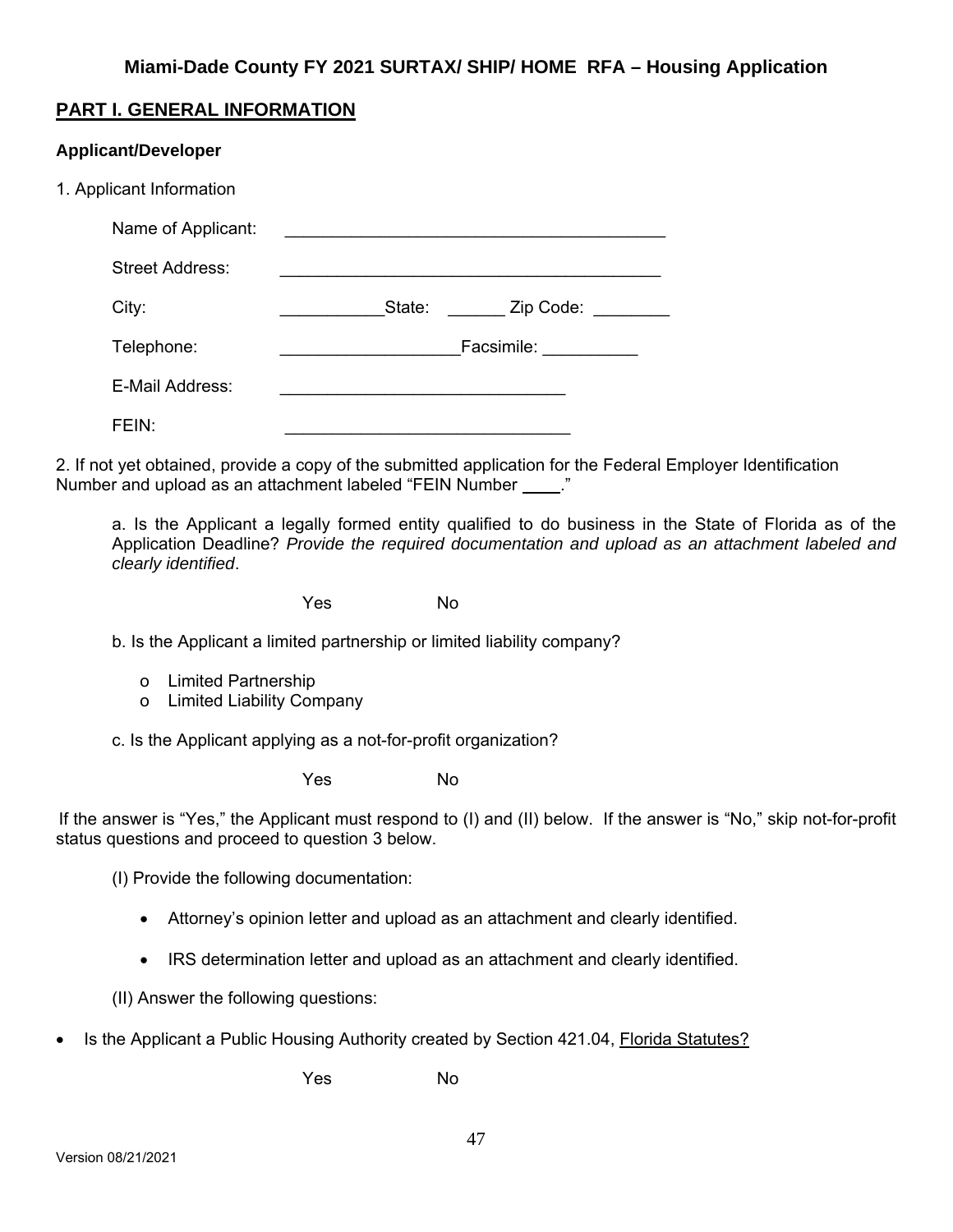# **PART I. GENERAL INFORMATION**

# **Applicant/Developer**

| 1. Applicant Information |                                                                                                                                                                                                                                |
|--------------------------|--------------------------------------------------------------------------------------------------------------------------------------------------------------------------------------------------------------------------------|
| Name of Applicant:       |                                                                                                                                                                                                                                |
| <b>Street Address:</b>   |                                                                                                                                                                                                                                |
| City:                    | State: Zip Code:                                                                                                                                                                                                               |
| Telephone:               | Facsimile: The Contract of the Contract of the Contract of the Contract of the Contract of the Contract of the Contract of the Contract of the Contract of the Contract of the Contract of the Contract of the Contract of the |
| E-Mail Address:          |                                                                                                                                                                                                                                |
| FEN:                     |                                                                                                                                                                                                                                |
|                          |                                                                                                                                                                                                                                |

2. If not yet obtained, provide a copy of the submitted application for the Federal Employer Identification Number and upload as an attachment labeled "FEIN Number \_\_\_\_."

a. Is the Applicant a legally formed entity qualified to do business in the State of Florida as of the Application Deadline? *Provide the required documentation and upload as an attachment labeled and clearly identified*.

Yes No

b. Is the Applicant a limited partnership or limited liability company?

- o Limited Partnership
- o Limited Liability Company

c. Is the Applicant applying as a not-for-profit organization?

Yes No

If the answer is "Yes," the Applicant must respond to (I) and (II) below. If the answer is "No," skip not-for-profit status questions and proceed to question 3 below.

(I) Provide the following documentation:

- Attorney's opinion letter and upload as an attachment and clearly identified.
- IRS determination letter and upload as an attachment and clearly identified.

(II) Answer the following questions:

• Is the Applicant a Public Housing Authority created by Section 421.04, Florida Statutes?

Yes No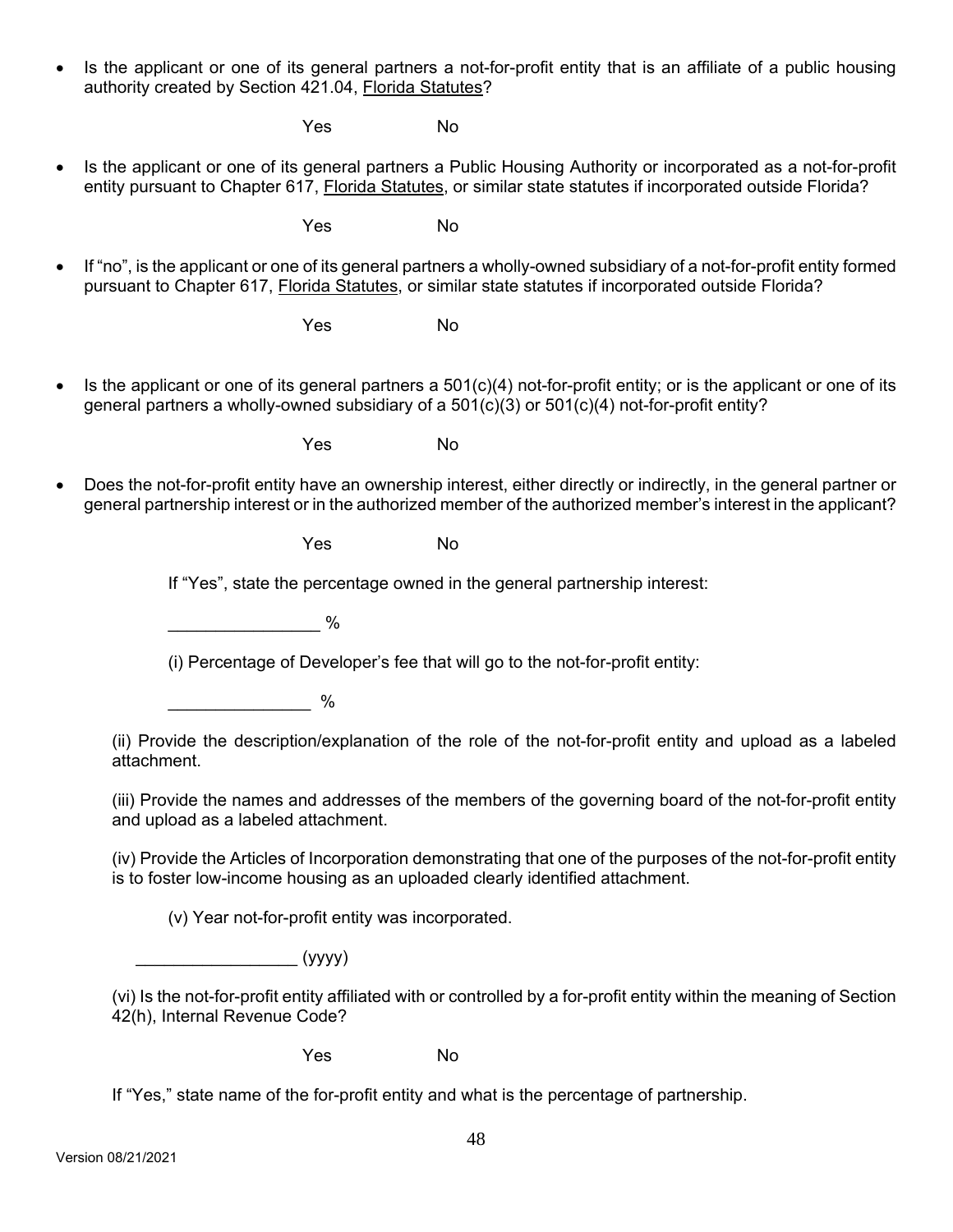• Is the applicant or one of its general partners a not-for-profit entity that is an affiliate of a public housing authority created by Section 421.04, Florida Statutes?

Yes No

 Is the applicant or one of its general partners a Public Housing Authority or incorporated as a not-for-profit entity pursuant to Chapter 617, Florida Statutes, or similar state statutes if incorporated outside Florida?

Yes No

 If "no", is the applicant or one of its general partners a wholly-owned subsidiary of a not-for-profit entity formed pursuant to Chapter 617, Florida Statutes, or similar state statutes if incorporated outside Florida?

Yes No

Is the applicant or one of its general partners a  $501(c)(4)$  not-for-profit entity; or is the applicant or one of its general partners a wholly-owned subsidiary of a 501(c)(3) or 501(c)(4) not-for-profit entity?

Yes No

 Does the not-for-profit entity have an ownership interest, either directly or indirectly, in the general partner or general partnership interest or in the authorized member of the authorized member's interest in the applicant?

Yes No

If "Yes", state the percentage owned in the general partnership interest:

 $\sim$   $\%$ 

(i) Percentage of Developer's fee that will go to the not-for-profit entity:

 $\sim$   $\sim$   $\sim$   $\sim$ 

(ii) Provide the description/explanation of the role of the not-for-profit entity and upload as a labeled attachment.

(iii) Provide the names and addresses of the members of the governing board of the not-for-profit entity and upload as a labeled attachment.

(iv) Provide the Articles of Incorporation demonstrating that one of the purposes of the not-for-profit entity is to foster low-income housing as an uploaded clearly identified attachment.

(v) Year not-for-profit entity was incorporated.

 $\overline{\phantom{a}}$  (yyyy)

(vi) Is the not-for-profit entity affiliated with or controlled by a for-profit entity within the meaning of Section 42(h), Internal Revenue Code?

Yes No

If "Yes," state name of the for-profit entity and what is the percentage of partnership.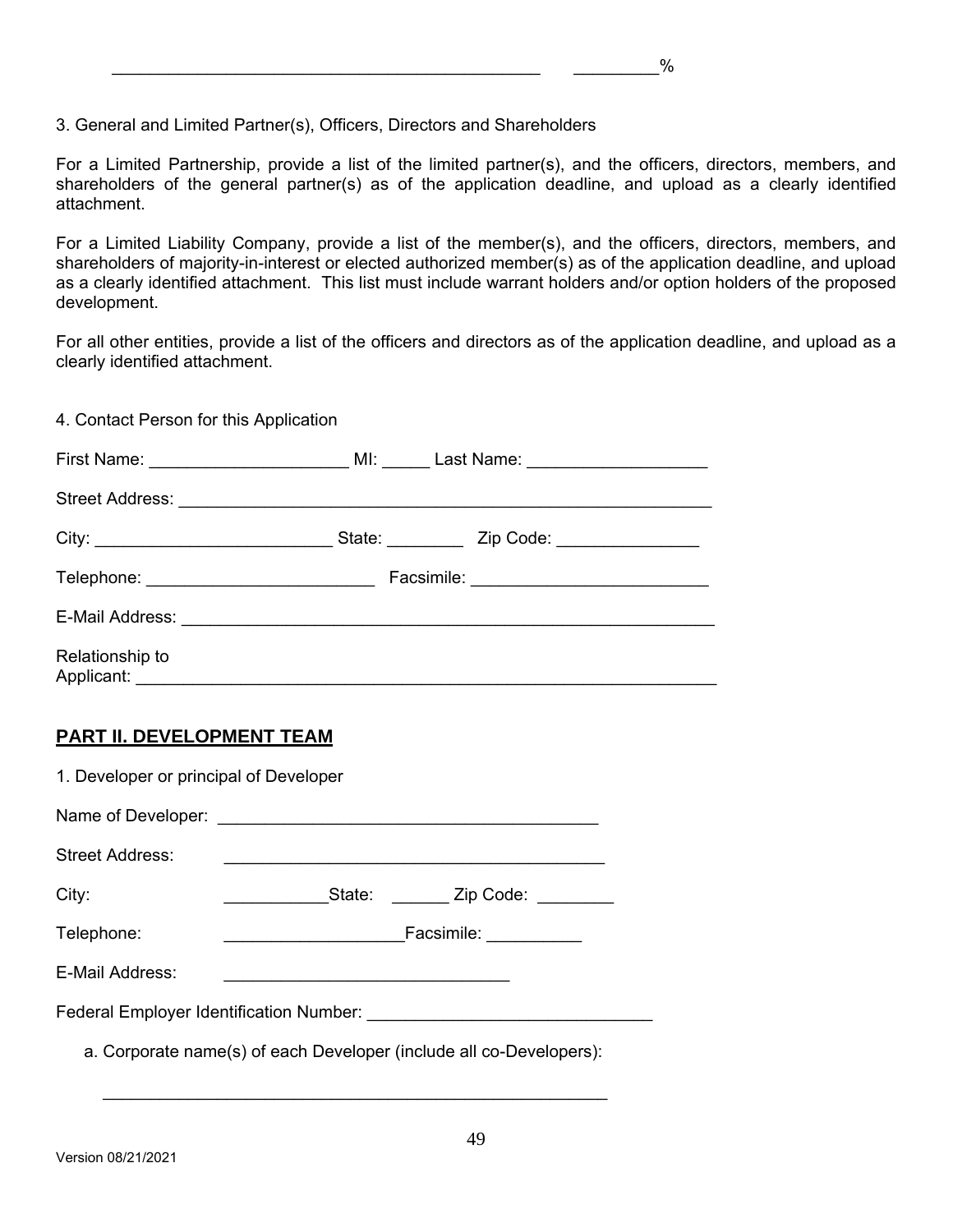3. General and Limited Partner(s), Officers, Directors and Shareholders

For a Limited Partnership, provide a list of the limited partner(s), and the officers, directors, members, and shareholders of the general partner(s) as of the application deadline, and upload as a clearly identified attachment.

For a Limited Liability Company, provide a list of the member(s), and the officers, directors, members, and shareholders of majority-in-interest or elected authorized member(s) as of the application deadline, and upload as a clearly identified attachment. This list must include warrant holders and/or option holders of the proposed development.

For all other entities, provide a list of the officers and directors as of the application deadline, and upload as a clearly identified attachment.

4. Contact Person for this Application

| Telephone: ______________________________ |  |
|-------------------------------------------|--|
|                                           |  |
| Relationship to<br>Applicant: Applicant:  |  |

## **PART II. DEVELOPMENT TEAM**

| 1. Developer or principal of Developer                              |                              |  |  |  |  |  |
|---------------------------------------------------------------------|------------------------------|--|--|--|--|--|
|                                                                     |                              |  |  |  |  |  |
| <b>Street Address:</b>                                              |                              |  |  |  |  |  |
| City:                                                               | State: Zip Code:             |  |  |  |  |  |
| Telephone:                                                          | Facsimile: <b>Facsimile:</b> |  |  |  |  |  |
| E-Mail Address:                                                     |                              |  |  |  |  |  |
|                                                                     |                              |  |  |  |  |  |
| a. Corporate name(s) of each Developer (include all co-Developers): |                              |  |  |  |  |  |

 $\overline{\phantom{a}}$  ,  $\overline{\phantom{a}}$  ,  $\overline{\phantom{a}}$  ,  $\overline{\phantom{a}}$  ,  $\overline{\phantom{a}}$  ,  $\overline{\phantom{a}}$  ,  $\overline{\phantom{a}}$  ,  $\overline{\phantom{a}}$  ,  $\overline{\phantom{a}}$  ,  $\overline{\phantom{a}}$  ,  $\overline{\phantom{a}}$  ,  $\overline{\phantom{a}}$  ,  $\overline{\phantom{a}}$  ,  $\overline{\phantom{a}}$  ,  $\overline{\phantom{a}}$  ,  $\overline{\phantom{a}}$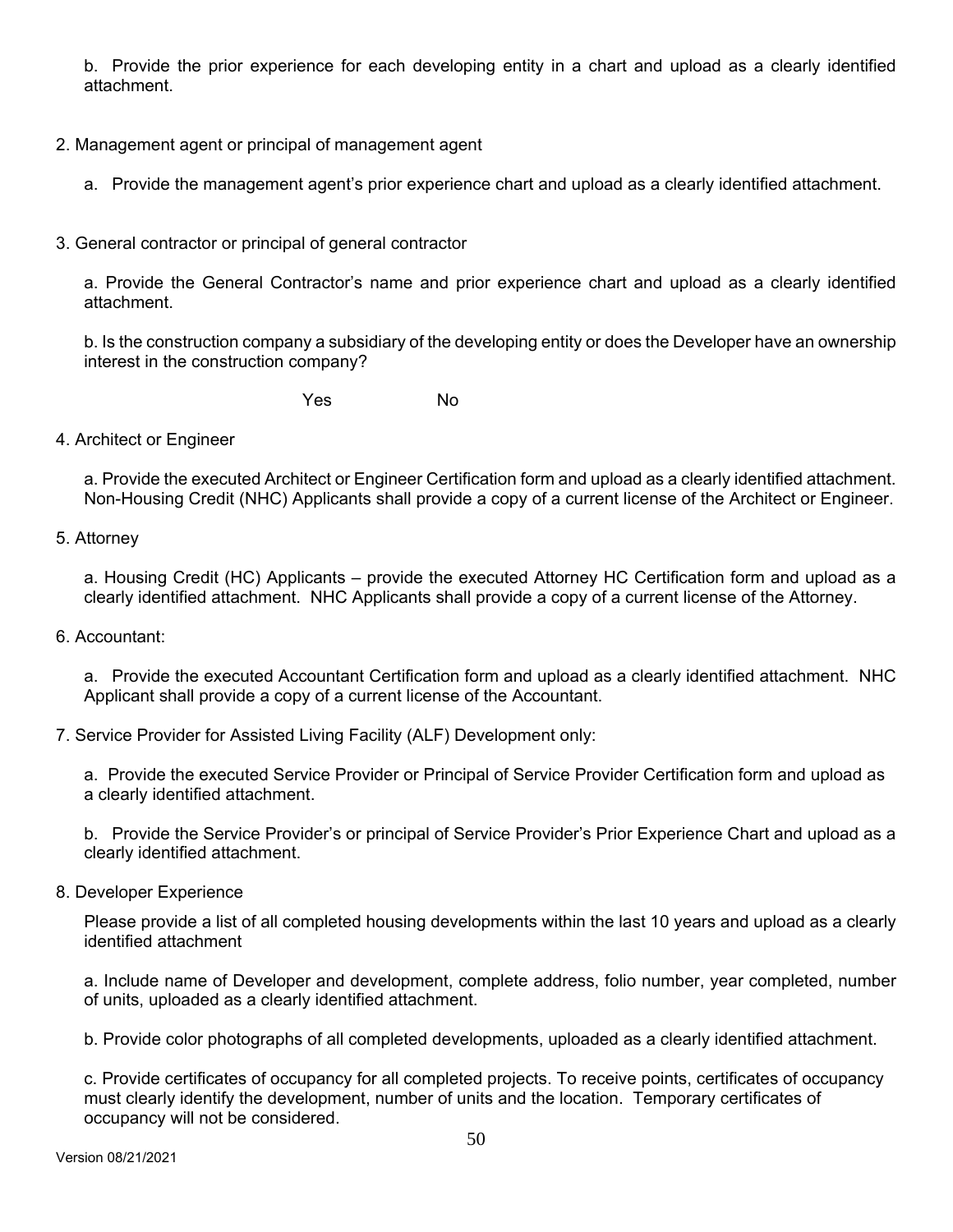b. Provide the prior experience for each developing entity in a chart and upload as a clearly identified attachment.

- 2. Management agent or principal of management agent
	- a. Provide the management agent's prior experience chart and upload as a clearly identified attachment.
- 3. General contractor or principal of general contractor

 a. Provide the General Contractor's name and prior experience chart and upload as a clearly identified attachment.

 b. Is the construction company a subsidiary of the developing entity or does the Developer have an ownership interest in the construction company?

Yes No

4. Architect or Engineer

a. Provide the executed Architect or Engineer Certification form and upload as a clearly identified attachment. Non-Housing Credit (NHC) Applicants shall provide a copy of a current license of the Architect or Engineer.

5. Attorney

a. Housing Credit (HC) Applicants – provide the executed Attorney HC Certification form and upload as a clearly identified attachment. NHC Applicants shall provide a copy of a current license of the Attorney.

6. Accountant:

a. Provide the executed Accountant Certification form and upload as a clearly identified attachment. NHC Applicant shall provide a copy of a current license of the Accountant.

7. Service Provider for Assisted Living Facility (ALF) Development only:

a. Provide the executed Service Provider or Principal of Service Provider Certification form and upload as a clearly identified attachment.

b. Provide the Service Provider's or principal of Service Provider's Prior Experience Chart and upload as a clearly identified attachment.

8. Developer Experience

Please provide a list of all completed housing developments within the last 10 years and upload as a clearly identified attachment

a. Include name of Developer and development, complete address, folio number, year completed, number of units, uploaded as a clearly identified attachment.

b. Provide color photographs of all completed developments, uploaded as a clearly identified attachment.

c. Provide certificates of occupancy for all completed projects. To receive points, certificates of occupancy must clearly identify the development, number of units and the location. Temporary certificates of occupancy will not be considered.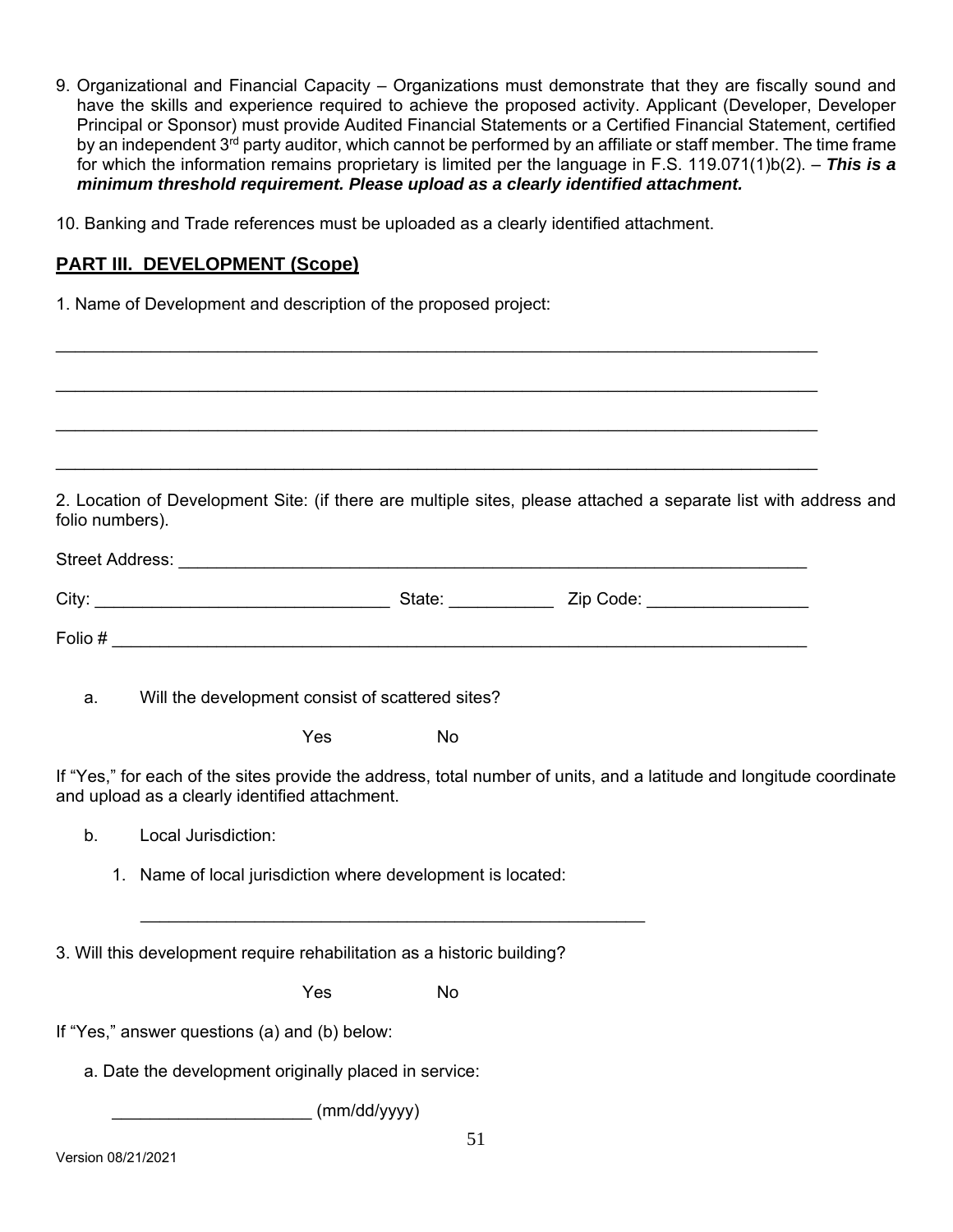- 9. Organizational and Financial Capacity Organizations must demonstrate that they are fiscally sound and have the skills and experience required to achieve the proposed activity. Applicant (Developer, Developer Principal or Sponsor) must provide Audited Financial Statements or a Certified Financial Statement, certified by an independent 3<sup>rd</sup> party auditor, which cannot be performed by an affiliate or staff member. The time frame for which the information remains proprietary is limited per the language in F.S. 119.071(1)b(2). – *This is a minimum threshold requirement. Please upload as a clearly identified attachment.*
- 10. Banking and Trade references must be uploaded as a clearly identified attachment.

## **PART III. DEVELOPMENT (Scope)**

1. Name of Development and description of the proposed project:

2. Location of Development Site: (if there are multiple sites, please attached a separate list with address and folio numbers).

| Street Address: |        |           |  |  |  |  |
|-----------------|--------|-----------|--|--|--|--|
| City:           | State: | Zip Code: |  |  |  |  |
| Folio #         |        |           |  |  |  |  |

\_\_\_\_\_\_\_\_\_\_\_\_\_\_\_\_\_\_\_\_\_\_\_\_\_\_\_\_\_\_\_\_\_\_\_\_\_\_\_\_\_\_\_\_\_\_\_\_\_\_\_\_\_\_\_\_\_\_\_\_\_\_\_\_\_\_\_\_\_\_\_\_\_\_\_\_\_\_\_\_

\_\_\_\_\_\_\_\_\_\_\_\_\_\_\_\_\_\_\_\_\_\_\_\_\_\_\_\_\_\_\_\_\_\_\_\_\_\_\_\_\_\_\_\_\_\_\_\_\_\_\_\_\_\_\_\_\_\_\_\_\_\_\_\_\_\_\_\_\_\_\_\_\_\_\_\_\_\_\_\_

\_\_\_\_\_\_\_\_\_\_\_\_\_\_\_\_\_\_\_\_\_\_\_\_\_\_\_\_\_\_\_\_\_\_\_\_\_\_\_\_\_\_\_\_\_\_\_\_\_\_\_\_\_\_\_\_\_\_\_\_\_\_\_\_\_\_\_\_\_\_\_\_\_\_\_\_\_\_\_\_

\_\_\_\_\_\_\_\_\_\_\_\_\_\_\_\_\_\_\_\_\_\_\_\_\_\_\_\_\_\_\_\_\_\_\_\_\_\_\_\_\_\_\_\_\_\_\_\_\_\_\_\_\_\_\_\_\_\_\_\_\_\_\_\_\_\_\_\_\_\_\_\_\_\_\_\_\_\_\_\_

a. Will the development consist of scattered sites?

Yes No

If "Yes," for each of the sites provide the address, total number of units, and a latitude and longitude coordinate and upload as a clearly identified attachment.

- b. Local Jurisdiction:
	- 1. Name of local jurisdiction where development is located:

3. Will this development require rehabilitation as a historic building?

Yes No

 $\mathcal{L} = \{ \mathcal{L}_1, \mathcal{L}_2, \ldots, \mathcal{L}_n \}$ 

If "Yes," answer questions (a) and (b) below:

a. Date the development originally placed in service:

 $\mu$  (mm/dd/yyyy)

 $\mathbf{a}$  and  $\mathbf{a}$  and  $\mathbf{a}$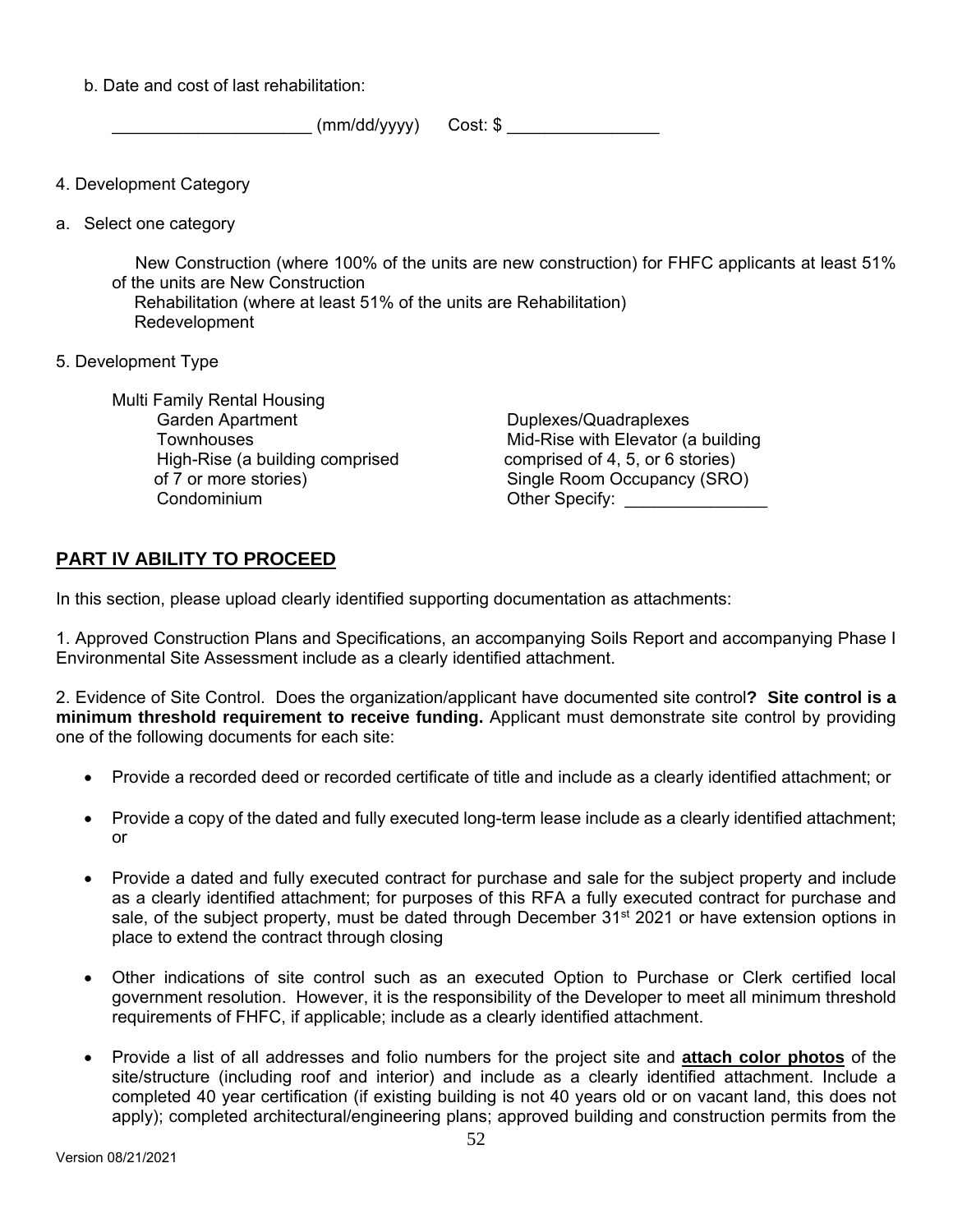b. Date and cost of last rehabilitation:

 $(mm/dd/yyyy)$  Cost: \$

- 4. Development Category
- a. Select one category

 New Construction (where 100% of the units are new construction) for FHFC applicants at least 51% of the units are New Construction

 Rehabilitation (where at least 51% of the units are Rehabilitation) Redevelopment

5. Development Type

 Multi Family Rental Housing Garden Apartment **Townhouses**  High-Rise (a building comprised of 7 or more stories) Condominium

 Duplexes/Quadraplexes Mid-Rise with Elevator (a building comprised of 4, 5, or 6 stories) Single Room Occupancy (SRO) Other Specify: \_\_\_\_\_\_\_\_\_\_\_\_\_\_\_\_\_

## **PART IV ABILITY TO PROCEED**

In this section, please upload clearly identified supporting documentation as attachments:

1. Approved Construction Plans and Specifications, an accompanying Soils Report and accompanying Phase I Environmental Site Assessment include as a clearly identified attachment.

2. Evidence of Site Control. Does the organization/applicant have documented site control**? Site control is a minimum threshold requirement to receive funding.** Applicant must demonstrate site control by providing one of the following documents for each site:

- Provide a recorded deed or recorded certificate of title and include as a clearly identified attachment; or
- Provide a copy of the dated and fully executed long-term lease include as a clearly identified attachment; or
- Provide a dated and fully executed contract for purchase and sale for the subject property and include as a clearly identified attachment; for purposes of this RFA a fully executed contract for purchase and sale, of the subject property, must be dated through December 31<sup>st</sup> 2021 or have extension options in place to extend the contract through closing
- Other indications of site control such as an executed Option to Purchase or Clerk certified local government resolution. However, it is the responsibility of the Developer to meet all minimum threshold requirements of FHFC, if applicable; include as a clearly identified attachment.
- Provide a list of all addresses and folio numbers for the project site and **attach color photos** of the site/structure (including roof and interior) and include as a clearly identified attachment. Include a completed 40 year certification (if existing building is not 40 years old or on vacant land, this does not apply); completed architectural/engineering plans; approved building and construction permits from the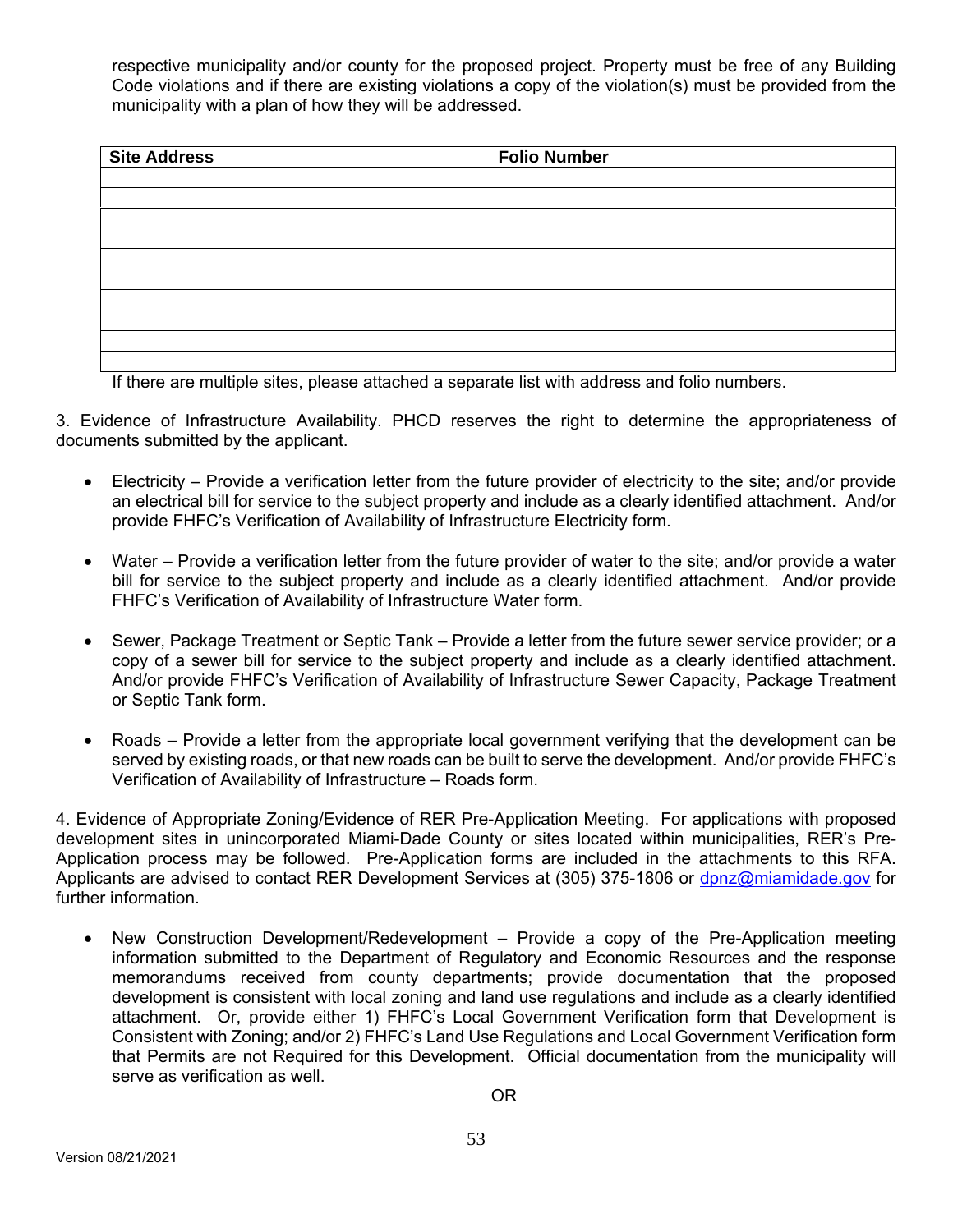respective municipality and/or county for the proposed project. Property must be free of any Building Code violations and if there are existing violations a copy of the violation(s) must be provided from the municipality with a plan of how they will be addressed.

| <b>Site Address</b> | <b>Folio Number</b> |
|---------------------|---------------------|
|                     |                     |
|                     |                     |
|                     |                     |
|                     |                     |
|                     |                     |
|                     |                     |
|                     |                     |
|                     |                     |
|                     |                     |
|                     |                     |

If there are multiple sites, please attached a separate list with address and folio numbers.

3. Evidence of Infrastructure Availability. PHCD reserves the right to determine the appropriateness of documents submitted by the applicant.

- Electricity Provide a verification letter from the future provider of electricity to the site; and/or provide an electrical bill for service to the subject property and include as a clearly identified attachment. And/or provide FHFC's Verification of Availability of Infrastructure Electricity form.
- Water Provide a verification letter from the future provider of water to the site; and/or provide a water bill for service to the subject property and include as a clearly identified attachment. And/or provide FHFC's Verification of Availability of Infrastructure Water form.
- Sewer, Package Treatment or Septic Tank Provide a letter from the future sewer service provider; or a copy of a sewer bill for service to the subject property and include as a clearly identified attachment. And/or provide FHFC's Verification of Availability of Infrastructure Sewer Capacity, Package Treatment or Septic Tank form.
- Roads Provide a letter from the appropriate local government verifying that the development can be served by existing roads, or that new roads can be built to serve the development. And/or provide FHFC's Verification of Availability of Infrastructure – Roads form.

4. Evidence of Appropriate Zoning/Evidence of RER Pre-Application Meeting. For applications with proposed development sites in unincorporated Miami-Dade County or sites located within municipalities, RER's Pre-Application process may be followed. Pre-Application forms are included in the attachments to this RFA. Applicants are advised to contact RER Development Services at (305) 375-1806 or dpnz@miamidade.gov for further information.

 New Construction Development/Redevelopment – Provide a copy of the Pre-Application meeting information submitted to the Department of Regulatory and Economic Resources and the response memorandums received from county departments; provide documentation that the proposed development is consistent with local zoning and land use regulations and include as a clearly identified attachment. Or, provide either 1) FHFC's Local Government Verification form that Development is Consistent with Zoning; and/or 2) FHFC's Land Use Regulations and Local Government Verification form that Permits are not Required for this Development. Official documentation from the municipality will serve as verification as well.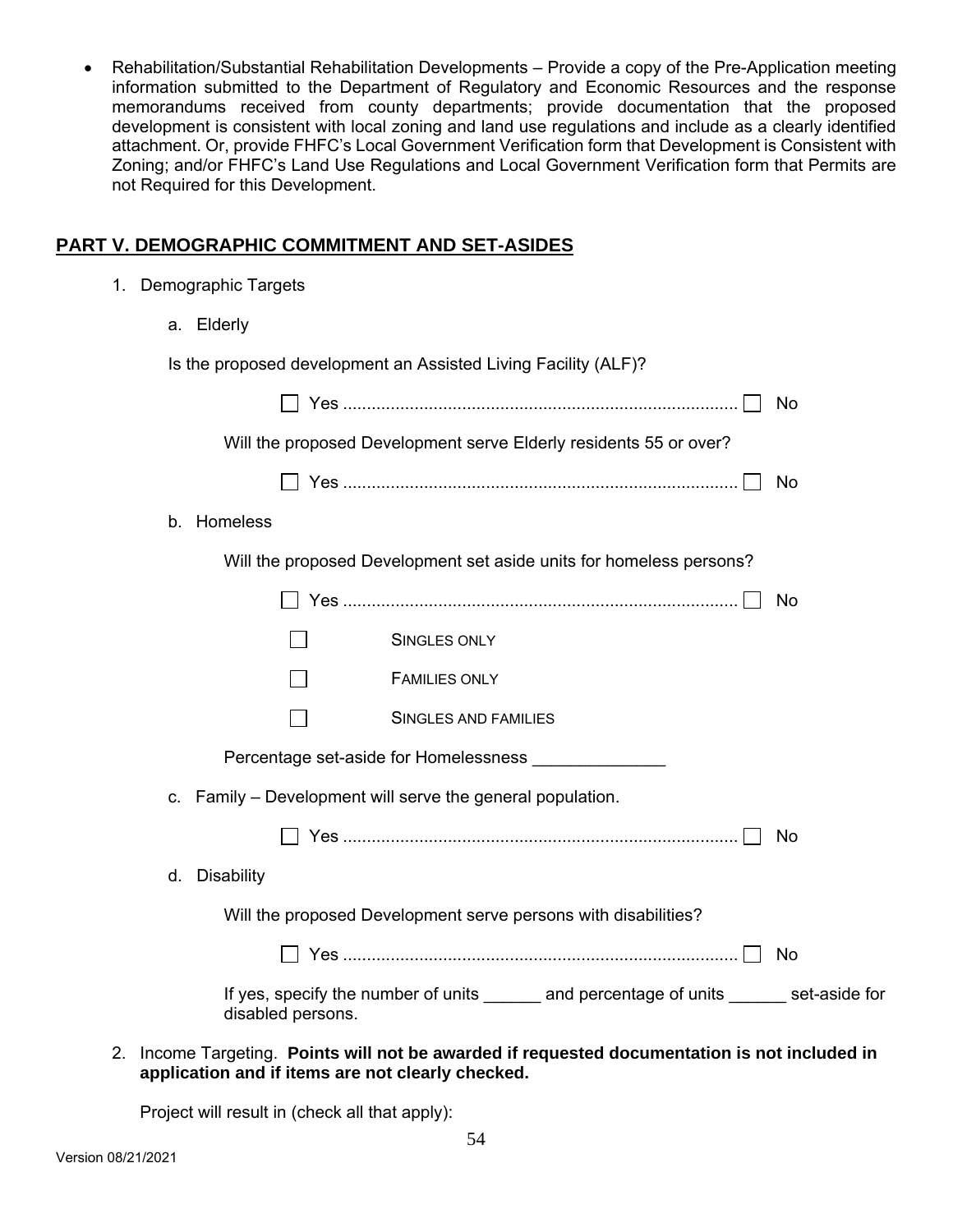Rehabilitation/Substantial Rehabilitation Developments – Provide a copy of the Pre-Application meeting information submitted to the Department of Regulatory and Economic Resources and the response memorandums received from county departments; provide documentation that the proposed development is consistent with local zoning and land use regulations and include as a clearly identified attachment. Or, provide FHFC's Local Government Verification form that Development is Consistent with Zoning; and/or FHFC's Land Use Regulations and Local Government Verification form that Permits are not Required for this Development.

## **PART V. DEMOGRAPHIC COMMITMENT AND SET-ASIDES**

1. Demographic Targets

|    | a. Elderly                                                                                                    |           |
|----|---------------------------------------------------------------------------------------------------------------|-----------|
|    | Is the proposed development an Assisted Living Facility (ALF)?                                                |           |
|    |                                                                                                               | No        |
|    | Will the proposed Development serve Elderly residents 55 or over?                                             |           |
|    |                                                                                                               | <b>No</b> |
| b. | Homeless                                                                                                      |           |
|    | Will the proposed Development set aside units for homeless persons?                                           |           |
|    |                                                                                                               | No        |
|    | <b>SINGLES ONLY</b>                                                                                           |           |
|    | <b>FAMILIES ONLY</b>                                                                                          |           |
|    | SINGLES AND FAMILIES                                                                                          |           |
|    |                                                                                                               |           |
|    | c. Family - Development will serve the general population.                                                    |           |
|    |                                                                                                               | No        |
| d. | <b>Disability</b>                                                                                             |           |
|    | Will the proposed Development serve persons with disabilities?                                                |           |
|    |                                                                                                               | <b>No</b> |
|    | If yes, specify the number of units _______ and percentage of units ______ set-aside for<br>disabled persons. |           |

2. Income Targeting. **Points will not be awarded if requested documentation is not included in application and if items are not clearly checked.**

Project will result in (check all that apply):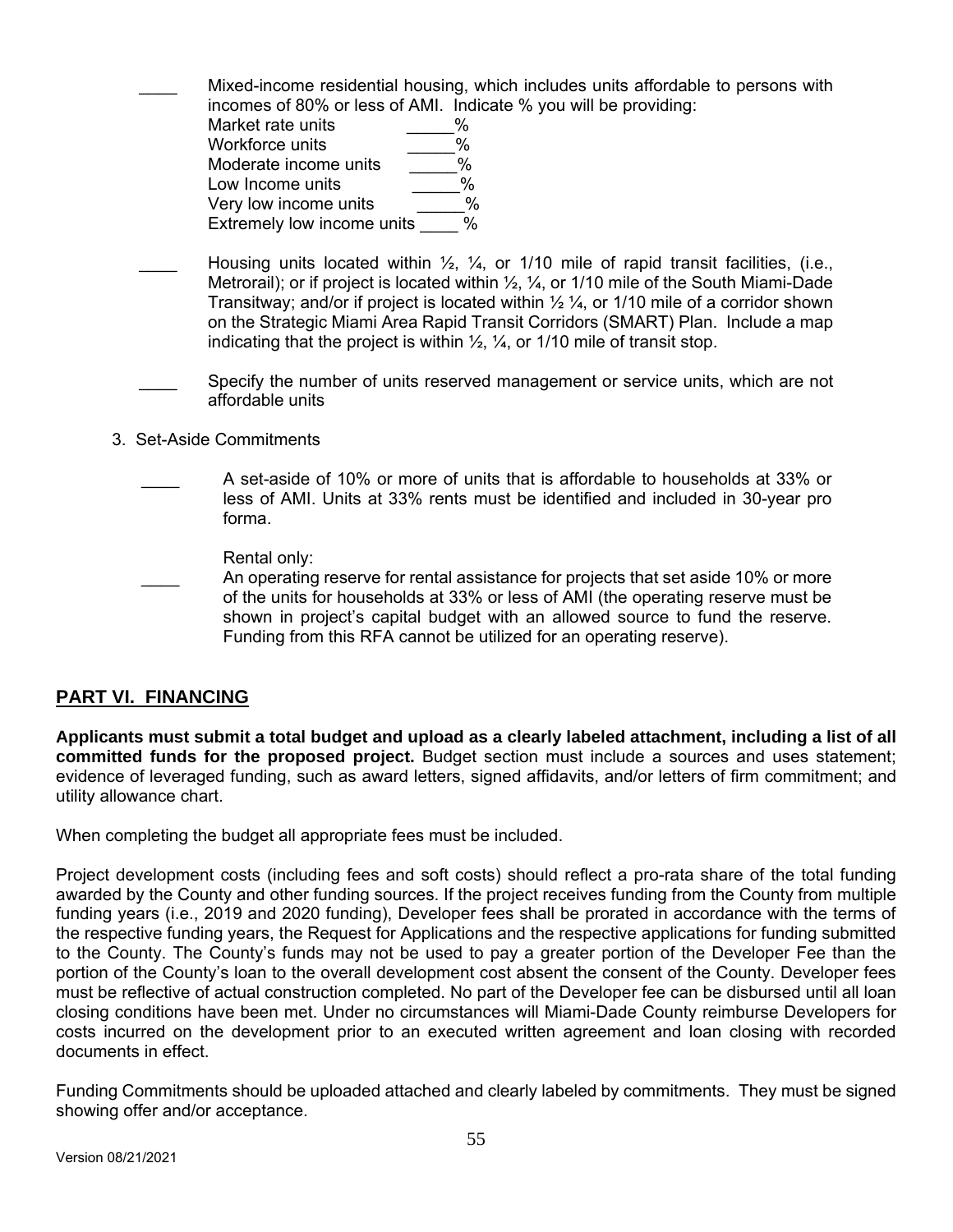Mixed-income residential housing, which includes units affordable to persons with incomes of 80% or less of AMI. Indicate % you will be providing:

| Market rate units          | ₩ |
|----------------------------|---|
| Workforce units            | % |
| Moderate income units      | % |
| Low Income units           | % |
| Very low income units      | % |
| Extremely low income units | % |

- Housing units located within  $\frac{1}{2}$ ,  $\frac{1}{4}$ , or 1/10 mile of rapid transit facilities, (i.e., Metrorail); or if project is located within  $\frac{1}{2}$ ,  $\frac{1}{4}$ , or 1/10 mile of the South Miami-Dade Transitway; and/or if project is located within  $\frac{1}{2} \frac{1}{4}$ , or 1/10 mile of a corridor shown on the Strategic Miami Area Rapid Transit Corridors (SMART) Plan. Include a map indicating that the project is within  $\frac{1}{2}$ ,  $\frac{1}{4}$ , or 1/10 mile of transit stop.
- Specify the number of units reserved management or service units, which are not affordable units
- 3. Set-Aside Commitments
	- A set-aside of 10% or more of units that is affordable to households at 33% or less of AMI. Units at 33% rents must be identified and included in 30-year pro forma.

Rental only:

An operating reserve for rental assistance for projects that set aside 10% or more of the units for households at 33% or less of AMI (the operating reserve must be shown in project's capital budget with an allowed source to fund the reserve. Funding from this RFA cannot be utilized for an operating reserve).

# **PART VI. FINANCING**

**Applicants must submit a total budget and upload as a clearly labeled attachment, including a list of all committed funds for the proposed project.** Budget section must include a sources and uses statement; evidence of leveraged funding, such as award letters, signed affidavits, and/or letters of firm commitment; and utility allowance chart.

When completing the budget all appropriate fees must be included.

Project development costs (including fees and soft costs) should reflect a pro-rata share of the total funding awarded by the County and other funding sources. If the project receives funding from the County from multiple funding years (i.e., 2019 and 2020 funding), Developer fees shall be prorated in accordance with the terms of the respective funding years, the Request for Applications and the respective applications for funding submitted to the County. The County's funds may not be used to pay a greater portion of the Developer Fee than the portion of the County's loan to the overall development cost absent the consent of the County. Developer fees must be reflective of actual construction completed. No part of the Developer fee can be disbursed until all loan closing conditions have been met. Under no circumstances will Miami-Dade County reimburse Developers for costs incurred on the development prior to an executed written agreement and loan closing with recorded documents in effect.

Funding Commitments should be uploaded attached and clearly labeled by commitments. They must be signed showing offer and/or acceptance.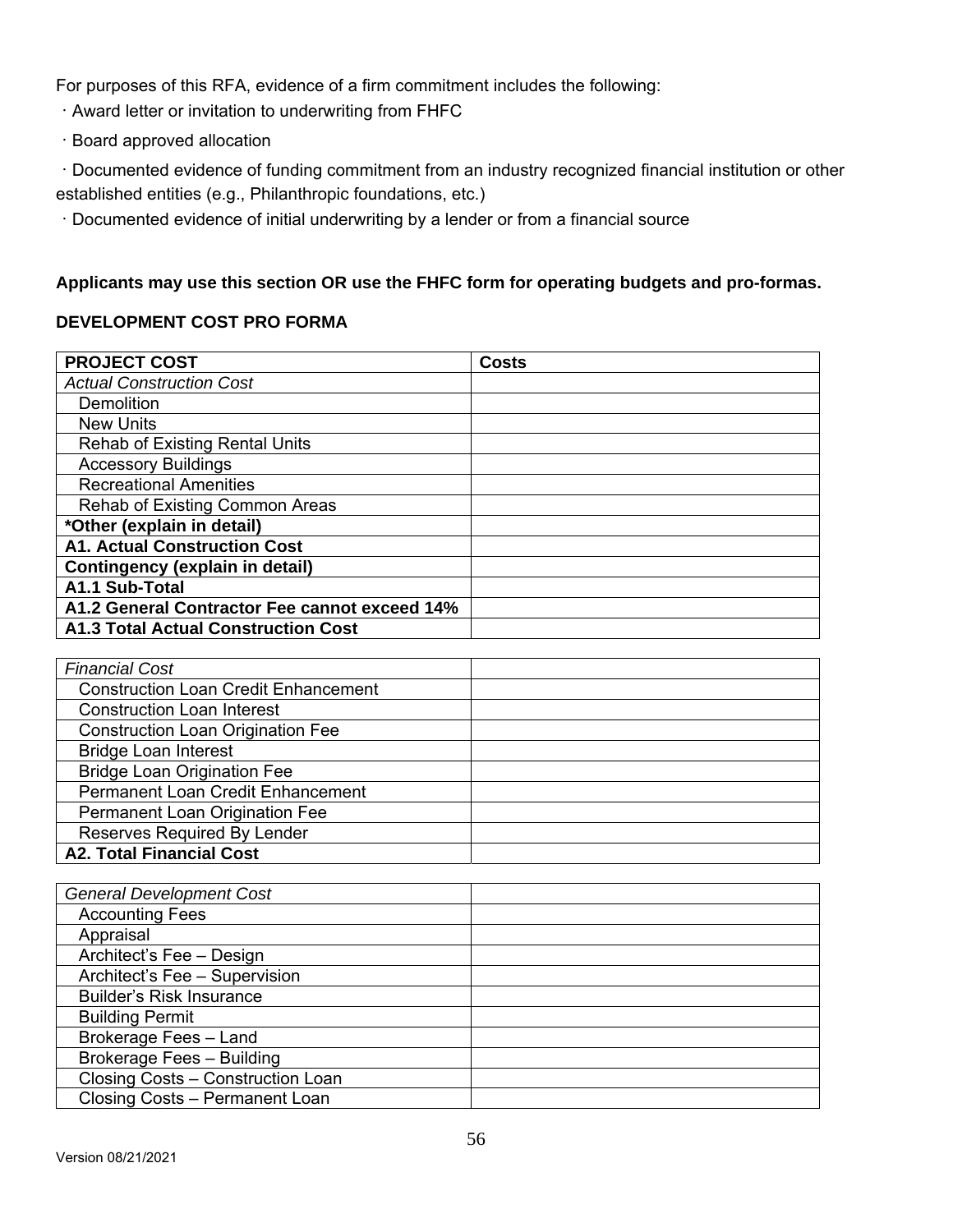For purposes of this RFA, evidence of a firm commitment includes the following:

- Award letter or invitation to underwriting from FHFC
- Board approved allocation

Documented evidence of funding commitment from an industry recognized financial institution or other established entities (e.g., Philanthropic foundations, etc.)

Documented evidence of initial underwriting by a lender or from a financial source

# **Applicants may use this section OR use the FHFC form for operating budgets and pro-formas.**

## **DEVELOPMENT COST PRO FORMA**

| <b>PROJECT COST</b>                           | <b>Costs</b> |
|-----------------------------------------------|--------------|
| <b>Actual Construction Cost</b>               |              |
| Demolition                                    |              |
| <b>New Units</b>                              |              |
| <b>Rehab of Existing Rental Units</b>         |              |
| <b>Accessory Buildings</b>                    |              |
| <b>Recreational Amenities</b>                 |              |
| Rehab of Existing Common Areas                |              |
| *Other (explain in detail)                    |              |
| <b>A1. Actual Construction Cost</b>           |              |
| Contingency (explain in detail)               |              |
| A1.1 Sub-Total                                |              |
| A1.2 General Contractor Fee cannot exceed 14% |              |
| <b>A1.3 Total Actual Construction Cost</b>    |              |

| <b>Financial Cost</b>                       |  |
|---------------------------------------------|--|
| <b>Construction Loan Credit Enhancement</b> |  |
| <b>Construction Loan Interest</b>           |  |
| <b>Construction Loan Origination Fee</b>    |  |
| <b>Bridge Loan Interest</b>                 |  |
| <b>Bridge Loan Origination Fee</b>          |  |
| Permanent Loan Credit Enhancement           |  |
| Permanent Loan Origination Fee              |  |
| Reserves Required By Lender                 |  |
| <b>A2. Total Financial Cost</b>             |  |

| <b>General Development Cost</b>   |  |
|-----------------------------------|--|
| <b>Accounting Fees</b>            |  |
| Appraisal                         |  |
| Architect's Fee - Design          |  |
| Architect's Fee - Supervision     |  |
| <b>Builder's Risk Insurance</b>   |  |
| <b>Building Permit</b>            |  |
| Brokerage Fees - Land             |  |
| Brokerage Fees - Building         |  |
| Closing Costs - Construction Loan |  |
| Closing Costs - Permanent Loan    |  |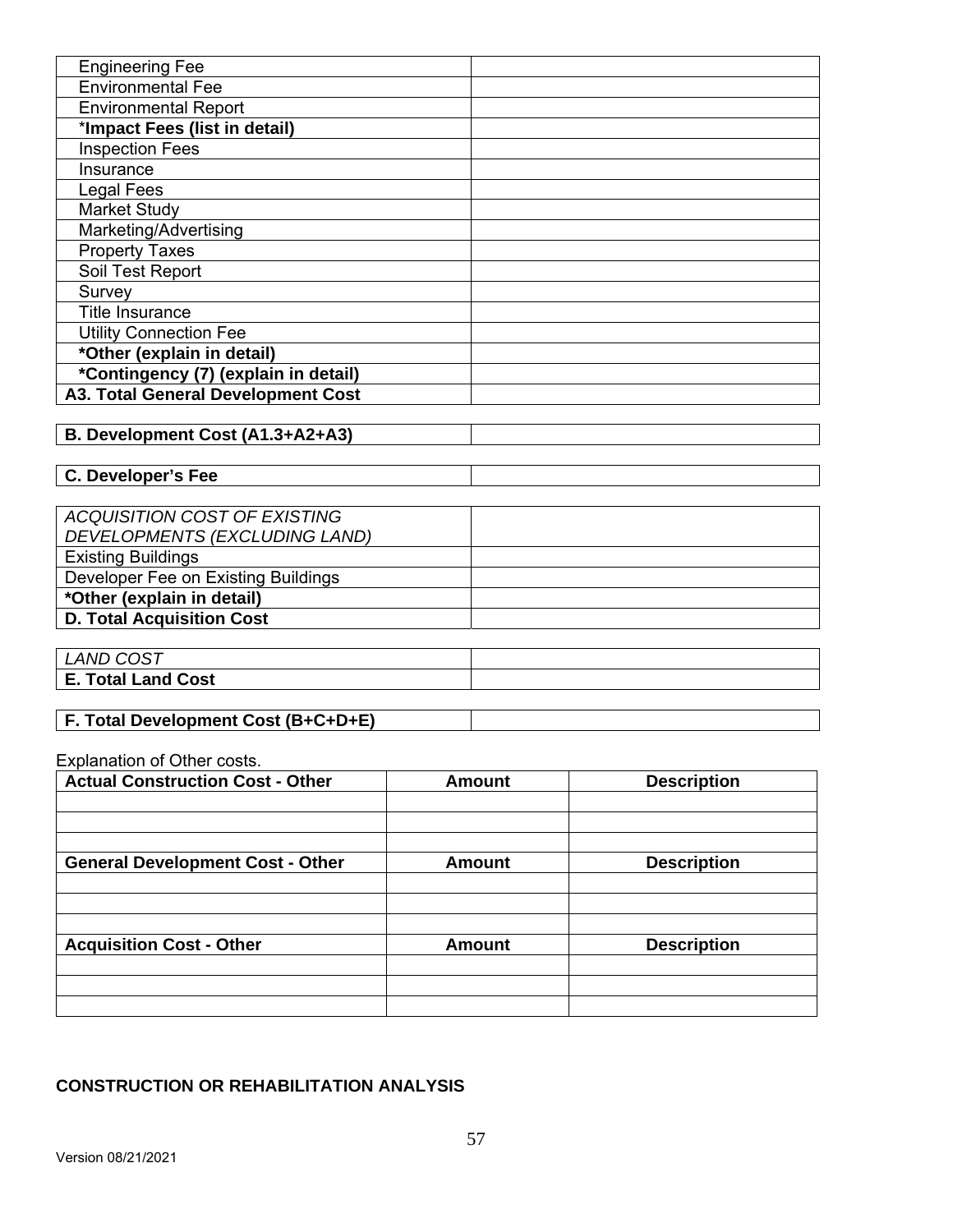| <b>Engineering Fee</b>               |  |
|--------------------------------------|--|
| <b>Environmental Fee</b>             |  |
| <b>Environmental Report</b>          |  |
| *Impact Fees (list in detail)        |  |
| <b>Inspection Fees</b>               |  |
| Insurance                            |  |
| Legal Fees                           |  |
| <b>Market Study</b>                  |  |
| Marketing/Advertising                |  |
| <b>Property Taxes</b>                |  |
| Soil Test Report                     |  |
| Survey                               |  |
| <b>Title Insurance</b>               |  |
| <b>Utility Connection Fee</b>        |  |
| *Other (explain in detail)           |  |
| *Contingency (7) (explain in detail) |  |
| A3. Total General Development Cost   |  |
|                                      |  |

# **B. Development Cost (A1.3+A2+A3)**

**C. Developer's Fee** 

| ACQUISITION COST OF EXISTING        |  |
|-------------------------------------|--|
| DEVELOPMENTS (EXCLUDING LAND)       |  |
| <b>Existing Buildings</b>           |  |
| Developer Fee on Existing Buildings |  |
| *Other (explain in detail)          |  |
| <b>D. Total Acquisition Cost</b>    |  |
|                                     |  |

| <b>LAND COST</b>          |  |
|---------------------------|--|
| <b>E. Total Land Cost</b> |  |
|                           |  |

# **F. Total Development Cost (B+C+D+E)**

Explanation of Other costs.

| <b>Actual Construction Cost - Other</b> | <b>Amount</b> | <b>Description</b> |
|-----------------------------------------|---------------|--------------------|
|                                         |               |                    |
|                                         |               |                    |
|                                         |               |                    |
| <b>General Development Cost - Other</b> | <b>Amount</b> | <b>Description</b> |
|                                         |               |                    |
|                                         |               |                    |
|                                         |               |                    |
| <b>Acquisition Cost - Other</b>         | <b>Amount</b> | <b>Description</b> |
|                                         |               |                    |
|                                         |               |                    |
|                                         |               |                    |

## **CONSTRUCTION OR REHABILITATION ANALYSIS**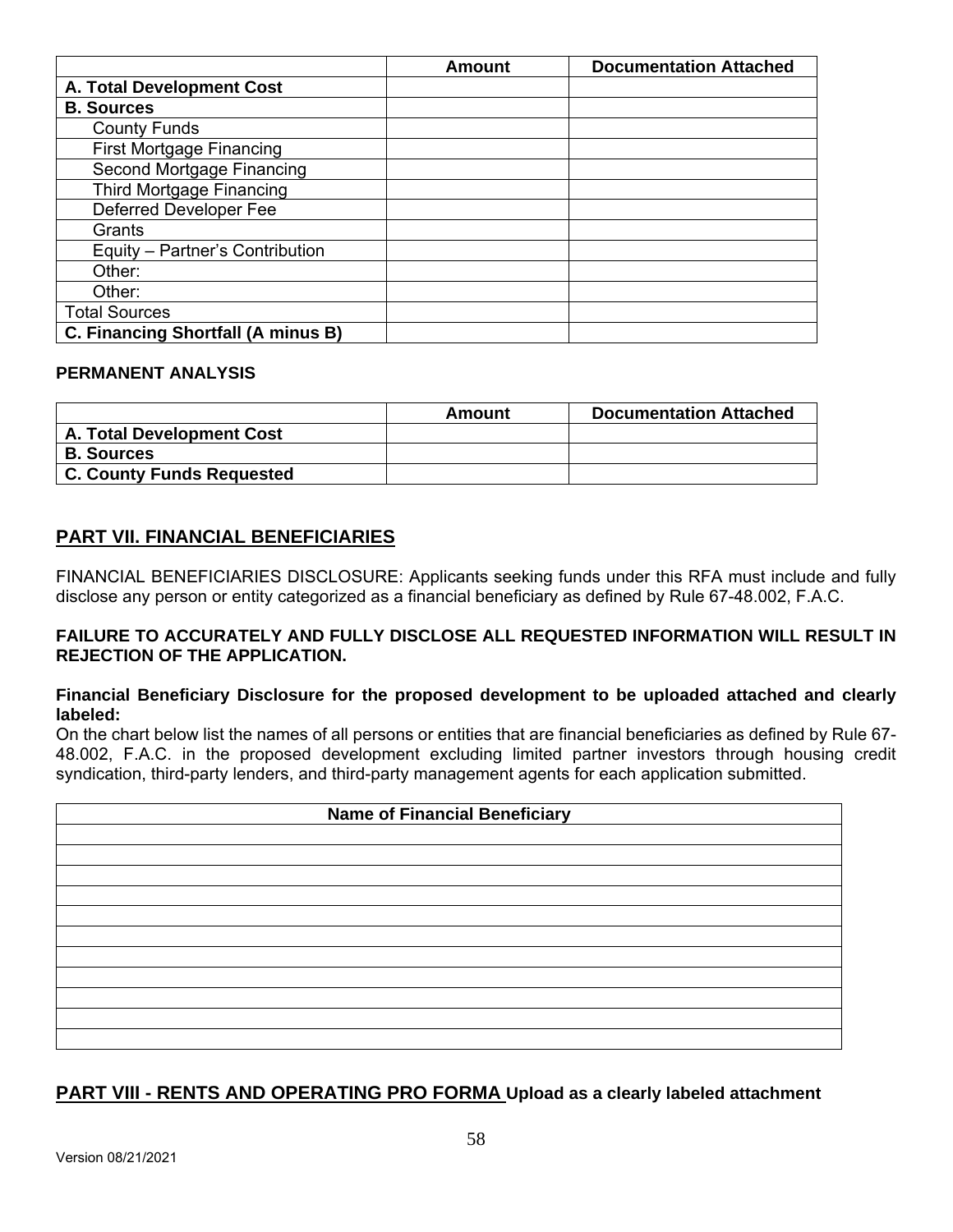|                                    | <b>Amount</b> | <b>Documentation Attached</b> |
|------------------------------------|---------------|-------------------------------|
| A. Total Development Cost          |               |                               |
| <b>B. Sources</b>                  |               |                               |
| <b>County Funds</b>                |               |                               |
| <b>First Mortgage Financing</b>    |               |                               |
| Second Mortgage Financing          |               |                               |
| Third Mortgage Financing           |               |                               |
| Deferred Developer Fee             |               |                               |
| Grants                             |               |                               |
| Equity - Partner's Contribution    |               |                               |
| Other:                             |               |                               |
| Other:                             |               |                               |
| <b>Total Sources</b>               |               |                               |
| C. Financing Shortfall (A minus B) |               |                               |

#### **PERMANENT ANALYSIS**

|                           | Amount | <b>Documentation Attached</b> |
|---------------------------|--------|-------------------------------|
| A. Total Development Cost |        |                               |
| <b>B. Sources</b>         |        |                               |
| C. County Funds Requested |        |                               |

## **PART VII. FINANCIAL BENEFICIARIES**

FINANCIAL BENEFICIARIES DISCLOSURE: Applicants seeking funds under this RFA must include and fully disclose any person or entity categorized as a financial beneficiary as defined by Rule 67-48.002, F.A.C.

#### **FAILURE TO ACCURATELY AND FULLY DISCLOSE ALL REQUESTED INFORMATION WILL RESULT IN REJECTION OF THE APPLICATION.**

#### **Financial Beneficiary Disclosure for the proposed development to be uploaded attached and clearly labeled:**

On the chart below list the names of all persons or entities that are financial beneficiaries as defined by Rule 67- 48.002, F.A.C. in the proposed development excluding limited partner investors through housing credit syndication, third-party lenders, and third-party management agents for each application submitted.

| <b>Name of Financial Beneficiary</b> |  |  |
|--------------------------------------|--|--|
|                                      |  |  |
|                                      |  |  |
|                                      |  |  |
|                                      |  |  |
|                                      |  |  |
|                                      |  |  |
|                                      |  |  |
|                                      |  |  |
|                                      |  |  |
|                                      |  |  |

## **PART VIII - RENTS AND OPERATING PRO FORMA Upload as a clearly labeled attachment**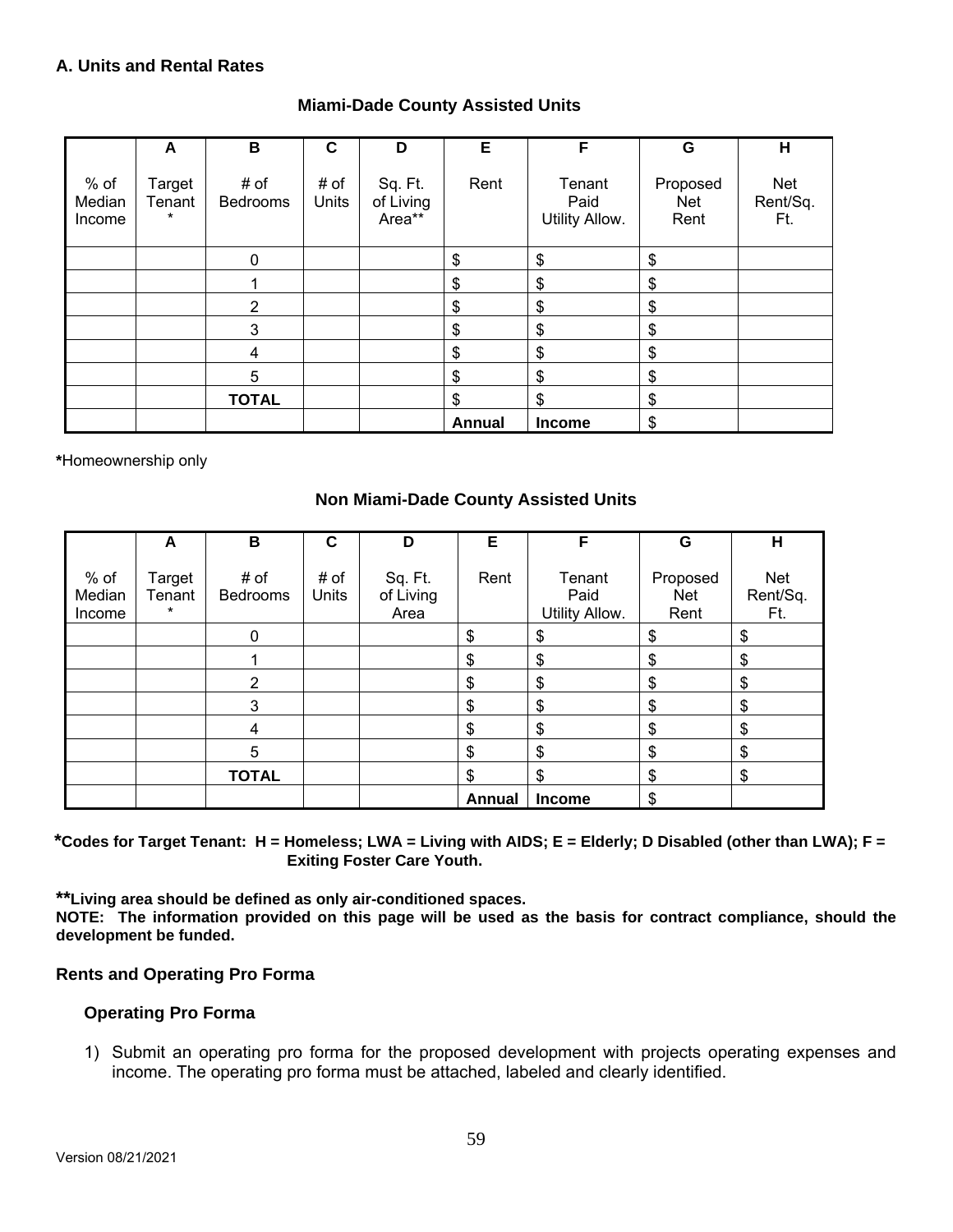## **A. Units and Rental Rates**

| <b>Miami-Dade County Assisted Units</b> |  |
|-----------------------------------------|--|
|-----------------------------------------|--|

|                          | A                           | B                       | C             | D                              | Е      | F                                | G                              | H                             |
|--------------------------|-----------------------------|-------------------------|---------------|--------------------------------|--------|----------------------------------|--------------------------------|-------------------------------|
| % of<br>Median<br>Income | Target<br>Tenant<br>$\star$ | # of<br><b>Bedrooms</b> | # of<br>Units | Sq. Ft.<br>of Living<br>Area** | Rent   | Tenant<br>Paid<br>Utility Allow. | Proposed<br><b>Net</b><br>Rent | <b>Net</b><br>Rent/Sq.<br>Ft. |
|                          |                             | $\mathbf 0$             |               |                                | \$     | \$                               | \$                             |                               |
|                          |                             |                         |               |                                | \$     | \$                               | \$                             |                               |
|                          |                             | $\overline{2}$          |               |                                | \$     | \$                               | \$                             |                               |
|                          |                             | 3                       |               |                                | \$     | \$                               | \$                             |                               |
|                          |                             | 4                       |               |                                | \$     | \$                               | \$                             |                               |
|                          |                             | 5                       |               |                                | \$     | \$                               | \$                             |                               |
|                          |                             | <b>TOTAL</b>            |               |                                | \$     | \$                               | \$                             |                               |
|                          |                             |                         |               |                                | Annual | <b>Income</b>                    | \$                             |                               |

**\***Homeownership only

#### **Non Miami-Dade County Assisted Units**

|                          | A                           | B                | $\mathbf c$   | D                            | Е      | F                                | G                              | Н                             |
|--------------------------|-----------------------------|------------------|---------------|------------------------------|--------|----------------------------------|--------------------------------|-------------------------------|
| % of<br>Median<br>Income | Target<br>Tenant<br>$\star$ | # of<br>Bedrooms | # of<br>Units | Sq. Ft.<br>of Living<br>Area | Rent   | Tenant<br>Paid<br>Utility Allow. | Proposed<br><b>Net</b><br>Rent | <b>Net</b><br>Rent/Sq.<br>Ft. |
|                          |                             | 0                |               |                              | \$     | \$                               | \$                             | \$                            |
|                          |                             |                  |               |                              | \$     | \$                               | \$                             | \$                            |
|                          |                             | 2                |               |                              | \$     | \$                               | \$                             | \$                            |
|                          |                             | 3                |               |                              | \$     | \$                               | \$                             | \$                            |
|                          |                             | $\overline{4}$   |               |                              | \$     | \$                               | \$                             | \$                            |
|                          |                             | 5                |               |                              | \$     | \$                               | \$                             | \$                            |
|                          |                             | <b>TOTAL</b>     |               |                              | \$     | \$                               | \$                             | \$                            |
|                          |                             |                  |               |                              | Annual | <b>Income</b>                    | \$                             |                               |

 **\*Codes for Target Tenant: H = Homeless; LWA = Living with AIDS; E = Elderly; D Disabled (other than LWA); F = Exiting Foster Care Youth.** 

**\*\*Living area should be defined as only air-conditioned spaces.** 

**NOTE: The information provided on this page will be used as the basis for contract compliance, should the development be funded.** 

#### **Rents and Operating Pro Forma**

#### **Operating Pro Forma**

1) Submit an operating pro forma for the proposed development with projects operating expenses and income. The operating pro forma must be attached, labeled and clearly identified.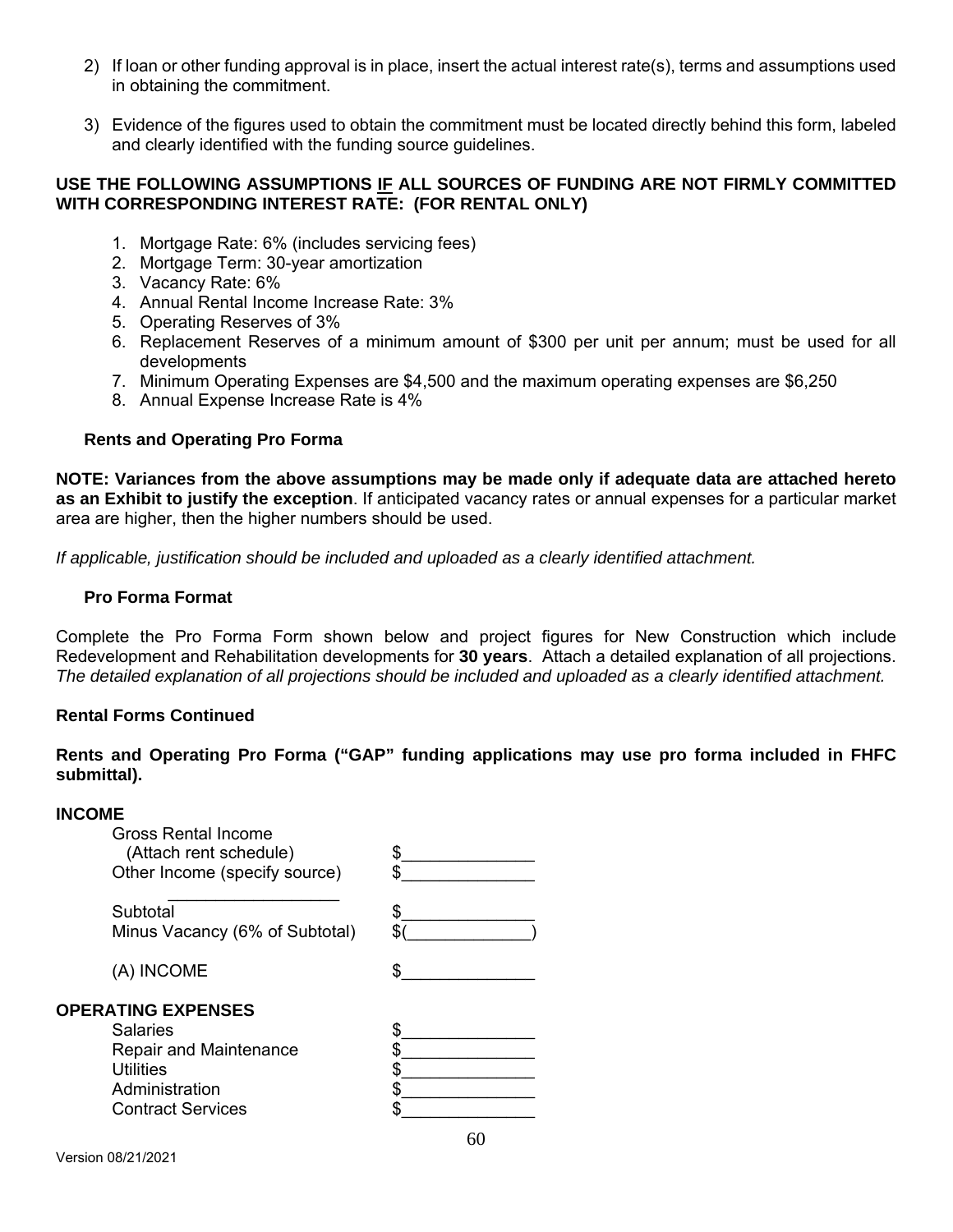- 2) If loan or other funding approval is in place, insert the actual interest rate(s), terms and assumptions used in obtaining the commitment.
- 3) Evidence of the figures used to obtain the commitment must be located directly behind this form, labeled and clearly identified with the funding source guidelines.

#### **USE THE FOLLOWING ASSUMPTIONS IF ALL SOURCES OF FUNDING ARE NOT FIRMLY COMMITTED WITH CORRESPONDING INTEREST RATE: (FOR RENTAL ONLY)**

- 1. Mortgage Rate: 6% (includes servicing fees)
- 2. Mortgage Term: 30-year amortization
- 3. Vacancy Rate: 6%
- 4. Annual Rental Income Increase Rate: 3%
- 5. Operating Reserves of 3%
- 6. Replacement Reserves of a minimum amount of \$300 per unit per annum; must be used for all developments
- 7. Minimum Operating Expenses are \$4,500 and the maximum operating expenses are \$6,250
- 8. Annual Expense Increase Rate is 4%

## **Rents and Operating Pro Forma**

**NOTE: Variances from the above assumptions may be made only if adequate data are attached hereto as an Exhibit to justify the exception**. If anticipated vacancy rates or annual expenses for a particular market area are higher, then the higher numbers should be used.

*If applicable, justification should be included and uploaded as a clearly identified attachment.* 

#### **Pro Forma Format**

Complete the Pro Forma Form shown below and project figures for New Construction which include Redevelopment and Rehabilitation developments for **30 years**. Attach a detailed explanation of all projections. *The detailed explanation of all projections should be included and uploaded as a clearly identified attachment.*

#### **Rental Forms Continued**

**Rents and Operating Pro Forma ("GAP" funding applications may use pro forma included in FHFC submittal).** 

#### **INCOME**

| <b>Gross Rental Income</b><br>(Attach rent schedule)<br>Other Income (specify source)                                      |  |
|----------------------------------------------------------------------------------------------------------------------------|--|
| Subtotal<br>Minus Vacancy (6% of Subtotal)                                                                                 |  |
| (A) INCOME                                                                                                                 |  |
| <b>OPERATING EXPENSES</b><br>Salaries<br>Repair and Maintenance<br>Utilities<br>Administration<br><b>Contract Services</b> |  |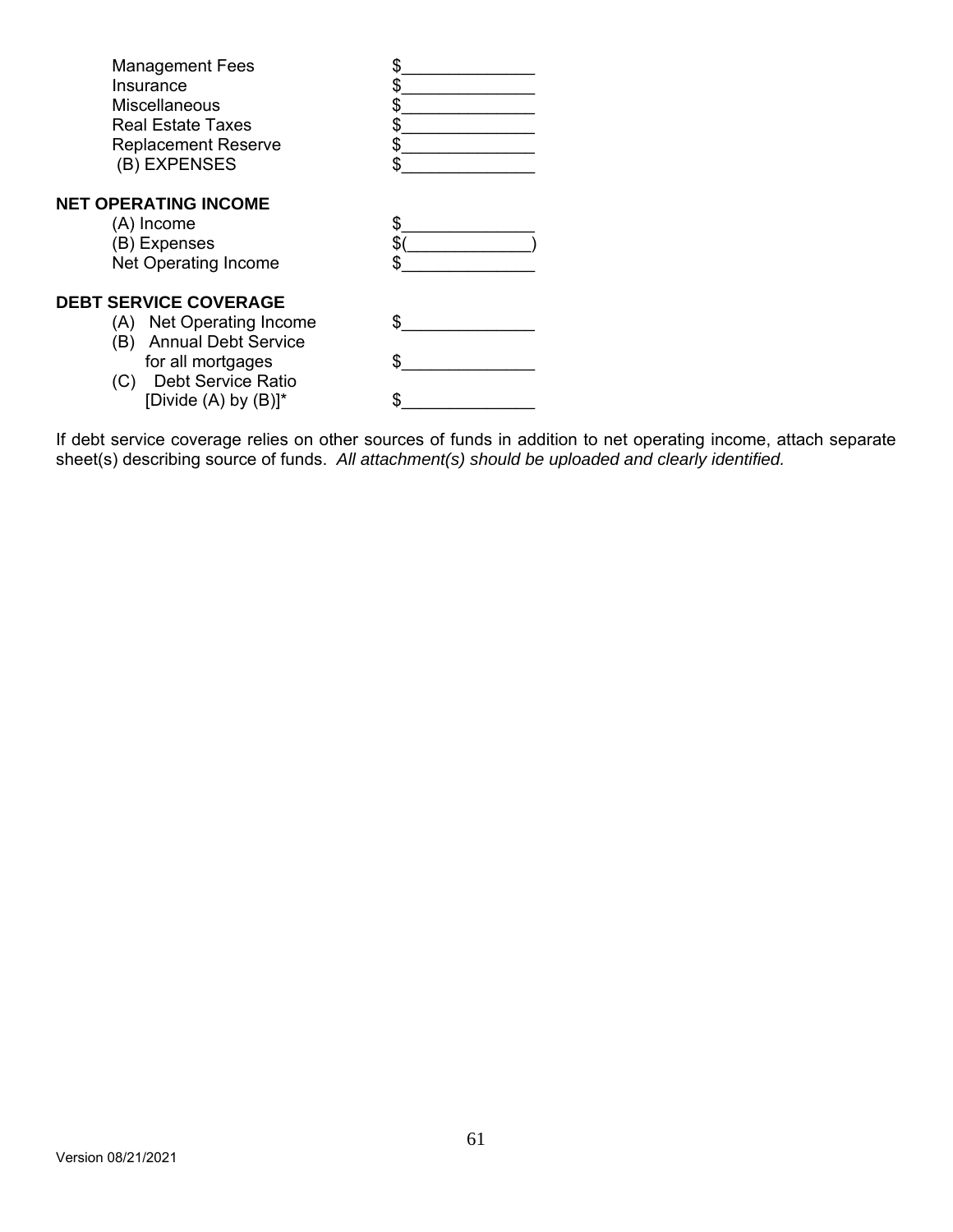| <b>Management Fees</b>            |  |
|-----------------------------------|--|
| Insurance                         |  |
| <b>Miscellaneous</b>              |  |
| <b>Real Estate Taxes</b>          |  |
| <b>Replacement Reserve</b>        |  |
| (B) EXPENSES                      |  |
| <b>NET OPERATING INCOME</b>       |  |
| (A) Income                        |  |
| (B) Expenses                      |  |
| Net Operating Income              |  |
| <b>DEBT SERVICE COVERAGE</b>      |  |
| (A) Net Operating Income          |  |
| <b>Annual Debt Service</b><br>(B) |  |
| for all mortgages                 |  |
| <b>Debt Service Ratio</b><br>(C)  |  |
| [Divide $(A)$ by $(B)$ ]*         |  |
|                                   |  |

If debt service coverage relies on other sources of funds in addition to net operating income, attach separate sheet(s) describing source of funds. *All attachment(s) should be uploaded and clearly identified.*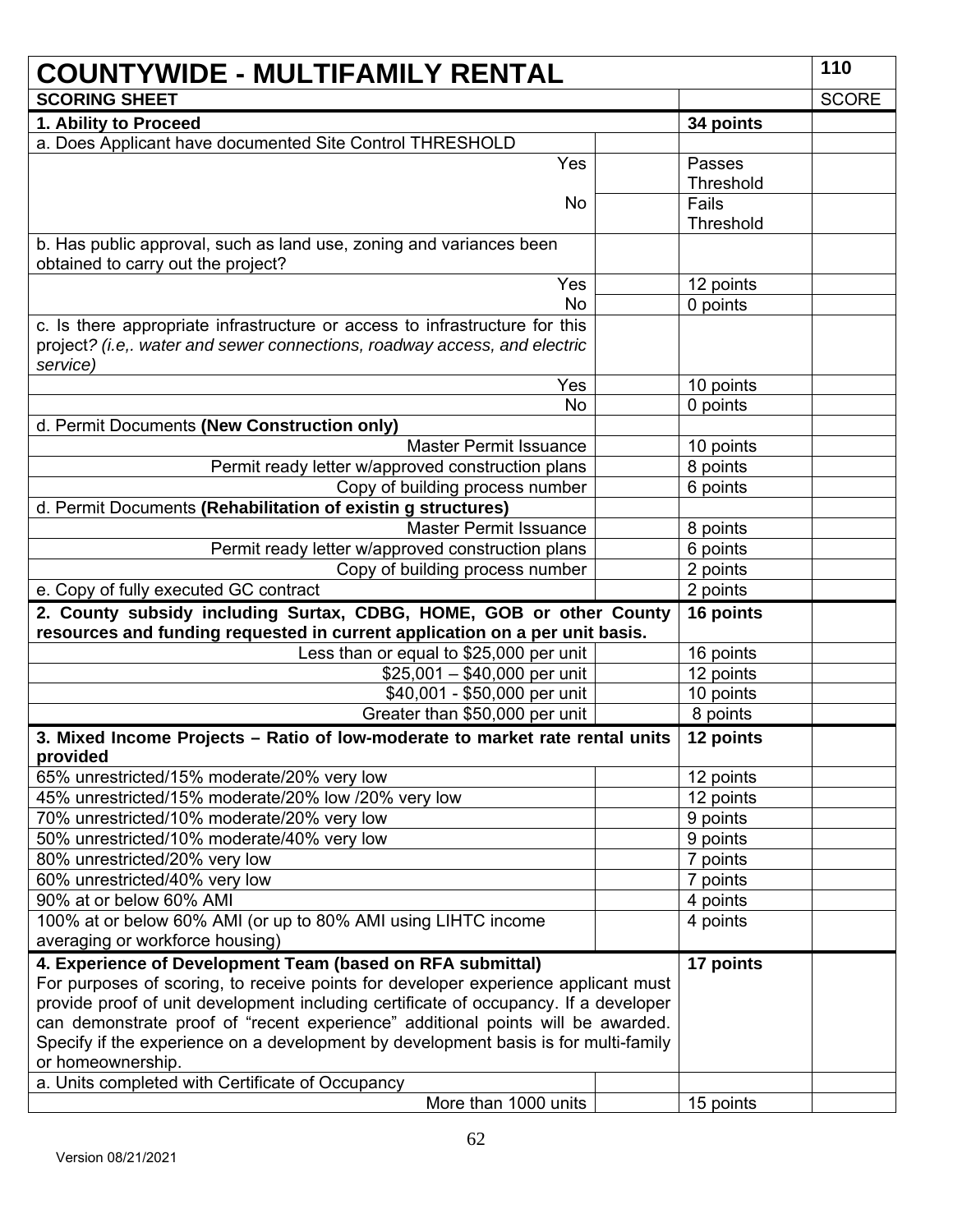| <b>COUNTYWIDE - MULTIFAMILY RENTAL</b>                                                                                                                                                                                                                                                                                                                                                                             |  |           |              |
|--------------------------------------------------------------------------------------------------------------------------------------------------------------------------------------------------------------------------------------------------------------------------------------------------------------------------------------------------------------------------------------------------------------------|--|-----------|--------------|
| <b>SCORING SHEET</b>                                                                                                                                                                                                                                                                                                                                                                                               |  |           | <b>SCORE</b> |
| 1. Ability to Proceed                                                                                                                                                                                                                                                                                                                                                                                              |  | 34 points |              |
| a. Does Applicant have documented Site Control THRESHOLD                                                                                                                                                                                                                                                                                                                                                           |  |           |              |
| Yes                                                                                                                                                                                                                                                                                                                                                                                                                |  | Passes    |              |
|                                                                                                                                                                                                                                                                                                                                                                                                                    |  | Threshold |              |
| <b>No</b>                                                                                                                                                                                                                                                                                                                                                                                                          |  | Fails     |              |
|                                                                                                                                                                                                                                                                                                                                                                                                                    |  | Threshold |              |
| b. Has public approval, such as land use, zoning and variances been<br>obtained to carry out the project?                                                                                                                                                                                                                                                                                                          |  |           |              |
| Yes                                                                                                                                                                                                                                                                                                                                                                                                                |  | 12 points |              |
| <b>No</b>                                                                                                                                                                                                                                                                                                                                                                                                          |  | 0 points  |              |
| c. Is there appropriate infrastructure or access to infrastructure for this<br>project? (i.e,. water and sewer connections, roadway access, and electric<br>service)                                                                                                                                                                                                                                               |  |           |              |
| Yes                                                                                                                                                                                                                                                                                                                                                                                                                |  | 10 points |              |
| <b>No</b>                                                                                                                                                                                                                                                                                                                                                                                                          |  | 0 points  |              |
| d. Permit Documents (New Construction only)                                                                                                                                                                                                                                                                                                                                                                        |  |           |              |
| <b>Master Permit Issuance</b>                                                                                                                                                                                                                                                                                                                                                                                      |  | 10 points |              |
| Permit ready letter w/approved construction plans                                                                                                                                                                                                                                                                                                                                                                  |  | 8 points  |              |
| Copy of building process number                                                                                                                                                                                                                                                                                                                                                                                    |  | 6 points  |              |
| d. Permit Documents (Rehabilitation of existin g structures)                                                                                                                                                                                                                                                                                                                                                       |  |           |              |
| <b>Master Permit Issuance</b>                                                                                                                                                                                                                                                                                                                                                                                      |  | 8 points  |              |
| Permit ready letter w/approved construction plans                                                                                                                                                                                                                                                                                                                                                                  |  | 6 points  |              |
| Copy of building process number                                                                                                                                                                                                                                                                                                                                                                                    |  | 2 points  |              |
| e. Copy of fully executed GC contract                                                                                                                                                                                                                                                                                                                                                                              |  | 2 points  |              |
| 2. County subsidy including Surtax, CDBG, HOME, GOB or other County<br>resources and funding requested in current application on a per unit basis.                                                                                                                                                                                                                                                                 |  | 16 points |              |
| Less than or equal to \$25,000 per unit                                                                                                                                                                                                                                                                                                                                                                            |  | 16 points |              |
| $$25,001 - $40,000$ per unit                                                                                                                                                                                                                                                                                                                                                                                       |  | 12 points |              |
| \$40,001 - \$50,000 per unit                                                                                                                                                                                                                                                                                                                                                                                       |  | 10 points |              |
| Greater than \$50,000 per unit                                                                                                                                                                                                                                                                                                                                                                                     |  | 8 points  |              |
| 3. Mixed Income Projects - Ratio of low-moderate to market rate rental units<br>provided                                                                                                                                                                                                                                                                                                                           |  | 12 points |              |
| 65% unrestricted/15% moderate/20% very low                                                                                                                                                                                                                                                                                                                                                                         |  | 12 points |              |
| 45% unrestricted/15% moderate/20% low /20% very low                                                                                                                                                                                                                                                                                                                                                                |  | 12 points |              |
| 70% unrestricted/10% moderate/20% very low                                                                                                                                                                                                                                                                                                                                                                         |  | 9 points  |              |
| 50% unrestricted/10% moderate/40% very low                                                                                                                                                                                                                                                                                                                                                                         |  | 9 points  |              |
| 80% unrestricted/20% very low                                                                                                                                                                                                                                                                                                                                                                                      |  | 7 points  |              |
| 60% unrestricted/40% very low                                                                                                                                                                                                                                                                                                                                                                                      |  | 7 points  |              |
| 90% at or below 60% AMI                                                                                                                                                                                                                                                                                                                                                                                            |  | 4 points  |              |
| 100% at or below 60% AMI (or up to 80% AMI using LIHTC income                                                                                                                                                                                                                                                                                                                                                      |  | 4 points  |              |
| averaging or workforce housing)                                                                                                                                                                                                                                                                                                                                                                                    |  |           |              |
| 4. Experience of Development Team (based on RFA submittal)<br>For purposes of scoring, to receive points for developer experience applicant must<br>provide proof of unit development including certificate of occupancy. If a developer<br>can demonstrate proof of "recent experience" additional points will be awarded.<br>Specify if the experience on a development by development basis is for multi-family |  | 17 points |              |
| or homeownership.                                                                                                                                                                                                                                                                                                                                                                                                  |  |           |              |
| a. Units completed with Certificate of Occupancy                                                                                                                                                                                                                                                                                                                                                                   |  |           |              |
| More than 1000 units                                                                                                                                                                                                                                                                                                                                                                                               |  | 15 points |              |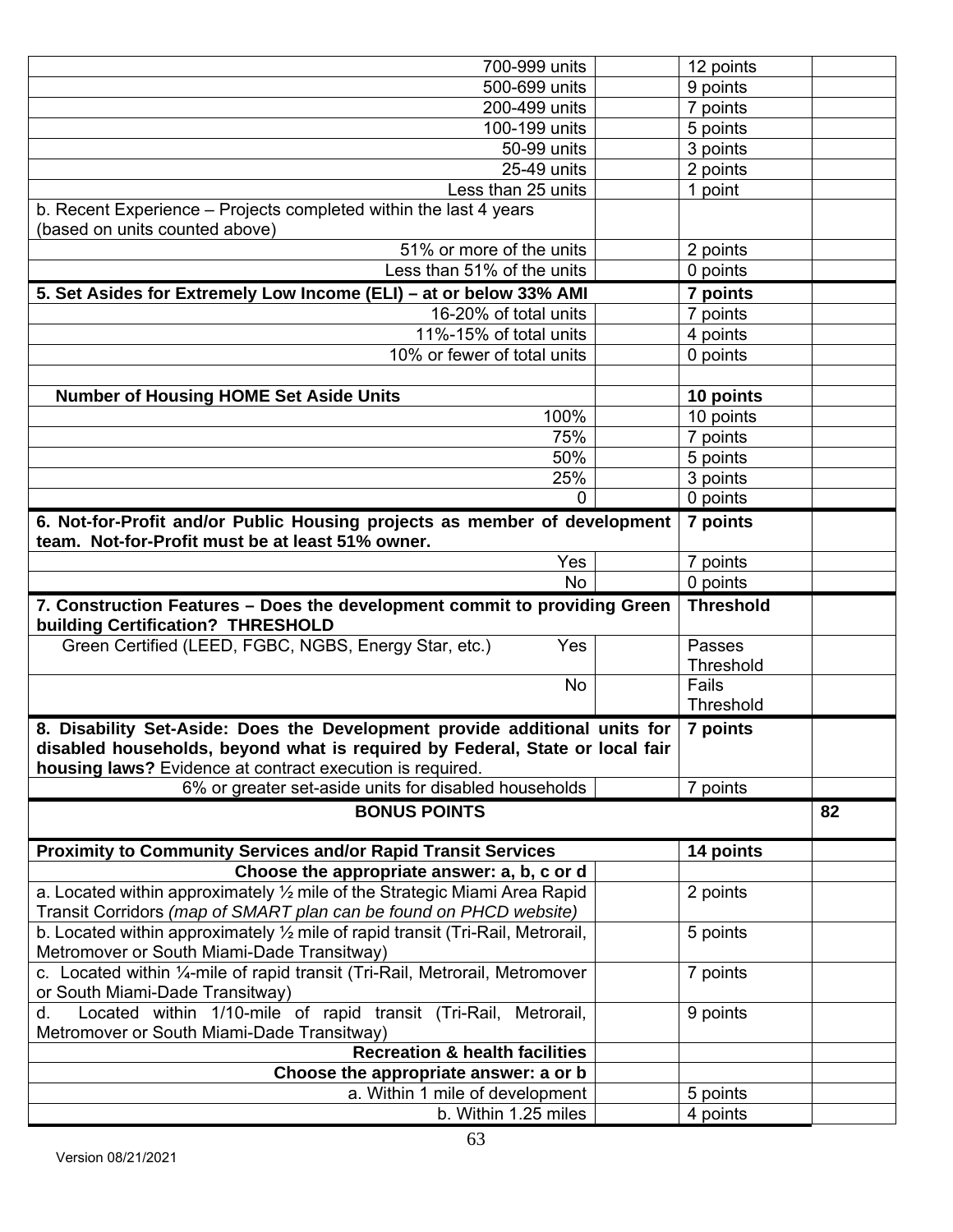| 700-999 units                                                                                                                                    | 12 points            |    |
|--------------------------------------------------------------------------------------------------------------------------------------------------|----------------------|----|
| 500-699 units                                                                                                                                    | 9 points             |    |
| 200-499 units                                                                                                                                    | 7 points             |    |
| 100-199 units                                                                                                                                    | 5 points             |    |
| 50-99 units                                                                                                                                      | 3 points             |    |
| 25-49 units                                                                                                                                      | 2 points             |    |
| Less than 25 units                                                                                                                               | 1 point              |    |
| b. Recent Experience - Projects completed within the last 4 years<br>(based on units counted above)                                              |                      |    |
| 51% or more of the units                                                                                                                         | 2 points             |    |
| Less than 51% of the units                                                                                                                       | 0 points             |    |
| 5. Set Asides for Extremely Low Income (ELI) – at or below 33% AMI                                                                               | 7 points             |    |
| 16-20% of total units                                                                                                                            | 7 points             |    |
| 11%-15% of total units                                                                                                                           | 4 points             |    |
| 10% or fewer of total units                                                                                                                      | 0 points             |    |
|                                                                                                                                                  |                      |    |
| <b>Number of Housing HOME Set Aside Units</b>                                                                                                    | 10 points            |    |
| 100%<br>75%                                                                                                                                      | 10 points            |    |
| 50%                                                                                                                                              | 7 points<br>5 points |    |
| 25%                                                                                                                                              | 3 points             |    |
| 0                                                                                                                                                | 0 points             |    |
| 6. Not-for-Profit and/or Public Housing projects as member of development                                                                        | 7 points             |    |
| team. Not-for-Profit must be at least 51% owner.                                                                                                 |                      |    |
| Yes                                                                                                                                              | 7 points             |    |
|                                                                                                                                                  |                      |    |
| No                                                                                                                                               | 0 points             |    |
| 7. Construction Features - Does the development commit to providing Green<br>building Certification? THRESHOLD                                   | <b>Threshold</b>     |    |
| Green Certified (LEED, FGBC, NGBS, Energy Star, etc.)<br>Yes                                                                                     | Passes               |    |
| No                                                                                                                                               | Threshold<br>Fails   |    |
|                                                                                                                                                  | <b>Threshold</b>     |    |
| 8. Disability Set-Aside: Does the Development provide additional units for                                                                       | 7 points             |    |
| disabled households, beyond what is required by Federal, State or local fair<br>housing laws? Evidence at contract execution is required.        |                      |    |
| 6% or greater set-aside units for disabled households                                                                                            | 7 points             |    |
| <b>BONUS POINTS</b>                                                                                                                              |                      | 82 |
| <b>Proximity to Community Services and/or Rapid Transit Services</b>                                                                             | 14 points            |    |
| Choose the appropriate answer: a, b, c or d                                                                                                      |                      |    |
| a. Located within approximately 1/2 mile of the Strategic Miami Area Rapid<br>Transit Corridors (map of SMART plan can be found on PHCD website) | 2 points             |    |
| b. Located within approximately $\frac{1}{2}$ mile of rapid transit (Tri-Rail, Metrorail,                                                        | 5 points             |    |
| Metromover or South Miami-Dade Transitway)<br>c. Located within 1/4-mile of rapid transit (Tri-Rail, Metrorail, Metromover                       | 7 points             |    |
| or South Miami-Dade Transitway)<br>Located within 1/10-mile of rapid transit (Tri-Rail, Metrorail,<br>d.                                         | 9 points             |    |
| Metromover or South Miami-Dade Transitway)<br><b>Recreation &amp; health facilities</b>                                                          |                      |    |
| Choose the appropriate answer: a or b                                                                                                            |                      |    |
| a. Within 1 mile of development                                                                                                                  | 5 points             |    |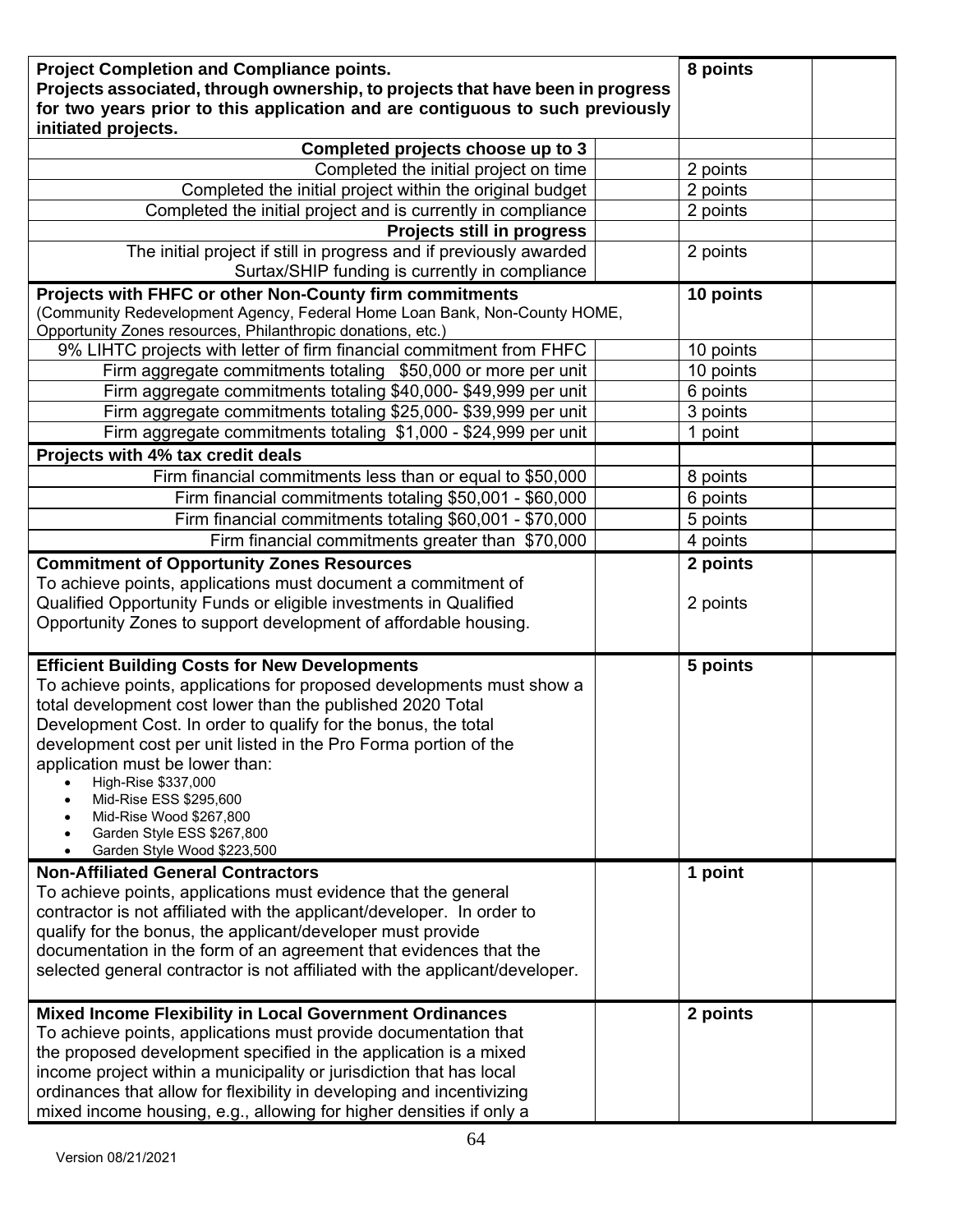| <b>Project Completion and Compliance points.</b><br>Projects associated, through ownership, to projects that have been in progress<br>for two years prior to this application and are contiguous to such previously<br>initiated projects.                                                                                                                                                                                                                                                                    | 8 points  |  |
|---------------------------------------------------------------------------------------------------------------------------------------------------------------------------------------------------------------------------------------------------------------------------------------------------------------------------------------------------------------------------------------------------------------------------------------------------------------------------------------------------------------|-----------|--|
| Completed projects choose up to 3                                                                                                                                                                                                                                                                                                                                                                                                                                                                             |           |  |
| Completed the initial project on time                                                                                                                                                                                                                                                                                                                                                                                                                                                                         | 2 points  |  |
| Completed the initial project within the original budget                                                                                                                                                                                                                                                                                                                                                                                                                                                      | 2 points  |  |
| Completed the initial project and is currently in compliance                                                                                                                                                                                                                                                                                                                                                                                                                                                  | 2 points  |  |
| Projects still in progress                                                                                                                                                                                                                                                                                                                                                                                                                                                                                    |           |  |
| The initial project if still in progress and if previously awarded                                                                                                                                                                                                                                                                                                                                                                                                                                            | 2 points  |  |
| Surtax/SHIP funding is currently in compliance                                                                                                                                                                                                                                                                                                                                                                                                                                                                |           |  |
| Projects with FHFC or other Non-County firm commitments<br>(Community Redevelopment Agency, Federal Home Loan Bank, Non-County HOME,<br>Opportunity Zones resources, Philanthropic donations, etc.)                                                                                                                                                                                                                                                                                                           | 10 points |  |
| 9% LIHTC projects with letter of firm financial commitment from FHFC                                                                                                                                                                                                                                                                                                                                                                                                                                          | 10 points |  |
| Firm aggregate commitments totaling \$50,000 or more per unit                                                                                                                                                                                                                                                                                                                                                                                                                                                 | 10 points |  |
| Firm aggregate commitments totaling \$40,000-\$49,999 per unit                                                                                                                                                                                                                                                                                                                                                                                                                                                | 6 points  |  |
| Firm aggregate commitments totaling \$25,000- \$39,999 per unit                                                                                                                                                                                                                                                                                                                                                                                                                                               | 3 points  |  |
| Firm aggregate commitments totaling \$1,000 - \$24,999 per unit                                                                                                                                                                                                                                                                                                                                                                                                                                               | 1 point   |  |
| Projects with 4% tax credit deals                                                                                                                                                                                                                                                                                                                                                                                                                                                                             |           |  |
| Firm financial commitments less than or equal to \$50,000                                                                                                                                                                                                                                                                                                                                                                                                                                                     | 8 points  |  |
| Firm financial commitments totaling \$50,001 - \$60,000                                                                                                                                                                                                                                                                                                                                                                                                                                                       | 6 points  |  |
| Firm financial commitments totaling \$60,001 - \$70,000                                                                                                                                                                                                                                                                                                                                                                                                                                                       | 5 points  |  |
| Firm financial commitments greater than \$70,000                                                                                                                                                                                                                                                                                                                                                                                                                                                              | 4 points  |  |
| <b>Commitment of Opportunity Zones Resources</b>                                                                                                                                                                                                                                                                                                                                                                                                                                                              | 2 points  |  |
| To achieve points, applications must document a commitment of<br>Qualified Opportunity Funds or eligible investments in Qualified<br>Opportunity Zones to support development of affordable housing.                                                                                                                                                                                                                                                                                                          | 2 points  |  |
| <b>Efficient Building Costs for New Developments</b><br>To achieve points, applications for proposed developments must show a<br>total development cost lower than the published 2020 Total<br>Development Cost. In order to qualify for the bonus, the total<br>development cost per unit listed in the Pro Forma portion of the<br>application must be lower than:<br>High-Rise \$337,000<br>Mid-Rise ESS \$295,600<br>Mid-Rise Wood \$267,800<br>Garden Style ESS \$267,800<br>Garden Style Wood \$223,500 | 5 points  |  |
| <b>Non-Affiliated General Contractors</b><br>To achieve points, applications must evidence that the general<br>contractor is not affiliated with the applicant/developer. In order to<br>qualify for the bonus, the applicant/developer must provide<br>documentation in the form of an agreement that evidences that the<br>selected general contractor is not affiliated with the applicant/developer.                                                                                                      | 1 point   |  |
| Mixed Income Flexibility in Local Government Ordinances<br>To achieve points, applications must provide documentation that<br>the proposed development specified in the application is a mixed<br>income project within a municipality or jurisdiction that has local<br>ordinances that allow for flexibility in developing and incentivizing<br>mixed income housing, e.g., allowing for higher densities if only a                                                                                         | 2 points  |  |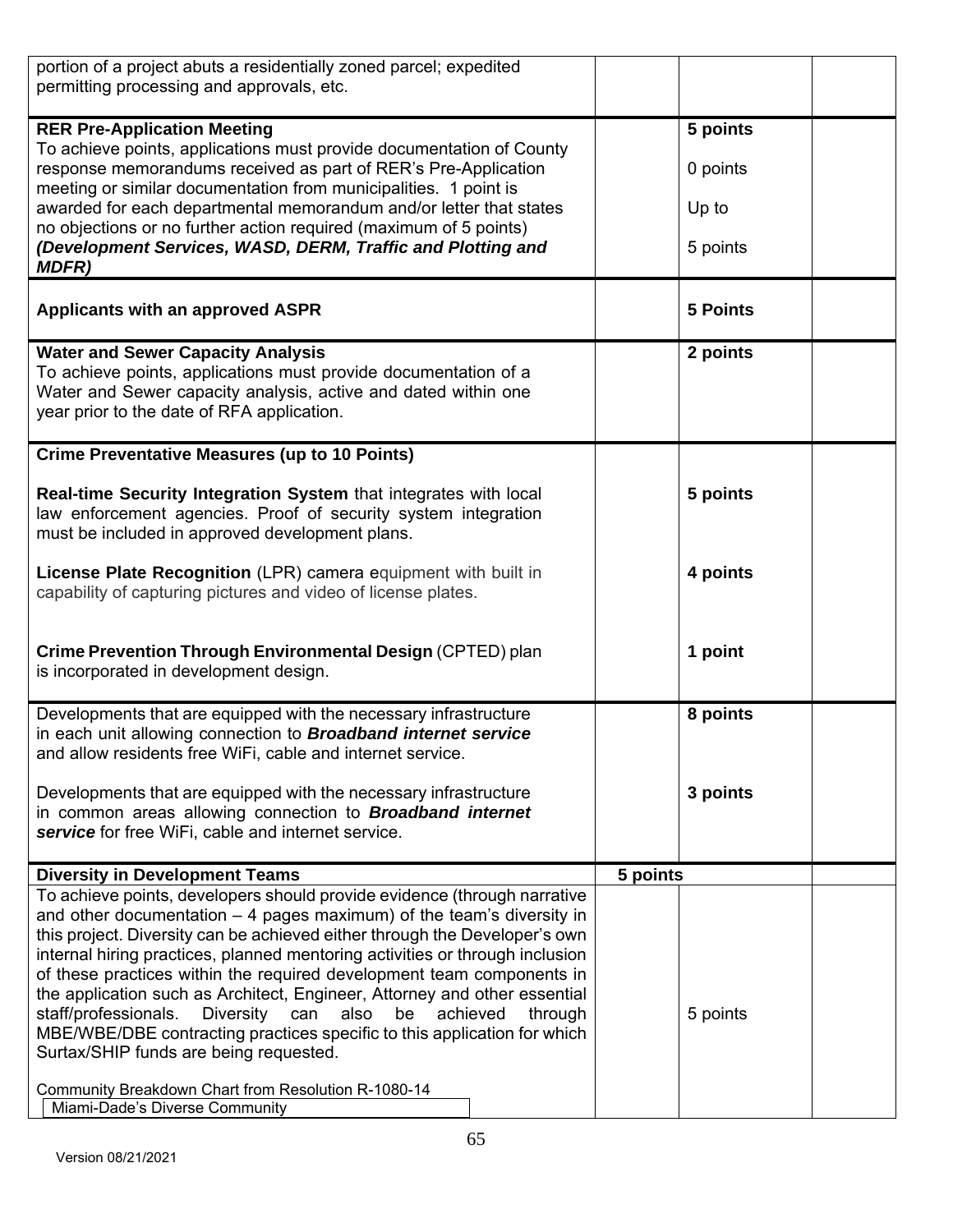| portion of a project abuts a residentially zoned parcel; expedited<br>permitting processing and approvals, etc.                                                                                                                                                                                                                                                                                                                                                                                                                                                                                                                                                                      |                 |  |
|--------------------------------------------------------------------------------------------------------------------------------------------------------------------------------------------------------------------------------------------------------------------------------------------------------------------------------------------------------------------------------------------------------------------------------------------------------------------------------------------------------------------------------------------------------------------------------------------------------------------------------------------------------------------------------------|-----------------|--|
| <b>RER Pre-Application Meeting</b>                                                                                                                                                                                                                                                                                                                                                                                                                                                                                                                                                                                                                                                   | 5 points        |  |
| To achieve points, applications must provide documentation of County<br>response memorandums received as part of RER's Pre-Application                                                                                                                                                                                                                                                                                                                                                                                                                                                                                                                                               | 0 points        |  |
| meeting or similar documentation from municipalities. 1 point is<br>awarded for each departmental memorandum and/or letter that states<br>no objections or no further action required (maximum of 5 points)                                                                                                                                                                                                                                                                                                                                                                                                                                                                          | Up to           |  |
| (Development Services, WASD, DERM, Traffic and Plotting and<br><b>MDFR)</b>                                                                                                                                                                                                                                                                                                                                                                                                                                                                                                                                                                                                          | 5 points        |  |
| <b>Applicants with an approved ASPR</b>                                                                                                                                                                                                                                                                                                                                                                                                                                                                                                                                                                                                                                              | <b>5 Points</b> |  |
| <b>Water and Sewer Capacity Analysis</b>                                                                                                                                                                                                                                                                                                                                                                                                                                                                                                                                                                                                                                             | 2 points        |  |
| To achieve points, applications must provide documentation of a<br>Water and Sewer capacity analysis, active and dated within one<br>year prior to the date of RFA application.                                                                                                                                                                                                                                                                                                                                                                                                                                                                                                      |                 |  |
| <b>Crime Preventative Measures (up to 10 Points)</b>                                                                                                                                                                                                                                                                                                                                                                                                                                                                                                                                                                                                                                 |                 |  |
| Real-time Security Integration System that integrates with local<br>law enforcement agencies. Proof of security system integration<br>must be included in approved development plans.                                                                                                                                                                                                                                                                                                                                                                                                                                                                                                | 5 points        |  |
| License Plate Recognition (LPR) camera equipment with built in<br>capability of capturing pictures and video of license plates.                                                                                                                                                                                                                                                                                                                                                                                                                                                                                                                                                      | 4 points        |  |
| Crime Prevention Through Environmental Design (CPTED) plan<br>is incorporated in development design.                                                                                                                                                                                                                                                                                                                                                                                                                                                                                                                                                                                 | 1 point         |  |
| Developments that are equipped with the necessary infrastructure<br>in each unit allowing connection to Broadband internet service<br>and allow residents free WiFi, cable and internet service.                                                                                                                                                                                                                                                                                                                                                                                                                                                                                     | 8 points        |  |
| Developments that are equipped with the necessary infrastructure<br>in common areas allowing connection to <b>Broadband internet</b><br>service for free WiFi, cable and internet service.                                                                                                                                                                                                                                                                                                                                                                                                                                                                                           | 3 points        |  |
| <b>Diversity in Development Teams</b>                                                                                                                                                                                                                                                                                                                                                                                                                                                                                                                                                                                                                                                | 5 points        |  |
| To achieve points, developers should provide evidence (through narrative<br>and other documentation $-4$ pages maximum) of the team's diversity in<br>this project. Diversity can be achieved either through the Developer's own<br>internal hiring practices, planned mentoring activities or through inclusion<br>of these practices within the required development team components in<br>the application such as Architect, Engineer, Attorney and other essential<br>also<br>staff/professionals.<br><b>Diversity</b><br>be<br>achieved<br>can<br>through<br>MBE/WBE/DBE contracting practices specific to this application for which<br>Surtax/SHIP funds are being requested. | 5 points        |  |
| Community Breakdown Chart from Resolution R-1080-14<br>Miami-Dade's Diverse Community                                                                                                                                                                                                                                                                                                                                                                                                                                                                                                                                                                                                |                 |  |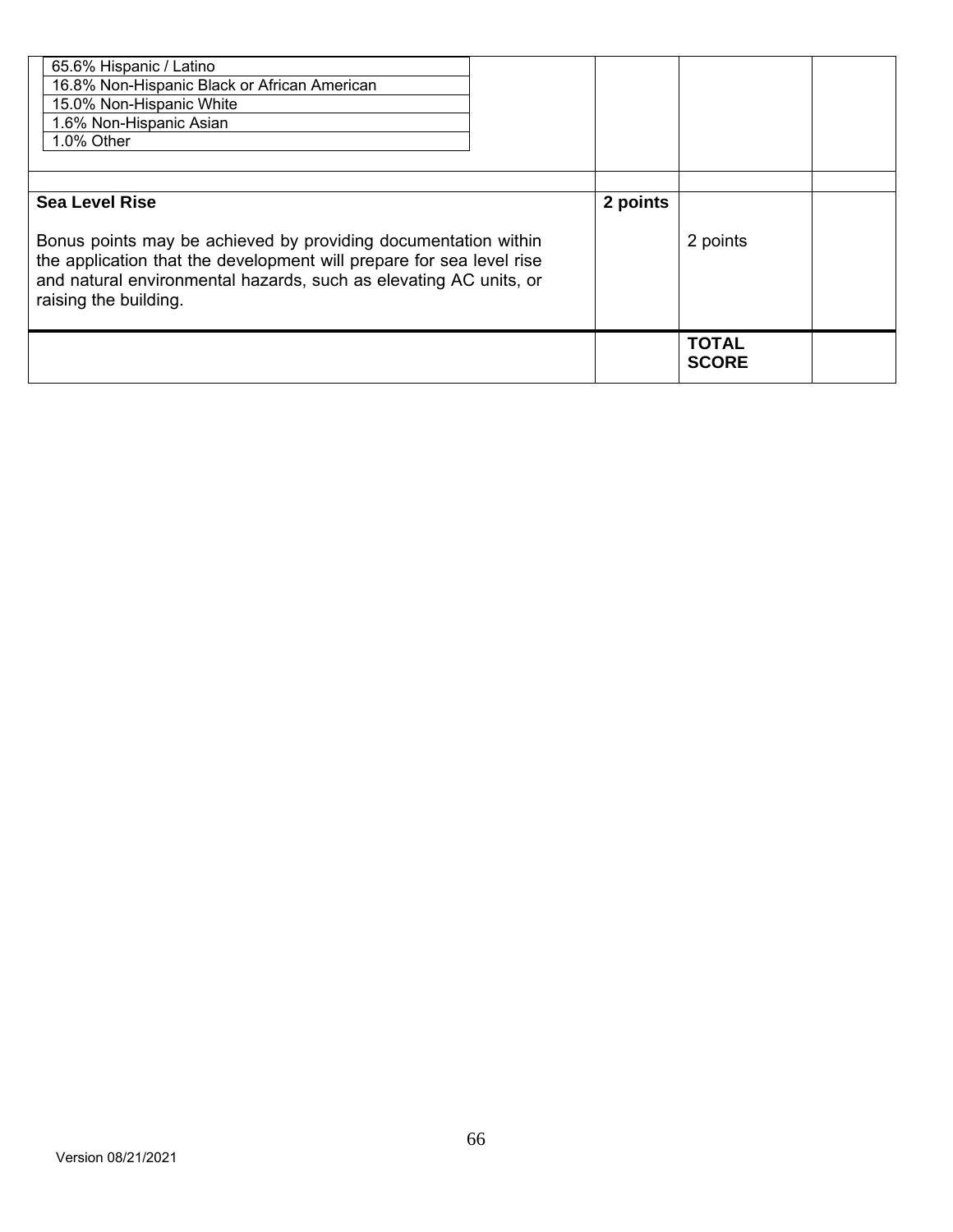| 65.6% Hispanic / Latino<br>16.8% Non-Hispanic Black or African American<br>15.0% Non-Hispanic White<br>1.6% Non-Hispanic Asian<br>1.0% Other                                                                                                                  |          |                              |  |
|---------------------------------------------------------------------------------------------------------------------------------------------------------------------------------------------------------------------------------------------------------------|----------|------------------------------|--|
| <b>Sea Level Rise</b><br>Bonus points may be achieved by providing documentation within<br>the application that the development will prepare for sea level rise<br>and natural environmental hazards, such as elevating AC units, or<br>raising the building. | 2 points | 2 points                     |  |
|                                                                                                                                                                                                                                                               |          | <b>TOTAL</b><br><b>SCORE</b> |  |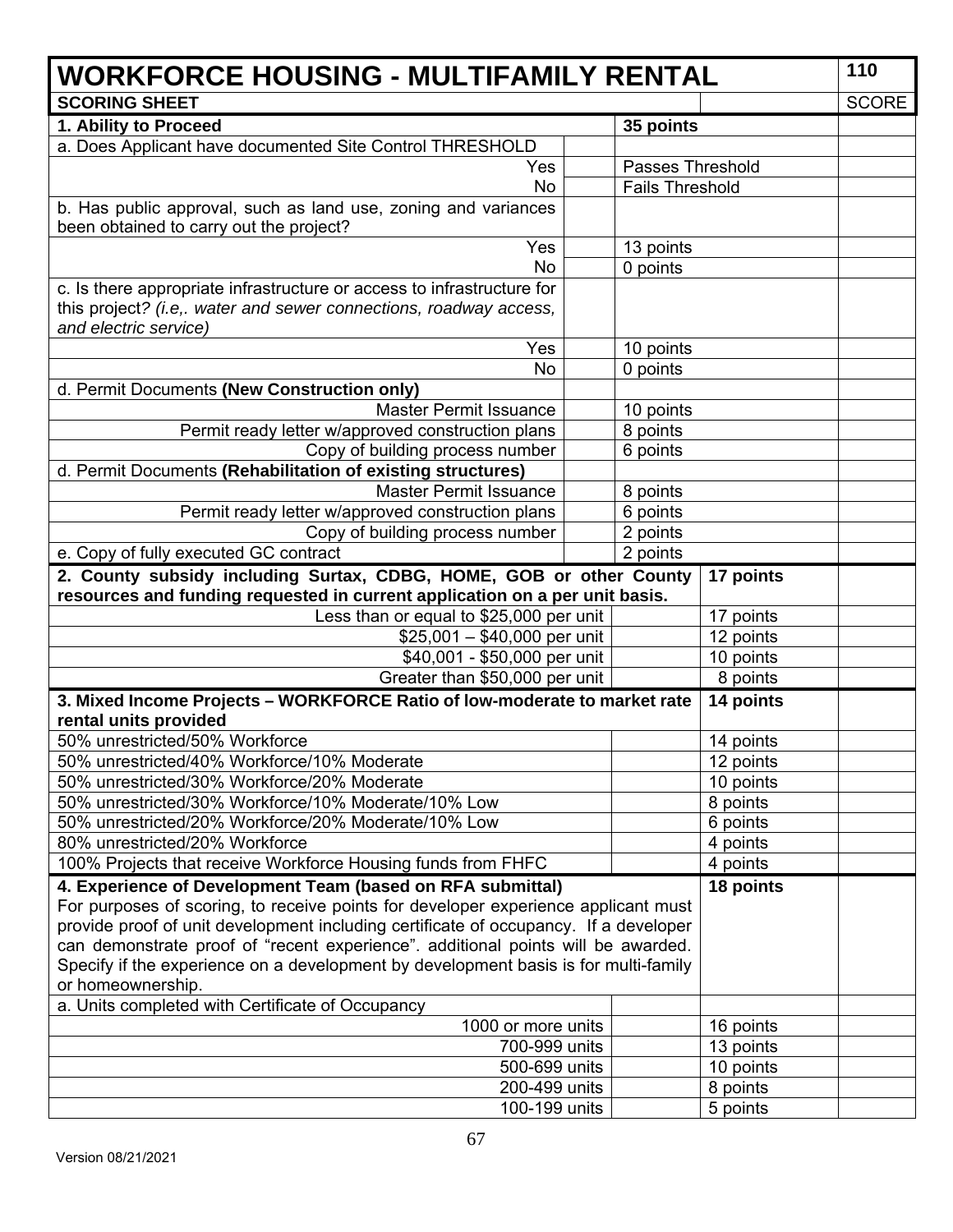| <b>WORKFORCE HOUSING - MULTIFAMILY RENTAL</b>                                                                                                                            |  |                         |           |              |
|--------------------------------------------------------------------------------------------------------------------------------------------------------------------------|--|-------------------------|-----------|--------------|
| <b>SCORING SHEET</b>                                                                                                                                                     |  |                         |           | <b>SCORE</b> |
| 1. Ability to Proceed                                                                                                                                                    |  | 35 points               |           |              |
| a. Does Applicant have documented Site Control THRESHOLD                                                                                                                 |  |                         |           |              |
| Yes                                                                                                                                                                      |  | <b>Passes Threshold</b> |           |              |
| <b>No</b>                                                                                                                                                                |  | <b>Fails Threshold</b>  |           |              |
| b. Has public approval, such as land use, zoning and variances                                                                                                           |  |                         |           |              |
| been obtained to carry out the project?                                                                                                                                  |  |                         |           |              |
| Yes                                                                                                                                                                      |  | 13 points               |           |              |
| <b>No</b>                                                                                                                                                                |  | 0 points                |           |              |
| c. Is there appropriate infrastructure or access to infrastructure for                                                                                                   |  |                         |           |              |
| this project? (i.e,. water and sewer connections, roadway access,                                                                                                        |  |                         |           |              |
| and electric service)                                                                                                                                                    |  |                         |           |              |
| Yes                                                                                                                                                                      |  | 10 points               |           |              |
| <b>No</b>                                                                                                                                                                |  | 0 points                |           |              |
| d. Permit Documents (New Construction only)                                                                                                                              |  |                         |           |              |
| <b>Master Permit Issuance</b>                                                                                                                                            |  | 10 points               |           |              |
| Permit ready letter w/approved construction plans                                                                                                                        |  | 8 points                |           |              |
| Copy of building process number<br>d. Permit Documents (Rehabilitation of existing structures)                                                                           |  | 6 points                |           |              |
| <b>Master Permit Issuance</b>                                                                                                                                            |  | 8 points                |           |              |
| Permit ready letter w/approved construction plans                                                                                                                        |  | 6 points                |           |              |
| Copy of building process number                                                                                                                                          |  | 2 points                |           |              |
| e. Copy of fully executed GC contract                                                                                                                                    |  | 2 points                |           |              |
| 2. County subsidy including Surtax, CDBG, HOME, GOB or other County                                                                                                      |  |                         | 17 points |              |
| resources and funding requested in current application on a per unit basis.                                                                                              |  |                         |           |              |
| Less than or equal to \$25,000 per unit                                                                                                                                  |  |                         | 17 points |              |
| $$25,001 - $40,000$ per unit                                                                                                                                             |  |                         | 12 points |              |
| \$40,001 - \$50,000 per unit                                                                                                                                             |  |                         | 10 points |              |
| Greater than \$50,000 per unit                                                                                                                                           |  |                         | 8 points  |              |
| 3. Mixed Income Projects - WORKFORCE Ratio of low-moderate to market rate                                                                                                |  |                         | 14 points |              |
| rental units provided                                                                                                                                                    |  |                         |           |              |
| 50% unrestricted/50% Workforce                                                                                                                                           |  |                         | 14 points |              |
| 50% unrestricted/40% Workforce/10% Moderate                                                                                                                              |  |                         | 12 points |              |
| 50% unrestricted/30% Workforce/20% Moderate                                                                                                                              |  |                         | 10 points |              |
| 50% unrestricted/30% Workforce/10% Moderate/10% Low                                                                                                                      |  |                         | 8 points  |              |
| 50% unrestricted/20% Workforce/20% Moderate/10% Low                                                                                                                      |  |                         | 6 points  |              |
| 80% unrestricted/20% Workforce                                                                                                                                           |  |                         | 4 points  |              |
| 100% Projects that receive Workforce Housing funds from FHFC                                                                                                             |  |                         | 4 points  |              |
| 4. Experience of Development Team (based on RFA submittal)                                                                                                               |  |                         | 18 points |              |
| For purposes of scoring, to receive points for developer experience applicant must                                                                                       |  |                         |           |              |
| provide proof of unit development including certificate of occupancy. If a developer<br>can demonstrate proof of "recent experience". additional points will be awarded. |  |                         |           |              |
| Specify if the experience on a development by development basis is for multi-family                                                                                      |  |                         |           |              |
| or homeownership.                                                                                                                                                        |  |                         |           |              |
| a. Units completed with Certificate of Occupancy                                                                                                                         |  |                         |           |              |
| 1000 or more units                                                                                                                                                       |  |                         | 16 points |              |
| 700-999 units                                                                                                                                                            |  |                         | 13 points |              |
| 500-699 units                                                                                                                                                            |  |                         | 10 points |              |
| 200-499 units                                                                                                                                                            |  |                         | 8 points  |              |
| 100-199 units                                                                                                                                                            |  |                         | 5 points  |              |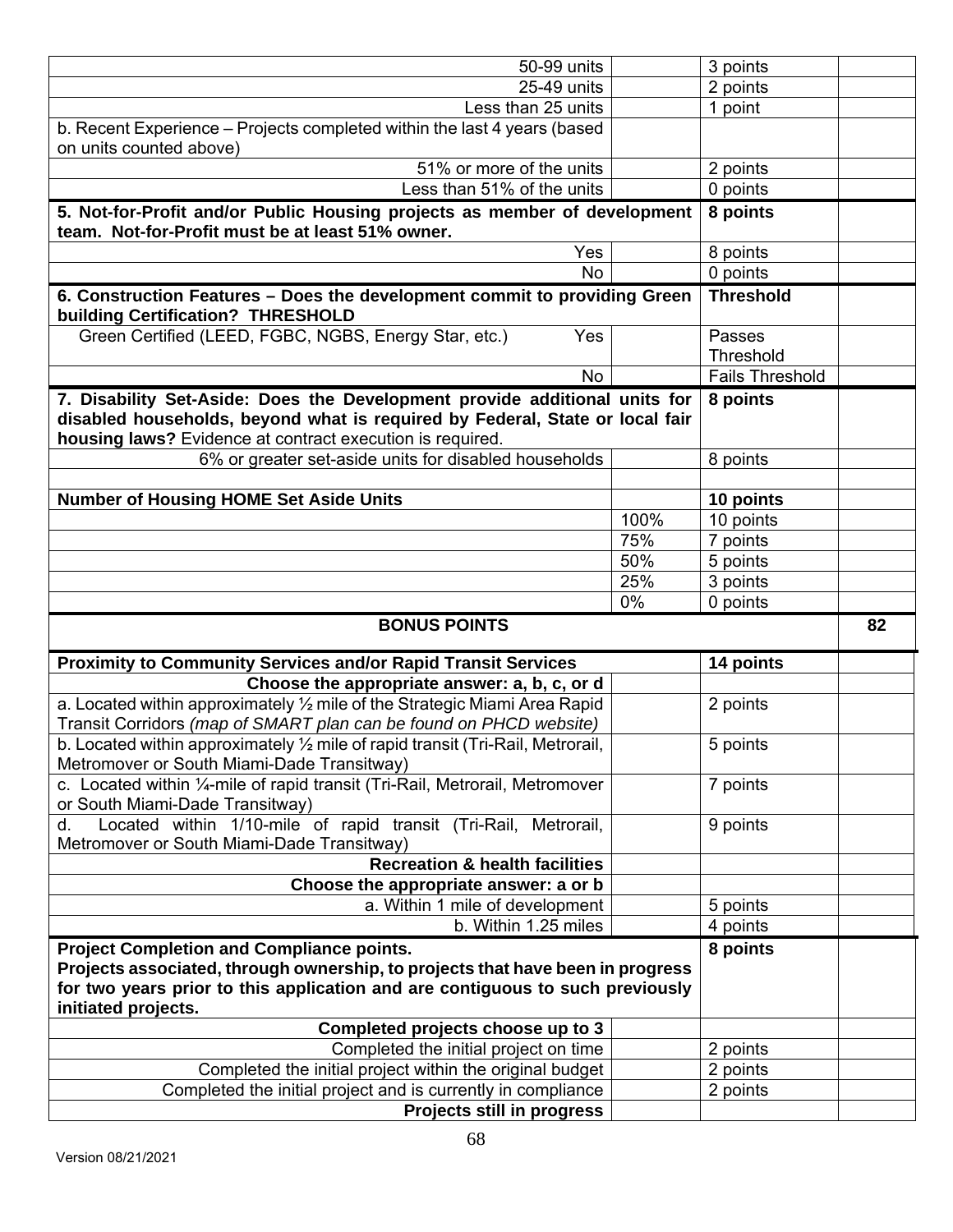| 50-99 units                                                                                                                                      |      | 3 points                   |    |
|--------------------------------------------------------------------------------------------------------------------------------------------------|------|----------------------------|----|
| 25-49 units                                                                                                                                      |      | 2 points                   |    |
| Less than 25 units                                                                                                                               |      | 1 point                    |    |
| b. Recent Experience - Projects completed within the last 4 years (based<br>on units counted above)                                              |      |                            |    |
| 51% or more of the units                                                                                                                         |      | 2 points                   |    |
| Less than 51% of the units                                                                                                                       |      | 0 points                   |    |
| 5. Not-for-Profit and/or Public Housing projects as member of development<br>team. Not-for-Profit must be at least 51% owner.                    |      | 8 points                   |    |
| Yes                                                                                                                                              |      | 8 points                   |    |
| <b>No</b>                                                                                                                                        |      | 0 points                   |    |
| 6. Construction Features - Does the development commit to providing Green<br><b>Threshold</b><br><b>building Certification? THRESHOLD</b>        |      |                            |    |
| Green Certified (LEED, FGBC, NGBS, Energy Star, etc.)<br>Yes                                                                                     |      | Passes<br><b>Threshold</b> |    |
| <b>No</b>                                                                                                                                        |      | <b>Fails Threshold</b>     |    |
| 7. Disability Set-Aside: Does the Development provide additional units for                                                                       |      | 8 points                   |    |
| disabled households, beyond what is required by Federal, State or local fair<br>housing laws? Evidence at contract execution is required.        |      |                            |    |
| 6% or greater set-aside units for disabled households                                                                                            |      | 8 points                   |    |
|                                                                                                                                                  |      |                            |    |
| <b>Number of Housing HOME Set Aside Units</b>                                                                                                    |      | 10 points                  |    |
|                                                                                                                                                  | 100% | 10 points                  |    |
|                                                                                                                                                  | 75%  | 7 points                   |    |
|                                                                                                                                                  | 50%  | 5 points                   |    |
|                                                                                                                                                  | 25%  | 3 points                   |    |
|                                                                                                                                                  |      |                            |    |
|                                                                                                                                                  | 0%   | 0 points                   |    |
| <b>BONUS POINTS</b>                                                                                                                              |      |                            | 82 |
| <b>Proximity to Community Services and/or Rapid Transit Services</b>                                                                             |      | 14 points                  |    |
| Choose the appropriate answer: a, b, c, or d                                                                                                     |      |                            |    |
| a. Located within approximately 1/2 mile of the Strategic Miami Area Rapid<br>Transit Corridors (map of SMART plan can be found on PHCD website) |      | 2 points                   |    |
| b. Located within approximately 1/2 mile of rapid transit (Tri-Rail, Metrorail,<br>Metromover or South Miami-Dade Transitway)                    |      | 5 points                   |    |
| c. Located within 1/ <sub>4</sub> -mile of rapid transit (Tri-Rail, Metrorail, Metromover                                                        |      | 7 points                   |    |
| or South Miami-Dade Transitway)<br>Located within 1/10-mile of rapid transit (Tri-Rail, Metrorail,<br>d.                                         |      | 9 points                   |    |
| Metromover or South Miami-Dade Transitway)<br><b>Recreation &amp; health facilities</b>                                                          |      |                            |    |
|                                                                                                                                                  |      |                            |    |
| Choose the appropriate answer: a or b<br>a. Within 1 mile of development                                                                         |      | 5 points                   |    |
| b. Within 1.25 miles                                                                                                                             |      | 4 points                   |    |
|                                                                                                                                                  |      | 8 points                   |    |
| <b>Project Completion and Compliance points.</b><br>Projects associated, through ownership, to projects that have been in progress               |      |                            |    |
| for two years prior to this application and are contiguous to such previously<br>initiated projects.                                             |      |                            |    |
| Completed projects choose up to 3                                                                                                                |      |                            |    |
| Completed the initial project on time                                                                                                            |      | 2 points                   |    |
| Completed the initial project within the original budget                                                                                         |      | 2 points                   |    |
| Completed the initial project and is currently in compliance<br>Projects still in progress                                                       |      | 2 points                   |    |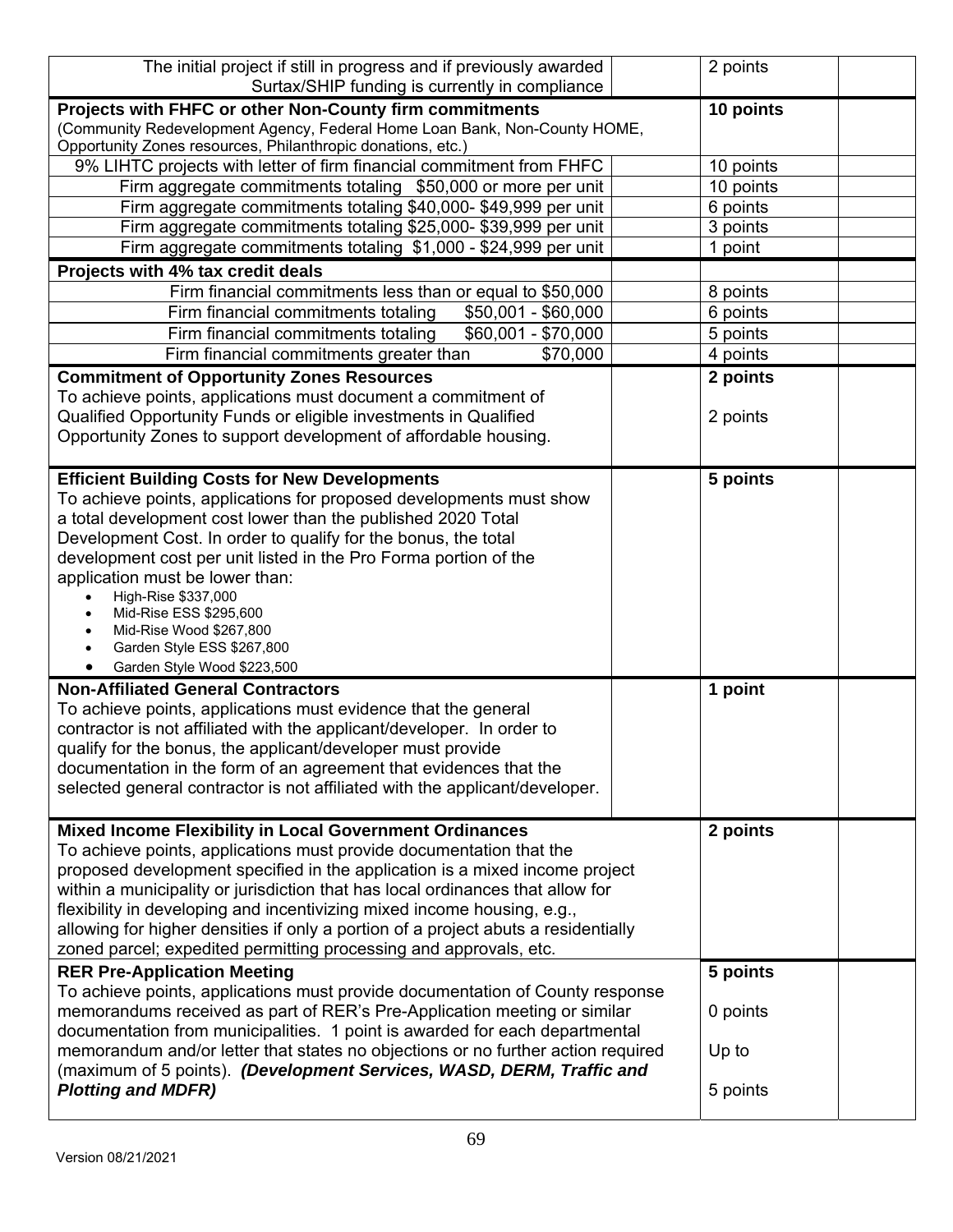| The initial project if still in progress and if previously awarded                                                                                                                                                                                                                                                                                                                                                                                                                                                                           | 2 points                                  |  |
|----------------------------------------------------------------------------------------------------------------------------------------------------------------------------------------------------------------------------------------------------------------------------------------------------------------------------------------------------------------------------------------------------------------------------------------------------------------------------------------------------------------------------------------------|-------------------------------------------|--|
| Surtax/SHIP funding is currently in compliance                                                                                                                                                                                                                                                                                                                                                                                                                                                                                               |                                           |  |
| Projects with FHFC or other Non-County firm commitments<br>(Community Redevelopment Agency, Federal Home Loan Bank, Non-County HOME,<br>Opportunity Zones resources, Philanthropic donations, etc.)                                                                                                                                                                                                                                                                                                                                          | 10 points                                 |  |
| 9% LIHTC projects with letter of firm financial commitment from FHFC                                                                                                                                                                                                                                                                                                                                                                                                                                                                         | 10 points                                 |  |
| Firm aggregate commitments totaling \$50,000 or more per unit                                                                                                                                                                                                                                                                                                                                                                                                                                                                                | 10 points                                 |  |
| Firm aggregate commitments totaling \$40,000-\$49,999 per unit                                                                                                                                                                                                                                                                                                                                                                                                                                                                               | 6 points                                  |  |
| Firm aggregate commitments totaling \$25,000- \$39,999 per unit                                                                                                                                                                                                                                                                                                                                                                                                                                                                              | 3 points                                  |  |
| Firm aggregate commitments totaling \$1,000 - \$24,999 per unit                                                                                                                                                                                                                                                                                                                                                                                                                                                                              | 1 point                                   |  |
| Projects with 4% tax credit deals                                                                                                                                                                                                                                                                                                                                                                                                                                                                                                            |                                           |  |
| Firm financial commitments less than or equal to \$50,000                                                                                                                                                                                                                                                                                                                                                                                                                                                                                    | 8 points                                  |  |
| $$50,001 - $60,000$<br>Firm financial commitments totaling                                                                                                                                                                                                                                                                                                                                                                                                                                                                                   | 6 points                                  |  |
| Firm financial commitments totaling<br>\$60,001 - \$70,000                                                                                                                                                                                                                                                                                                                                                                                                                                                                                   | 5 points                                  |  |
| Firm financial commitments greater than<br>\$70,000                                                                                                                                                                                                                                                                                                                                                                                                                                                                                          | 4 points                                  |  |
| <b>Commitment of Opportunity Zones Resources</b><br>To achieve points, applications must document a commitment of<br>Qualified Opportunity Funds or eligible investments in Qualified<br>Opportunity Zones to support development of affordable housing.                                                                                                                                                                                                                                                                                     | 2 points<br>2 points                      |  |
| <b>Efficient Building Costs for New Developments</b><br>To achieve points, applications for proposed developments must show<br>a total development cost lower than the published 2020 Total<br>Development Cost. In order to qualify for the bonus, the total<br>development cost per unit listed in the Pro Forma portion of the<br>application must be lower than:<br>High-Rise \$337,000<br>Mid-Rise ESS \$295,600<br>Mid-Rise Wood \$267,800<br>Garden Style ESS \$267,800<br>Garden Style Wood \$223,500                                | 5 points                                  |  |
| <b>Non-Affiliated General Contractors</b><br>To achieve points, applications must evidence that the general<br>contractor is not affiliated with the applicant/developer. In order to<br>qualify for the bonus, the applicant/developer must provide<br>documentation in the form of an agreement that evidences that the<br>selected general contractor is not affiliated with the applicant/developer.                                                                                                                                     | 1 point                                   |  |
| <b>Mixed Income Flexibility in Local Government Ordinances</b><br>To achieve points, applications must provide documentation that the<br>proposed development specified in the application is a mixed income project<br>within a municipality or jurisdiction that has local ordinances that allow for<br>flexibility in developing and incentivizing mixed income housing, e.g.,<br>allowing for higher densities if only a portion of a project abuts a residentially<br>zoned parcel; expedited permitting processing and approvals, etc. | 2 points                                  |  |
| <b>RER Pre-Application Meeting</b><br>To achieve points, applications must provide documentation of County response<br>memorandums received as part of RER's Pre-Application meeting or similar<br>documentation from municipalities. 1 point is awarded for each departmental<br>memorandum and/or letter that states no objections or no further action required<br>(maximum of 5 points). (Development Services, WASD, DERM, Traffic and<br><b>Plotting and MDFR)</b>                                                                     | 5 points<br>0 points<br>Up to<br>5 points |  |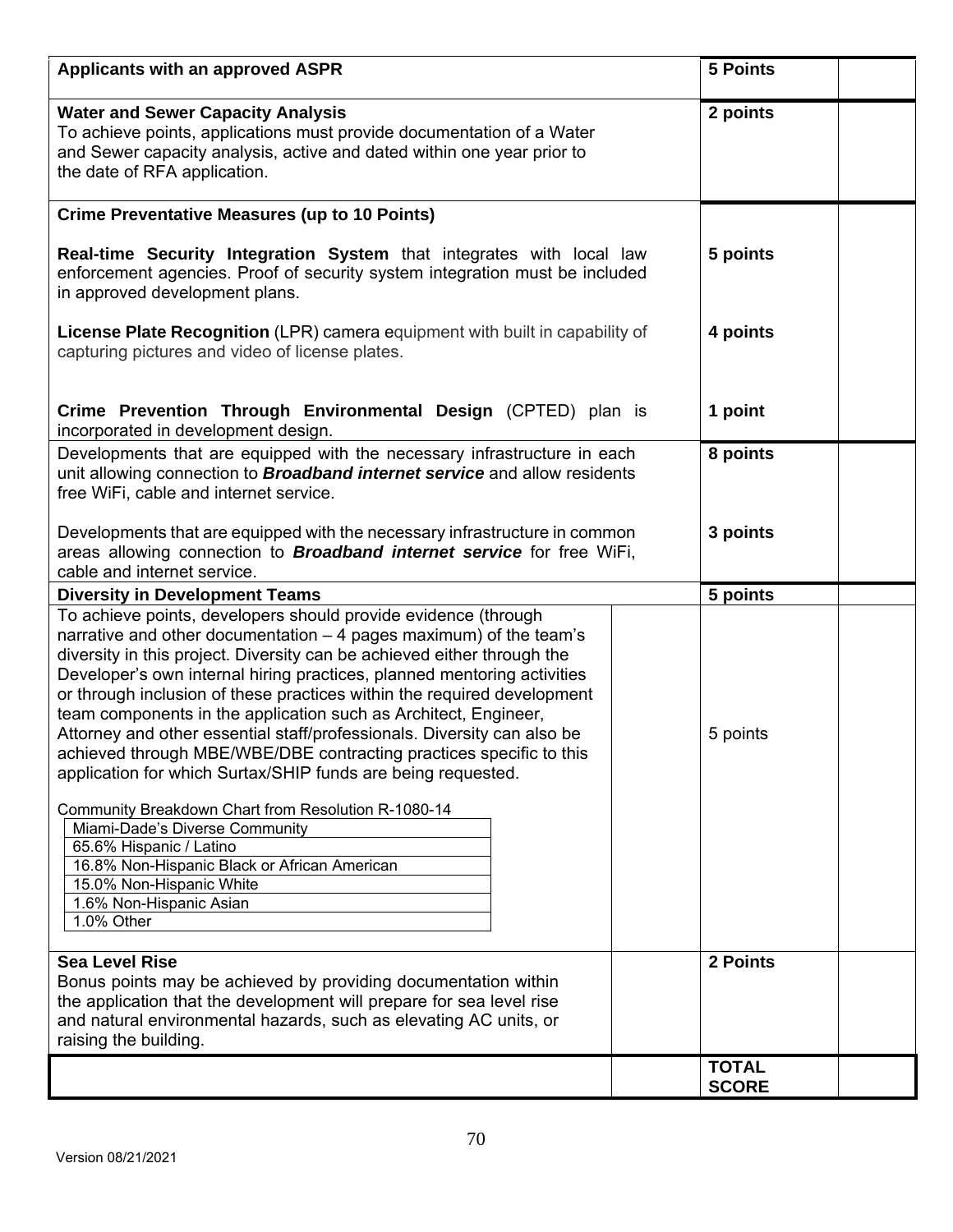| <b>Applicants with an approved ASPR</b>                                                                                                                                                                                                                                                                                                                                                                                                                                                                                                                                                  | <b>5 Points</b> |
|------------------------------------------------------------------------------------------------------------------------------------------------------------------------------------------------------------------------------------------------------------------------------------------------------------------------------------------------------------------------------------------------------------------------------------------------------------------------------------------------------------------------------------------------------------------------------------------|-----------------|
| <b>Water and Sewer Capacity Analysis</b><br>To achieve points, applications must provide documentation of a Water<br>and Sewer capacity analysis, active and dated within one year prior to<br>the date of RFA application.                                                                                                                                                                                                                                                                                                                                                              | 2 points        |
| <b>Crime Preventative Measures (up to 10 Points)</b>                                                                                                                                                                                                                                                                                                                                                                                                                                                                                                                                     |                 |
| Real-time Security Integration System that integrates with local law<br>enforcement agencies. Proof of security system integration must be included<br>in approved development plans.                                                                                                                                                                                                                                                                                                                                                                                                    | 5 points        |
| License Plate Recognition (LPR) camera equipment with built in capability of<br>capturing pictures and video of license plates.                                                                                                                                                                                                                                                                                                                                                                                                                                                          | 4 points        |
| Crime Prevention Through Environmental Design (CPTED) plan is<br>incorporated in development design.                                                                                                                                                                                                                                                                                                                                                                                                                                                                                     | 1 point         |
| Developments that are equipped with the necessary infrastructure in each<br>unit allowing connection to <b>Broadband internet service</b> and allow residents<br>free WiFi, cable and internet service.                                                                                                                                                                                                                                                                                                                                                                                  | 8 points        |
| Developments that are equipped with the necessary infrastructure in common<br>areas allowing connection to <b>Broadband internet service</b> for free WiFi,<br>cable and internet service.                                                                                                                                                                                                                                                                                                                                                                                               | 3 points        |
| <b>Diversity in Development Teams</b>                                                                                                                                                                                                                                                                                                                                                                                                                                                                                                                                                    | 5 points        |
| To achieve points, developers should provide evidence (through                                                                                                                                                                                                                                                                                                                                                                                                                                                                                                                           |                 |
| narrative and other documentation – 4 pages maximum) of the team's<br>diversity in this project. Diversity can be achieved either through the<br>Developer's own internal hiring practices, planned mentoring activities<br>or through inclusion of these practices within the required development<br>team components in the application such as Architect, Engineer,<br>Attorney and other essential staff/professionals. Diversity can also be<br>achieved through MBE/WBE/DBE contracting practices specific to this<br>application for which Surtax/SHIP funds are being requested. | 5 points        |
| Community Breakdown Chart from Resolution R-1080-14<br>Miami-Dade's Diverse Community<br>65.6% Hispanic / Latino<br>16.8% Non-Hispanic Black or African American<br>15.0% Non-Hispanic White<br>1.6% Non-Hispanic Asian<br>1.0% Other                                                                                                                                                                                                                                                                                                                                                    |                 |
| <b>Sea Level Rise</b>                                                                                                                                                                                                                                                                                                                                                                                                                                                                                                                                                                    | 2 Points        |
| Bonus points may be achieved by providing documentation within<br>the application that the development will prepare for sea level rise<br>and natural environmental hazards, such as elevating AC units, or<br>raising the building.                                                                                                                                                                                                                                                                                                                                                     |                 |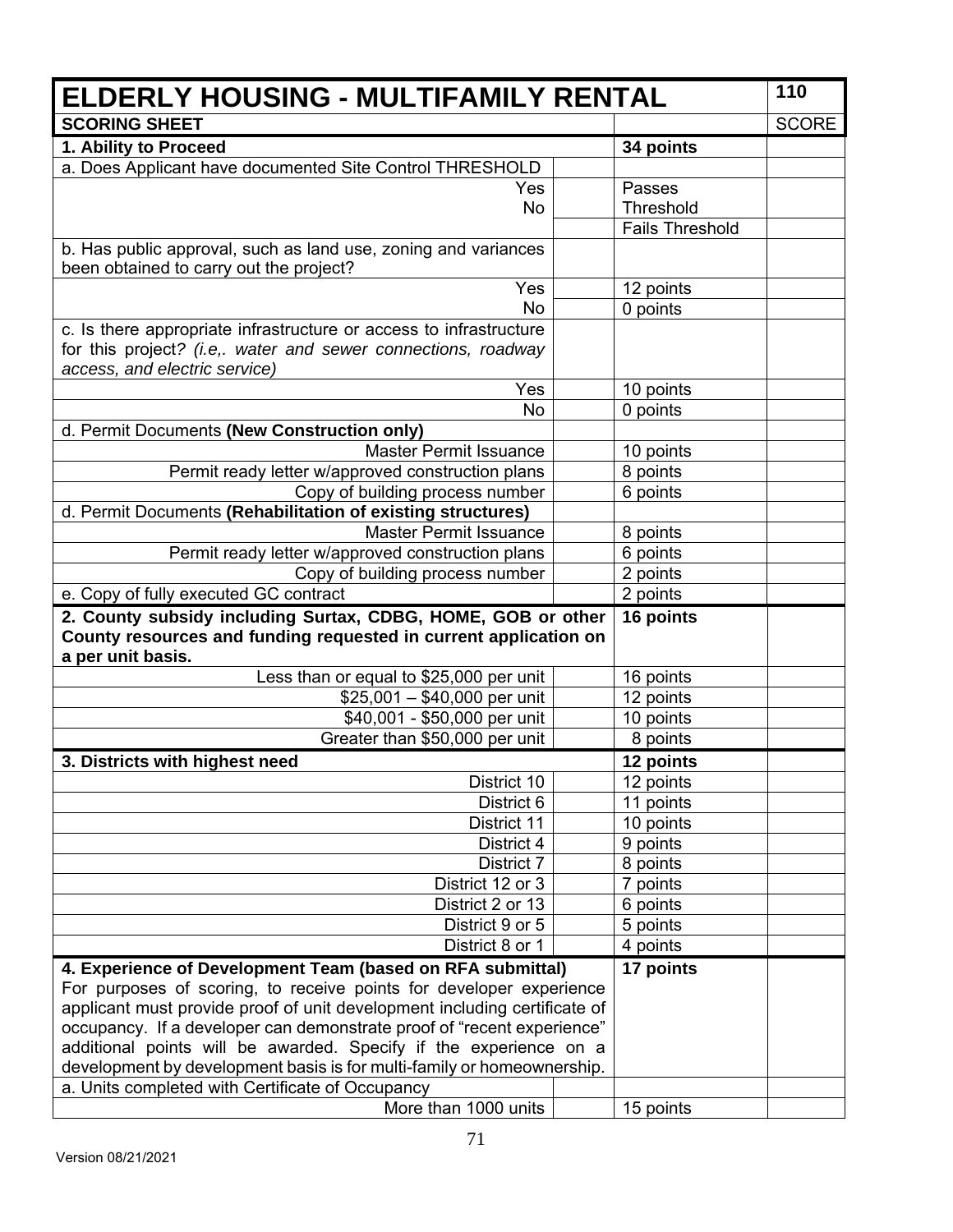| <b>ELDERLY HOUSING - MULTIFAMILY RENTAL</b>                                                                                         |                        | 110          |
|-------------------------------------------------------------------------------------------------------------------------------------|------------------------|--------------|
| <b>SCORING SHEET</b>                                                                                                                |                        | <b>SCORE</b> |
| 1. Ability to Proceed                                                                                                               | 34 points              |              |
| a. Does Applicant have documented Site Control THRESHOLD                                                                            |                        |              |
| Yes                                                                                                                                 | Passes                 |              |
| <b>No</b>                                                                                                                           | Threshold              |              |
|                                                                                                                                     | <b>Fails Threshold</b> |              |
| b. Has public approval, such as land use, zoning and variances                                                                      |                        |              |
| been obtained to carry out the project?                                                                                             |                        |              |
| Yes                                                                                                                                 | 12 points              |              |
| <b>No</b>                                                                                                                           | 0 points               |              |
| c. Is there appropriate infrastructure or access to infrastructure<br>for this project? (i.e,. water and sewer connections, roadway |                        |              |
| access, and electric service)                                                                                                       |                        |              |
| Yes                                                                                                                                 | 10 points              |              |
| <b>No</b>                                                                                                                           | 0 points               |              |
| d. Permit Documents (New Construction only)                                                                                         |                        |              |
| Master Permit Issuance                                                                                                              | 10 points              |              |
| Permit ready letter w/approved construction plans                                                                                   | 8 points               |              |
| Copy of building process number                                                                                                     | 6 points               |              |
| d. Permit Documents (Rehabilitation of existing structures)                                                                         |                        |              |
| <b>Master Permit Issuance</b>                                                                                                       | 8 points               |              |
| Permit ready letter w/approved construction plans                                                                                   | 6 points               |              |
| Copy of building process number                                                                                                     | 2 points               |              |
| e. Copy of fully executed GC contract                                                                                               | 2 points               |              |
| 2. County subsidy including Surtax, CDBG, HOME, GOB or other                                                                        | 16 points              |              |
| County resources and funding requested in current application on<br>a per unit basis.                                               |                        |              |
| Less than or equal to \$25,000 per unit                                                                                             | 16 points              |              |
| $$25,001 - $40,000$ per unit                                                                                                        | 12 points              |              |
| \$40,001 - \$50,000 per unit                                                                                                        | 10 points              |              |
| Greater than \$50,000 per unit                                                                                                      | 8 points               |              |
| 3. Districts with highest need                                                                                                      | 12 points              |              |
| District 10                                                                                                                         | 12 points              |              |
| District 6                                                                                                                          | 11 points              |              |
| District 11                                                                                                                         | 10 points              |              |
| District 4                                                                                                                          | 9 points               |              |
| District 7                                                                                                                          | 8 points               |              |
| District 12 or 3                                                                                                                    | 7 points               |              |
| District 2 or 13                                                                                                                    | 6 points               |              |
| District 9 or 5                                                                                                                     | 5 points               |              |
| District 8 or 1                                                                                                                     | 4 points               |              |
| 4. Experience of Development Team (based on RFA submittal)                                                                          | 17 points              |              |
| For purposes of scoring, to receive points for developer experience                                                                 |                        |              |
| applicant must provide proof of unit development including certificate of                                                           |                        |              |
| occupancy. If a developer can demonstrate proof of "recent experience"                                                              |                        |              |
| additional points will be awarded. Specify if the experience on a                                                                   |                        |              |
| development by development basis is for multi-family or homeownership.                                                              |                        |              |
| a. Units completed with Certificate of Occupancy                                                                                    |                        |              |
| More than 1000 units                                                                                                                | 15 points              |              |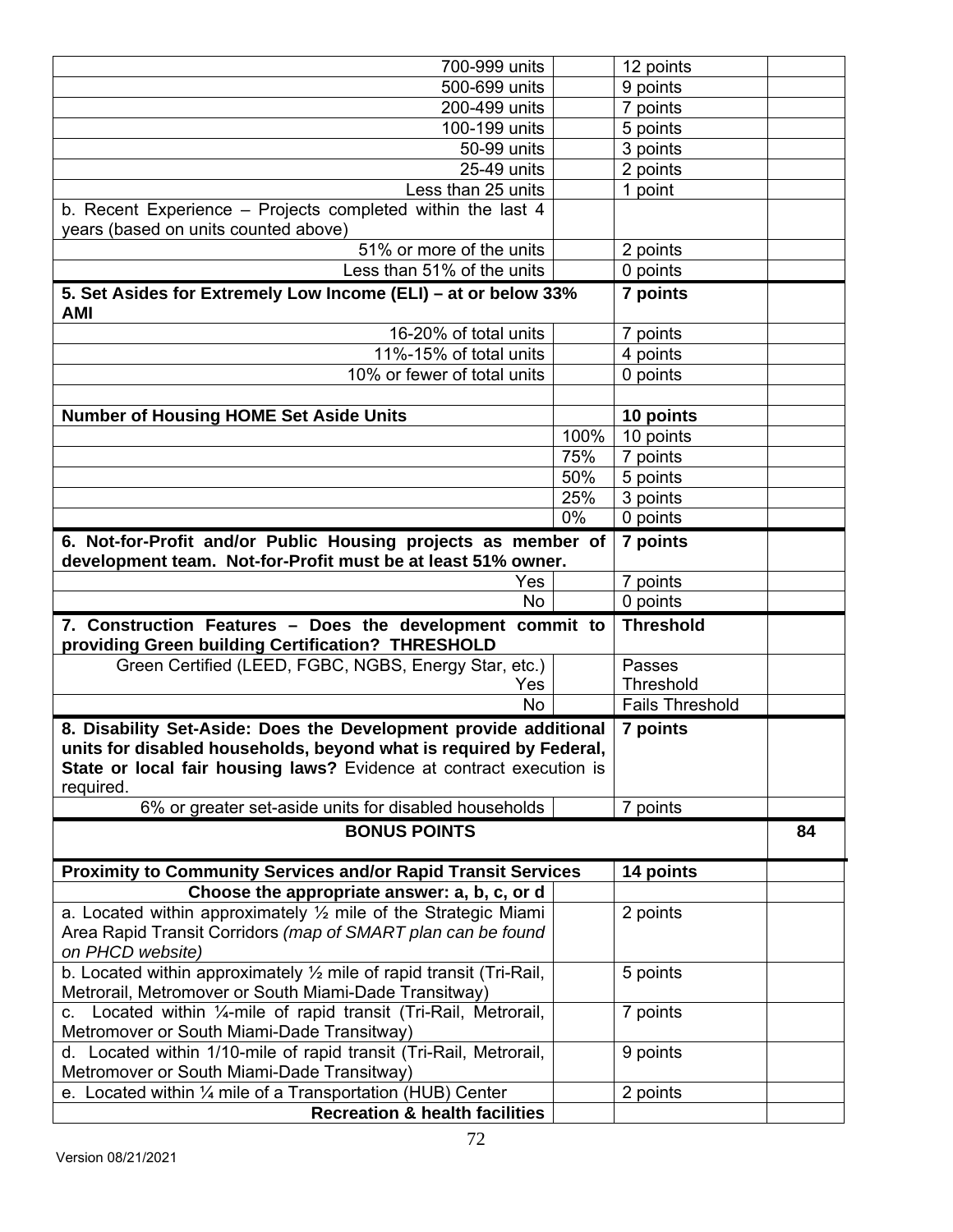| 700-999 units                                                                                                                                                                                                              |       | 12 points              |    |
|----------------------------------------------------------------------------------------------------------------------------------------------------------------------------------------------------------------------------|-------|------------------------|----|
| 500-699 units                                                                                                                                                                                                              |       | 9 points               |    |
| 200-499 units                                                                                                                                                                                                              |       | 7 points               |    |
| 100-199 units                                                                                                                                                                                                              |       | 5 points               |    |
| 50-99 units                                                                                                                                                                                                                |       | 3 points               |    |
| 25-49 units                                                                                                                                                                                                                |       | 2 points               |    |
| Less than 25 units                                                                                                                                                                                                         |       | 1 point                |    |
| b. Recent Experience - Projects completed within the last 4<br>years (based on units counted above)                                                                                                                        |       |                        |    |
| 51% or more of the units                                                                                                                                                                                                   |       | 2 points               |    |
| Less than 51% of the units                                                                                                                                                                                                 |       | 0 points               |    |
| 5. Set Asides for Extremely Low Income (ELI) - at or below 33%<br><b>AMI</b>                                                                                                                                               |       | 7 points               |    |
| 16-20% of total units                                                                                                                                                                                                      |       | 7 points               |    |
| 11%-15% of total units                                                                                                                                                                                                     |       | 4 points               |    |
| 10% or fewer of total units                                                                                                                                                                                                |       | 0 points               |    |
|                                                                                                                                                                                                                            |       |                        |    |
| <b>Number of Housing HOME Set Aside Units</b>                                                                                                                                                                              |       | 10 points              |    |
|                                                                                                                                                                                                                            | 100%  | 10 points              |    |
|                                                                                                                                                                                                                            | 75%   | 7 points               |    |
|                                                                                                                                                                                                                            | 50%   | 5 points               |    |
|                                                                                                                                                                                                                            | 25%   | 3 points               |    |
|                                                                                                                                                                                                                            | $0\%$ | 0 points               |    |
| 6. Not-for-Profit and/or Public Housing projects as member of<br>7 points<br>development team. Not-for-Profit must be at least 51% owner.                                                                                  |       |                        |    |
| Yes                                                                                                                                                                                                                        |       | 7 points               |    |
| <b>No</b>                                                                                                                                                                                                                  |       | 0 points               |    |
| 7. Construction Features - Does the development commit to<br>providing Green building Certification? THRESHOLD                                                                                                             |       | <b>Threshold</b>       |    |
| Green Certified (LEED, FGBC, NGBS, Energy Star, etc.)                                                                                                                                                                      |       | Passes                 |    |
| Yes                                                                                                                                                                                                                        |       | Threshold              |    |
| <b>No</b>                                                                                                                                                                                                                  |       | <b>Fails Threshold</b> |    |
| 8. Disability Set-Aside: Does the Development provide additional<br>units for disabled households, beyond what is required by Federal,<br>State or local fair housing laws? Evidence at contract execution is<br>required. |       | 7 points               |    |
| 6% or greater set-aside units for disabled households                                                                                                                                                                      |       | 7 points               |    |
| <b>BONUS POINTS</b>                                                                                                                                                                                                        |       |                        | 84 |
| <b>Proximity to Community Services and/or Rapid Transit Services</b>                                                                                                                                                       |       | 14 points              |    |
| Choose the appropriate answer: a, b, c, or d                                                                                                                                                                               |       |                        |    |
| a. Located within approximately $\frac{1}{2}$ mile of the Strategic Miami<br>Area Rapid Transit Corridors (map of SMART plan can be found<br>on PHCD website)                                                              |       | 2 points               |    |
| b. Located within approximately $\frac{1}{2}$ mile of rapid transit (Tri-Rail,<br>Metrorail, Metromover or South Miami-Dade Transitway)                                                                                    |       | 5 points               |    |
| c. Located within 1/4-mile of rapid transit (Tri-Rail, Metrorail,<br>Metromover or South Miami-Dade Transitway)                                                                                                            |       | 7 points               |    |
| d. Located within 1/10-mile of rapid transit (Tri-Rail, Metrorail,<br>Metromover or South Miami-Dade Transitway)                                                                                                           |       | 9 points               |    |
|                                                                                                                                                                                                                            |       |                        |    |
| e. Located within $\frac{1}{4}$ mile of a Transportation (HUB) Center                                                                                                                                                      |       | 2 points               |    |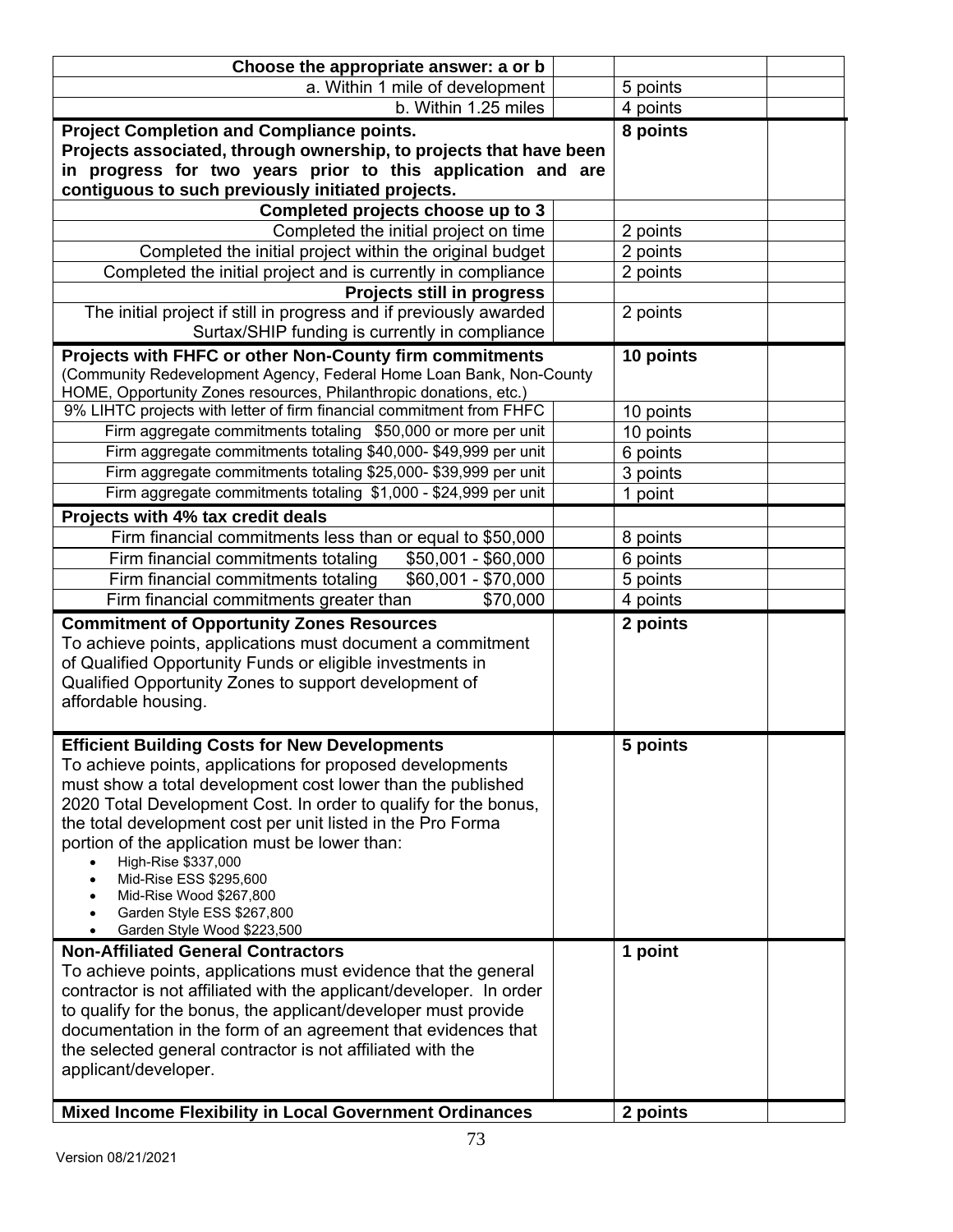| Choose the appropriate answer: a or b                                                                                                    |           |  |
|------------------------------------------------------------------------------------------------------------------------------------------|-----------|--|
| a. Within 1 mile of development                                                                                                          | 5 points  |  |
| b. Within 1.25 miles                                                                                                                     | 4 points  |  |
| <b>Project Completion and Compliance points.</b>                                                                                         | 8 points  |  |
| Projects associated, through ownership, to projects that have been                                                                       |           |  |
| in progress for two years prior to this application and are                                                                              |           |  |
| contiguous to such previously initiated projects.                                                                                        |           |  |
| Completed projects choose up to 3                                                                                                        |           |  |
| Completed the initial project on time                                                                                                    | 2 points  |  |
| Completed the initial project within the original budget                                                                                 | 2 points  |  |
| Completed the initial project and is currently in compliance                                                                             | 2 points  |  |
| Projects still in progress                                                                                                               |           |  |
| The initial project if still in progress and if previously awarded                                                                       | 2 points  |  |
| Surtax/SHIP funding is currently in compliance                                                                                           |           |  |
| Projects with FHFC or other Non-County firm commitments                                                                                  | 10 points |  |
| (Community Redevelopment Agency, Federal Home Loan Bank, Non-County<br>HOME, Opportunity Zones resources, Philanthropic donations, etc.) |           |  |
| 9% LIHTC projects with letter of firm financial commitment from FHFC                                                                     | 10 points |  |
| Firm aggregate commitments totaling \$50,000 or more per unit                                                                            | 10 points |  |
| Firm aggregate commitments totaling \$40,000- \$49,999 per unit                                                                          | 6 points  |  |
| Firm aggregate commitments totaling \$25,000- \$39,999 per unit                                                                          | 3 points  |  |
| Firm aggregate commitments totaling \$1,000 - \$24,999 per unit                                                                          | 1 point   |  |
| Projects with 4% tax credit deals                                                                                                        |           |  |
| Firm financial commitments less than or equal to \$50,000                                                                                | 8 points  |  |
| Firm financial commitments totaling<br>$$50,001 - $60,000$                                                                               | 6 points  |  |
| Firm financial commitments totaling<br>\$60,001 - \$70,000                                                                               | 5 points  |  |
| Firm financial commitments greater than<br>\$70,000                                                                                      | 4 points  |  |
| <b>Commitment of Opportunity Zones Resources</b>                                                                                         | 2 points  |  |
| To achieve points, applications must document a commitment                                                                               |           |  |
| of Qualified Opportunity Funds or eligible investments in                                                                                |           |  |
| Qualified Opportunity Zones to support development of                                                                                    |           |  |
| affordable housing.                                                                                                                      |           |  |
|                                                                                                                                          |           |  |
| <b>Efficient Building Costs for New Developments</b>                                                                                     | 5 points  |  |
| To achieve points, applications for proposed developments                                                                                |           |  |
| must show a total development cost lower than the published                                                                              |           |  |
| 2020 Total Development Cost. In order to qualify for the bonus,                                                                          |           |  |
| the total development cost per unit listed in the Pro Forma<br>portion of the application must be lower than:                            |           |  |
| High-Rise \$337,000                                                                                                                      |           |  |
| Mid-Rise ESS \$295,600<br>$\bullet$                                                                                                      |           |  |
| Mid-Rise Wood \$267,800                                                                                                                  |           |  |
| Garden Style ESS \$267,800<br>Garden Style Wood \$223,500                                                                                |           |  |
| <b>Non-Affiliated General Contractors</b>                                                                                                | 1 point   |  |
| To achieve points, applications must evidence that the general                                                                           |           |  |
| contractor is not affiliated with the applicant/developer. In order                                                                      |           |  |
| to qualify for the bonus, the applicant/developer must provide                                                                           |           |  |
| documentation in the form of an agreement that evidences that                                                                            |           |  |
| the selected general contractor is not affiliated with the                                                                               |           |  |
| applicant/developer.                                                                                                                     |           |  |
|                                                                                                                                          |           |  |
| <b>Mixed Income Flexibility in Local Government Ordinances</b>                                                                           | 2 points  |  |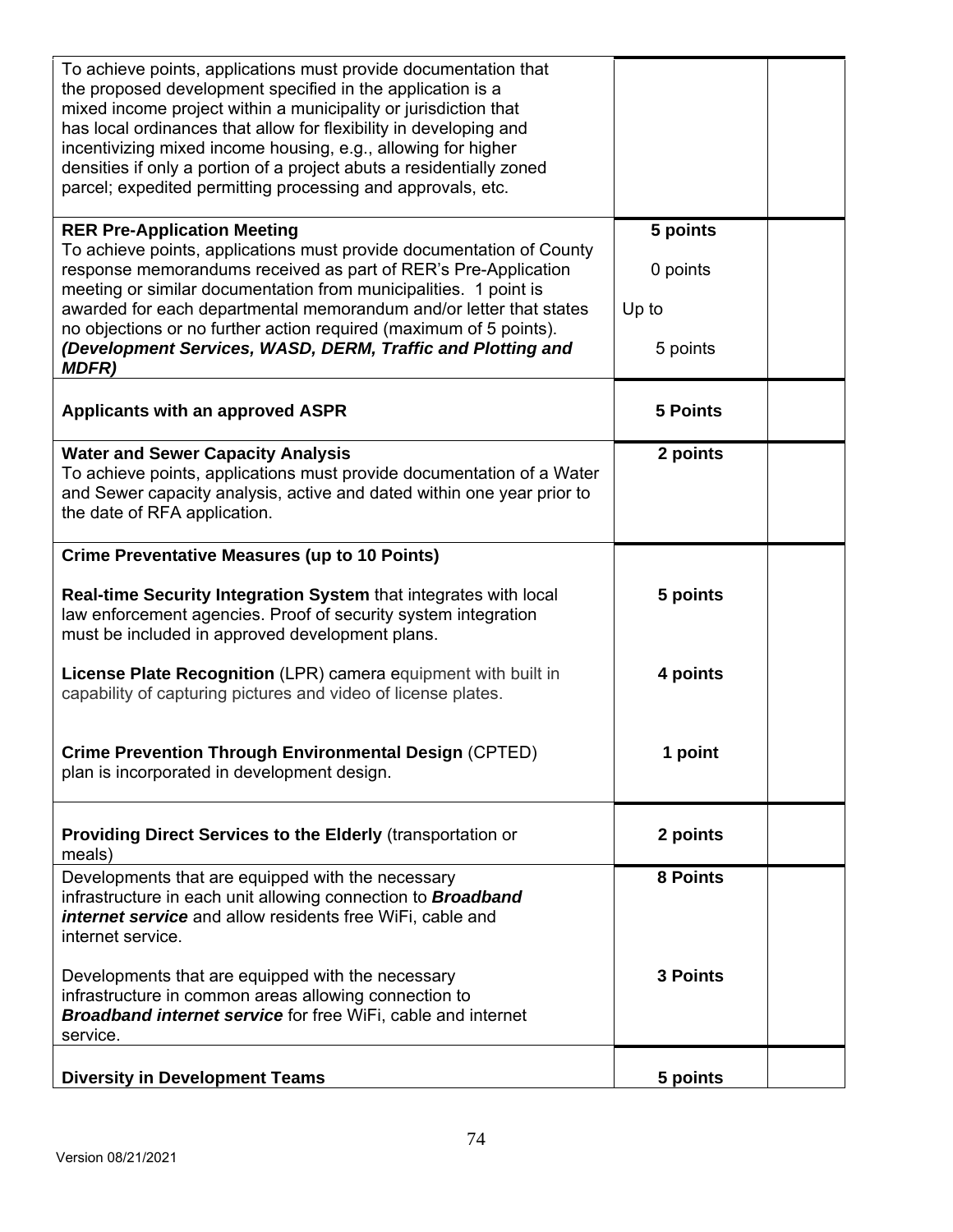| To achieve points, applications must provide documentation that<br>the proposed development specified in the application is a<br>mixed income project within a municipality or jurisdiction that<br>has local ordinances that allow for flexibility in developing and<br>incentivizing mixed income housing, e.g., allowing for higher<br>densities if only a portion of a project abuts a residentially zoned<br>parcel; expedited permitting processing and approvals, etc. |                               |  |
|-------------------------------------------------------------------------------------------------------------------------------------------------------------------------------------------------------------------------------------------------------------------------------------------------------------------------------------------------------------------------------------------------------------------------------------------------------------------------------|-------------------------------|--|
| <b>RER Pre-Application Meeting</b><br>To achieve points, applications must provide documentation of County<br>response memorandums received as part of RER's Pre-Application<br>meeting or similar documentation from municipalities. 1 point is<br>awarded for each departmental memorandum and/or letter that states                                                                                                                                                        | 5 points<br>0 points<br>Up to |  |
| no objections or no further action required (maximum of 5 points).<br>(Development Services, WASD, DERM, Traffic and Plotting and<br><b>MDFR)</b>                                                                                                                                                                                                                                                                                                                             | 5 points                      |  |
| Applicants with an approved ASPR                                                                                                                                                                                                                                                                                                                                                                                                                                              | <b>5 Points</b>               |  |
| <b>Water and Sewer Capacity Analysis</b><br>To achieve points, applications must provide documentation of a Water<br>and Sewer capacity analysis, active and dated within one year prior to<br>the date of RFA application.                                                                                                                                                                                                                                                   | 2 points                      |  |
| <b>Crime Preventative Measures (up to 10 Points)</b>                                                                                                                                                                                                                                                                                                                                                                                                                          |                               |  |
| Real-time Security Integration System that integrates with local<br>law enforcement agencies. Proof of security system integration<br>must be included in approved development plans.                                                                                                                                                                                                                                                                                         | 5 points                      |  |
| License Plate Recognition (LPR) camera equipment with built in<br>capability of capturing pictures and video of license plates.                                                                                                                                                                                                                                                                                                                                               | 4 points                      |  |
| <b>Crime Prevention Through Environmental Design (CPTED)</b><br>plan is incorporated in development design.                                                                                                                                                                                                                                                                                                                                                                   | 1 point                       |  |
| <b>Providing Direct Services to the Elderly (transportation or</b><br>meals)                                                                                                                                                                                                                                                                                                                                                                                                  | 2 points                      |  |
| Developments that are equipped with the necessary<br>infrastructure in each unit allowing connection to <b>Broadband</b><br>internet service and allow residents free WiFi, cable and<br>internet service.                                                                                                                                                                                                                                                                    | 8 Points                      |  |
| Developments that are equipped with the necessary<br>infrastructure in common areas allowing connection to<br><b>Broadband internet service for free WiFi, cable and internet</b><br>service.                                                                                                                                                                                                                                                                                 | <b>3 Points</b>               |  |
| <b>Diversity in Development Teams</b>                                                                                                                                                                                                                                                                                                                                                                                                                                         | 5 points                      |  |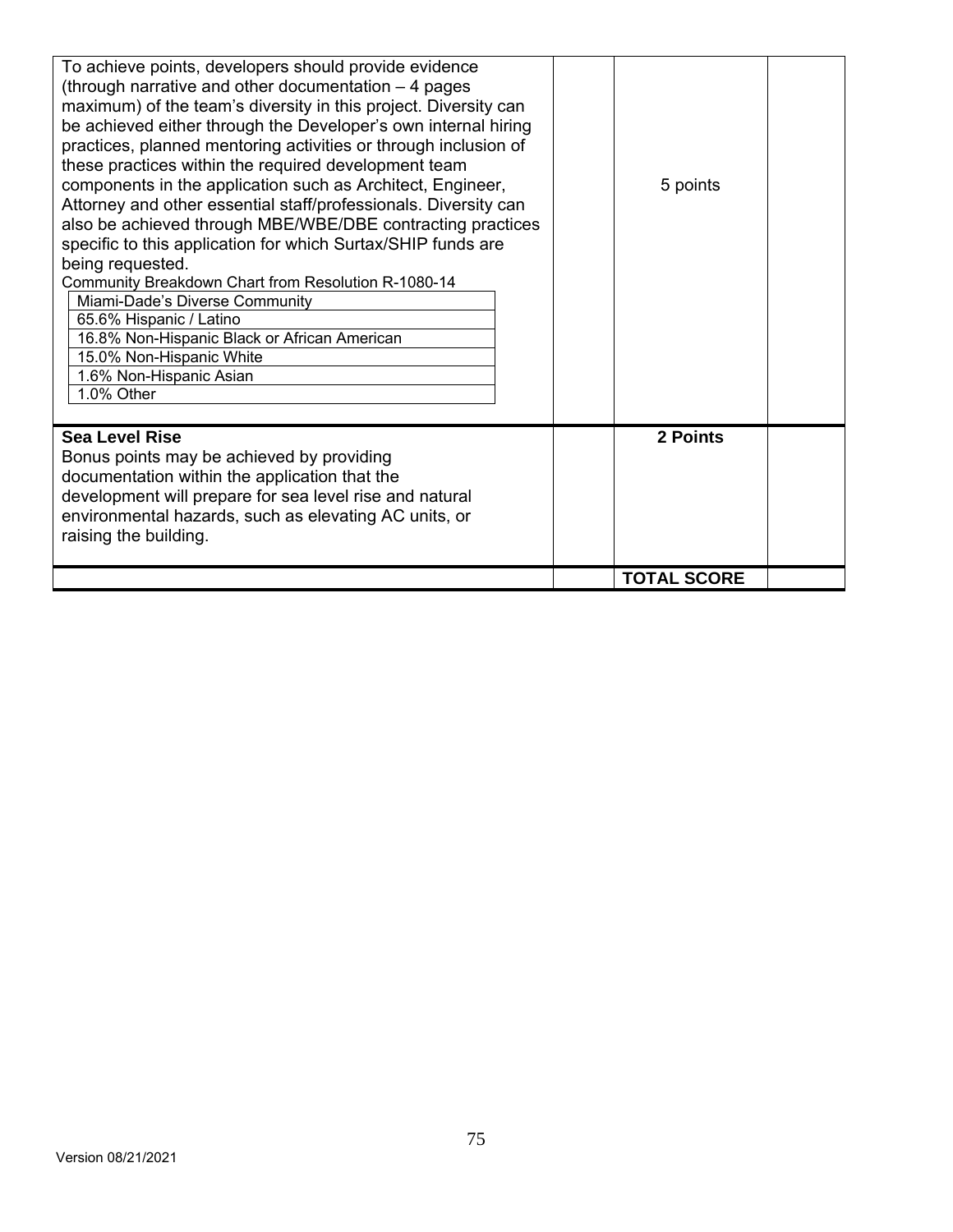| To achieve points, developers should provide evidence<br>(through narrative and other documentation - 4 pages<br>maximum) of the team's diversity in this project. Diversity can<br>be achieved either through the Developer's own internal hiring<br>practices, planned mentoring activities or through inclusion of |                    |  |
|-----------------------------------------------------------------------------------------------------------------------------------------------------------------------------------------------------------------------------------------------------------------------------------------------------------------------|--------------------|--|
| these practices within the required development team<br>components in the application such as Architect, Engineer,<br>Attorney and other essential staff/professionals. Diversity can<br>also be achieved through MBE/WBE/DBE contracting practices<br>specific to this application for which Surtax/SHIP funds are   | 5 points           |  |
| being requested.                                                                                                                                                                                                                                                                                                      |                    |  |
| Community Breakdown Chart from Resolution R-1080-14                                                                                                                                                                                                                                                                   |                    |  |
| Miami-Dade's Diverse Community                                                                                                                                                                                                                                                                                        |                    |  |
| 65.6% Hispanic / Latino                                                                                                                                                                                                                                                                                               |                    |  |
| 16.8% Non-Hispanic Black or African American                                                                                                                                                                                                                                                                          |                    |  |
| 15.0% Non-Hispanic White                                                                                                                                                                                                                                                                                              |                    |  |
| 1.6% Non-Hispanic Asian                                                                                                                                                                                                                                                                                               |                    |  |
| 1.0% Other                                                                                                                                                                                                                                                                                                            |                    |  |
|                                                                                                                                                                                                                                                                                                                       |                    |  |
| <b>Sea Level Rise</b><br>Bonus points may be achieved by providing<br>documentation within the application that the<br>development will prepare for sea level rise and natural<br>environmental hazards, such as elevating AC units, or<br>raising the building.                                                      | 2 Points           |  |
|                                                                                                                                                                                                                                                                                                                       | <b>TOTAL SCORE</b> |  |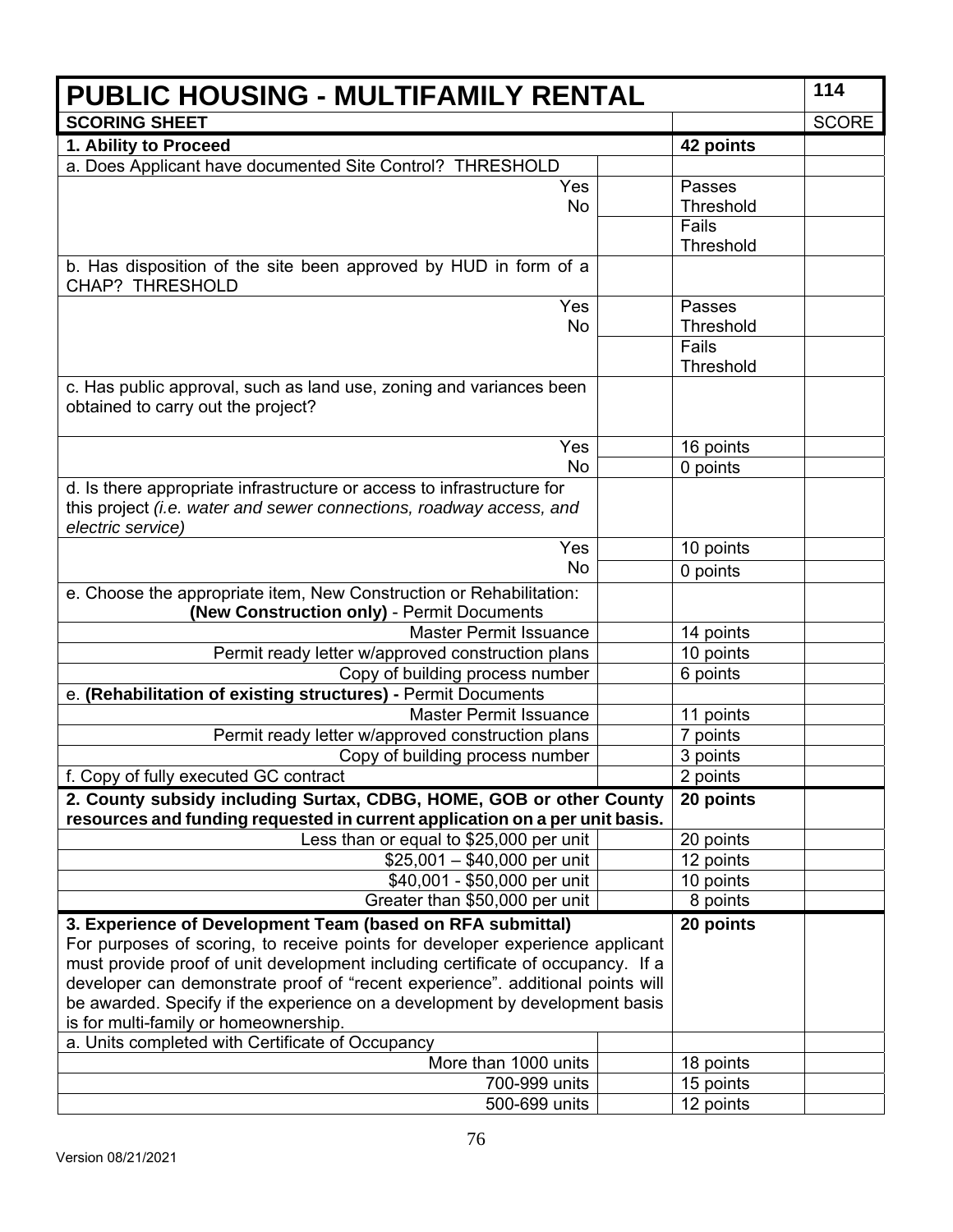| <b>PUBLIC HOUSING - MULTIFAMILY RENTAL</b>                                                                                                         |  |                  | 114          |
|----------------------------------------------------------------------------------------------------------------------------------------------------|--|------------------|--------------|
| <b>SCORING SHEET</b>                                                                                                                               |  |                  | <b>SCORE</b> |
| 1. Ability to Proceed                                                                                                                              |  | 42 points        |              |
| a. Does Applicant have documented Site Control? THRESHOLD                                                                                          |  |                  |              |
| Yes                                                                                                                                                |  | Passes           |              |
| No                                                                                                                                                 |  | <b>Threshold</b> |              |
|                                                                                                                                                    |  | Fails            |              |
|                                                                                                                                                    |  | Threshold        |              |
| b. Has disposition of the site been approved by HUD in form of a<br><b>CHAP? THRESHOLD</b>                                                         |  |                  |              |
| Yes                                                                                                                                                |  | Passes           |              |
| No                                                                                                                                                 |  | <b>Threshold</b> |              |
|                                                                                                                                                    |  | Fails            |              |
|                                                                                                                                                    |  | Threshold        |              |
| c. Has public approval, such as land use, zoning and variances been<br>obtained to carry out the project?                                          |  |                  |              |
| Yes                                                                                                                                                |  | 16 points        |              |
| No                                                                                                                                                 |  | 0 points         |              |
| d. Is there appropriate infrastructure or access to infrastructure for                                                                             |  |                  |              |
| this project (i.e. water and sewer connections, roadway access, and<br>electric service)                                                           |  |                  |              |
| Yes                                                                                                                                                |  | 10 points        |              |
| <b>No</b>                                                                                                                                          |  | 0 points         |              |
| e. Choose the appropriate item, New Construction or Rehabilitation:<br>(New Construction only) - Permit Documents                                  |  |                  |              |
| <b>Master Permit Issuance</b>                                                                                                                      |  | 14 points        |              |
| Permit ready letter w/approved construction plans                                                                                                  |  | 10 points        |              |
| Copy of building process number                                                                                                                    |  | 6 points         |              |
| e. (Rehabilitation of existing structures) - Permit Documents                                                                                      |  |                  |              |
| <b>Master Permit Issuance</b>                                                                                                                      |  | 11 points        |              |
| Permit ready letter w/approved construction plans                                                                                                  |  | 7 points         |              |
| Copy of building process number                                                                                                                    |  | 3 points         |              |
| f. Copy of fully executed GC contract                                                                                                              |  | 2 points         |              |
| 2. County subsidy including Surtax, CDBG, HOME, GOB or other County<br>resources and funding requested in current application on a per unit basis. |  | 20 points        |              |
| Less than or equal to \$25,000 per unit                                                                                                            |  | 20 points        |              |
| $$25,001 - $40,000$ per unit                                                                                                                       |  | 12 points        |              |
| \$40,001 - \$50,000 per unit                                                                                                                       |  | 10 points        |              |
| Greater than \$50,000 per unit                                                                                                                     |  | 8 points         |              |
| 3. Experience of Development Team (based on RFA submittal)<br>For purposes of scoring, to receive points for developer experience applicant        |  | 20 points        |              |
| must provide proof of unit development including certificate of occupancy. If a                                                                    |  |                  |              |
| developer can demonstrate proof of "recent experience". additional points will                                                                     |  |                  |              |
| be awarded. Specify if the experience on a development by development basis<br>is for multi-family or homeownership.                               |  |                  |              |
| a. Units completed with Certificate of Occupancy                                                                                                   |  |                  |              |
| More than 1000 units                                                                                                                               |  | 18 points        |              |
| 700-999 units                                                                                                                                      |  | 15 points        |              |
| 500-699 units                                                                                                                                      |  | 12 points        |              |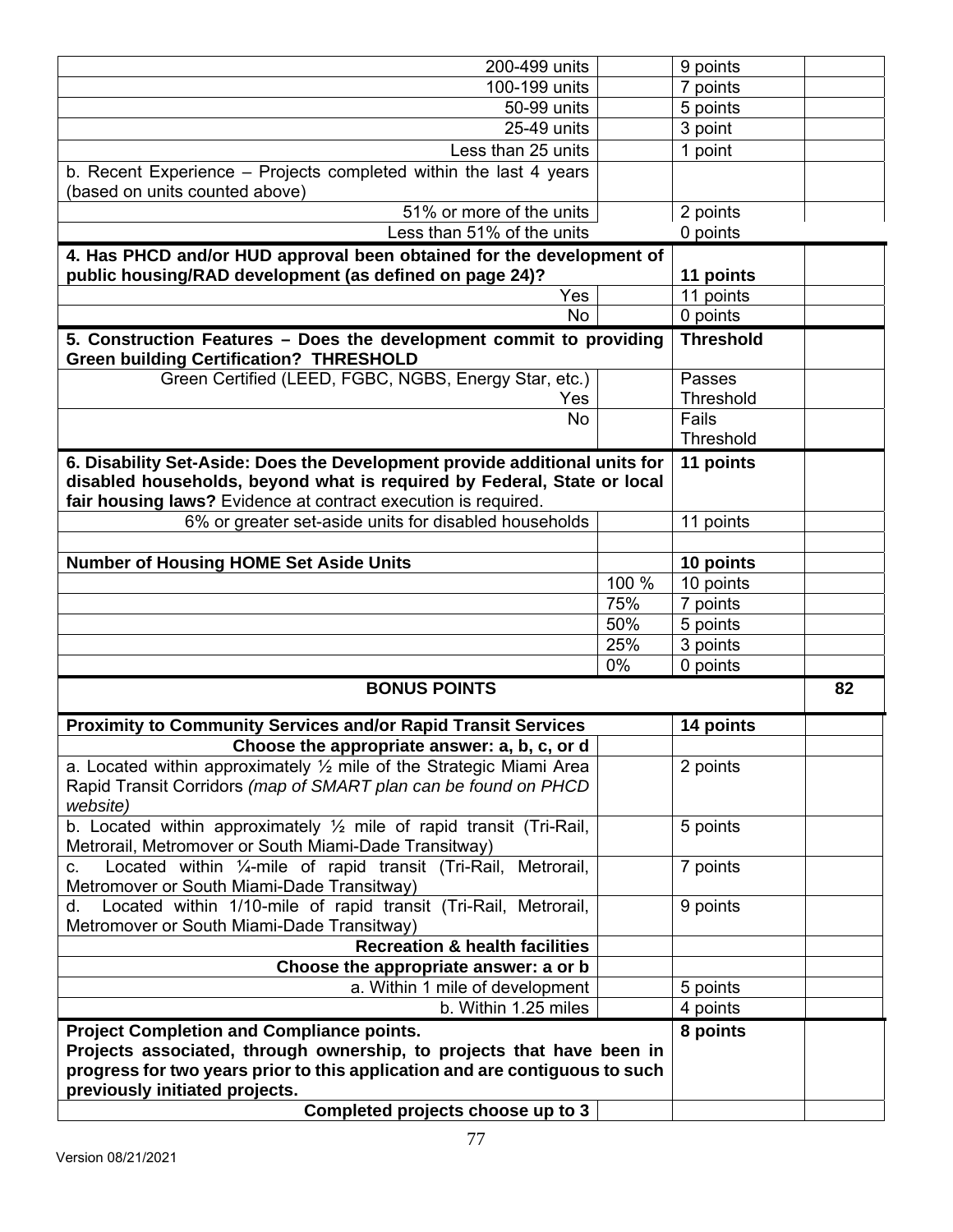| 200-499 units                                                                    | 9 points         |    |
|----------------------------------------------------------------------------------|------------------|----|
| 100-199 units                                                                    | 7 points         |    |
| 50-99 units                                                                      | 5 points         |    |
| 25-49 units                                                                      | 3 point          |    |
| Less than 25 units                                                               | 1 point          |    |
| b. Recent Experience - Projects completed within the last 4 years                |                  |    |
| (based on units counted above)                                                   |                  |    |
| 51% or more of the units                                                         | 2 points         |    |
| Less than 51% of the units                                                       | 0 points         |    |
| 4. Has PHCD and/or HUD approval been obtained for the development of             |                  |    |
| public housing/RAD development (as defined on page 24)?                          | 11 points        |    |
| Yes                                                                              | 11 points        |    |
| <b>No</b>                                                                        | 0 points         |    |
| 5. Construction Features - Does the development commit to providing              | <b>Threshold</b> |    |
| <b>Green building Certification? THRESHOLD</b>                                   |                  |    |
| Green Certified (LEED, FGBC, NGBS, Energy Star, etc.)                            | Passes           |    |
| Yes                                                                              | Threshold        |    |
| No                                                                               | Fails            |    |
|                                                                                  | Threshold        |    |
| 6. Disability Set-Aside: Does the Development provide additional units for       | 11 points        |    |
| disabled households, beyond what is required by Federal, State or local          |                  |    |
| fair housing laws? Evidence at contract execution is required.                   |                  |    |
| 6% or greater set-aside units for disabled households                            | 11 points        |    |
|                                                                                  |                  |    |
| <b>Number of Housing HOME Set Aside Units</b>                                    | 10 points        |    |
| 100 %                                                                            | 10 points        |    |
| 75%                                                                              | 7 points         |    |
| 50%                                                                              | 5 points         |    |
| 25%                                                                              | 3 points         |    |
| 0%                                                                               | 0 points         |    |
| <b>BONUS POINTS</b>                                                              |                  | 82 |
|                                                                                  |                  |    |
| <b>Proximity to Community Services and/or Rapid Transit Services</b>             | 14 points        |    |
| Choose the appropriate answer: a, b, c, or d                                     |                  |    |
| a. Located within approximately $\frac{1}{2}$ mile of the Strategic Miami Area   | 2 points         |    |
| Rapid Transit Corridors (map of SMART plan can be found on PHCD                  |                  |    |
| website)<br>b. Located within approximately 1/2 mile of rapid transit (Tri-Rail, |                  |    |
| Metrorail, Metromover or South Miami-Dade Transitway)                            | 5 points         |    |
| Located within 1/4-mile of rapid transit (Tri-Rail, Metrorail,<br>C.             | 7 points         |    |
| Metromover or South Miami-Dade Transitway)                                       |                  |    |
| Located within 1/10-mile of rapid transit (Tri-Rail, Metrorail,<br>d.            | 9 points         |    |
| Metromover or South Miami-Dade Transitway)                                       |                  |    |
| <b>Recreation &amp; health facilities</b>                                        |                  |    |
| Choose the appropriate answer: a or b                                            |                  |    |
| a. Within 1 mile of development                                                  | 5 points         |    |
| b. Within 1.25 miles                                                             | 4 points         |    |
| <b>Project Completion and Compliance points.</b>                                 | 8 points         |    |
| Projects associated, through ownership, to projects that have been in            |                  |    |
| progress for two years prior to this application and are contiguous to such      |                  |    |
| previously initiated projects.                                                   |                  |    |
|                                                                                  |                  |    |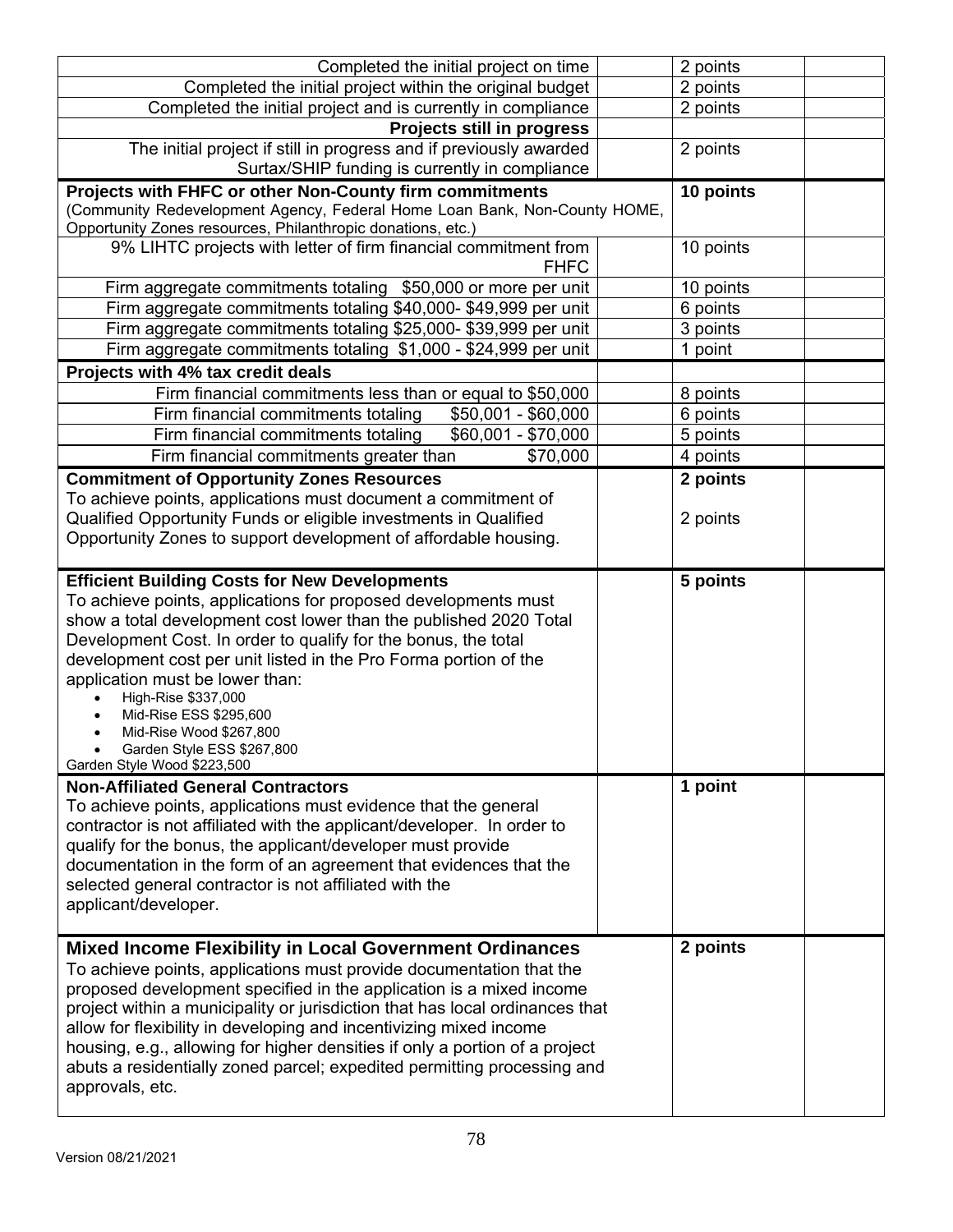| Completed the initial project on time                                                                                                                                                                                                                                                                                                                                                                                 | 2 points  |
|-----------------------------------------------------------------------------------------------------------------------------------------------------------------------------------------------------------------------------------------------------------------------------------------------------------------------------------------------------------------------------------------------------------------------|-----------|
| Completed the initial project within the original budget                                                                                                                                                                                                                                                                                                                                                              | 2 points  |
| Completed the initial project and is currently in compliance                                                                                                                                                                                                                                                                                                                                                          | 2 points  |
| Projects still in progress                                                                                                                                                                                                                                                                                                                                                                                            |           |
| The initial project if still in progress and if previously awarded                                                                                                                                                                                                                                                                                                                                                    | 2 points  |
| Surtax/SHIP funding is currently in compliance                                                                                                                                                                                                                                                                                                                                                                        |           |
| Projects with FHFC or other Non-County firm commitments                                                                                                                                                                                                                                                                                                                                                               | 10 points |
| (Community Redevelopment Agency, Federal Home Loan Bank, Non-County HOME,                                                                                                                                                                                                                                                                                                                                             |           |
| Opportunity Zones resources, Philanthropic donations, etc.)                                                                                                                                                                                                                                                                                                                                                           |           |
| 9% LIHTC projects with letter of firm financial commitment from<br><b>FHFC</b>                                                                                                                                                                                                                                                                                                                                        | 10 points |
| Firm aggregate commitments totaling \$50,000 or more per unit                                                                                                                                                                                                                                                                                                                                                         | 10 points |
| Firm aggregate commitments totaling \$40,000-\$49,999 per unit                                                                                                                                                                                                                                                                                                                                                        | 6 points  |
| Firm aggregate commitments totaling \$25,000- \$39,999 per unit                                                                                                                                                                                                                                                                                                                                                       | 3 points  |
| Firm aggregate commitments totaling \$1,000 - \$24,999 per unit                                                                                                                                                                                                                                                                                                                                                       | 1 point   |
| Projects with 4% tax credit deals                                                                                                                                                                                                                                                                                                                                                                                     |           |
| Firm financial commitments less than or equal to \$50,000                                                                                                                                                                                                                                                                                                                                                             | 8 points  |
| Firm financial commitments totaling<br>$$50,001 - $60,000$                                                                                                                                                                                                                                                                                                                                                            | 6 points  |
| Firm financial commitments totaling<br>\$60,001 - \$70,000                                                                                                                                                                                                                                                                                                                                                            | 5 points  |
| Firm financial commitments greater than<br>\$70,000                                                                                                                                                                                                                                                                                                                                                                   | 4 points  |
| <b>Commitment of Opportunity Zones Resources</b>                                                                                                                                                                                                                                                                                                                                                                      | 2 points  |
| To achieve points, applications must document a commitment of                                                                                                                                                                                                                                                                                                                                                         |           |
| Qualified Opportunity Funds or eligible investments in Qualified                                                                                                                                                                                                                                                                                                                                                      | 2 points  |
| Opportunity Zones to support development of affordable housing.                                                                                                                                                                                                                                                                                                                                                       |           |
|                                                                                                                                                                                                                                                                                                                                                                                                                       |           |
| <b>Efficient Building Costs for New Developments</b><br>To achieve points, applications for proposed developments must<br>show a total development cost lower than the published 2020 Total<br>Development Cost. In order to qualify for the bonus, the total<br>development cost per unit listed in the Pro Forma portion of the<br>application must be lower than:<br>High-Rise \$337,000<br>Mid-Rise ESS \$295,600 | 5 points  |
| Mid-Rise Wood \$267,800<br>Garden Style ESS \$267,800<br>Garden Style Wood \$223,500<br><b>Non-Affiliated General Contractors</b><br>To achieve points, applications must evidence that the general                                                                                                                                                                                                                   | 1 point   |
| contractor is not affiliated with the applicant/developer. In order to<br>qualify for the bonus, the applicant/developer must provide<br>documentation in the form of an agreement that evidences that the<br>selected general contractor is not affiliated with the<br>applicant/developer.<br><b>Mixed Income Flexibility in Local Government Ordinances</b>                                                        | 2 points  |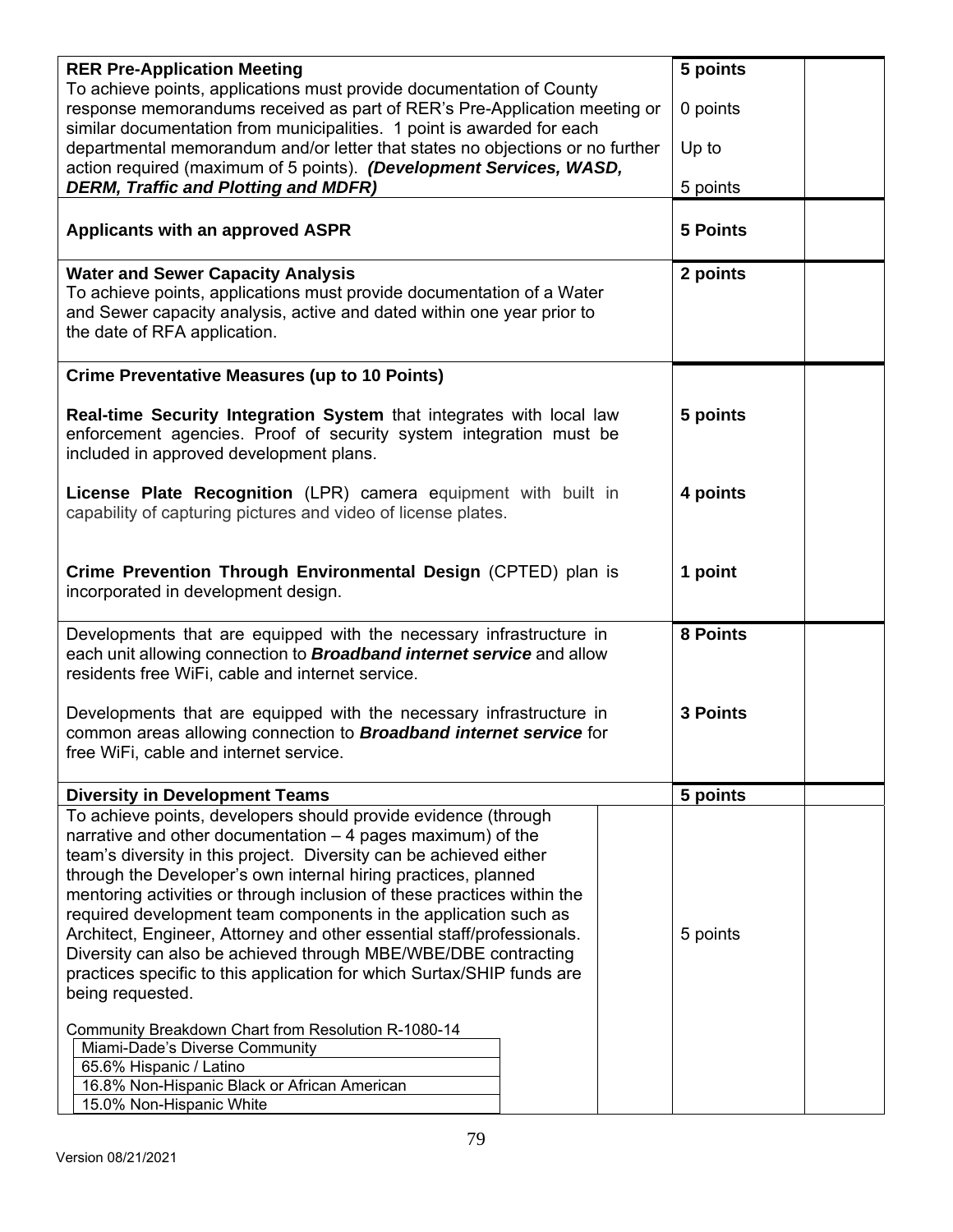| <b>RER Pre-Application Meeting</b>                                                                                                       | 5 points        |
|------------------------------------------------------------------------------------------------------------------------------------------|-----------------|
| To achieve points, applications must provide documentation of County                                                                     |                 |
| response memorandums received as part of RER's Pre-Application meeting or                                                                | 0 points        |
| similar documentation from municipalities. 1 point is awarded for each                                                                   |                 |
| departmental memorandum and/or letter that states no objections or no further                                                            | Up to           |
| action required (maximum of 5 points). (Development Services, WASD,                                                                      |                 |
| <b>DERM, Traffic and Plotting and MDFR)</b>                                                                                              | 5 points        |
|                                                                                                                                          |                 |
| <b>Applicants with an approved ASPR</b>                                                                                                  | <b>5 Points</b> |
|                                                                                                                                          |                 |
| <b>Water and Sewer Capacity Analysis</b>                                                                                                 | 2 points        |
| To achieve points, applications must provide documentation of a Water                                                                    |                 |
| and Sewer capacity analysis, active and dated within one year prior to                                                                   |                 |
| the date of RFA application.                                                                                                             |                 |
|                                                                                                                                          |                 |
| <b>Crime Preventative Measures (up to 10 Points)</b>                                                                                     |                 |
|                                                                                                                                          |                 |
| Real-time Security Integration System that integrates with local law                                                                     | 5 points        |
| enforcement agencies. Proof of security system integration must be                                                                       |                 |
| included in approved development plans.                                                                                                  |                 |
|                                                                                                                                          |                 |
| License Plate Recognition (LPR) camera equipment with built in                                                                           | 4 points        |
| capability of capturing pictures and video of license plates.                                                                            |                 |
|                                                                                                                                          |                 |
|                                                                                                                                          |                 |
| Crime Prevention Through Environmental Design (CPTED) plan is                                                                            | 1 point         |
| incorporated in development design.                                                                                                      |                 |
|                                                                                                                                          |                 |
| Developments that are equipped with the necessary infrastructure in                                                                      | <b>8 Points</b> |
| each unit allowing connection to <b>Broadband internet service</b> and allow                                                             |                 |
| residents free WiFi, cable and internet service.                                                                                         |                 |
|                                                                                                                                          |                 |
| Developments that are equipped with the necessary infrastructure in                                                                      | <b>3 Points</b> |
| common areas allowing connection to <b>Broadband internet service</b> for                                                                |                 |
| free WiFi, cable and internet service.                                                                                                   |                 |
|                                                                                                                                          |                 |
| <b>Diversity in Development Teams</b>                                                                                                    | 5 points        |
| To achieve points, developers should provide evidence (through                                                                           |                 |
| narrative and other documentation $-4$ pages maximum) of the                                                                             |                 |
| team's diversity in this project. Diversity can be achieved either                                                                       |                 |
| through the Developer's own internal hiring practices, planned                                                                           |                 |
| mentoring activities or through inclusion of these practices within the                                                                  |                 |
| required development team components in the application such as                                                                          |                 |
|                                                                                                                                          |                 |
| Architect, Engineer, Attorney and other essential staff/professionals.<br>Diversity can also be achieved through MBE/WBE/DBE contracting | 5 points        |
|                                                                                                                                          |                 |
| practices specific to this application for which Surtax/SHIP funds are                                                                   |                 |
| being requested.                                                                                                                         |                 |
| Community Breakdown Chart from Resolution R-1080-14                                                                                      |                 |
| Miami-Dade's Diverse Community                                                                                                           |                 |
| 65.6% Hispanic / Latino                                                                                                                  |                 |
| 16.8% Non-Hispanic Black or African American                                                                                             |                 |
| 15.0% Non-Hispanic White                                                                                                                 |                 |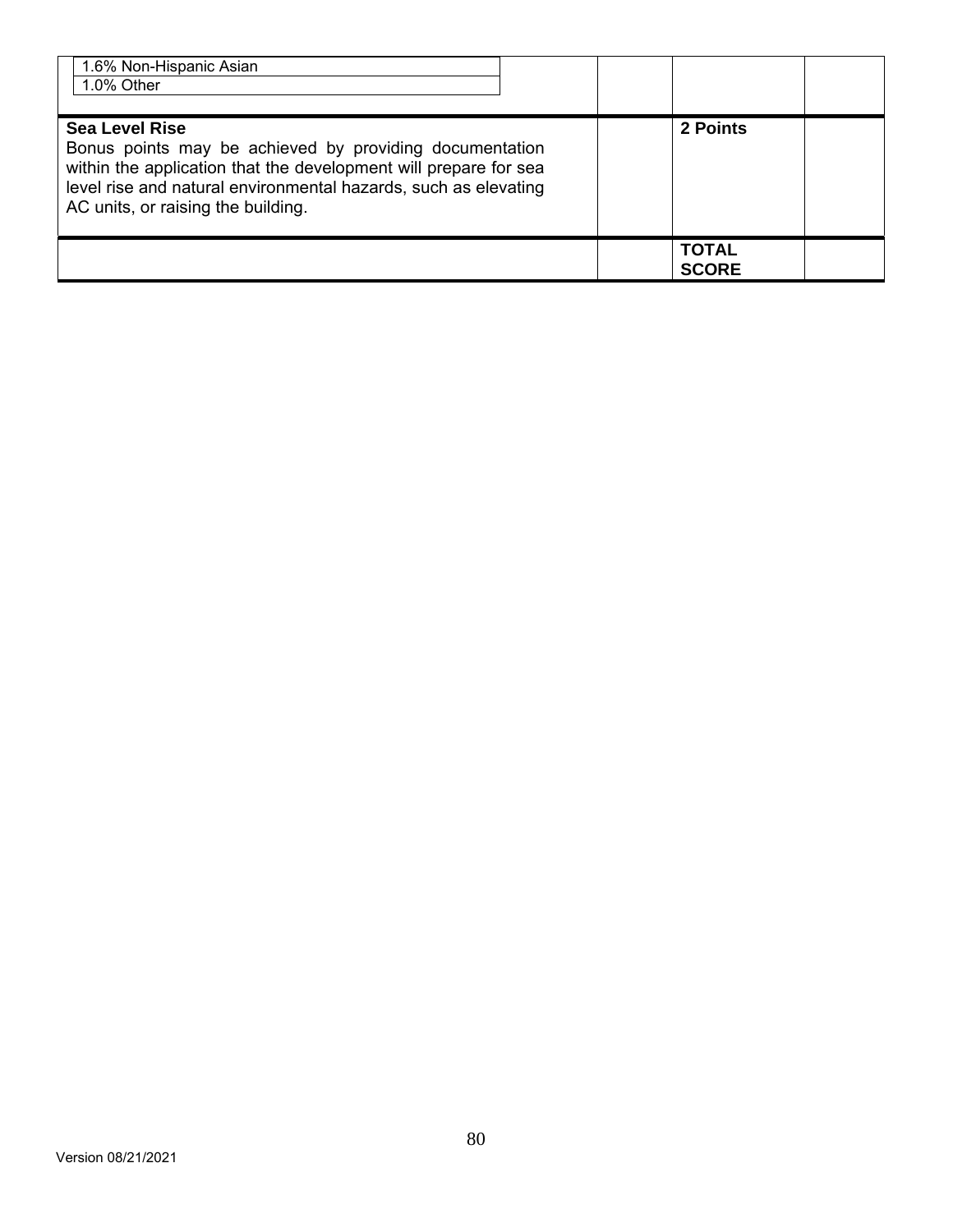| 1.6% Non-Hispanic Asian<br>1.0% Other                                                                                                                                                                                                                         |                              |  |
|---------------------------------------------------------------------------------------------------------------------------------------------------------------------------------------------------------------------------------------------------------------|------------------------------|--|
| <b>Sea Level Rise</b><br>Bonus points may be achieved by providing documentation<br>within the application that the development will prepare for sea<br>level rise and natural environmental hazards, such as elevating<br>AC units, or raising the building. | 2 Points                     |  |
|                                                                                                                                                                                                                                                               | <b>TOTAL</b><br><b>SCORE</b> |  |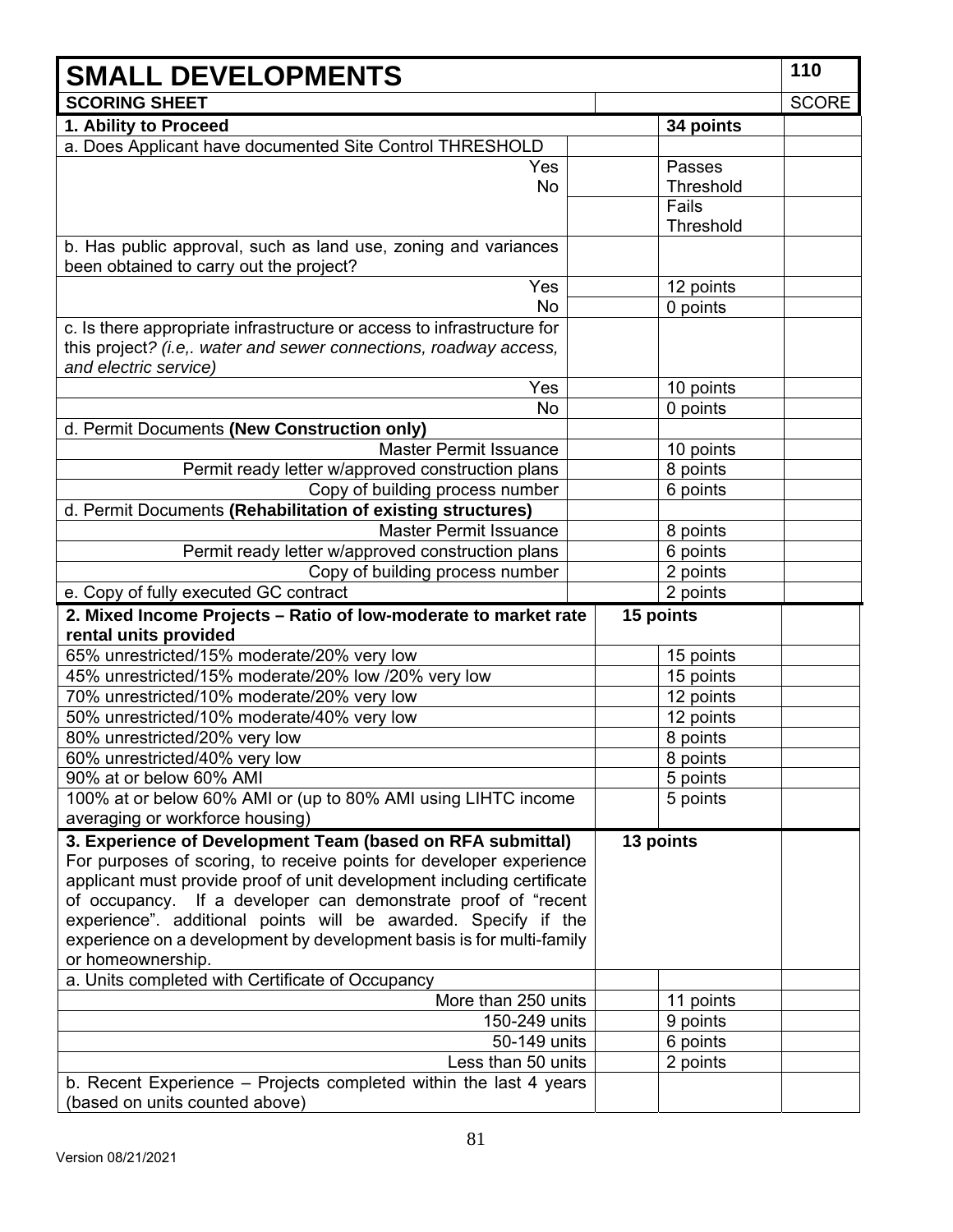| <b>SMALL DEVELOPMENTS</b>                                                                                 |  |                  | 110          |
|-----------------------------------------------------------------------------------------------------------|--|------------------|--------------|
| <b>SCORING SHEET</b>                                                                                      |  |                  | <b>SCORE</b> |
| 1. Ability to Proceed                                                                                     |  | 34 points        |              |
| a. Does Applicant have documented Site Control THRESHOLD                                                  |  |                  |              |
| Yes                                                                                                       |  | Passes           |              |
| No                                                                                                        |  | <b>Threshold</b> |              |
|                                                                                                           |  | Fails            |              |
|                                                                                                           |  | Threshold        |              |
| b. Has public approval, such as land use, zoning and variances<br>been obtained to carry out the project? |  |                  |              |
| Yes                                                                                                       |  | 12 points        |              |
| <b>No</b>                                                                                                 |  | 0 points         |              |
| c. Is there appropriate infrastructure or access to infrastructure for                                    |  |                  |              |
| this project? (i.e,. water and sewer connections, roadway access,<br>and electric service)                |  |                  |              |
| Yes                                                                                                       |  | 10 points        |              |
| No                                                                                                        |  | 0 points         |              |
| d. Permit Documents (New Construction only)                                                               |  |                  |              |
| <b>Master Permit Issuance</b>                                                                             |  | 10 points        |              |
| Permit ready letter w/approved construction plans                                                         |  | 8 points         |              |
| Copy of building process number                                                                           |  | 6 points         |              |
| d. Permit Documents (Rehabilitation of existing structures)                                               |  |                  |              |
| <b>Master Permit Issuance</b>                                                                             |  | 8 points         |              |
| Permit ready letter w/approved construction plans                                                         |  | 6 points         |              |
| Copy of building process number                                                                           |  | 2 points         |              |
| e. Copy of fully executed GC contract                                                                     |  | 2 points         |              |
| 2. Mixed Income Projects - Ratio of low-moderate to market rate<br>rental units provided                  |  | 15 points        |              |
| 65% unrestricted/15% moderate/20% very low                                                                |  | 15 points        |              |
| 45% unrestricted/15% moderate/20% low /20% very low                                                       |  | 15 points        |              |
| 70% unrestricted/10% moderate/20% very low                                                                |  | 12 points        |              |
| 50% unrestricted/10% moderate/40% very low                                                                |  | 12 points        |              |
| 80% unrestricted/20% very low                                                                             |  | 8 points         |              |
| 60% unrestricted/40% very low                                                                             |  | 8 points         |              |
| 90% at or below 60% AMI                                                                                   |  | 5 points         |              |
| 100% at or below 60% AMI or (up to 80% AMI using LIHTC income                                             |  | 5 points         |              |
| averaging or workforce housing)                                                                           |  |                  |              |
| 3. Experience of Development Team (based on RFA submittal)                                                |  | 13 points        |              |
| For purposes of scoring, to receive points for developer experience                                       |  |                  |              |
| applicant must provide proof of unit development including certificate                                    |  |                  |              |
| of occupancy. If a developer can demonstrate proof of "recent                                             |  |                  |              |
| experience". additional points will be awarded. Specify if the                                            |  |                  |              |
| experience on a development by development basis is for multi-family                                      |  |                  |              |
| or homeownership.                                                                                         |  |                  |              |
| a. Units completed with Certificate of Occupancy                                                          |  |                  |              |
| More than 250 units                                                                                       |  | 11 points        |              |
| 150-249 units                                                                                             |  | 9 points         |              |
| 50-149 units                                                                                              |  | 6 points         |              |
| Less than 50 units                                                                                        |  | 2 points         |              |
| b. Recent Experience – Projects completed within the last 4 years                                         |  |                  |              |
| (based on units counted above)                                                                            |  |                  |              |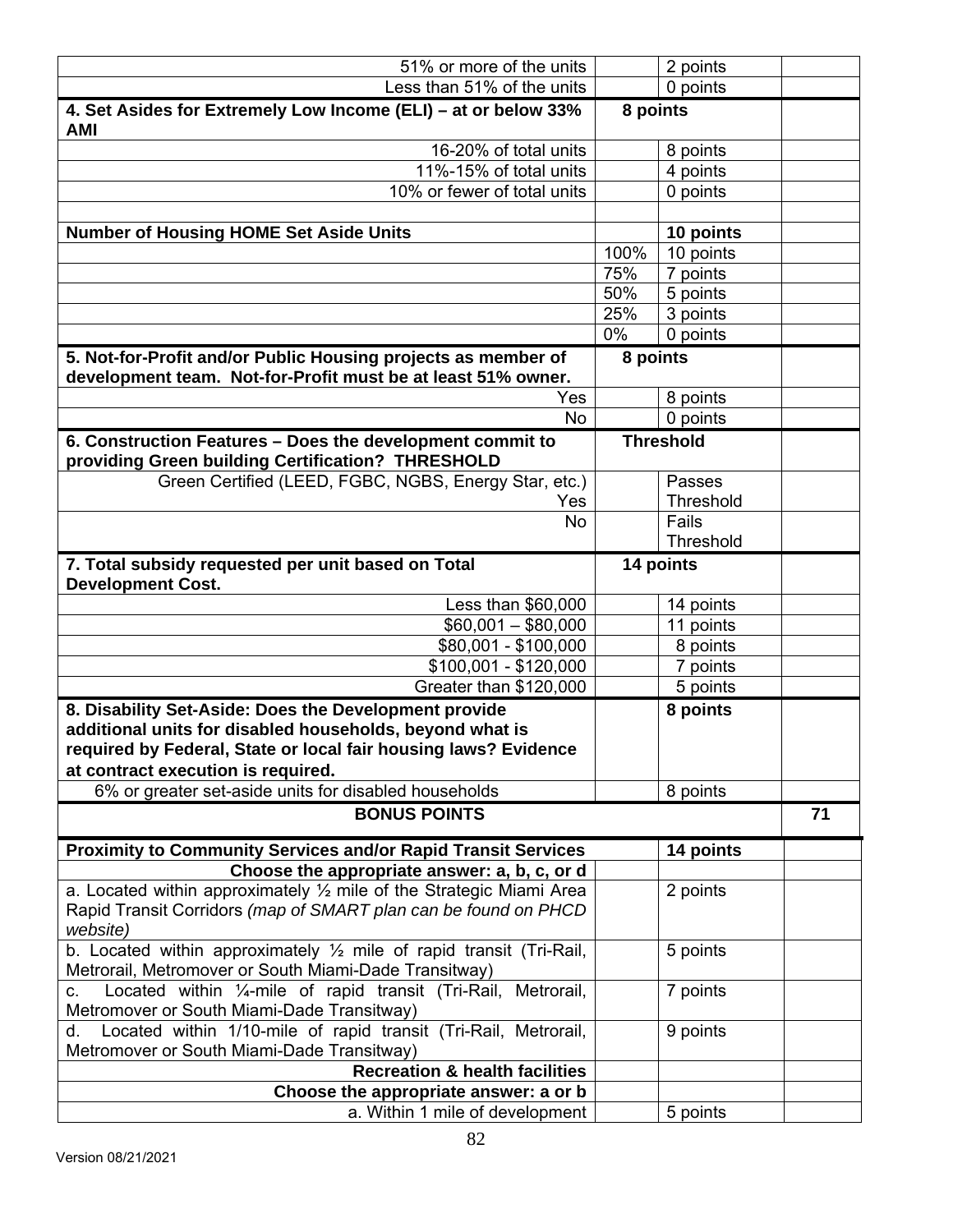| 51% or more of the units                                                                                                                |              | 2 points             |    |
|-----------------------------------------------------------------------------------------------------------------------------------------|--------------|----------------------|----|
| Less than 51% of the units                                                                                                              |              | 0 points             |    |
| 4. Set Asides for Extremely Low Income (ELI) - at or below 33%<br><b>AMI</b>                                                            | 8 points     |                      |    |
| 16-20% of total units                                                                                                                   |              | 8 points             |    |
| 11%-15% of total units                                                                                                                  |              | 4 points             |    |
| 10% or fewer of total units                                                                                                             |              | 0 points             |    |
|                                                                                                                                         |              |                      |    |
| <b>Number of Housing HOME Set Aside Units</b>                                                                                           |              | 10 points            |    |
|                                                                                                                                         | 100%         | 10 points            |    |
|                                                                                                                                         | 75%          | 7 points             |    |
|                                                                                                                                         | 50%          | 5 points             |    |
|                                                                                                                                         | 25%<br>$0\%$ | 3 points             |    |
|                                                                                                                                         |              | 0 points             |    |
| 5. Not-for-Profit and/or Public Housing projects as member of<br>development team. Not-for-Profit must be at least 51% owner.           | 8 points     |                      |    |
| Yes                                                                                                                                     |              | 8 points             |    |
| No                                                                                                                                      |              | 0 points             |    |
| 6. Construction Features - Does the development commit to<br>providing Green building Certification? THRESHOLD                          |              | <b>Threshold</b>     |    |
| Green Certified (LEED, FGBC, NGBS, Energy Star, etc.)                                                                                   |              | Passes               |    |
| Yes                                                                                                                                     |              | <b>Threshold</b>     |    |
| <b>No</b>                                                                                                                               |              | Fails                |    |
|                                                                                                                                         |              | Threshold            |    |
| 7. Total subsidy requested per unit based on Total<br><b>Development Cost.</b>                                                          |              | 14 points            |    |
| Less than \$60,000                                                                                                                      |              | 14 points            |    |
| $$60,001 - $80,000$                                                                                                                     |              | 11 points            |    |
| \$80,001 - \$100,000<br>\$100,001 - \$120,000                                                                                           |              | 8 points<br>7 points |    |
| Greater than \$120,000                                                                                                                  |              | 5 points             |    |
| 8. Disability Set-Aside: Does the Development provide                                                                                   |              | 8 points             |    |
| additional units for disabled households, beyond what is                                                                                |              |                      |    |
| required by Federal, State or local fair housing laws? Evidence                                                                         |              |                      |    |
| at contract execution is required.                                                                                                      |              |                      |    |
| 6% or greater set-aside units for disabled households                                                                                   |              | 8 points             |    |
| <b>BONUS POINTS</b>                                                                                                                     |              |                      | 71 |
| <b>Proximity to Community Services and/or Rapid Transit Services</b>                                                                    |              | 14 points            |    |
| Choose the appropriate answer: a, b, c, or d                                                                                            |              |                      |    |
| a. Located within approximately $\frac{1}{2}$ mile of the Strategic Miami Area                                                          |              | 2 points             |    |
| Rapid Transit Corridors (map of SMART plan can be found on PHCD                                                                         |              |                      |    |
| website)                                                                                                                                |              |                      |    |
| b. Located within approximately $\frac{1}{2}$ mile of rapid transit (Tri-Rail,<br>Metrorail, Metromover or South Miami-Dade Transitway) |              | 5 points             |    |
| Located within 1/4-mile of rapid transit (Tri-Rail, Metrorail,<br>C.                                                                    |              | 7 points             |    |
| Metromover or South Miami-Dade Transitway)                                                                                              |              |                      |    |
| Located within 1/10-mile of rapid transit (Tri-Rail, Metrorail,<br>d. I                                                                 |              | 9 points             |    |
| Metromover or South Miami-Dade Transitway)<br><b>Recreation &amp; health facilities</b>                                                 |              |                      |    |
| Choose the appropriate answer: a or b                                                                                                   |              |                      |    |
| a. Within 1 mile of development                                                                                                         |              | 5 points             |    |
|                                                                                                                                         |              |                      |    |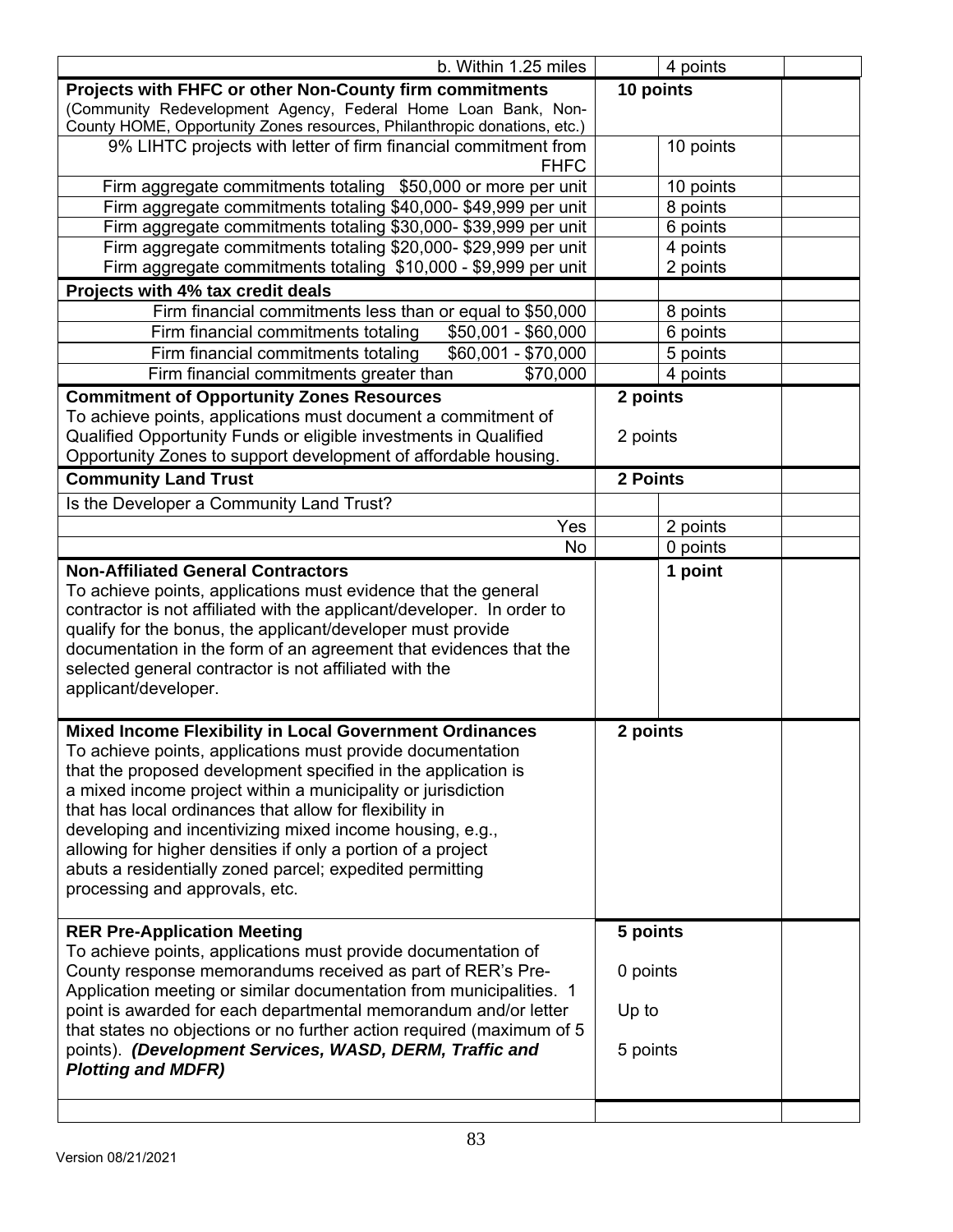| b. Within 1.25 miles                                                     |           | 4 points  |  |
|--------------------------------------------------------------------------|-----------|-----------|--|
| Projects with FHFC or other Non-County firm commitments                  | 10 points |           |  |
| (Community Redevelopment Agency, Federal Home Loan Bank, Non-            |           |           |  |
| County HOME, Opportunity Zones resources, Philanthropic donations, etc.) |           |           |  |
| 9% LIHTC projects with letter of firm financial commitment from          |           | 10 points |  |
| <b>FHFC</b>                                                              |           |           |  |
| Firm aggregate commitments totaling \$50,000 or more per unit            |           | 10 points |  |
| Firm aggregate commitments totaling \$40,000-\$49,999 per unit           |           | 8 points  |  |
| Firm aggregate commitments totaling \$30,000- \$39,999 per unit          |           | 6 points  |  |
| Firm aggregate commitments totaling \$20,000-\$29,999 per unit           |           | 4 points  |  |
| Firm aggregate commitments totaling \$10,000 - \$9,999 per unit          |           | 2 points  |  |
| Projects with 4% tax credit deals                                        |           |           |  |
| Firm financial commitments less than or equal to \$50,000                |           | 8 points  |  |
| Firm financial commitments totaling<br>\$50,001 - \$60,000               |           | 6 points  |  |
| Firm financial commitments totaling<br>\$60,001 - \$70,000               |           | 5 points  |  |
| Firm financial commitments greater than<br>\$70,000                      |           | 4 points  |  |
| <b>Commitment of Opportunity Zones Resources</b>                         | 2 points  |           |  |
| To achieve points, applications must document a commitment of            |           |           |  |
| Qualified Opportunity Funds or eligible investments in Qualified         | 2 points  |           |  |
| Opportunity Zones to support development of affordable housing.          |           |           |  |
| <b>Community Land Trust</b>                                              | 2 Points  |           |  |
| Is the Developer a Community Land Trust?                                 |           |           |  |
| Yes                                                                      |           | 2 points  |  |
| <b>No</b>                                                                |           | 0 points  |  |
| <b>Non-Affiliated General Contractors</b>                                |           | 1 point   |  |
| To achieve points, applications must evidence that the general           |           |           |  |
| contractor is not affiliated with the applicant/developer. In order to   |           |           |  |
| qualify for the bonus, the applicant/developer must provide              |           |           |  |
| documentation in the form of an agreement that evidences that the        |           |           |  |
| selected general contractor is not affiliated with the                   |           |           |  |
| applicant/developer.                                                     |           |           |  |
|                                                                          |           |           |  |
| <b>Mixed Income Flexibility in Local Government Ordinances</b>           | 2 points  |           |  |
| To achieve points, applications must provide documentation               |           |           |  |
| that the proposed development specified in the application is            |           |           |  |
| a mixed income project within a municipality or jurisdiction             |           |           |  |
| that has local ordinances that allow for flexibility in                  |           |           |  |
| developing and incentivizing mixed income housing, e.g.,                 |           |           |  |
| allowing for higher densities if only a portion of a project             |           |           |  |
| abuts a residentially zoned parcel; expedited permitting                 |           |           |  |
| processing and approvals, etc.                                           |           |           |  |
|                                                                          |           |           |  |
| <b>RER Pre-Application Meeting</b>                                       | 5 points  |           |  |
| To achieve points, applications must provide documentation of            |           |           |  |
| County response memorandums received as part of RER's Pre-               | 0 points  |           |  |
| Application meeting or similar documentation from municipalities. 1      |           |           |  |
| point is awarded for each departmental memorandum and/or letter          | Up to     |           |  |
| that states no objections or no further action required (maximum of 5    |           |           |  |
| points). (Development Services, WASD, DERM, Traffic and                  | 5 points  |           |  |
| <b>Plotting and MDFR)</b>                                                |           |           |  |
|                                                                          |           |           |  |
|                                                                          |           |           |  |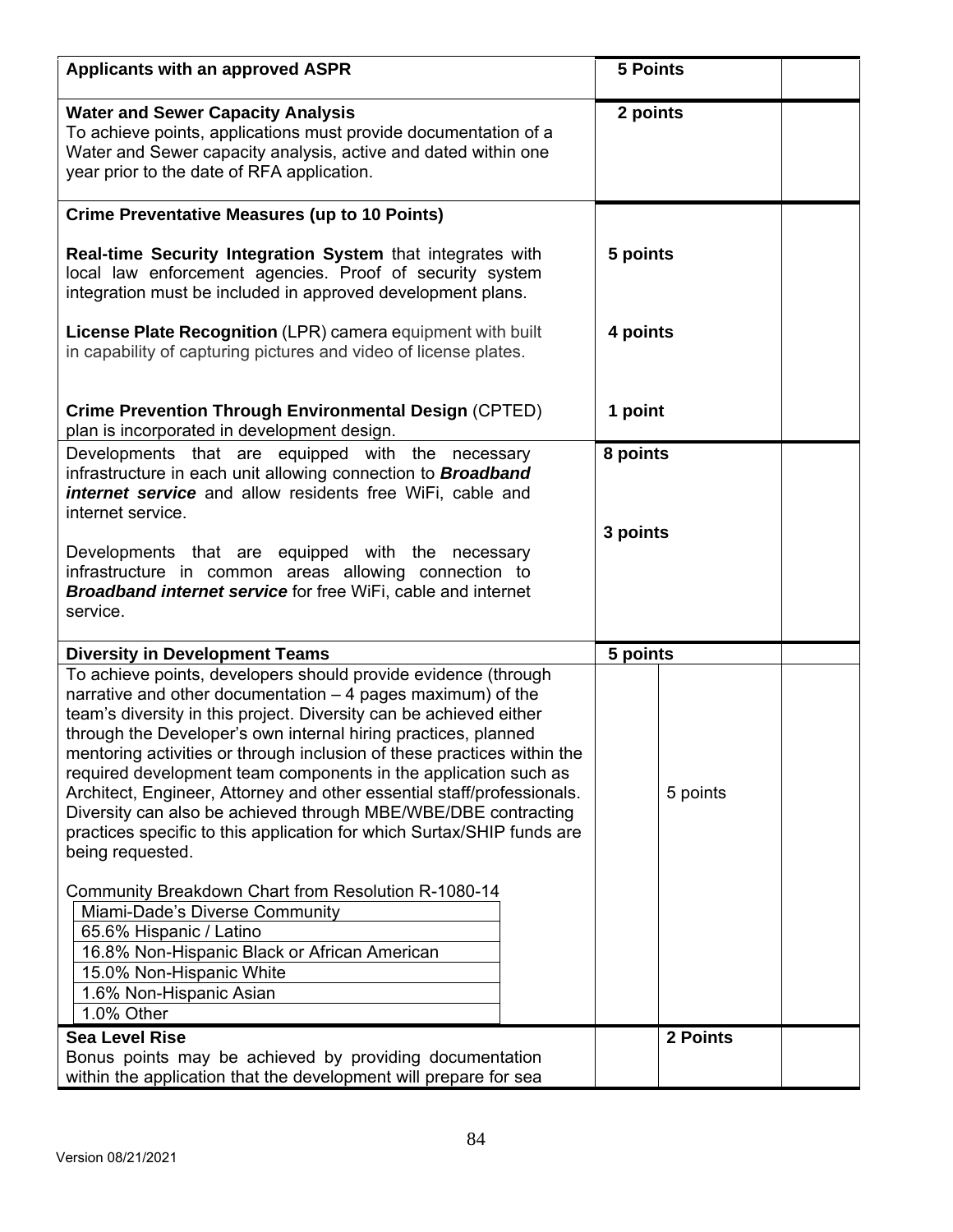| <b>Applicants with an approved ASPR</b>                                                                                                                                                                                                                                                                                                                                                                                                                                                                                                                                                                                                                                                                                                                | <b>5 Points</b>      |          |  |
|--------------------------------------------------------------------------------------------------------------------------------------------------------------------------------------------------------------------------------------------------------------------------------------------------------------------------------------------------------------------------------------------------------------------------------------------------------------------------------------------------------------------------------------------------------------------------------------------------------------------------------------------------------------------------------------------------------------------------------------------------------|----------------------|----------|--|
| <b>Water and Sewer Capacity Analysis</b><br>To achieve points, applications must provide documentation of a<br>Water and Sewer capacity analysis, active and dated within one<br>year prior to the date of RFA application.                                                                                                                                                                                                                                                                                                                                                                                                                                                                                                                            | 2 points             |          |  |
| <b>Crime Preventative Measures (up to 10 Points)</b>                                                                                                                                                                                                                                                                                                                                                                                                                                                                                                                                                                                                                                                                                                   |                      |          |  |
| Real-time Security Integration System that integrates with<br>local law enforcement agencies. Proof of security system<br>integration must be included in approved development plans.                                                                                                                                                                                                                                                                                                                                                                                                                                                                                                                                                                  | 5 points             |          |  |
| License Plate Recognition (LPR) camera equipment with built<br>in capability of capturing pictures and video of license plates.                                                                                                                                                                                                                                                                                                                                                                                                                                                                                                                                                                                                                        | 4 points             |          |  |
| <b>Crime Prevention Through Environmental Design (CPTED)</b><br>plan is incorporated in development design.                                                                                                                                                                                                                                                                                                                                                                                                                                                                                                                                                                                                                                            | 1 point              |          |  |
| Developments that are equipped with the necessary<br>infrastructure in each unit allowing connection to <b>Broadband</b><br><b>internet service</b> and allow residents free WiFi, cable and<br>internet service.<br>Developments that are equipped with the necessary<br>infrastructure in common areas allowing connection to<br><b>Broadband internet service for free WiFi, cable and internet</b><br>service.                                                                                                                                                                                                                                                                                                                                     | 8 points<br>3 points |          |  |
| <b>Diversity in Development Teams</b>                                                                                                                                                                                                                                                                                                                                                                                                                                                                                                                                                                                                                                                                                                                  | 5 points             |          |  |
| To achieve points, developers should provide evidence (through<br>narrative and other documentation - 4 pages maximum) of the<br>team's diversity in this project. Diversity can be achieved either<br>through the Developer's own internal hiring practices, planned<br>mentoring activities or through inclusion of these practices within the<br>required development team components in the application such as<br>Architect, Engineer, Attorney and other essential staff/professionals.<br>Diversity can also be achieved through MBE/WBE/DBE contracting<br>practices specific to this application for which Surtax/SHIP funds are<br>being requested.<br>Community Breakdown Chart from Resolution R-1080-14<br>Miami-Dade's Diverse Community |                      | 5 points |  |
| 65.6% Hispanic / Latino<br>16.8% Non-Hispanic Black or African American<br>15.0% Non-Hispanic White<br>1.6% Non-Hispanic Asian<br>1.0% Other                                                                                                                                                                                                                                                                                                                                                                                                                                                                                                                                                                                                           |                      |          |  |
| <b>Sea Level Rise</b>                                                                                                                                                                                                                                                                                                                                                                                                                                                                                                                                                                                                                                                                                                                                  |                      | 2 Points |  |
| Bonus points may be achieved by providing documentation<br>within the application that the development will prepare for sea                                                                                                                                                                                                                                                                                                                                                                                                                                                                                                                                                                                                                            |                      |          |  |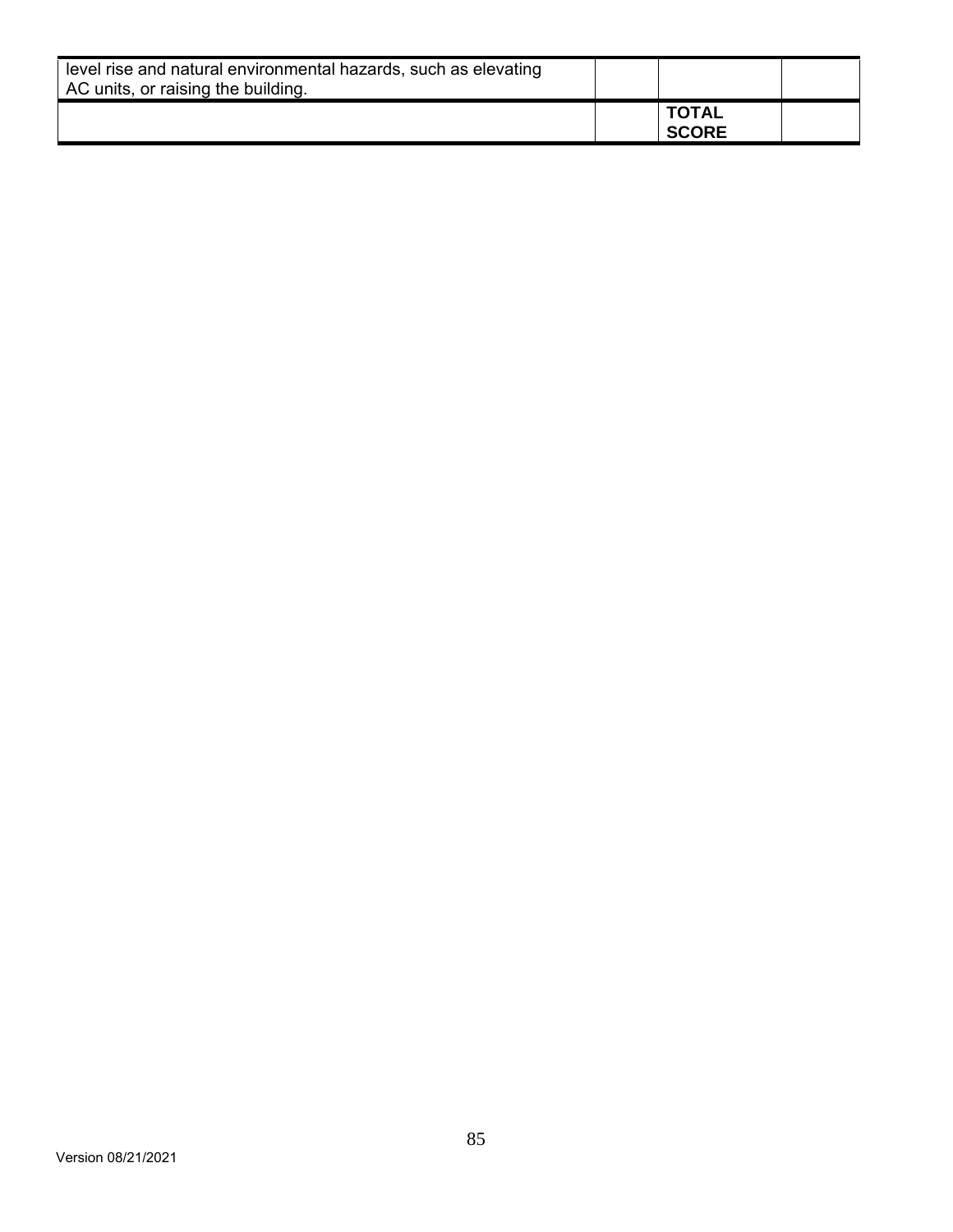| level rise and natural environmental hazards, such as elevating<br>AC units, or raising the building. |                              |  |
|-------------------------------------------------------------------------------------------------------|------------------------------|--|
|                                                                                                       | <b>TOTAL</b><br><b>SCORE</b> |  |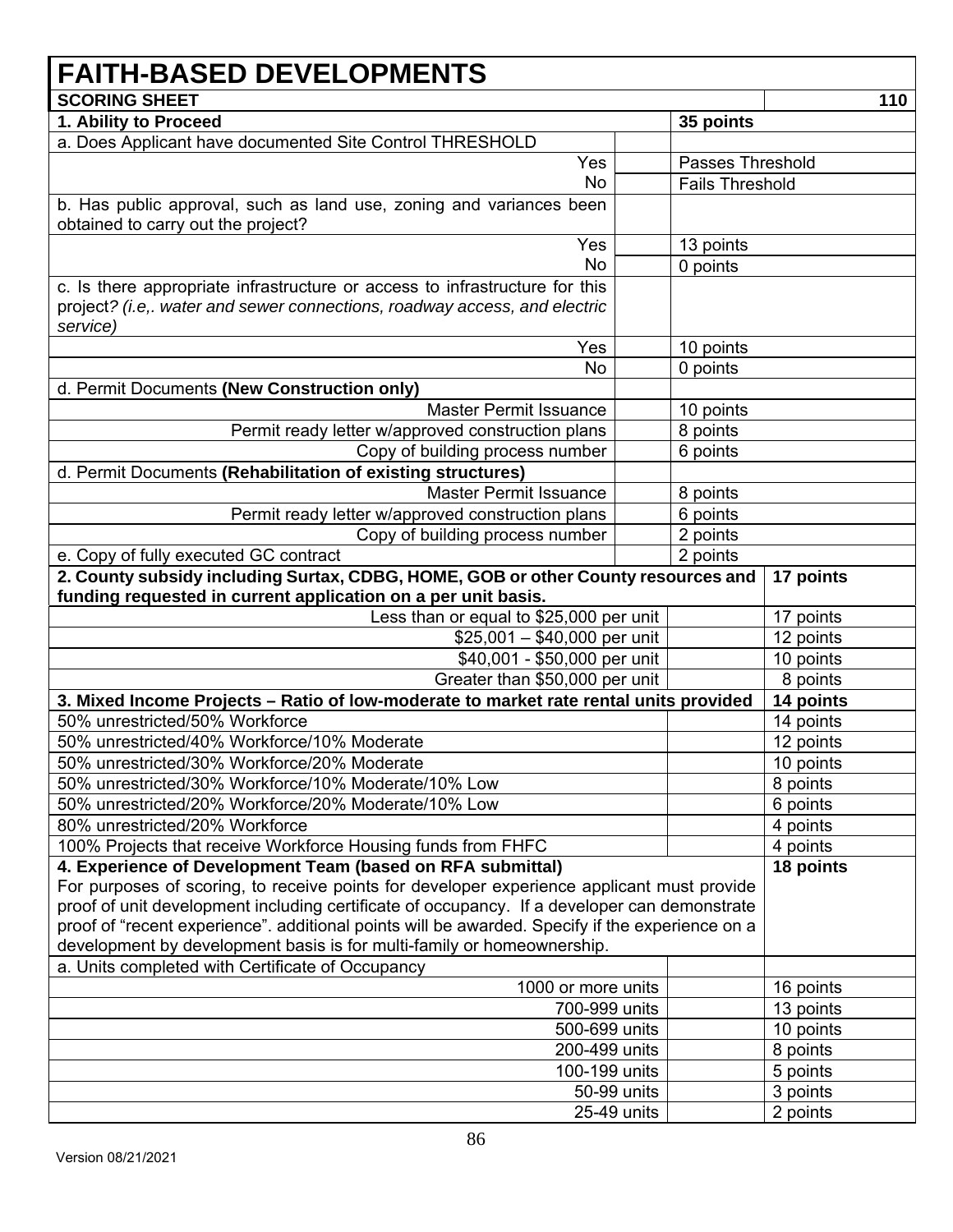## **FAITH-BASED DEVELOPMENTS SCORING SHEET** 110 **1. Ability to Proceed 35 points**  a. Does Applicant have documented Site Control THRESHOLD Yes No Passes Threshold Fails Threshold b. Has public approval, such as land use, zoning and variances been obtained to carry out the project? Yes No 13 points 0 points c. Is there appropriate infrastructure or access to infrastructure for this project*? (i.e,. water and sewer connections, roadway access, and electric service)*  Yes | 10 points No 0 points d. Permit Documents **(New Construction only)** Master Permit Issuance | 10 points Permit ready letter w/approved construction plans  $\vert$  | 8 points Copy of building process number 6 points d. Permit Documents **(Rehabilitation of existing structures)** Master Permit Issuance | 8 points Permit ready letter w/approved construction plans  $\vert$  | 6 points Copy of building process number  $\vert$  2 points e. Copy of fully executed GC contract **2** points **2** points **2. County subsidy including Surtax, CDBG, HOME, GOB or other County resources and funding requested in current application on a per unit basis. 17 points**  Less than or equal to  $$25,000$  per unit | 17 points  $$25,001 - $40,000$  per unit | 12 points \$40,001 - \$50,000 per unit | 10 points Greater than \$50,000 per unit | 8 points **3. Mixed Income Projects – Ratio of low-moderate to market rate rental units provided 14 points**  50% unrestricted/50% Workforce 14 points 14 points 50% unrestricted/40% Workforce/10% Moderate 12 points 12 points 50% unrestricted/30% Workforce/20% Moderate 10 points 10 points 50% unrestricted/30% Workforce/10% Moderate/10% Low Book Research 18 points 50% unrestricted/20% Workforce/20% Moderate/10% Low **6 points** 6 points 80% unrestricted/20% Workforce 4 points and the set of the set of the set of the set of the set of the set of the set of the set of the set of the set of the set of the set of the set of the set of the set of the set of th 100% Projects that receive Workforce Housing funds from FHFC  $\vert$  4 points **4. Experience of Development Team (based on RFA submittal)**  For purposes of scoring, to receive points for developer experience applicant must provide proof of unit development including certificate of occupancy. If a developer can demonstrate proof of "recent experience". additional points will be awarded. Specify if the experience on a development by development basis is for multi-family or homeownership. **18 points**  a. Units completed with Certificate of Occupancy 1000 or more units | 16 points 700-999 units 13 points 500-699 units 10 points 200-499 units | 8 points 100-199 units | 5 points 50-99 units | 3 points 25-49 units | 2 points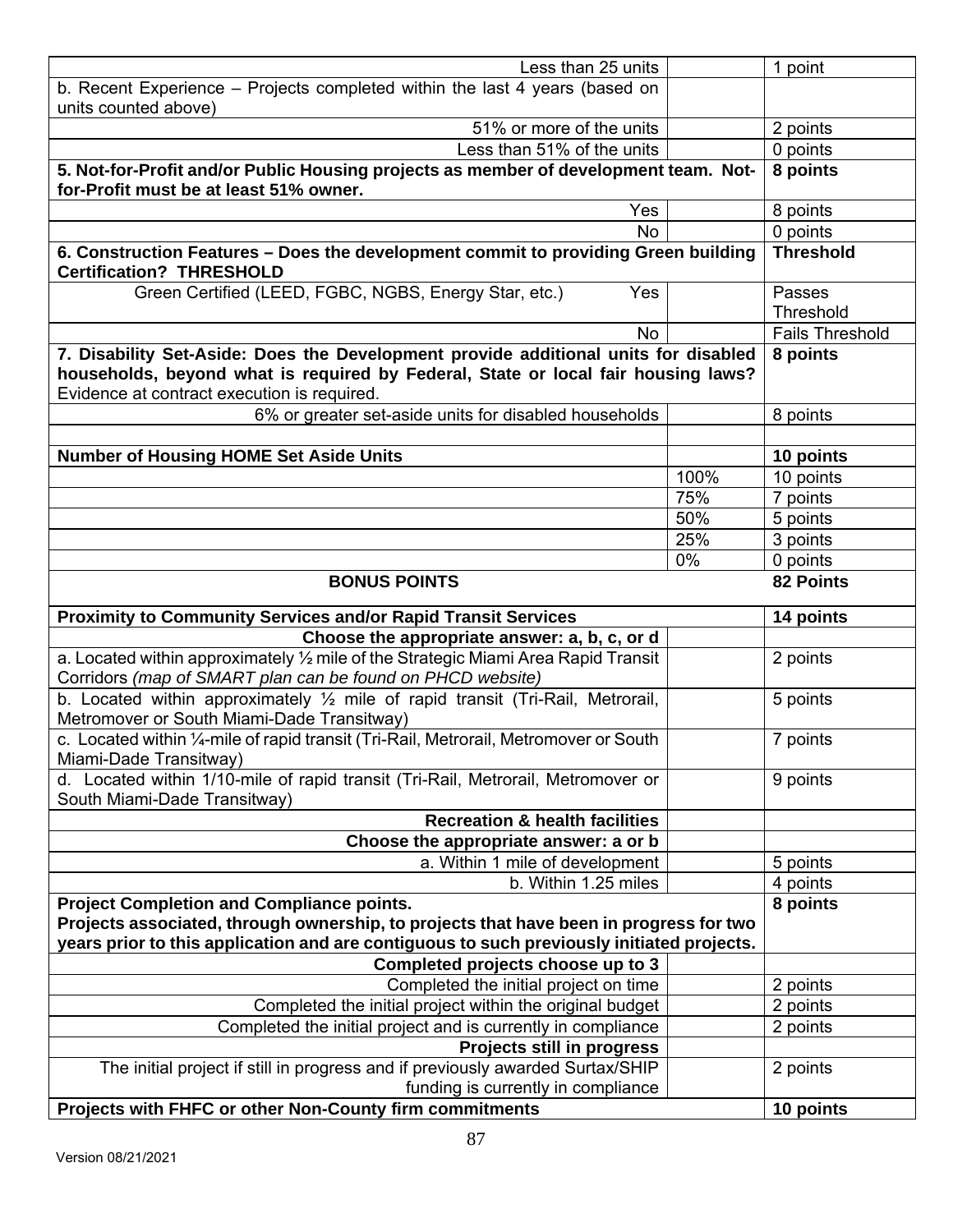| Less than 25 units                                                                                                                                                                                                      |      | 1 point                |
|-------------------------------------------------------------------------------------------------------------------------------------------------------------------------------------------------------------------------|------|------------------------|
| b. Recent Experience - Projects completed within the last 4 years (based on                                                                                                                                             |      |                        |
| units counted above)                                                                                                                                                                                                    |      |                        |
| 51% or more of the units                                                                                                                                                                                                |      | 2 points               |
| Less than 51% of the units                                                                                                                                                                                              |      | 0 points               |
| 5. Not-for-Profit and/or Public Housing projects as member of development team. Not-<br>for-Profit must be at least 51% owner.                                                                                          |      | 8 points               |
| Yes                                                                                                                                                                                                                     |      | 8 points               |
| <b>No</b>                                                                                                                                                                                                               |      | 0 points               |
| 6. Construction Features - Does the development commit to providing Green building<br><b>Certification? THRESHOLD</b>                                                                                                   |      | <b>Threshold</b>       |
| Green Certified (LEED, FGBC, NGBS, Energy Star, etc.)<br>Yes                                                                                                                                                            |      | Passes<br>Threshold    |
| <b>No</b>                                                                                                                                                                                                               |      | <b>Fails Threshold</b> |
| 7. Disability Set-Aside: Does the Development provide additional units for disabled<br>households, beyond what is required by Federal, State or local fair housing laws?<br>Evidence at contract execution is required. |      | 8 points               |
| 6% or greater set-aside units for disabled households                                                                                                                                                                   |      | 8 points               |
|                                                                                                                                                                                                                         |      |                        |
| <b>Number of Housing HOME Set Aside Units</b>                                                                                                                                                                           |      | 10 points              |
|                                                                                                                                                                                                                         | 100% | 10 points              |
|                                                                                                                                                                                                                         | 75%  | 7 points               |
|                                                                                                                                                                                                                         | 50%  | 5 points               |
|                                                                                                                                                                                                                         | 25%  | 3 points               |
|                                                                                                                                                                                                                         | 0%   | 0 points               |
| <b>BONUS POINTS</b>                                                                                                                                                                                                     |      | 82 Points              |
| <b>Proximity to Community Services and/or Rapid Transit Services</b>                                                                                                                                                    |      | 14 points              |
| Choose the appropriate answer: a, b, c, or d                                                                                                                                                                            |      |                        |
| a. Located within approximately 1/2 mile of the Strategic Miami Area Rapid Transit<br>Corridors (map of SMART plan can be found on PHCD website)                                                                        |      | 2 points               |
| b. Located within approximately 1/2 mile of rapid transit (Tri-Rail, Metrorail,<br>Metromover or South Miami-Dade Transitway)                                                                                           |      | 5 points               |
| c. Located within 1/4-mile of rapid transit (Tri-Rail, Metrorail, Metromover or South<br>Miami-Dade Transitway)                                                                                                         |      | 7 points               |
| d. Located within 1/10-mile of rapid transit (Tri-Rail, Metrorail, Metromover or<br>South Miami-Dade Transitway)                                                                                                        |      | 9 points               |
| <b>Recreation &amp; health facilities</b>                                                                                                                                                                               |      |                        |
| Choose the appropriate answer: a or b                                                                                                                                                                                   |      |                        |
| a. Within 1 mile of development                                                                                                                                                                                         |      | 5 points               |
| b. Within 1.25 miles                                                                                                                                                                                                    |      | 4 points               |
| <b>Project Completion and Compliance points.</b>                                                                                                                                                                        |      | 8 points               |
| Projects associated, through ownership, to projects that have been in progress for two<br>years prior to this application and are contiguous to such previously initiated projects.                                     |      |                        |
| Completed projects choose up to 3                                                                                                                                                                                       |      |                        |
| Completed the initial project on time                                                                                                                                                                                   |      | 2 points               |
| Completed the initial project within the original budget                                                                                                                                                                |      | 2 points               |
| Completed the initial project and is currently in compliance                                                                                                                                                            |      | 2 points               |
| Projects still in progress                                                                                                                                                                                              |      |                        |
| The initial project if still in progress and if previously awarded Surtax/SHIP<br>funding is currently in compliance                                                                                                    |      | 2 points               |
| Projects with FHFC or other Non-County firm commitments                                                                                                                                                                 |      | 10 points              |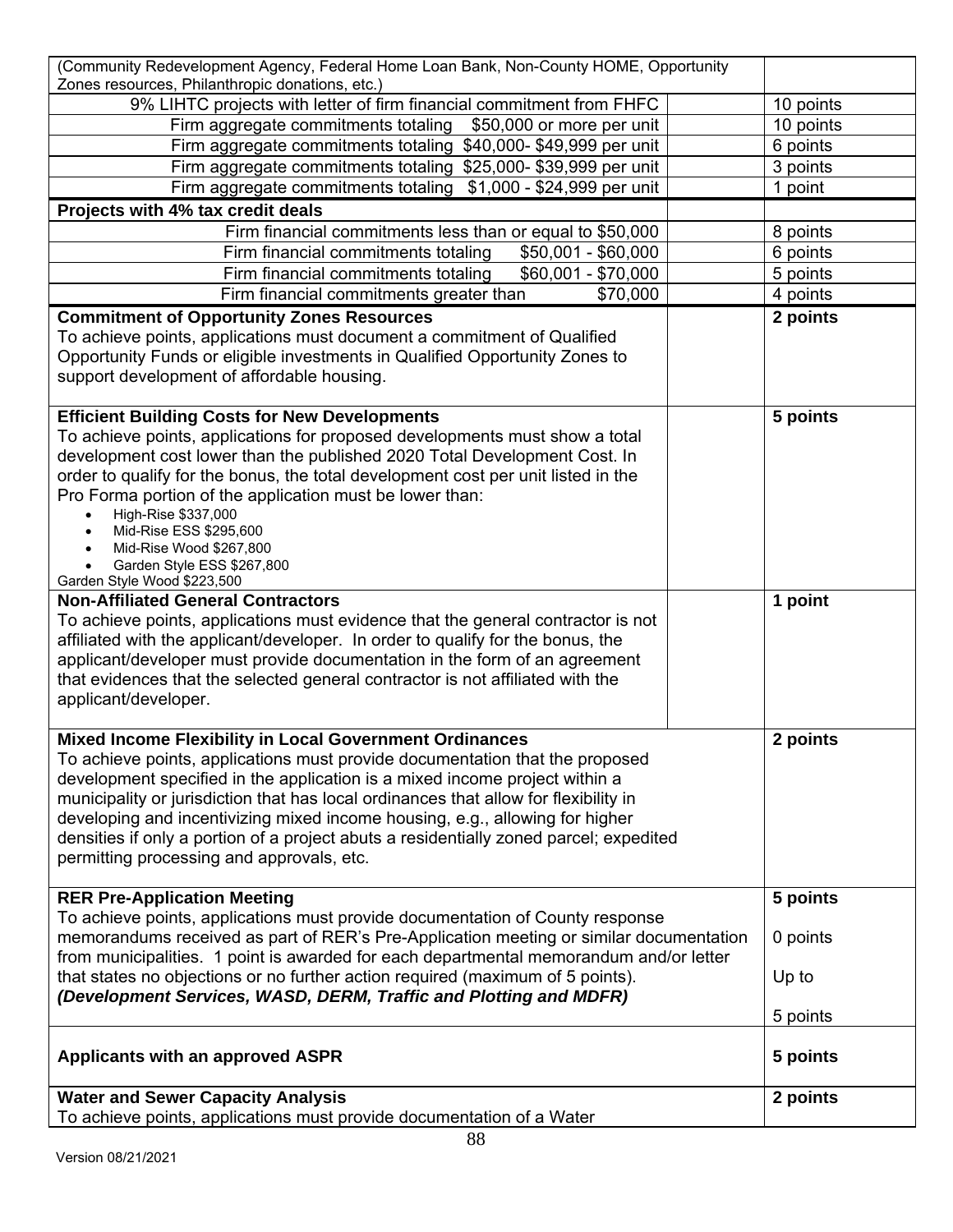| (Community Redevelopment Agency, Federal Home Loan Bank, Non-County HOME, Opportunity<br>Zones resources, Philanthropic donations, etc.) |           |
|------------------------------------------------------------------------------------------------------------------------------------------|-----------|
| 9% LIHTC projects with letter of firm financial commitment from FHFC                                                                     | 10 points |
| Firm aggregate commitments totaling \$50,000 or more per unit                                                                            | 10 points |
| Firm aggregate commitments totaling \$40,000-\$49,999 per unit                                                                           | 6 points  |
| Firm aggregate commitments totaling \$25,000-\$39,999 per unit                                                                           | 3 points  |
| Firm aggregate commitments totaling<br>\$1,000 - \$24,999 per unit                                                                       | 1 point   |
| Projects with 4% tax credit deals                                                                                                        |           |
| Firm financial commitments less than or equal to \$50,000                                                                                | 8 points  |
| Firm financial commitments totaling<br>$$50,001 - $60,000$                                                                               | 6 points  |
| Firm financial commitments totaling<br>\$60,001 - \$70,000                                                                               | 5 points  |
| Firm financial commitments greater than<br>\$70,000                                                                                      | 4 points  |
| <b>Commitment of Opportunity Zones Resources</b>                                                                                         | 2 points  |
| To achieve points, applications must document a commitment of Qualified                                                                  |           |
| Opportunity Funds or eligible investments in Qualified Opportunity Zones to                                                              |           |
| support development of affordable housing.                                                                                               |           |
|                                                                                                                                          |           |
| <b>Efficient Building Costs for New Developments</b>                                                                                     | 5 points  |
| To achieve points, applications for proposed developments must show a total                                                              |           |
| development cost lower than the published 2020 Total Development Cost. In                                                                |           |
| order to qualify for the bonus, the total development cost per unit listed in the                                                        |           |
| Pro Forma portion of the application must be lower than:<br>High-Rise \$337,000<br>$\bullet$                                             |           |
| Mid-Rise ESS \$295,600<br>$\bullet$                                                                                                      |           |
| Mid-Rise Wood \$267,800                                                                                                                  |           |
| Garden Style ESS \$267,800                                                                                                               |           |
| Garden Style Wood \$223,500<br><b>Non-Affiliated General Contractors</b>                                                                 | 1 point   |
| To achieve points, applications must evidence that the general contractor is not                                                         |           |
| affiliated with the applicant/developer. In order to qualify for the bonus, the                                                          |           |
| applicant/developer must provide documentation in the form of an agreement                                                               |           |
| that evidences that the selected general contractor is not affiliated with the                                                           |           |
| applicant/developer.                                                                                                                     |           |
|                                                                                                                                          |           |
| <b>Mixed Income Flexibility in Local Government Ordinances</b>                                                                           | 2 points  |
| To achieve points, applications must provide documentation that the proposed                                                             |           |
| development specified in the application is a mixed income project within a                                                              |           |
| municipality or jurisdiction that has local ordinances that allow for flexibility in                                                     |           |
| developing and incentivizing mixed income housing, e.g., allowing for higher                                                             |           |
| densities if only a portion of a project abuts a residentially zoned parcel; expedited                                                   |           |
| permitting processing and approvals, etc.                                                                                                |           |
| <b>RER Pre-Application Meeting</b>                                                                                                       | 5 points  |
| To achieve points, applications must provide documentation of County response                                                            |           |
| memorandums received as part of RER's Pre-Application meeting or similar documentation                                                   | 0 points  |
| from municipalities. 1 point is awarded for each departmental memorandum and/or letter                                                   |           |
| that states no objections or no further action required (maximum of 5 points).                                                           | Up to     |
| (Development Services, WASD, DERM, Traffic and Plotting and MDFR)                                                                        |           |
|                                                                                                                                          | 5 points  |
|                                                                                                                                          |           |
| <b>Applicants with an approved ASPR</b>                                                                                                  | 5 points  |
|                                                                                                                                          |           |
| <b>Water and Sewer Capacity Analysis</b>                                                                                                 | 2 points  |
| To achieve points, applications must provide documentation of a Water                                                                    |           |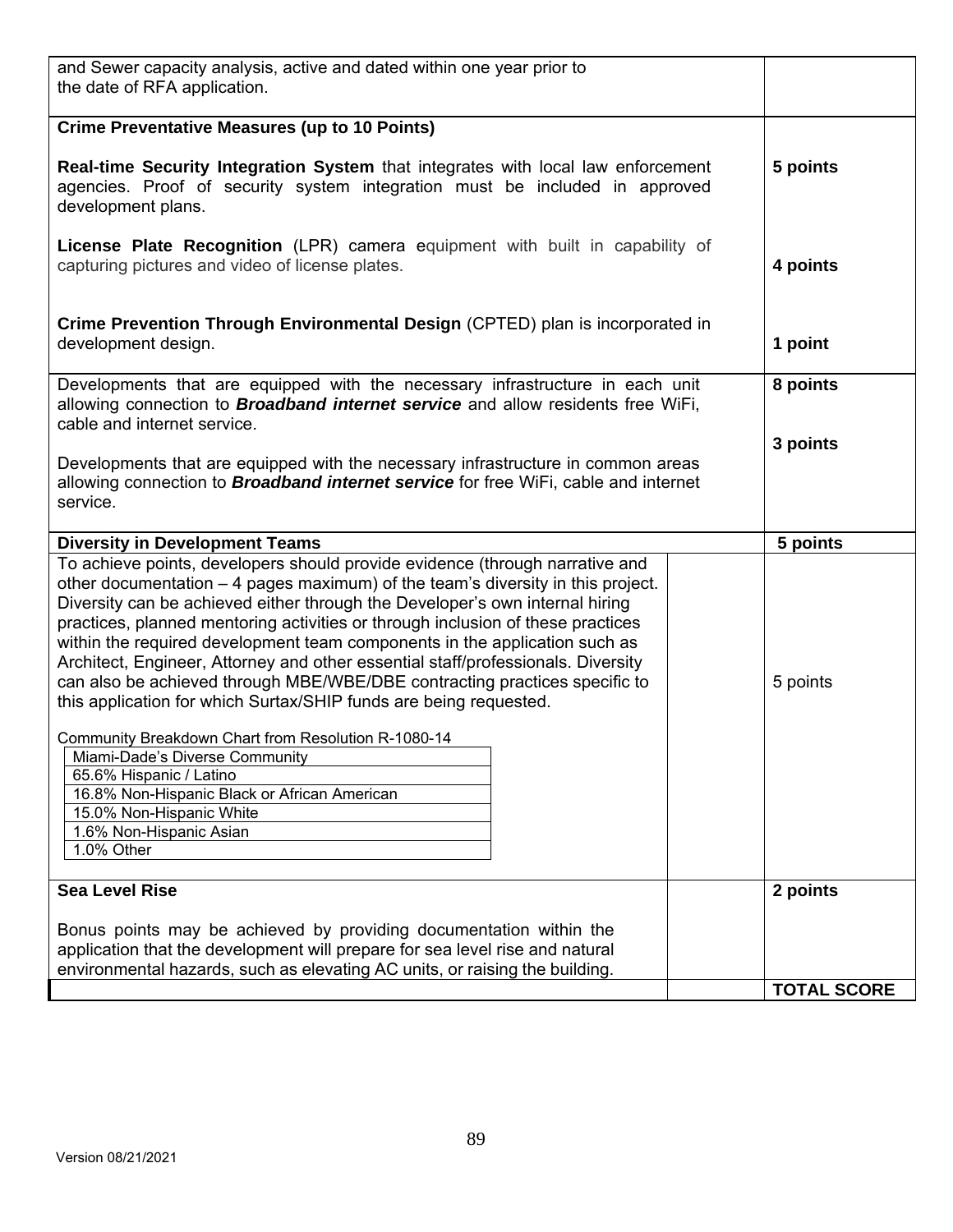| and Sewer capacity analysis, active and dated within one year prior to<br>the date of RFA application.                                                                                                                                                                                                                                                                                                                                                                                                                                                                                                                                                  |                    |
|---------------------------------------------------------------------------------------------------------------------------------------------------------------------------------------------------------------------------------------------------------------------------------------------------------------------------------------------------------------------------------------------------------------------------------------------------------------------------------------------------------------------------------------------------------------------------------------------------------------------------------------------------------|--------------------|
| <b>Crime Preventative Measures (up to 10 Points)</b>                                                                                                                                                                                                                                                                                                                                                                                                                                                                                                                                                                                                    |                    |
| Real-time Security Integration System that integrates with local law enforcement<br>agencies. Proof of security system integration must be included in approved<br>development plans.                                                                                                                                                                                                                                                                                                                                                                                                                                                                   | 5 points           |
| <b>License Plate Recognition</b> (LPR) camera equipment with built in capability of<br>capturing pictures and video of license plates.                                                                                                                                                                                                                                                                                                                                                                                                                                                                                                                  | 4 points           |
| Crime Prevention Through Environmental Design (CPTED) plan is incorporated in<br>development design.                                                                                                                                                                                                                                                                                                                                                                                                                                                                                                                                                    | 1 point            |
| Developments that are equipped with the necessary infrastructure in each unit<br>allowing connection to <b>Broadband internet service</b> and allow residents free WiFi,<br>cable and internet service.                                                                                                                                                                                                                                                                                                                                                                                                                                                 | 8 points           |
| Developments that are equipped with the necessary infrastructure in common areas<br>allowing connection to <b>Broadband internet service</b> for free WiFi, cable and internet                                                                                                                                                                                                                                                                                                                                                                                                                                                                          | 3 points           |
| service.                                                                                                                                                                                                                                                                                                                                                                                                                                                                                                                                                                                                                                                |                    |
| <b>Diversity in Development Teams</b>                                                                                                                                                                                                                                                                                                                                                                                                                                                                                                                                                                                                                   | 5 points           |
|                                                                                                                                                                                                                                                                                                                                                                                                                                                                                                                                                                                                                                                         |                    |
| To achieve points, developers should provide evidence (through narrative and<br>other documentation – 4 pages maximum) of the team's diversity in this project.<br>Diversity can be achieved either through the Developer's own internal hiring<br>practices, planned mentoring activities or through inclusion of these practices<br>within the required development team components in the application such as<br>Architect, Engineer, Attorney and other essential staff/professionals. Diversity<br>can also be achieved through MBE/WBE/DBE contracting practices specific to<br>this application for which Surtax/SHIP funds are being requested. | 5 points           |
| Community Breakdown Chart from Resolution R-1080-14<br>Miami-Dade's Diverse Community<br>65.6% Hispanic / Latino<br>16.8% Non-Hispanic Black or African American<br>15.0% Non-Hispanic White<br>1.6% Non-Hispanic Asian<br>1.0% Other                                                                                                                                                                                                                                                                                                                                                                                                                   |                    |
| <b>Sea Level Rise</b>                                                                                                                                                                                                                                                                                                                                                                                                                                                                                                                                                                                                                                   | 2 points           |
| Bonus points may be achieved by providing documentation within the<br>application that the development will prepare for sea level rise and natural<br>environmental hazards, such as elevating AC units, or raising the building.                                                                                                                                                                                                                                                                                                                                                                                                                       | <b>TOTAL SCORE</b> |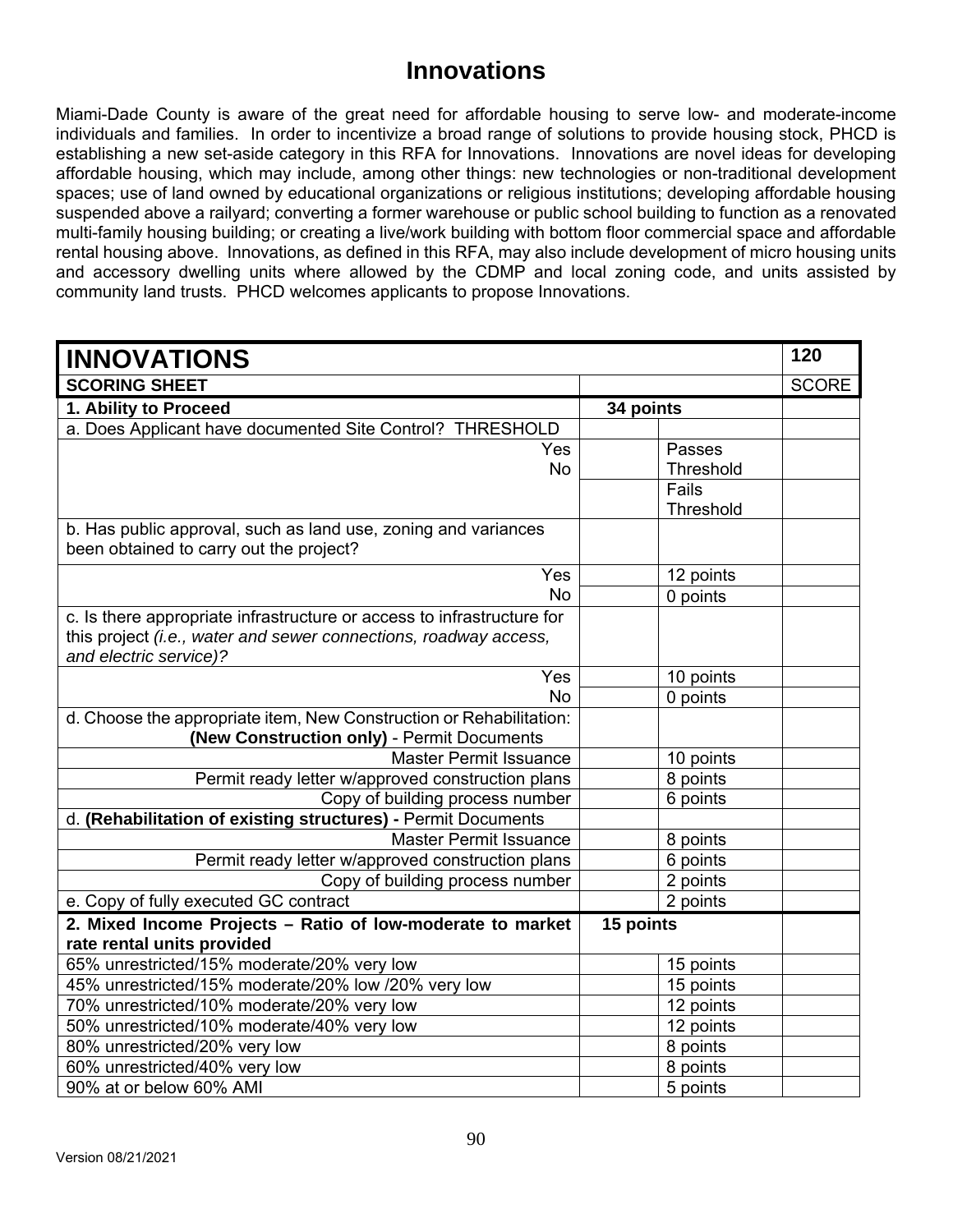## **Innovations**

Miami-Dade County is aware of the great need for affordable housing to serve low- and moderate-income individuals and families. In order to incentivize a broad range of solutions to provide housing stock, PHCD is establishing a new set-aside category in this RFA for Innovations. Innovations are novel ideas for developing affordable housing, which may include, among other things: new technologies or non-traditional development spaces; use of land owned by educational organizations or religious institutions; developing affordable housing suspended above a railyard; converting a former warehouse or public school building to function as a renovated multi-family housing building; or creating a live/work building with bottom floor commercial space and affordable rental housing above. Innovations, as defined in this RFA, may also include development of micro housing units and accessory dwelling units where allowed by the CDMP and local zoning code, and units assisted by community land trusts. PHCD welcomes applicants to propose Innovations.

| <b>INNOVATIONS</b>                                                     |           | 120          |
|------------------------------------------------------------------------|-----------|--------------|
| <b>SCORING SHEET</b>                                                   |           | <b>SCORE</b> |
| 1. Ability to Proceed                                                  | 34 points |              |
| a. Does Applicant have documented Site Control? THRESHOLD              |           |              |
| Yes                                                                    | Passes    |              |
| <b>No</b>                                                              | Threshold |              |
|                                                                        | Fails     |              |
|                                                                        | Threshold |              |
| b. Has public approval, such as land use, zoning and variances         |           |              |
| been obtained to carry out the project?                                |           |              |
| Yes                                                                    | 12 points |              |
| <b>No</b>                                                              | 0 points  |              |
| c. Is there appropriate infrastructure or access to infrastructure for |           |              |
| this project (i.e., water and sewer connections, roadway access,       |           |              |
| and electric service)?                                                 |           |              |
| Yes                                                                    | 10 points |              |
| <b>No</b>                                                              | 0 points  |              |
| d. Choose the appropriate item, New Construction or Rehabilitation:    |           |              |
| (New Construction only) - Permit Documents                             |           |              |
| <b>Master Permit Issuance</b>                                          | 10 points |              |
| Permit ready letter w/approved construction plans                      | 8 points  |              |
| Copy of building process number                                        | 6 points  |              |
| d. (Rehabilitation of existing structures) - Permit Documents          |           |              |
| <b>Master Permit Issuance</b>                                          | 8 points  |              |
| Permit ready letter w/approved construction plans                      | 6 points  |              |
| Copy of building process number                                        | 2 points  |              |
| e. Copy of fully executed GC contract                                  | 2 points  |              |
| 2. Mixed Income Projects - Ratio of low-moderate to market             | 15 points |              |
| rate rental units provided                                             |           |              |
| 65% unrestricted/15% moderate/20% very low                             | 15 points |              |
| 45% unrestricted/15% moderate/20% low /20% very low                    | 15 points |              |
| 70% unrestricted/10% moderate/20% very low                             | 12 points |              |
| 50% unrestricted/10% moderate/40% very low                             | 12 points |              |
| 80% unrestricted/20% very low                                          | 8 points  |              |
| 60% unrestricted/40% very low                                          | 8 points  |              |
| 90% at or below 60% AMI                                                | 5 points  |              |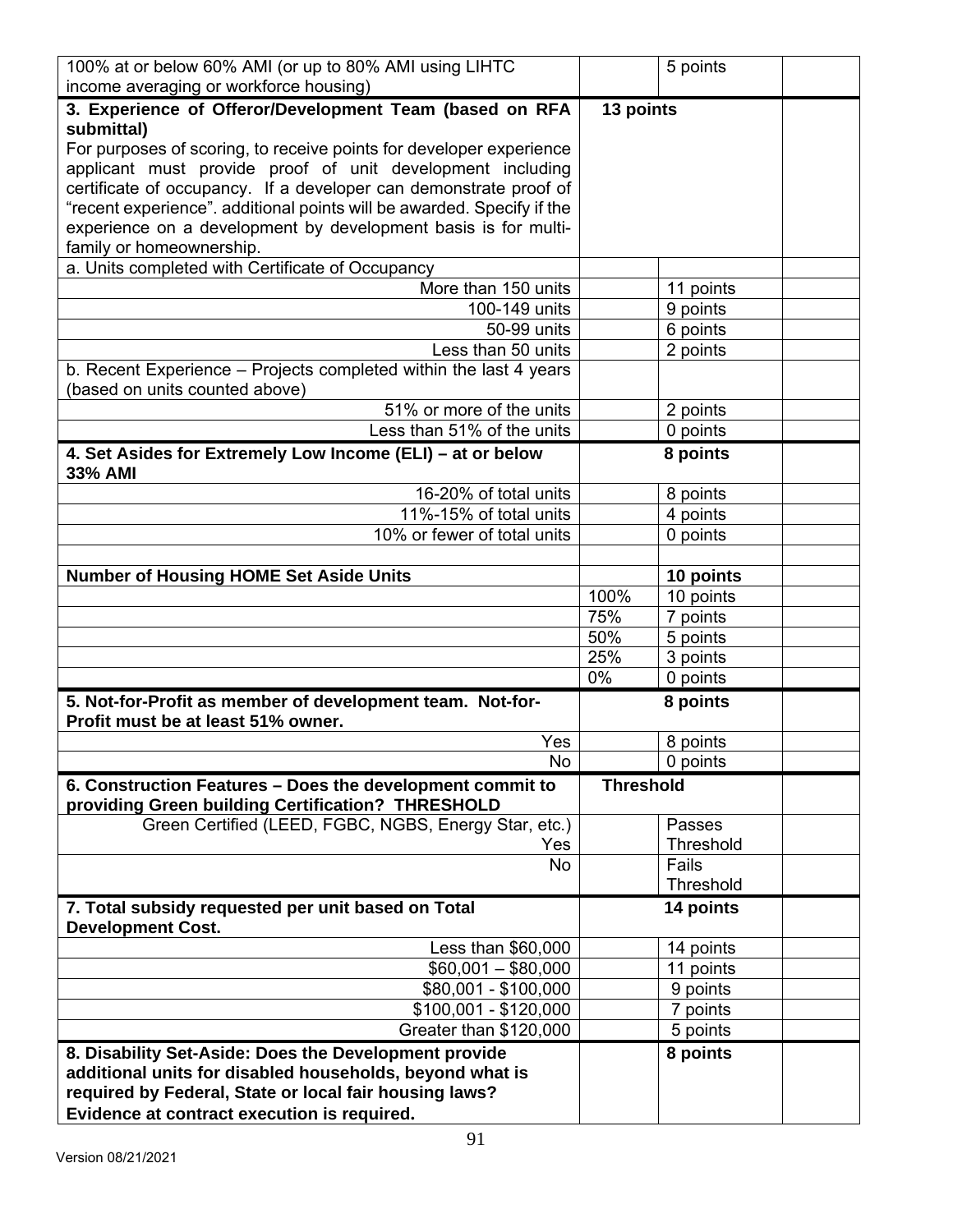| 100% at or below 60% AMI (or up to 80% AMI using LIHTC<br>income averaging or workforce housing)               |                  | 5 points             |  |
|----------------------------------------------------------------------------------------------------------------|------------------|----------------------|--|
| 3. Experience of Offeror/Development Team (based on RFA                                                        | 13 points        |                      |  |
| submittal)                                                                                                     |                  |                      |  |
| For purposes of scoring, to receive points for developer experience                                            |                  |                      |  |
| applicant must provide proof of unit development including                                                     |                  |                      |  |
| certificate of occupancy. If a developer can demonstrate proof of                                              |                  |                      |  |
| "recent experience". additional points will be awarded. Specify if the                                         |                  |                      |  |
| experience on a development by development basis is for multi-                                                 |                  |                      |  |
| family or homeownership.                                                                                       |                  |                      |  |
| a. Units completed with Certificate of Occupancy                                                               |                  |                      |  |
| More than 150 units                                                                                            |                  | 11 points            |  |
| 100-149 units                                                                                                  |                  | 9 points             |  |
| 50-99 units                                                                                                    |                  | 6 points             |  |
| Less than 50 units                                                                                             |                  | 2 points             |  |
| b. Recent Experience - Projects completed within the last 4 years                                              |                  |                      |  |
| (based on units counted above)<br>51% or more of the units                                                     |                  |                      |  |
| Less than 51% of the units                                                                                     |                  | 2 points<br>0 points |  |
|                                                                                                                |                  |                      |  |
| 4. Set Asides for Extremely Low Income (ELI) - at or below<br>33% AMI                                          |                  | 8 points             |  |
| 16-20% of total units                                                                                          |                  | 8 points             |  |
| 11%-15% of total units                                                                                         |                  | 4 points             |  |
| 10% or fewer of total units                                                                                    |                  | 0 points             |  |
|                                                                                                                |                  |                      |  |
| <b>Number of Housing HOME Set Aside Units</b>                                                                  |                  | 10 points            |  |
|                                                                                                                | 100%             | 10 points            |  |
|                                                                                                                | 75%              | 7 points             |  |
|                                                                                                                | 50%              | 5 points             |  |
|                                                                                                                | 25%              | 3 points             |  |
|                                                                                                                | 0%               | 0 points             |  |
| 5. Not-for-Profit as member of development team. Not-for-                                                      |                  | 8 points             |  |
| Profit must be at least 51% owner.                                                                             |                  |                      |  |
| Yes                                                                                                            |                  | 8 points             |  |
| No                                                                                                             |                  | 0 points             |  |
| 6. Construction Features - Does the development commit to<br>providing Green building Certification? THRESHOLD | <b>Threshold</b> |                      |  |
| Green Certified (LEED, FGBC, NGBS, Energy Star, etc.)                                                          |                  | Passes               |  |
| Yes                                                                                                            |                  | <b>Threshold</b>     |  |
| <b>No</b>                                                                                                      |                  | Fails                |  |
|                                                                                                                |                  | Threshold            |  |
| 7. Total subsidy requested per unit based on Total<br><b>Development Cost.</b>                                 |                  | 14 points            |  |
| Less than \$60,000                                                                                             |                  | 14 points            |  |
| $$60,001 - $80,000$                                                                                            |                  | 11 points            |  |
| \$80,001 - \$100,000                                                                                           |                  | 9 points             |  |
| $$100,001 - $120,000$                                                                                          |                  | 7 points             |  |
| Greater than \$120,000                                                                                         |                  | 5 points             |  |
| 8. Disability Set-Aside: Does the Development provide                                                          |                  | 8 points             |  |
| additional units for disabled households, beyond what is                                                       |                  |                      |  |
| required by Federal, State or local fair housing laws?                                                         |                  |                      |  |
| Evidence at contract execution is required.                                                                    |                  |                      |  |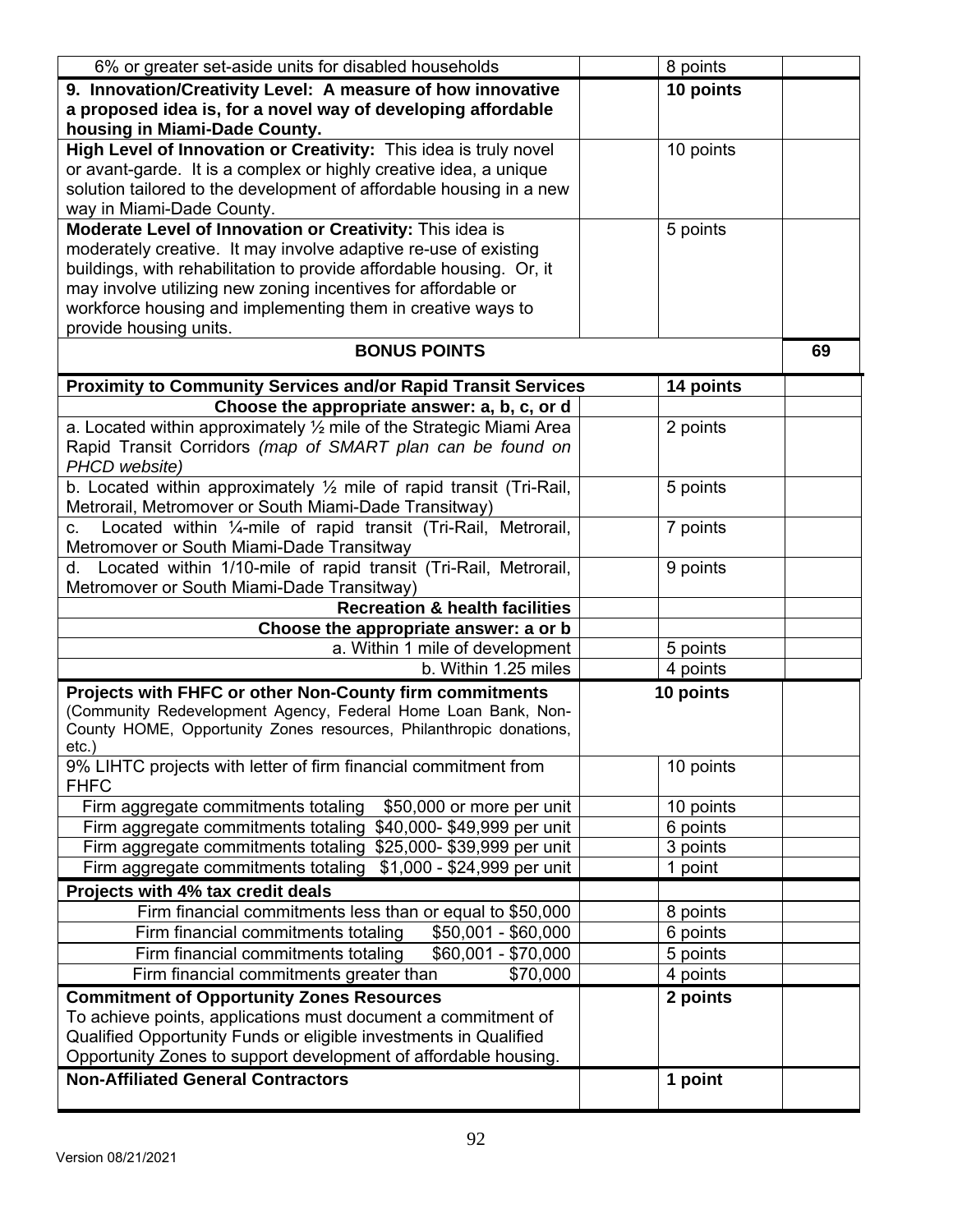| 6% or greater set-aside units for disabled households                                                                                   | 8 points  |    |
|-----------------------------------------------------------------------------------------------------------------------------------------|-----------|----|
| 9. Innovation/Creativity Level: A measure of how innovative                                                                             | 10 points |    |
| a proposed idea is, for a novel way of developing affordable                                                                            |           |    |
| housing in Miami-Dade County.                                                                                                           |           |    |
| High Level of Innovation or Creativity: This idea is truly novel                                                                        | 10 points |    |
| or avant-garde. It is a complex or highly creative idea, a unique                                                                       |           |    |
| solution tailored to the development of affordable housing in a new                                                                     |           |    |
| way in Miami-Dade County.                                                                                                               |           |    |
| Moderate Level of Innovation or Creativity: This idea is<br>moderately creative. It may involve adaptive re-use of existing             | 5 points  |    |
| buildings, with rehabilitation to provide affordable housing. Or, it                                                                    |           |    |
| may involve utilizing new zoning incentives for affordable or                                                                           |           |    |
| workforce housing and implementing them in creative ways to                                                                             |           |    |
| provide housing units.                                                                                                                  |           |    |
| <b>BONUS POINTS</b>                                                                                                                     |           | 69 |
| <b>Proximity to Community Services and/or Rapid Transit Services</b>                                                                    | 14 points |    |
| Choose the appropriate answer: a, b, c, or d                                                                                            |           |    |
| a. Located within approximately $\frac{1}{2}$ mile of the Strategic Miami Area                                                          | 2 points  |    |
| Rapid Transit Corridors (map of SMART plan can be found on                                                                              |           |    |
| PHCD website)                                                                                                                           |           |    |
| b. Located within approximately $\frac{1}{2}$ mile of rapid transit (Tri-Rail,<br>Metrorail, Metromover or South Miami-Dade Transitway) | 5 points  |    |
| Located within 1/ <sub>4</sub> -mile of rapid transit (Tri-Rail, Metrorail,<br>$\mathbf{C}$ .                                           | 7 points  |    |
| Metromover or South Miami-Dade Transitway                                                                                               |           |    |
| d. Located within 1/10-mile of rapid transit (Tri-Rail, Metrorail,                                                                      | 9 points  |    |
| Metromover or South Miami-Dade Transitway)                                                                                              |           |    |
| <b>Recreation &amp; health facilities</b>                                                                                               |           |    |
| Choose the appropriate answer: a or b                                                                                                   |           |    |
| a. Within 1 mile of development                                                                                                         | 5 points  |    |
| b. Within 1.25 miles                                                                                                                    | 4 points  |    |
| Projects with FHFC or other Non-County firm commitments                                                                                 | 10 points |    |
| (Community Redevelopment Agency, Federal Home Loan Bank, Non-                                                                           |           |    |
| County HOME, Opportunity Zones resources, Philanthropic donations,                                                                      |           |    |
| $etc.$ )<br>9% LIHTC projects with letter of firm financial commitment from                                                             | 10 points |    |
| <b>FHFC</b>                                                                                                                             |           |    |
| Firm aggregate commitments totaling<br>\$50,000 or more per unit                                                                        | 10 points |    |
| Firm aggregate commitments totaling \$40,000-\$49,999 per unit                                                                          | 6 points  |    |
| Firm aggregate commitments totaling \$25,000-\$39,999 per unit                                                                          | 3 points  |    |
| \$1,000 - \$24,999 per unit<br>Firm aggregate commitments totaling                                                                      | 1 point   |    |
| Projects with 4% tax credit deals                                                                                                       |           |    |
| Firm financial commitments less than or equal to \$50,000                                                                               | 8 points  |    |
| Firm financial commitments totaling<br>$$50,001 - $60,000$                                                                              | 6 points  |    |
| Firm financial commitments totaling<br>\$60,001 - \$70,000                                                                              | 5 points  |    |
| Firm financial commitments greater than<br>\$70,000                                                                                     | 4 points  |    |
| <b>Commitment of Opportunity Zones Resources</b>                                                                                        | 2 points  |    |
| To achieve points, applications must document a commitment of                                                                           |           |    |
| Qualified Opportunity Funds or eligible investments in Qualified                                                                        |           |    |
| Opportunity Zones to support development of affordable housing.                                                                         |           |    |
| <b>Non-Affiliated General Contractors</b>                                                                                               | 1 point   |    |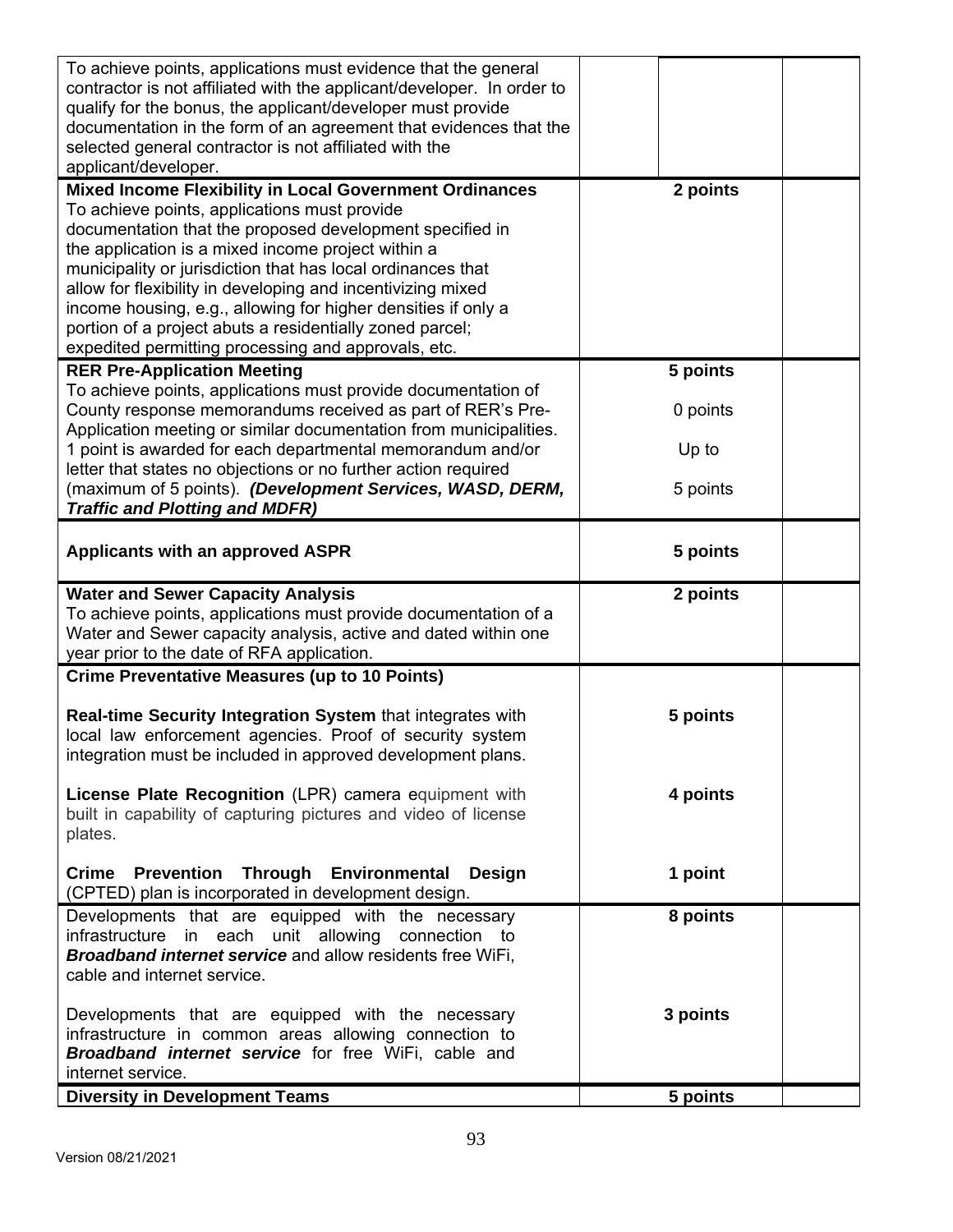| To achieve points, applications must evidence that the general<br>contractor is not affiliated with the applicant/developer. In order to<br>qualify for the bonus, the applicant/developer must provide<br>documentation in the form of an agreement that evidences that the<br>selected general contractor is not affiliated with the<br>applicant/developer.                                                                                                                                                                                     |                                           |  |
|----------------------------------------------------------------------------------------------------------------------------------------------------------------------------------------------------------------------------------------------------------------------------------------------------------------------------------------------------------------------------------------------------------------------------------------------------------------------------------------------------------------------------------------------------|-------------------------------------------|--|
| <b>Mixed Income Flexibility in Local Government Ordinances</b><br>To achieve points, applications must provide<br>documentation that the proposed development specified in<br>the application is a mixed income project within a<br>municipality or jurisdiction that has local ordinances that<br>allow for flexibility in developing and incentivizing mixed<br>income housing, e.g., allowing for higher densities if only a<br>portion of a project abuts a residentially zoned parcel;<br>expedited permitting processing and approvals, etc. | 2 points                                  |  |
| <b>RER Pre-Application Meeting</b><br>To achieve points, applications must provide documentation of<br>County response memorandums received as part of RER's Pre-<br>Application meeting or similar documentation from municipalities.<br>1 point is awarded for each departmental memorandum and/or<br>letter that states no objections or no further action required<br>(maximum of 5 points). (Development Services, WASD, DERM,<br><b>Traffic and Plotting and MDFR)</b>                                                                       | 5 points<br>0 points<br>Up to<br>5 points |  |
| <b>Applicants with an approved ASPR</b>                                                                                                                                                                                                                                                                                                                                                                                                                                                                                                            | 5 points                                  |  |
| <b>Water and Sewer Capacity Analysis</b><br>To achieve points, applications must provide documentation of a<br>Water and Sewer capacity analysis, active and dated within one<br>year prior to the date of RFA application.                                                                                                                                                                                                                                                                                                                        | 2 points                                  |  |
| <b>Crime Preventative Measures (up to 10 Points)</b><br>Real-time Security Integration System that integrates with<br>local law enforcement agencies. Proof of security system<br>integration must be included in approved development plans.                                                                                                                                                                                                                                                                                                      | 5 points                                  |  |
| License Plate Recognition (LPR) camera equipment with<br>built in capability of capturing pictures and video of license<br>plates.                                                                                                                                                                                                                                                                                                                                                                                                                 | 4 points                                  |  |
| Crime Prevention Through Environmental Design<br>(CPTED) plan is incorporated in development design.                                                                                                                                                                                                                                                                                                                                                                                                                                               | 1 point                                   |  |
| Developments that are equipped with the necessary<br>infrastructure in each unit allowing connection to<br><b>Broadband internet service and allow residents free WiFi,</b><br>cable and internet service.                                                                                                                                                                                                                                                                                                                                         | 8 points                                  |  |
| Developments that are equipped with the necessary<br>infrastructure in common areas allowing connection to<br><b>Broadband internet service</b> for free WiFi, cable and<br>internet service.                                                                                                                                                                                                                                                                                                                                                      | 3 points                                  |  |
| <b>Diversity in Development Teams</b>                                                                                                                                                                                                                                                                                                                                                                                                                                                                                                              | 5 points                                  |  |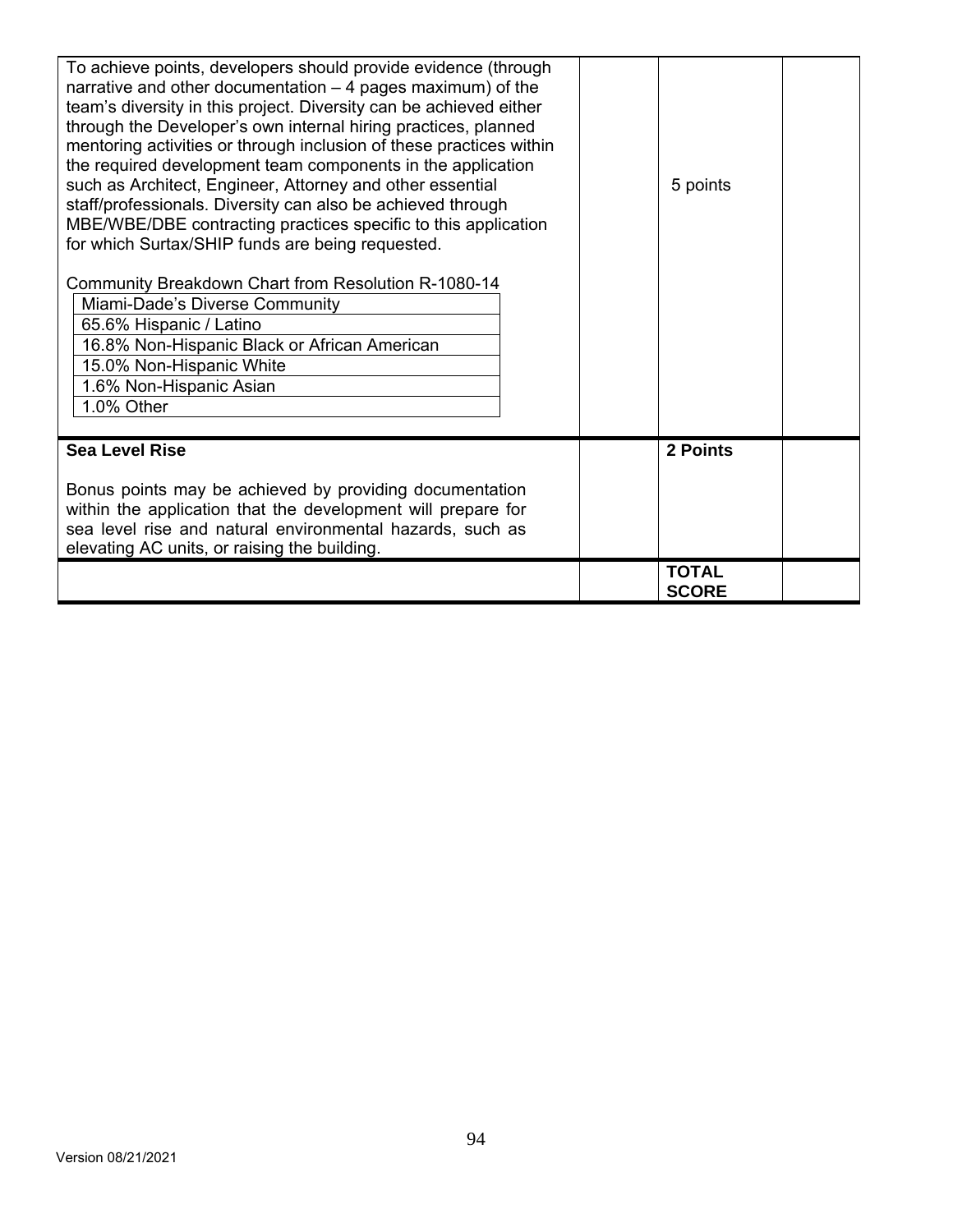| To achieve points, developers should provide evidence (through<br>narrative and other documentation $-4$ pages maximum) of the<br>team's diversity in this project. Diversity can be achieved either<br>through the Developer's own internal hiring practices, planned<br>mentoring activities or through inclusion of these practices within<br>the required development team components in the application<br>such as Architect, Engineer, Attorney and other essential<br>staff/professionals. Diversity can also be achieved through<br>MBE/WBE/DBE contracting practices specific to this application<br>for which Surtax/SHIP funds are being requested.<br>Community Breakdown Chart from Resolution R-1080-14<br>Miami-Dade's Diverse Community<br>65.6% Hispanic / Latino<br>16.8% Non-Hispanic Black or African American<br>15.0% Non-Hispanic White<br>1.6% Non-Hispanic Asian<br>1.0% Other | 5 points                     |
|---------------------------------------------------------------------------------------------------------------------------------------------------------------------------------------------------------------------------------------------------------------------------------------------------------------------------------------------------------------------------------------------------------------------------------------------------------------------------------------------------------------------------------------------------------------------------------------------------------------------------------------------------------------------------------------------------------------------------------------------------------------------------------------------------------------------------------------------------------------------------------------------------------|------------------------------|
| <b>Sea Level Rise</b><br>Bonus points may be achieved by providing documentation<br>within the application that the development will prepare for                                                                                                                                                                                                                                                                                                                                                                                                                                                                                                                                                                                                                                                                                                                                                        | 2 Points                     |
| sea level rise and natural environmental hazards, such as<br>elevating AC units, or raising the building.                                                                                                                                                                                                                                                                                                                                                                                                                                                                                                                                                                                                                                                                                                                                                                                               | <b>TOTAL</b><br><b>SCORE</b> |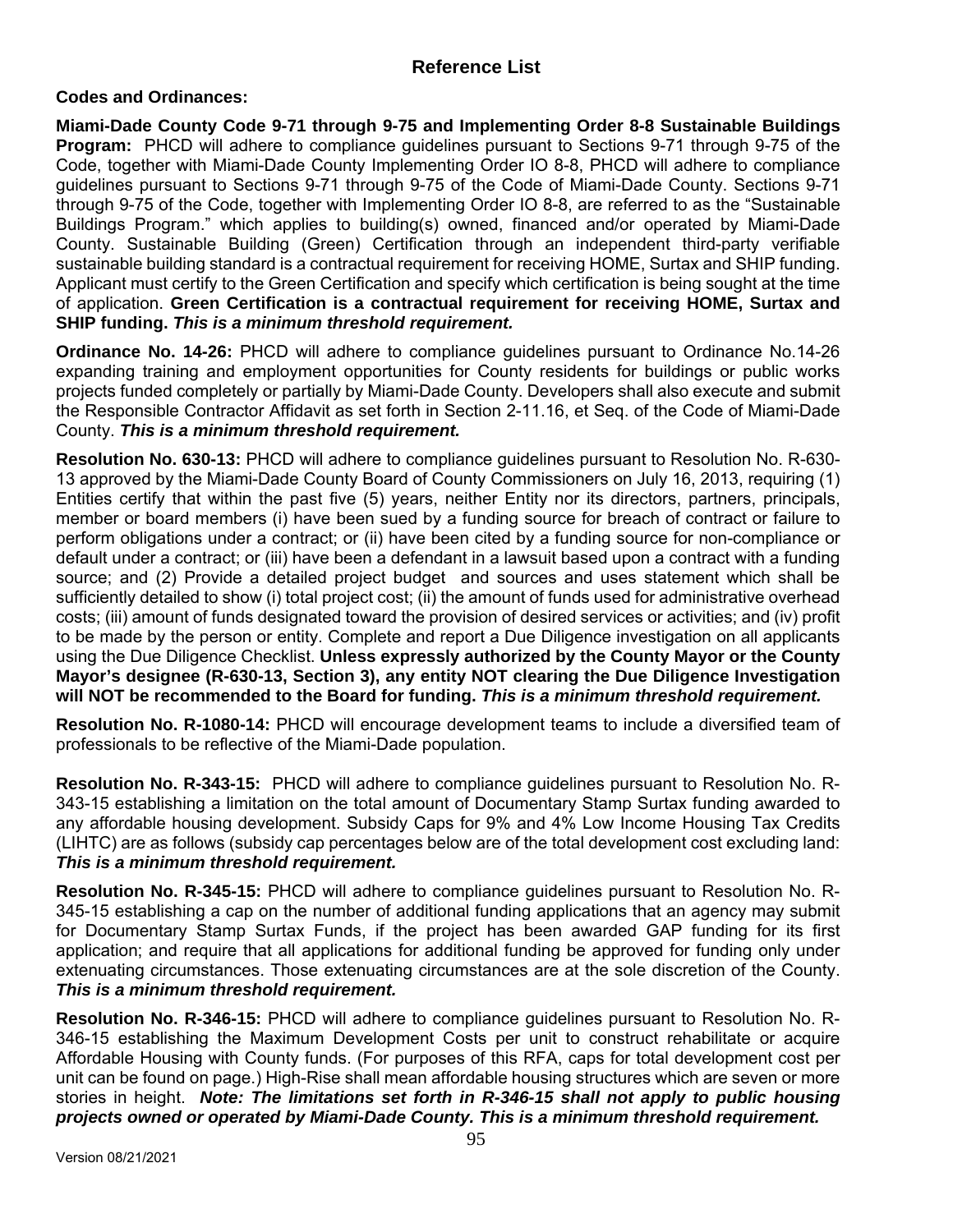## **Reference List**

## **Codes and Ordinances:**

**Miami-Dade County Code 9-71 through 9-75 and Implementing Order 8-8 Sustainable Buildings Program:** PHCD will adhere to compliance guidelines pursuant to Sections 9-71 through 9-75 of the Code, together with Miami-Dade County Implementing Order IO 8-8, PHCD will adhere to compliance guidelines pursuant to Sections 9-71 through 9-75 of the Code of Miami-Dade County. Sections 9-71 through 9-75 of the Code, together with Implementing Order IO 8-8, are referred to as the "Sustainable Buildings Program." which applies to building(s) owned, financed and/or operated by Miami-Dade County. Sustainable Building (Green) Certification through an independent third-party verifiable sustainable building standard is a contractual requirement for receiving HOME, Surtax and SHIP funding. Applicant must certify to the Green Certification and specify which certification is being sought at the time of application. **Green Certification is a contractual requirement for receiving HOME, Surtax and SHIP funding.** *This is a minimum threshold requirement.*

**Ordinance No. 14-26:** PHCD will adhere to compliance guidelines pursuant to Ordinance No.14-26 expanding training and employment opportunities for County residents for buildings or public works projects funded completely or partially by Miami-Dade County. Developers shall also execute and submit the Responsible Contractor Affidavit as set forth in Section 2-11.16, et Seq. of the Code of Miami-Dade County. *This is a minimum threshold requirement.*

**Resolution No. 630-13:** PHCD will adhere to compliance guidelines pursuant to Resolution No. R-630- 13 approved by the Miami-Dade County Board of County Commissioners on July 16, 2013, requiring (1) Entities certify that within the past five (5) years, neither Entity nor its directors, partners, principals, member or board members (i) have been sued by a funding source for breach of contract or failure to perform obligations under a contract; or (ii) have been cited by a funding source for non-compliance or default under a contract; or (iii) have been a defendant in a lawsuit based upon a contract with a funding source; and (2) Provide a detailed project budget and sources and uses statement which shall be sufficiently detailed to show (i) total project cost; (ii) the amount of funds used for administrative overhead costs; (iii) amount of funds designated toward the provision of desired services or activities; and (iv) profit to be made by the person or entity. Complete and report a Due Diligence investigation on all applicants using the Due Diligence Checklist. **Unless expressly authorized by the County Mayor or the County Mayor's designee (R-630-13, Section 3), any entity NOT clearing the Due Diligence Investigation will NOT be recommended to the Board for funding.** *This is a minimum threshold requirement.* 

**Resolution No. R-1080-14:** PHCD will encourage development teams to include a diversified team of professionals to be reflective of the Miami-Dade population.

**Resolution No. R-343-15:** PHCD will adhere to compliance guidelines pursuant to Resolution No. R-343-15 establishing a limitation on the total amount of Documentary Stamp Surtax funding awarded to any affordable housing development. Subsidy Caps for 9% and 4% Low Income Housing Tax Credits (LIHTC) are as follows (subsidy cap percentages below are of the total development cost excluding land: *This is a minimum threshold requirement.*

**Resolution No. R-345-15:** PHCD will adhere to compliance guidelines pursuant to Resolution No. R-345-15 establishing a cap on the number of additional funding applications that an agency may submit for Documentary Stamp Surtax Funds, if the project has been awarded GAP funding for its first application; and require that all applications for additional funding be approved for funding only under extenuating circumstances. Those extenuating circumstances are at the sole discretion of the County. *This is a minimum threshold requirement.*

**Resolution No. R-346-15:** PHCD will adhere to compliance guidelines pursuant to Resolution No. R-346-15 establishing the Maximum Development Costs per unit to construct rehabilitate or acquire Affordable Housing with County funds. (For purposes of this RFA, caps for total development cost per unit can be found on page.) High-Rise shall mean affordable housing structures which are seven or more stories in height. *Note: The limitations set forth in R-346-15 shall not apply to public housing projects owned or operated by Miami-Dade County. This is a minimum threshold requirement.*